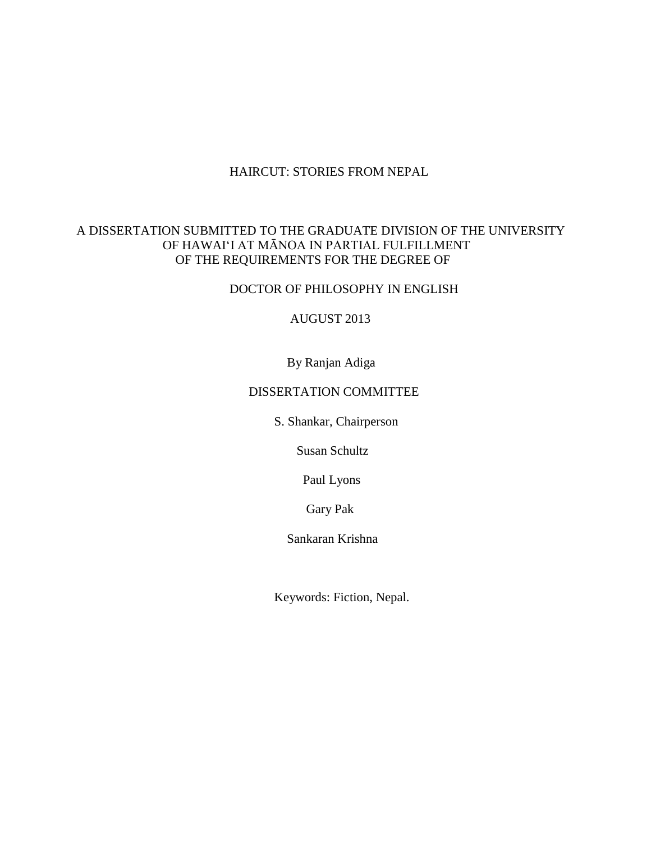## HAIRCUT: STORIES FROM NEPAL

# A DISSERTATION SUBMITTED TO THE GRADUATE DIVISION OF THE UNIVERSITY OF HAWAI'I AT MĀNOA IN PARTIAL FULFILLMENT OF THE REQUIREMENTS FOR THE DEGREE OF

DOCTOR OF PHILOSOPHY IN ENGLISH

AUGUST 2013

By Ranjan Adiga

## DISSERTATION COMMITTEE

S. Shankar, Chairperson

Susan Schultz

Paul Lyons

Gary Pak

Sankaran Krishna

Keywords: Fiction, Nepal.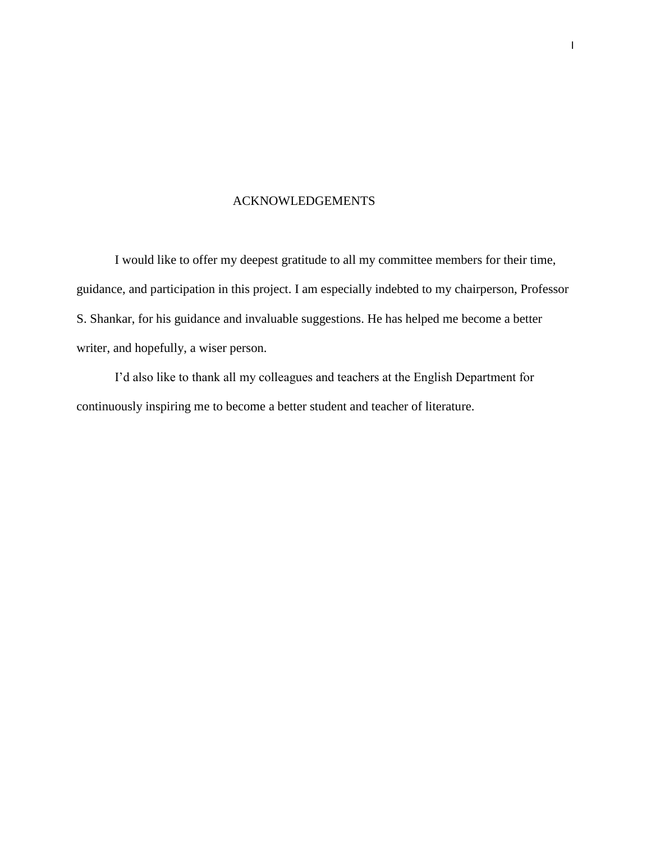## ACKNOWLEDGEMENTS

I would like to offer my deepest gratitude to all my committee members for their time, guidance, and participation in this project. I am especially indebted to my chairperson, Professor S. Shankar, for his guidance and invaluable suggestions. He has helped me become a better writer, and hopefully, a wiser person.

I'd also like to thank all my colleagues and teachers at the English Department for continuously inspiring me to become a better student and teacher of literature.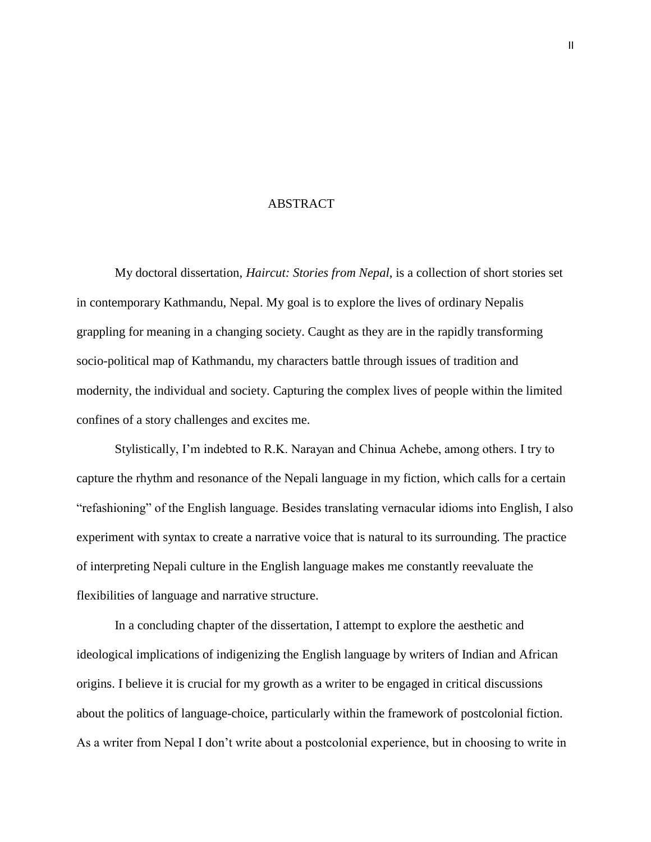#### ABSTRACT

My doctoral dissertation, *Haircut: Stories from Nepal*, is a collection of short stories set in contemporary Kathmandu, Nepal. My goal is to explore the lives of ordinary Nepalis grappling for meaning in a changing society. Caught as they are in the rapidly transforming socio-political map of Kathmandu, my characters battle through issues of tradition and modernity, the individual and society. Capturing the complex lives of people within the limited confines of a story challenges and excites me.

Stylistically, I'm indebted to R.K. Narayan and Chinua Achebe, among others. I try to capture the rhythm and resonance of the Nepali language in my fiction, which calls for a certain "refashioning" of the English language. Besides translating vernacular idioms into English, I also experiment with syntax to create a narrative voice that is natural to its surrounding. The practice of interpreting Nepali culture in the English language makes me constantly reevaluate the flexibilities of language and narrative structure.

In a concluding chapter of the dissertation, I attempt to explore the aesthetic and ideological implications of indigenizing the English language by writers of Indian and African origins. I believe it is crucial for my growth as a writer to be engaged in critical discussions about the politics of language-choice, particularly within the framework of postcolonial fiction. As a writer from Nepal I don't write about a postcolonial experience, but in choosing to write in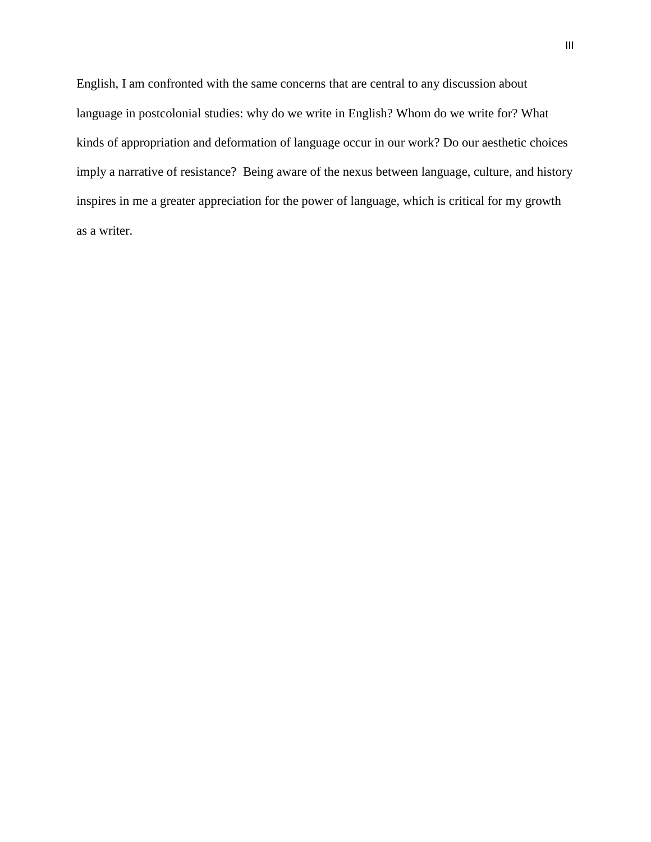English, I am confronted with the same concerns that are central to any discussion about language in postcolonial studies: why do we write in English? Whom do we write for? What kinds of appropriation and deformation of language occur in our work? Do our aesthetic choices imply a narrative of resistance? Being aware of the nexus between language, culture, and history inspires in me a greater appreciation for the power of language, which is critical for my growth as a writer.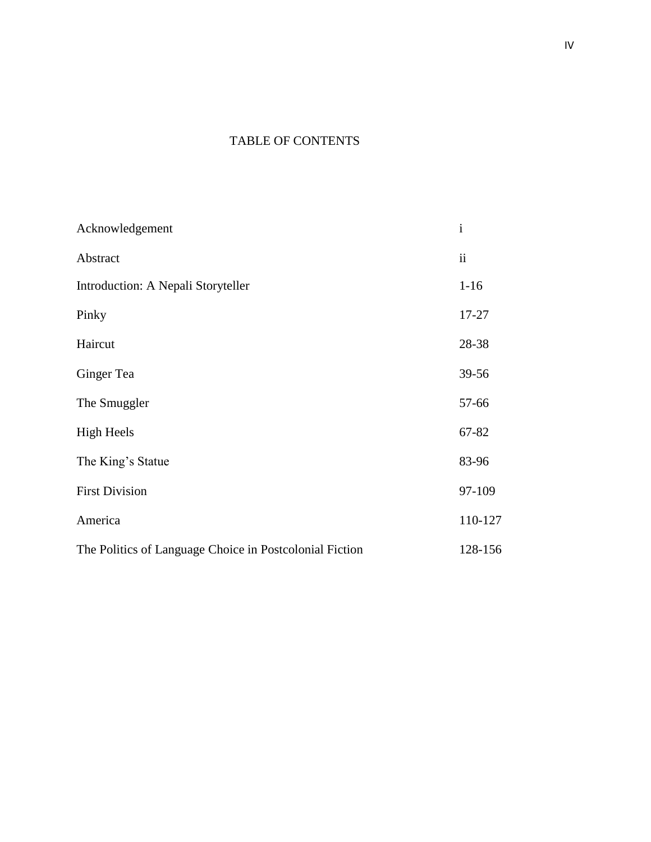# TABLE OF CONTENTS

| Acknowledgement                                         | $\mathbf{i}$ |
|---------------------------------------------------------|--------------|
| Abstract                                                | ii           |
| Introduction: A Nepali Storyteller                      | $1 - 16$     |
| Pinky                                                   | 17-27        |
| Haircut                                                 | 28-38        |
| Ginger Tea                                              | 39-56        |
| The Smuggler                                            | 57-66        |
| <b>High Heels</b>                                       | 67-82        |
| The King's Statue                                       | 83-96        |
| <b>First Division</b>                                   | 97-109       |
| America                                                 | 110-127      |
| The Politics of Language Choice in Postcolonial Fiction | 128-156      |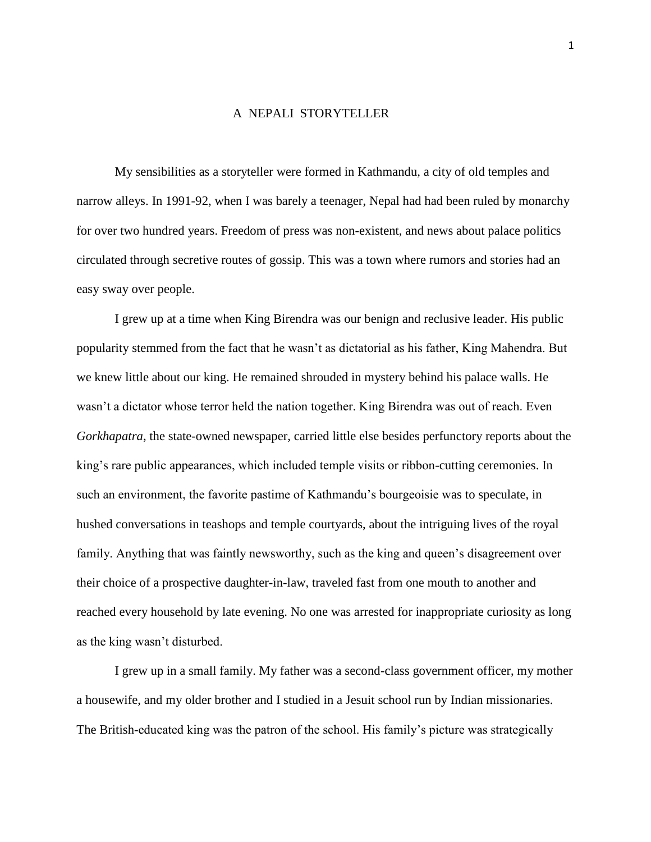### A NEPALI STORYTELLER

My sensibilities as a storyteller were formed in Kathmandu, a city of old temples and narrow alleys. In 1991-92, when I was barely a teenager, Nepal had had been ruled by monarchy for over two hundred years. Freedom of press was non-existent, and news about palace politics circulated through secretive routes of gossip. This was a town where rumors and stories had an easy sway over people.

I grew up at a time when King Birendra was our benign and reclusive leader. His public popularity stemmed from the fact that he wasn't as dictatorial as his father, King Mahendra. But we knew little about our king. He remained shrouded in mystery behind his palace walls. He wasn't a dictator whose terror held the nation together. King Birendra was out of reach. Even *Gorkhapatra*, the state-owned newspaper, carried little else besides perfunctory reports about the king's rare public appearances, which included temple visits or ribbon-cutting ceremonies. In such an environment, the favorite pastime of Kathmandu's bourgeoisie was to speculate, in hushed conversations in teashops and temple courtyards, about the intriguing lives of the royal family. Anything that was faintly newsworthy, such as the king and queen's disagreement over their choice of a prospective daughter-in-law, traveled fast from one mouth to another and reached every household by late evening. No one was arrested for inappropriate curiosity as long as the king wasn't disturbed.

I grew up in a small family. My father was a second-class government officer, my mother a housewife, and my older brother and I studied in a Jesuit school run by Indian missionaries. The British-educated king was the patron of the school. His family's picture was strategically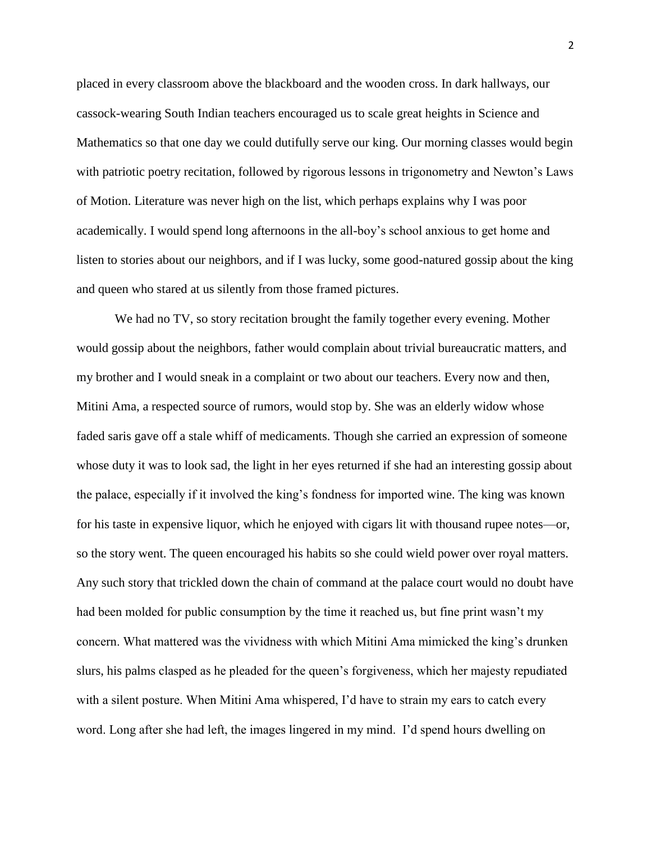placed in every classroom above the blackboard and the wooden cross. In dark hallways, our cassock-wearing South Indian teachers encouraged us to scale great heights in Science and Mathematics so that one day we could dutifully serve our king. Our morning classes would begin with patriotic poetry recitation, followed by rigorous lessons in trigonometry and Newton's Laws of Motion. Literature was never high on the list, which perhaps explains why I was poor academically. I would spend long afternoons in the all-boy's school anxious to get home and listen to stories about our neighbors, and if I was lucky, some good-natured gossip about the king and queen who stared at us silently from those framed pictures.

We had no TV, so story recitation brought the family together every evening. Mother would gossip about the neighbors, father would complain about trivial bureaucratic matters, and my brother and I would sneak in a complaint or two about our teachers. Every now and then, Mitini Ama, a respected source of rumors, would stop by. She was an elderly widow whose faded saris gave off a stale whiff of medicaments. Though she carried an expression of someone whose duty it was to look sad, the light in her eyes returned if she had an interesting gossip about the palace, especially if it involved the king's fondness for imported wine. The king was known for his taste in expensive liquor, which he enjoyed with cigars lit with thousand rupee notes—or, so the story went. The queen encouraged his habits so she could wield power over royal matters. Any such story that trickled down the chain of command at the palace court would no doubt have had been molded for public consumption by the time it reached us, but fine print wasn't my concern. What mattered was the vividness with which Mitini Ama mimicked the king's drunken slurs, his palms clasped as he pleaded for the queen's forgiveness, which her majesty repudiated with a silent posture. When Mitini Ama whispered, I'd have to strain my ears to catch every word. Long after she had left, the images lingered in my mind. I'd spend hours dwelling on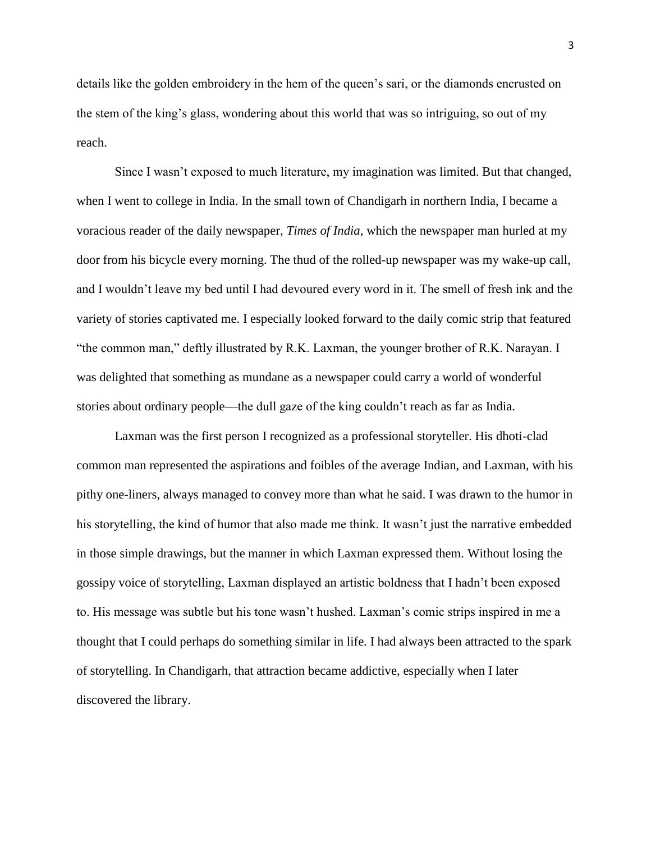details like the golden embroidery in the hem of the queen's sari, or the diamonds encrusted on the stem of the king's glass, wondering about this world that was so intriguing, so out of my reach.

Since I wasn't exposed to much literature, my imagination was limited. But that changed, when I went to college in India. In the small town of Chandigarh in northern India, I became a voracious reader of the daily newspaper, *Times of India*, which the newspaper man hurled at my door from his bicycle every morning. The thud of the rolled-up newspaper was my wake-up call, and I wouldn't leave my bed until I had devoured every word in it. The smell of fresh ink and the variety of stories captivated me. I especially looked forward to the daily comic strip that featured "the common man," deftly illustrated by R.K. Laxman, the younger brother of R.K. Narayan. I was delighted that something as mundane as a newspaper could carry a world of wonderful stories about ordinary people—the dull gaze of the king couldn't reach as far as India.

Laxman was the first person I recognized as a professional storyteller. His dhoti-clad common man represented the aspirations and foibles of the average Indian, and Laxman, with his pithy one-liners, always managed to convey more than what he said. I was drawn to the humor in his storytelling, the kind of humor that also made me think. It wasn't just the narrative embedded in those simple drawings, but the manner in which Laxman expressed them. Without losing the gossipy voice of storytelling, Laxman displayed an artistic boldness that I hadn't been exposed to. His message was subtle but his tone wasn't hushed. Laxman's comic strips inspired in me a thought that I could perhaps do something similar in life. I had always been attracted to the spark of storytelling. In Chandigarh, that attraction became addictive, especially when I later discovered the library.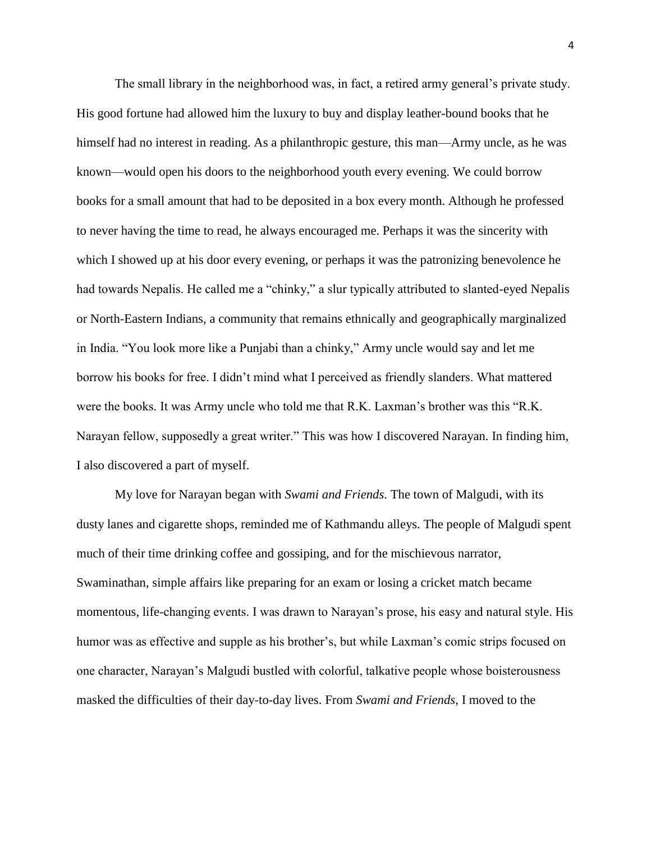The small library in the neighborhood was, in fact, a retired army general's private study. His good fortune had allowed him the luxury to buy and display leather-bound books that he himself had no interest in reading. As a philanthropic gesture, this man—Army uncle, as he was known—would open his doors to the neighborhood youth every evening. We could borrow books for a small amount that had to be deposited in a box every month. Although he professed to never having the time to read, he always encouraged me. Perhaps it was the sincerity with which I showed up at his door every evening, or perhaps it was the patronizing benevolence he had towards Nepalis. He called me a "chinky," a slur typically attributed to slanted-eyed Nepalis or North-Eastern Indians, a community that remains ethnically and geographically marginalized in India. "You look more like a Punjabi than a chinky," Army uncle would say and let me borrow his books for free. I didn't mind what I perceived as friendly slanders. What mattered were the books. It was Army uncle who told me that R.K. Laxman's brother was this "R.K. Narayan fellow, supposedly a great writer." This was how I discovered Narayan. In finding him, I also discovered a part of myself.

My love for Narayan began with *Swami and Friends*. The town of Malgudi, with its dusty lanes and cigarette shops, reminded me of Kathmandu alleys. The people of Malgudi spent much of their time drinking coffee and gossiping, and for the mischievous narrator, Swaminathan, simple affairs like preparing for an exam or losing a cricket match became momentous, life-changing events. I was drawn to Narayan's prose, his easy and natural style. His humor was as effective and supple as his brother's, but while Laxman's comic strips focused on one character, Narayan's Malgudi bustled with colorful, talkative people whose boisterousness masked the difficulties of their day-to-day lives. From *Swami and Friends*, I moved to the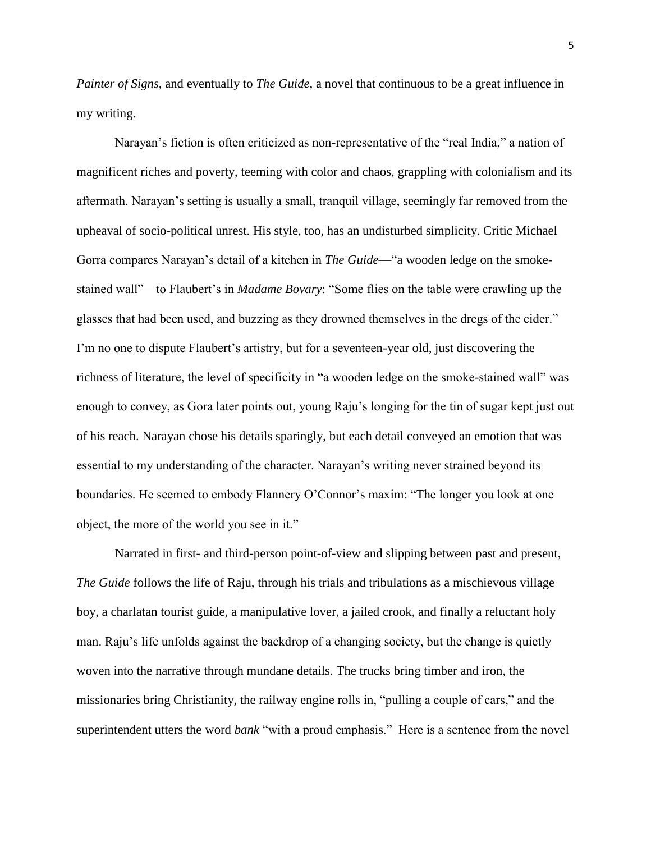*Painter of Signs*, and eventually to *The Guide*, a novel that continuous to be a great influence in my writing.

Narayan's fiction is often criticized as non-representative of the "real India," a nation of magnificent riches and poverty, teeming with color and chaos, grappling with colonialism and its aftermath. Narayan's setting is usually a small, tranquil village, seemingly far removed from the upheaval of socio-political unrest. His style, too, has an undisturbed simplicity. Critic Michael Gorra compares Narayan's detail of a kitchen in *The Guide*—"a wooden ledge on the smokestained wall"—to Flaubert's in *Madame Bovary*: "Some flies on the table were crawling up the glasses that had been used, and buzzing as they drowned themselves in the dregs of the cider." I'm no one to dispute Flaubert's artistry, but for a seventeen-year old, just discovering the richness of literature, the level of specificity in "a wooden ledge on the smoke-stained wall" was enough to convey, as Gora later points out, young Raju's longing for the tin of sugar kept just out of his reach. Narayan chose his details sparingly, but each detail conveyed an emotion that was essential to my understanding of the character. Narayan's writing never strained beyond its boundaries. He seemed to embody Flannery O'Connor's maxim: "The longer you look at one object, the more of the world you see in it."

Narrated in first- and third-person point-of-view and slipping between past and present, *The Guide* follows the life of Raju, through his trials and tribulations as a mischievous village boy, a charlatan tourist guide, a manipulative lover, a jailed crook, and finally a reluctant holy man. Raju's life unfolds against the backdrop of a changing society, but the change is quietly woven into the narrative through mundane details. The trucks bring timber and iron, the missionaries bring Christianity, the railway engine rolls in, "pulling a couple of cars," and the superintendent utters the word *bank* "with a proud emphasis." Here is a sentence from the novel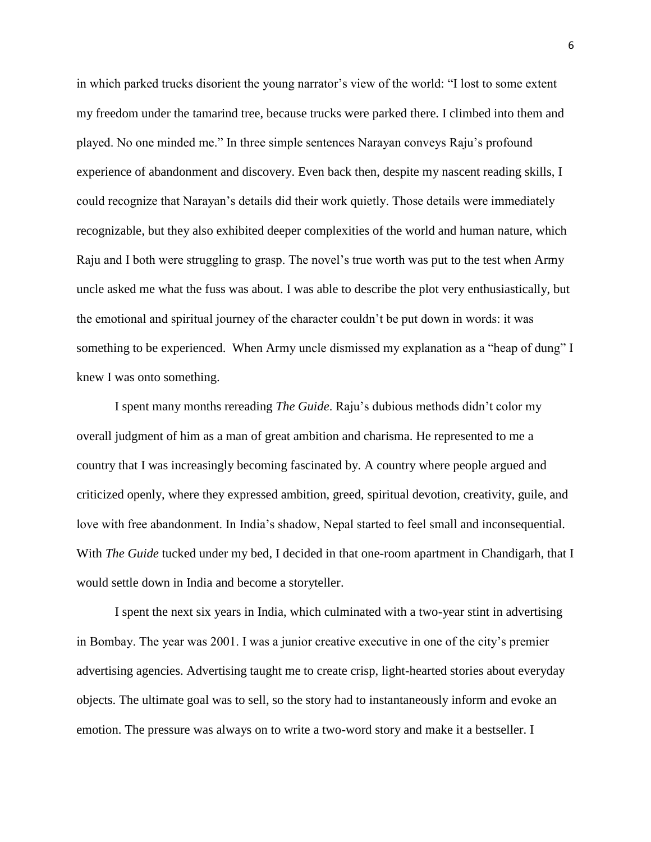in which parked trucks disorient the young narrator's view of the world: "I lost to some extent my freedom under the tamarind tree, because trucks were parked there. I climbed into them and played. No one minded me." In three simple sentences Narayan conveys Raju's profound experience of abandonment and discovery. Even back then, despite my nascent reading skills, I could recognize that Narayan's details did their work quietly. Those details were immediately recognizable, but they also exhibited deeper complexities of the world and human nature, which Raju and I both were struggling to grasp. The novel's true worth was put to the test when Army uncle asked me what the fuss was about. I was able to describe the plot very enthusiastically, but the emotional and spiritual journey of the character couldn't be put down in words: it was something to be experienced. When Army uncle dismissed my explanation as a "heap of dung" I knew I was onto something.

I spent many months rereading *The Guide*. Raju's dubious methods didn't color my overall judgment of him as a man of great ambition and charisma. He represented to me a country that I was increasingly becoming fascinated by. A country where people argued and criticized openly, where they expressed ambition, greed, spiritual devotion, creativity, guile, and love with free abandonment. In India's shadow, Nepal started to feel small and inconsequential. With *The Guide* tucked under my bed, I decided in that one-room apartment in Chandigarh, that I would settle down in India and become a storyteller.

I spent the next six years in India, which culminated with a two-year stint in advertising in Bombay. The year was 2001. I was a junior creative executive in one of the city's premier advertising agencies. Advertising taught me to create crisp, light-hearted stories about everyday objects. The ultimate goal was to sell, so the story had to instantaneously inform and evoke an emotion. The pressure was always on to write a two-word story and make it a bestseller. I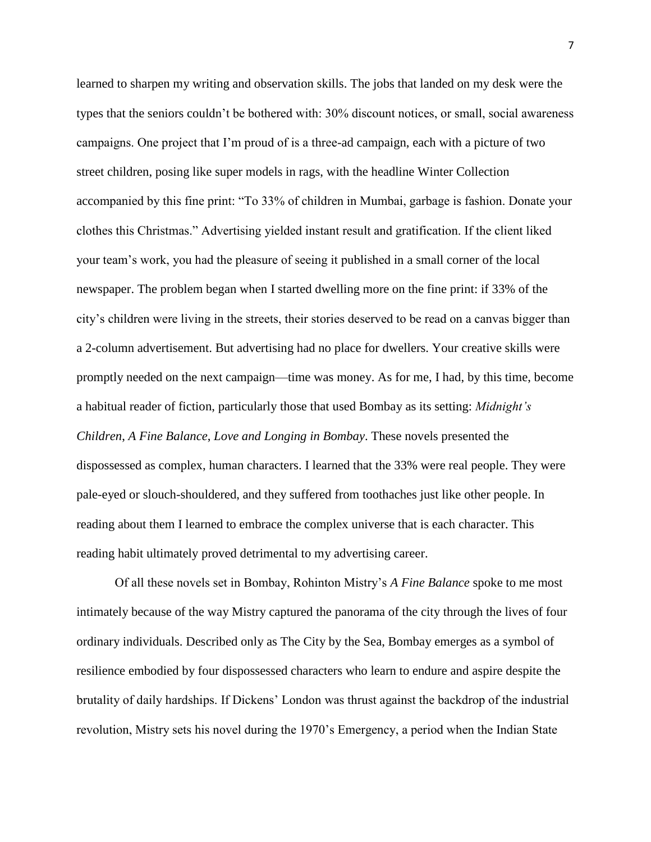learned to sharpen my writing and observation skills. The jobs that landed on my desk were the types that the seniors couldn't be bothered with: 30% discount notices, or small, social awareness campaigns. One project that I'm proud of is a three-ad campaign, each with a picture of two street children, posing like super models in rags, with the headline Winter Collection accompanied by this fine print: "To 33% of children in Mumbai, garbage is fashion. Donate your clothes this Christmas." Advertising yielded instant result and gratification. If the client liked your team's work, you had the pleasure of seeing it published in a small corner of the local newspaper. The problem began when I started dwelling more on the fine print: if 33% of the city's children were living in the streets, their stories deserved to be read on a canvas bigger than a 2-column advertisement. But advertising had no place for dwellers. Your creative skills were promptly needed on the next campaign—time was money. As for me, I had, by this time, become a habitual reader of fiction, particularly those that used Bombay as its setting: *Midnight's Children*, *A Fine Balance*, *Love and Longing in Bombay*. These novels presented the dispossessed as complex, human characters. I learned that the 33% were real people. They were pale-eyed or slouch-shouldered, and they suffered from toothaches just like other people. In reading about them I learned to embrace the complex universe that is each character. This reading habit ultimately proved detrimental to my advertising career.

Of all these novels set in Bombay, Rohinton Mistry's *A Fine Balance* spoke to me most intimately because of the way Mistry captured the panorama of the city through the lives of four ordinary individuals. Described only as The City by the Sea, Bombay emerges as a symbol of resilience embodied by four dispossessed characters who learn to endure and aspire despite the brutality of daily hardships. If Dickens' London was thrust against the backdrop of the industrial revolution, Mistry sets his novel during the 1970's Emergency, a period when the Indian State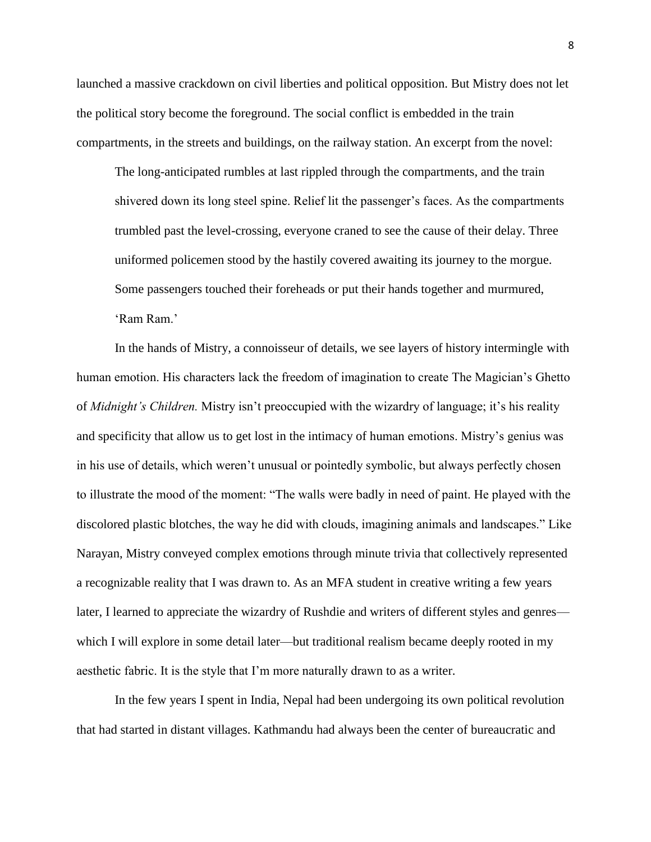launched a massive crackdown on civil liberties and political opposition. But Mistry does not let the political story become the foreground. The social conflict is embedded in the train compartments, in the streets and buildings, on the railway station. An excerpt from the novel:

The long-anticipated rumbles at last rippled through the compartments, and the train shivered down its long steel spine. Relief lit the passenger's faces. As the compartments trumbled past the level-crossing, everyone craned to see the cause of their delay. Three uniformed policemen stood by the hastily covered awaiting its journey to the morgue. Some passengers touched their foreheads or put their hands together and murmured, 'Ram Ram.'

In the hands of Mistry, a connoisseur of details, we see layers of history intermingle with human emotion. His characters lack the freedom of imagination to create The Magician's Ghetto of *Midnight's Children.* Mistry isn't preoccupied with the wizardry of language; it's his reality and specificity that allow us to get lost in the intimacy of human emotions. Mistry's genius was in his use of details, which weren't unusual or pointedly symbolic, but always perfectly chosen to illustrate the mood of the moment: "The walls were badly in need of paint. He played with the discolored plastic blotches, the way he did with clouds, imagining animals and landscapes." Like Narayan, Mistry conveyed complex emotions through minute trivia that collectively represented a recognizable reality that I was drawn to. As an MFA student in creative writing a few years later, I learned to appreciate the wizardry of Rushdie and writers of different styles and genres which I will explore in some detail later—but traditional realism became deeply rooted in my aesthetic fabric. It is the style that I'm more naturally drawn to as a writer.

In the few years I spent in India, Nepal had been undergoing its own political revolution that had started in distant villages. Kathmandu had always been the center of bureaucratic and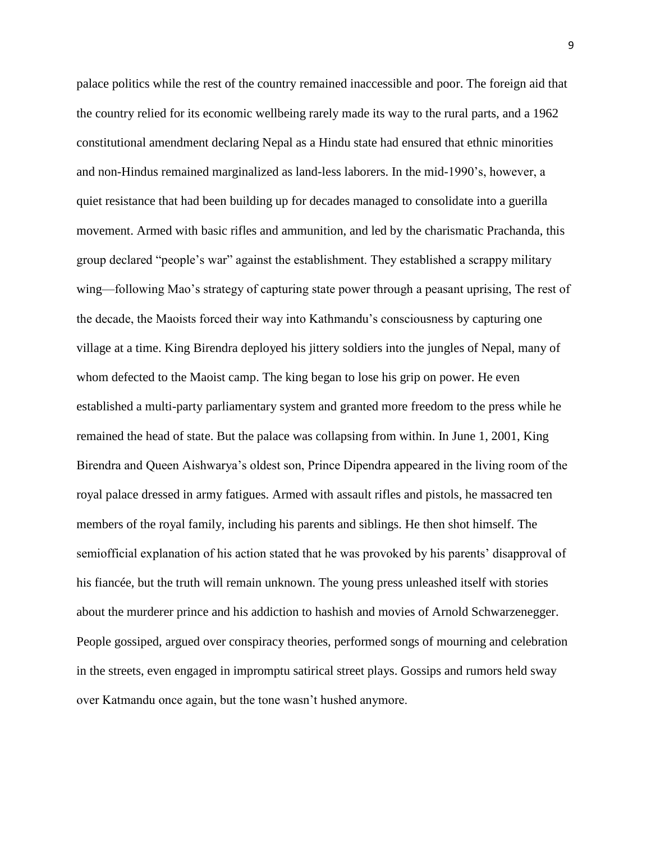palace politics while the rest of the country remained inaccessible and poor. The foreign aid that the country relied for its economic wellbeing rarely made its way to the rural parts, and a 1962 constitutional amendment declaring Nepal as a Hindu state had ensured that ethnic minorities and non-Hindus remained marginalized as land-less laborers. In the mid-1990's, however, a quiet resistance that had been building up for decades managed to consolidate into a guerilla movement. Armed with basic rifles and ammunition, and led by the charismatic Prachanda, this group declared "people's war" against the establishment. They established a scrappy military wing—following Mao's strategy of capturing state power through a peasant uprising, The rest of the decade, the Maoists forced their way into Kathmandu's consciousness by capturing one village at a time. King Birendra deployed his jittery soldiers into the jungles of Nepal, many of whom defected to the Maoist camp. The king began to lose his grip on power. He even established a multi-party parliamentary system and granted more freedom to the press while he remained the head of state. But the palace was collapsing from within. In June 1, 2001, King Birendra and Queen Aishwarya's oldest son, Prince Dipendra appeared in the living room of the royal palace dressed in army fatigues. Armed with assault rifles and pistols, he massacred ten members of the royal family, including his parents and siblings. He then shot himself. The semiofficial explanation of his action stated that he was provoked by his parents' disapproval of his fiancée, but the truth will remain unknown. The young press unleashed itself with stories about the murderer prince and his addiction to hashish and movies of Arnold Schwarzenegger. People gossiped, argued over conspiracy theories, performed songs of mourning and celebration in the streets, even engaged in impromptu satirical street plays. Gossips and rumors held sway over Katmandu once again, but the tone wasn't hushed anymore.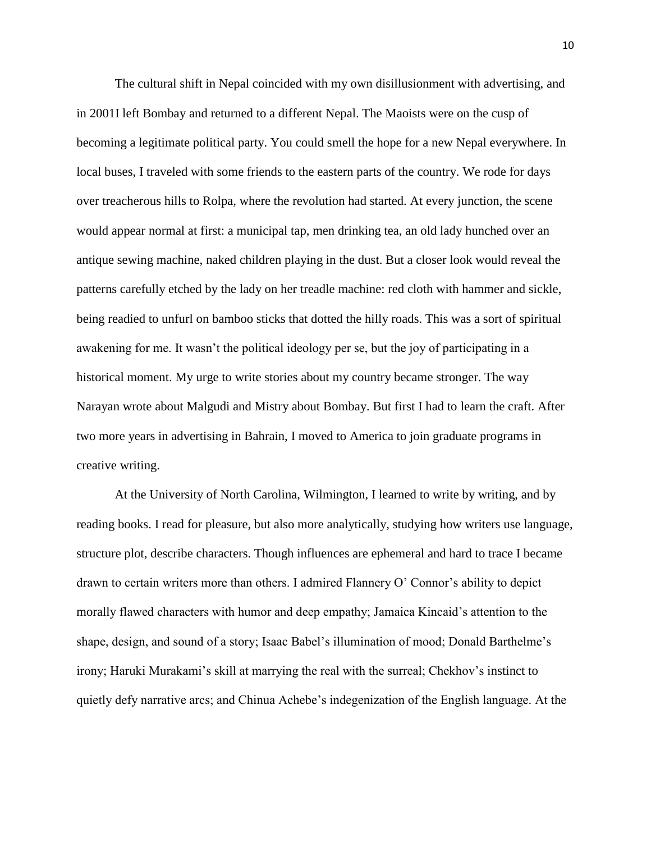The cultural shift in Nepal coincided with my own disillusionment with advertising, and in 2001I left Bombay and returned to a different Nepal. The Maoists were on the cusp of becoming a legitimate political party. You could smell the hope for a new Nepal everywhere. In local buses, I traveled with some friends to the eastern parts of the country. We rode for days over treacherous hills to Rolpa, where the revolution had started. At every junction, the scene would appear normal at first: a municipal tap, men drinking tea, an old lady hunched over an antique sewing machine, naked children playing in the dust. But a closer look would reveal the patterns carefully etched by the lady on her treadle machine: red cloth with hammer and sickle, being readied to unfurl on bamboo sticks that dotted the hilly roads. This was a sort of spiritual awakening for me. It wasn't the political ideology per se, but the joy of participating in a historical moment. My urge to write stories about my country became stronger. The way Narayan wrote about Malgudi and Mistry about Bombay. But first I had to learn the craft. After two more years in advertising in Bahrain, I moved to America to join graduate programs in creative writing.

At the University of North Carolina, Wilmington, I learned to write by writing, and by reading books. I read for pleasure, but also more analytically, studying how writers use language, structure plot, describe characters. Though influences are ephemeral and hard to trace I became drawn to certain writers more than others. I admired Flannery O' Connor's ability to depict morally flawed characters with humor and deep empathy; Jamaica Kincaid's attention to the shape, design, and sound of a story; Isaac Babel's illumination of mood; Donald Barthelme's irony; Haruki Murakami's skill at marrying the real with the surreal; Chekhov's instinct to quietly defy narrative arcs; and Chinua Achebe's indegenization of the English language. At the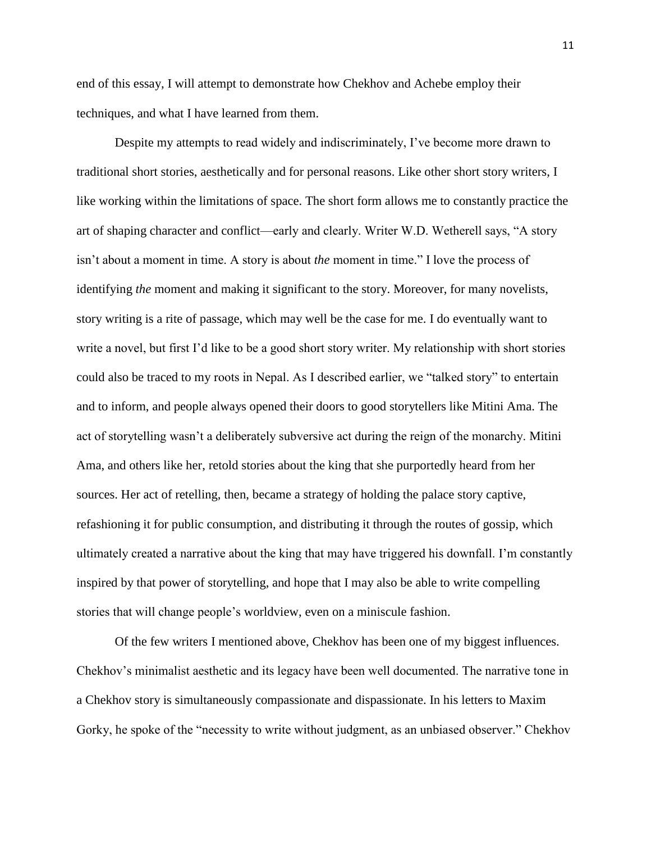end of this essay, I will attempt to demonstrate how Chekhov and Achebe employ their techniques, and what I have learned from them.

Despite my attempts to read widely and indiscriminately, I've become more drawn to traditional short stories, aesthetically and for personal reasons. Like other short story writers, I like working within the limitations of space. The short form allows me to constantly practice the art of shaping character and conflict—early and clearly. Writer W.D. Wetherell says, "A story isn't about a moment in time. A story is about *the* moment in time." I love the process of identifying *the* moment and making it significant to the story. Moreover, for many novelists, story writing is a rite of passage, which may well be the case for me. I do eventually want to write a novel, but first I'd like to be a good short story writer. My relationship with short stories could also be traced to my roots in Nepal. As I described earlier, we "talked story" to entertain and to inform, and people always opened their doors to good storytellers like Mitini Ama. The act of storytelling wasn't a deliberately subversive act during the reign of the monarchy. Mitini Ama, and others like her, retold stories about the king that she purportedly heard from her sources. Her act of retelling, then, became a strategy of holding the palace story captive, refashioning it for public consumption, and distributing it through the routes of gossip, which ultimately created a narrative about the king that may have triggered his downfall. I'm constantly inspired by that power of storytelling, and hope that I may also be able to write compelling stories that will change people's worldview, even on a miniscule fashion.

Of the few writers I mentioned above, Chekhov has been one of my biggest influences. Chekhov's minimalist aesthetic and its legacy have been well documented. The narrative tone in a Chekhov story is simultaneously compassionate and dispassionate. In his letters to Maxim Gorky, he spoke of the "necessity to write without judgment, as an unbiased observer." Chekhov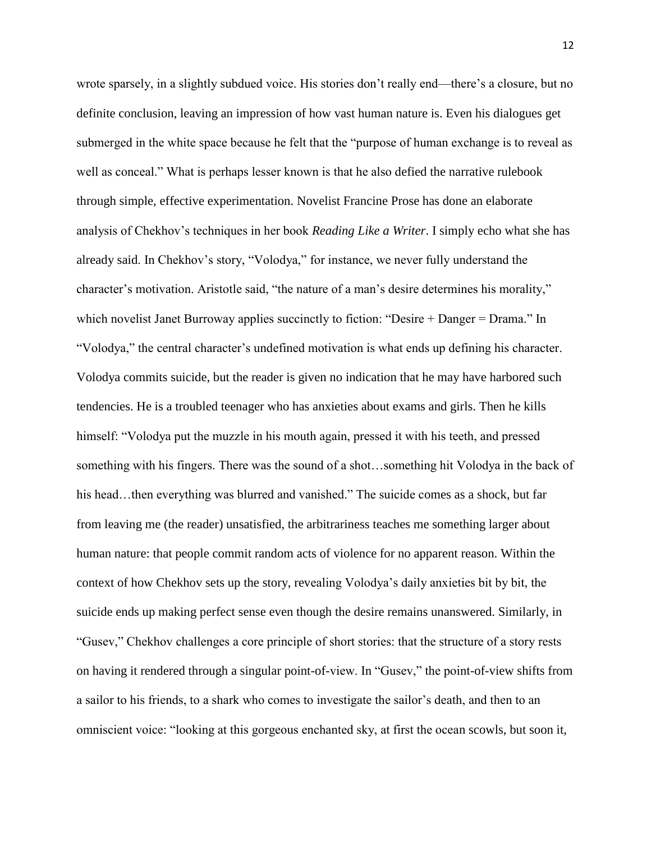wrote sparsely, in a slightly subdued voice. His stories don't really end—there's a closure, but no definite conclusion, leaving an impression of how vast human nature is. Even his dialogues get submerged in the white space because he felt that the "purpose of human exchange is to reveal as well as conceal." What is perhaps lesser known is that he also defied the narrative rulebook through simple, effective experimentation. Novelist Francine Prose has done an elaborate analysis of Chekhov's techniques in her book *Reading Like a Writer*. I simply echo what she has already said. In Chekhov's story, "Volodya," for instance, we never fully understand the character's motivation. Aristotle said, "the nature of a man's desire determines his morality," which novelist Janet Burroway applies succinctly to fiction: "Desire + Danger = Drama." In "Volodya," the central character's undefined motivation is what ends up defining his character. Volodya commits suicide, but the reader is given no indication that he may have harbored such tendencies. He is a troubled teenager who has anxieties about exams and girls. Then he kills himself: "Volodya put the muzzle in his mouth again, pressed it with his teeth, and pressed something with his fingers. There was the sound of a shot…something hit Volodya in the back of his head...then everything was blurred and vanished." The suicide comes as a shock, but far from leaving me (the reader) unsatisfied, the arbitrariness teaches me something larger about human nature: that people commit random acts of violence for no apparent reason. Within the context of how Chekhov sets up the story, revealing Volodya's daily anxieties bit by bit, the suicide ends up making perfect sense even though the desire remains unanswered. Similarly, in "Gusev," Chekhov challenges a core principle of short stories: that the structure of a story rests on having it rendered through a singular point-of-view. In "Gusev," the point-of-view shifts from a sailor to his friends, to a shark who comes to investigate the sailor's death, and then to an omniscient voice: "looking at this gorgeous enchanted sky, at first the ocean scowls, but soon it,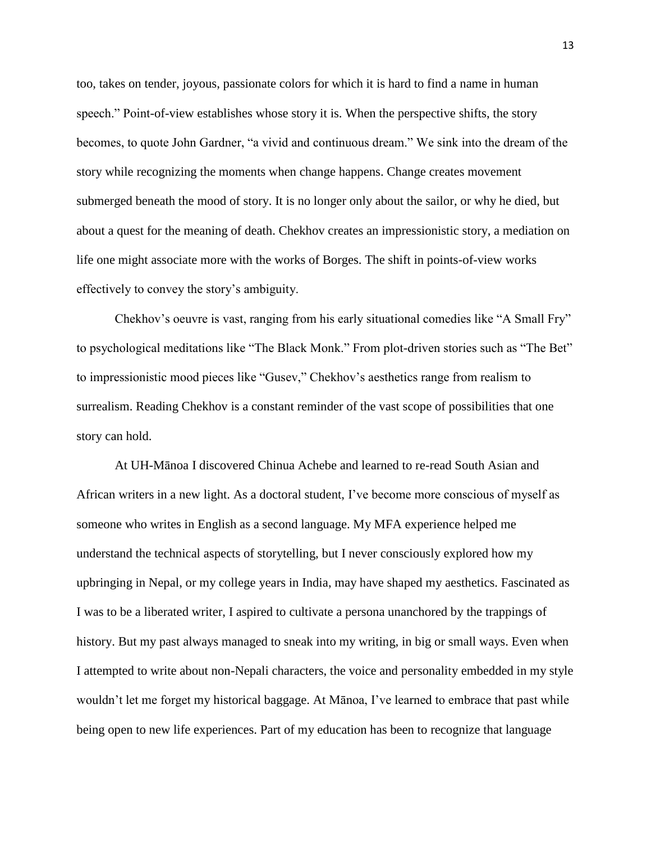too, takes on tender, joyous, passionate colors for which it is hard to find a name in human speech." Point-of-view establishes whose story it is. When the perspective shifts, the story becomes, to quote John Gardner, "a vivid and continuous dream." We sink into the dream of the story while recognizing the moments when change happens. Change creates movement submerged beneath the mood of story. It is no longer only about the sailor, or why he died, but about a quest for the meaning of death. Chekhov creates an impressionistic story, a mediation on life one might associate more with the works of Borges. The shift in points-of-view works effectively to convey the story's ambiguity.

Chekhov's oeuvre is vast, ranging from his early situational comedies like "A Small Fry" to psychological meditations like "The Black Monk." From plot-driven stories such as "The Bet" to impressionistic mood pieces like "Gusev," Chekhov's aesthetics range from realism to surrealism. Reading Chekhov is a constant reminder of the vast scope of possibilities that one story can hold.

At UH-Mānoa I discovered Chinua Achebe and learned to re-read South Asian and African writers in a new light. As a doctoral student, I've become more conscious of myself as someone who writes in English as a second language. My MFA experience helped me understand the technical aspects of storytelling, but I never consciously explored how my upbringing in Nepal, or my college years in India, may have shaped my aesthetics. Fascinated as I was to be a liberated writer, I aspired to cultivate a persona unanchored by the trappings of history. But my past always managed to sneak into my writing, in big or small ways. Even when I attempted to write about non-Nepali characters, the voice and personality embedded in my style wouldn't let me forget my historical baggage. At Mānoa, I've learned to embrace that past while being open to new life experiences. Part of my education has been to recognize that language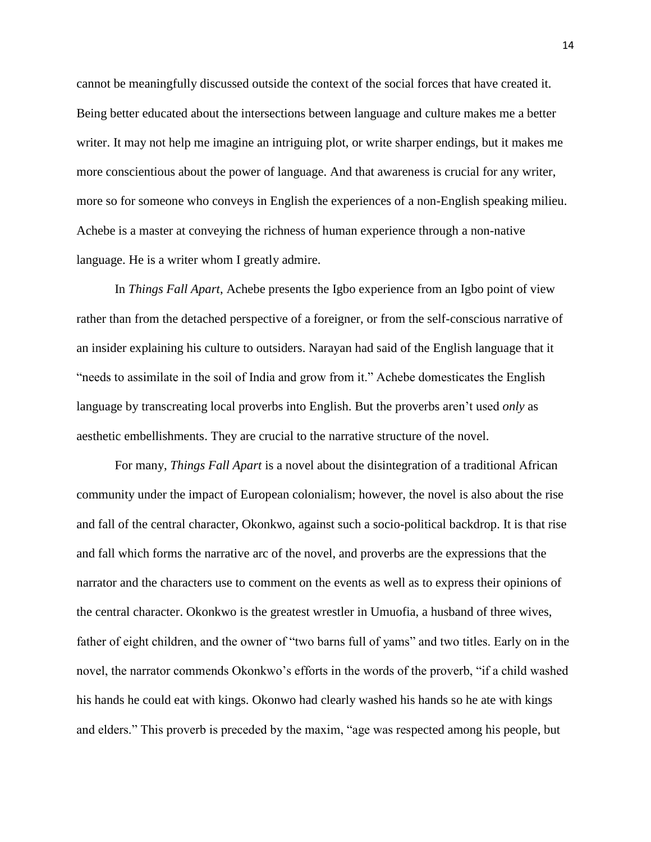cannot be meaningfully discussed outside the context of the social forces that have created it. Being better educated about the intersections between language and culture makes me a better writer. It may not help me imagine an intriguing plot, or write sharper endings, but it makes me more conscientious about the power of language. And that awareness is crucial for any writer, more so for someone who conveys in English the experiences of a non-English speaking milieu. Achebe is a master at conveying the richness of human experience through a non-native language. He is a writer whom I greatly admire.

In *Things Fall Apart*, Achebe presents the Igbo experience from an Igbo point of view rather than from the detached perspective of a foreigner, or from the self-conscious narrative of an insider explaining his culture to outsiders. Narayan had said of the English language that it "needs to assimilate in the soil of India and grow from it." Achebe domesticates the English language by transcreating local proverbs into English. But the proverbs aren't used *only* as aesthetic embellishments. They are crucial to the narrative structure of the novel.

For many, *Things Fall Apart* is a novel about the disintegration of a traditional African community under the impact of European colonialism; however, the novel is also about the rise and fall of the central character, Okonkwo, against such a socio-political backdrop. It is that rise and fall which forms the narrative arc of the novel, and proverbs are the expressions that the narrator and the characters use to comment on the events as well as to express their opinions of the central character. Okonkwo is the greatest wrestler in Umuofia, a husband of three wives, father of eight children, and the owner of "two barns full of yams" and two titles. Early on in the novel, the narrator commends Okonkwo's efforts in the words of the proverb, "if a child washed his hands he could eat with kings. Okonwo had clearly washed his hands so he ate with kings and elders." This proverb is preceded by the maxim, "age was respected among his people, but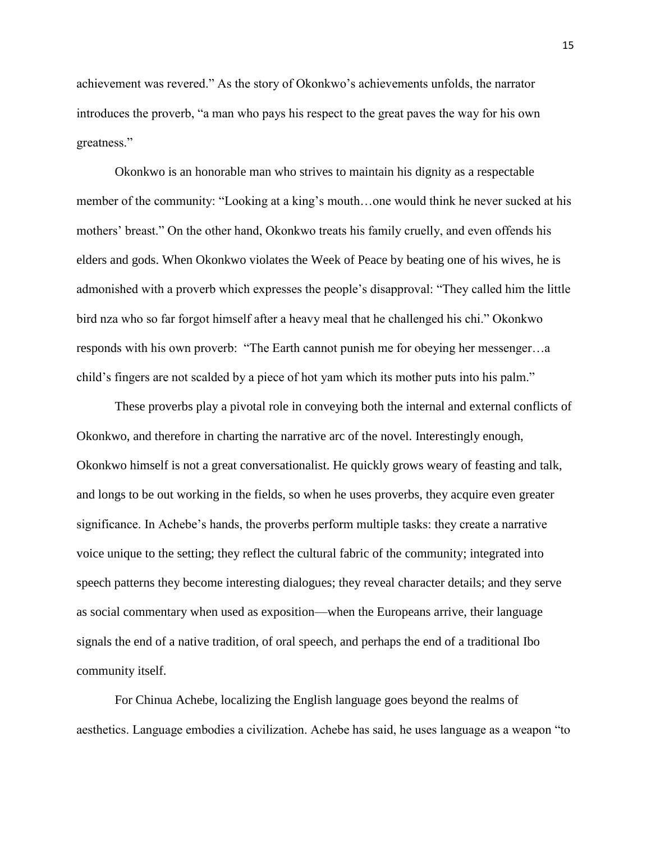achievement was revered." As the story of Okonkwo's achievements unfolds, the narrator introduces the proverb, "a man who pays his respect to the great paves the way for his own greatness."

Okonkwo is an honorable man who strives to maintain his dignity as a respectable member of the community: "Looking at a king's mouth…one would think he never sucked at his mothers' breast." On the other hand, Okonkwo treats his family cruelly, and even offends his elders and gods. When Okonkwo violates the Week of Peace by beating one of his wives, he is admonished with a proverb which expresses the people's disapproval: "They called him the little bird nza who so far forgot himself after a heavy meal that he challenged his chi." Okonkwo responds with his own proverb: "The Earth cannot punish me for obeying her messenger…a child's fingers are not scalded by a piece of hot yam which its mother puts into his palm."

These proverbs play a pivotal role in conveying both the internal and external conflicts of Okonkwo, and therefore in charting the narrative arc of the novel. Interestingly enough, Okonkwo himself is not a great conversationalist. He quickly grows weary of feasting and talk, and longs to be out working in the fields, so when he uses proverbs, they acquire even greater significance. In Achebe's hands, the proverbs perform multiple tasks: they create a narrative voice unique to the setting; they reflect the cultural fabric of the community; integrated into speech patterns they become interesting dialogues; they reveal character details; and they serve as social commentary when used as exposition—when the Europeans arrive, their language signals the end of a native tradition, of oral speech, and perhaps the end of a traditional Ibo community itself.

For Chinua Achebe, localizing the English language goes beyond the realms of aesthetics. Language embodies a civilization. Achebe has said, he uses language as a weapon "to

15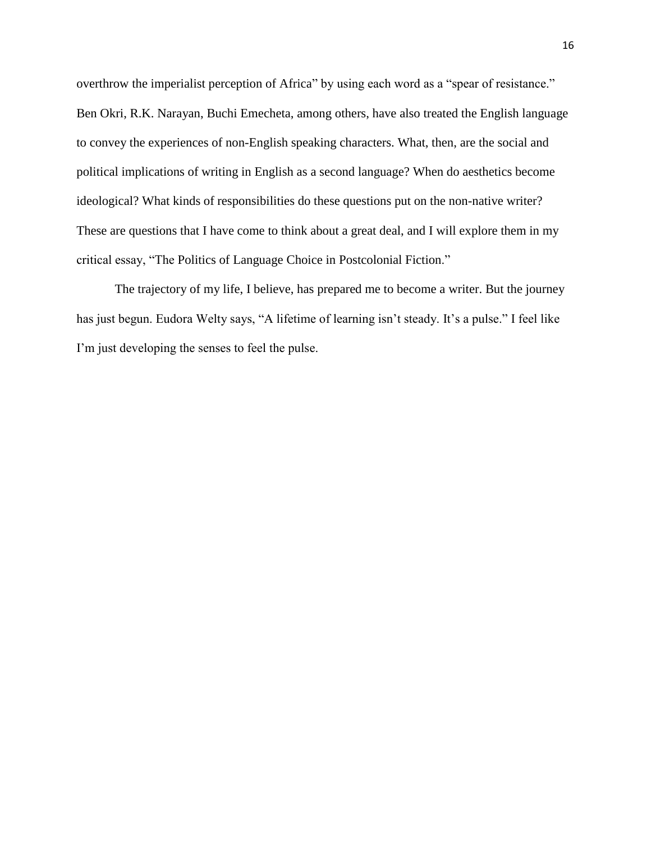overthrow the imperialist perception of Africa" by using each word as a "spear of resistance." Ben Okri, R.K. Narayan, Buchi Emecheta, among others, have also treated the English language to convey the experiences of non-English speaking characters. What, then, are the social and political implications of writing in English as a second language? When do aesthetics become ideological? What kinds of responsibilities do these questions put on the non-native writer? These are questions that I have come to think about a great deal, and I will explore them in my critical essay, "The Politics of Language Choice in Postcolonial Fiction."

 The trajectory of my life, I believe, has prepared me to become a writer. But the journey has just begun. Eudora Welty says, "A lifetime of learning isn't steady. It's a pulse." I feel like I'm just developing the senses to feel the pulse.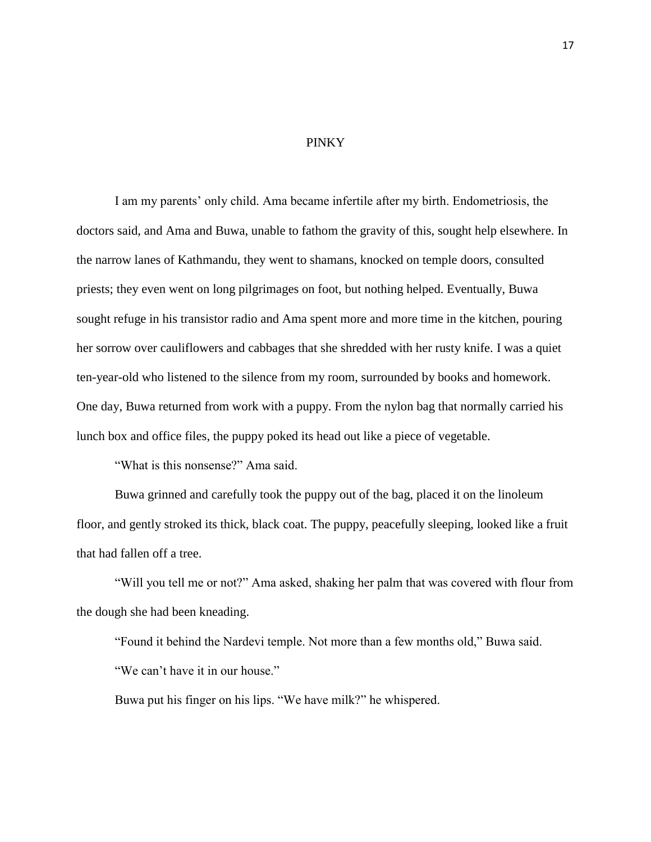## PINKY

I am my parents' only child. Ama became infertile after my birth. Endometriosis, the doctors said, and Ama and Buwa, unable to fathom the gravity of this, sought help elsewhere. In the narrow lanes of Kathmandu, they went to shamans, knocked on temple doors, consulted priests; they even went on long pilgrimages on foot, but nothing helped. Eventually, Buwa sought refuge in his transistor radio and Ama spent more and more time in the kitchen, pouring her sorrow over cauliflowers and cabbages that she shredded with her rusty knife. I was a quiet ten-year-old who listened to the silence from my room, surrounded by books and homework. One day, Buwa returned from work with a puppy. From the nylon bag that normally carried his lunch box and office files, the puppy poked its head out like a piece of vegetable.

"What is this nonsense?" Ama said.

Buwa grinned and carefully took the puppy out of the bag, placed it on the linoleum floor, and gently stroked its thick, black coat. The puppy, peacefully sleeping, looked like a fruit that had fallen off a tree.

"Will you tell me or not?" Ama asked, shaking her palm that was covered with flour from the dough she had been kneading.

"Found it behind the Nardevi temple. Not more than a few months old," Buwa said. "We can't have it in our house."

Buwa put his finger on his lips. "We have milk?" he whispered.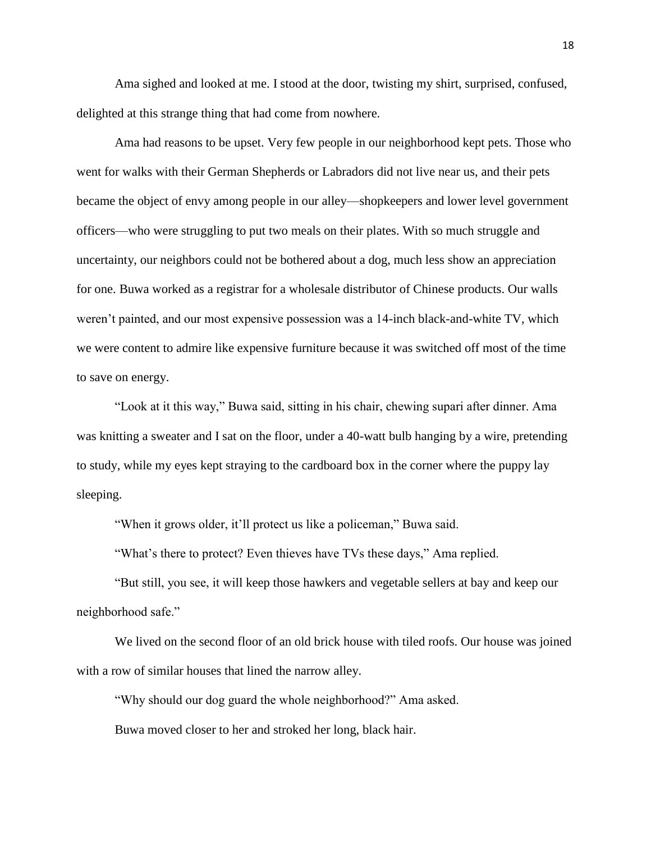Ama sighed and looked at me. I stood at the door, twisting my shirt, surprised, confused, delighted at this strange thing that had come from nowhere.

Ama had reasons to be upset. Very few people in our neighborhood kept pets. Those who went for walks with their German Shepherds or Labradors did not live near us, and their pets became the object of envy among people in our alley—shopkeepers and lower level government officers—who were struggling to put two meals on their plates. With so much struggle and uncertainty, our neighbors could not be bothered about a dog, much less show an appreciation for one. Buwa worked as a registrar for a wholesale distributor of Chinese products. Our walls weren't painted, and our most expensive possession was a 14-inch black-and-white TV, which we were content to admire like expensive furniture because it was switched off most of the time to save on energy.

"Look at it this way," Buwa said, sitting in his chair, chewing supari after dinner. Ama was knitting a sweater and I sat on the floor, under a 40-watt bulb hanging by a wire, pretending to study, while my eyes kept straying to the cardboard box in the corner where the puppy lay sleeping.

"When it grows older, it'll protect us like a policeman," Buwa said.

"What's there to protect? Even thieves have TVs these days," Ama replied.

"But still, you see, it will keep those hawkers and vegetable sellers at bay and keep our neighborhood safe."

We lived on the second floor of an old brick house with tiled roofs. Our house was joined with a row of similar houses that lined the narrow alley.

"Why should our dog guard the whole neighborhood?" Ama asked.

Buwa moved closer to her and stroked her long, black hair.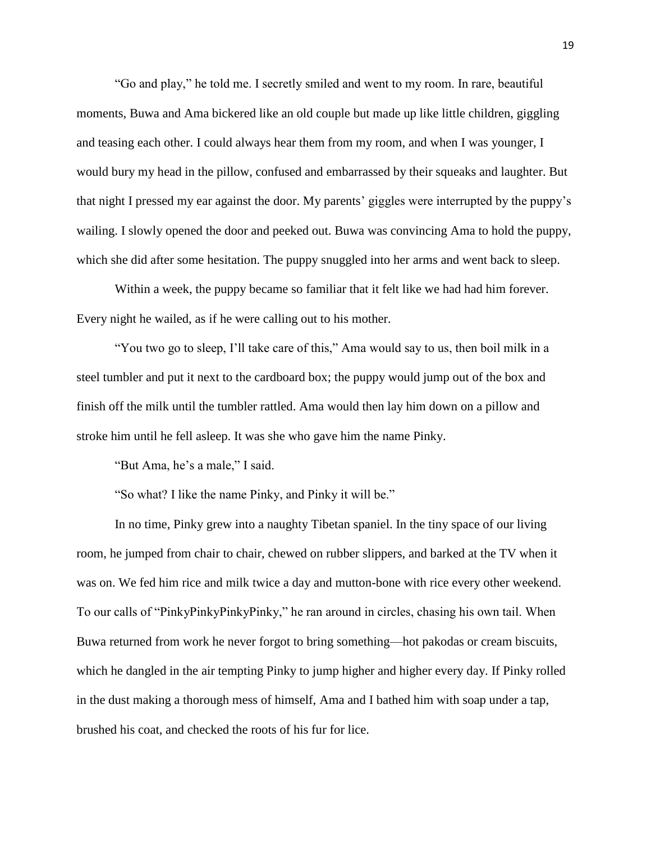"Go and play," he told me. I secretly smiled and went to my room. In rare, beautiful moments, Buwa and Ama bickered like an old couple but made up like little children, giggling and teasing each other. I could always hear them from my room, and when I was younger, I would bury my head in the pillow, confused and embarrassed by their squeaks and laughter. But that night I pressed my ear against the door. My parents' giggles were interrupted by the puppy's wailing. I slowly opened the door and peeked out. Buwa was convincing Ama to hold the puppy, which she did after some hesitation. The puppy snuggled into her arms and went back to sleep.

Within a week, the puppy became so familiar that it felt like we had had him forever. Every night he wailed, as if he were calling out to his mother.

"You two go to sleep, I'll take care of this," Ama would say to us, then boil milk in a steel tumbler and put it next to the cardboard box; the puppy would jump out of the box and finish off the milk until the tumbler rattled. Ama would then lay him down on a pillow and stroke him until he fell asleep. It was she who gave him the name Pinky.

"But Ama, he's a male," I said.

"So what? I like the name Pinky, and Pinky it will be."

In no time, Pinky grew into a naughty Tibetan spaniel. In the tiny space of our living room, he jumped from chair to chair, chewed on rubber slippers, and barked at the TV when it was on. We fed him rice and milk twice a day and mutton-bone with rice every other weekend. To our calls of "PinkyPinkyPinkyPinky," he ran around in circles, chasing his own tail. When Buwa returned from work he never forgot to bring something—hot pakodas or cream biscuits, which he dangled in the air tempting Pinky to jump higher and higher every day. If Pinky rolled in the dust making a thorough mess of himself, Ama and I bathed him with soap under a tap, brushed his coat, and checked the roots of his fur for lice.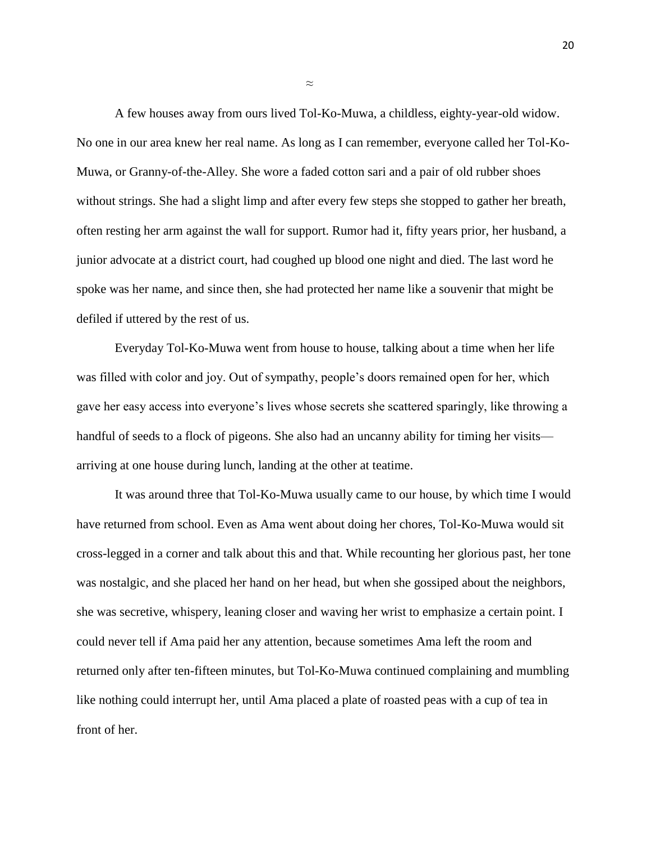A few houses away from ours lived Tol-Ko-Muwa, a childless, eighty-year-old widow. No one in our area knew her real name. As long as I can remember, everyone called her Tol-Ko-Muwa, or Granny-of-the-Alley. She wore a faded cotton sari and a pair of old rubber shoes without strings. She had a slight limp and after every few steps she stopped to gather her breath, often resting her arm against the wall for support. Rumor had it, fifty years prior, her husband, a junior advocate at a district court, had coughed up blood one night and died. The last word he spoke was her name, and since then, she had protected her name like a souvenir that might be defiled if uttered by the rest of us.

Everyday Tol-Ko-Muwa went from house to house, talking about a time when her life was filled with color and joy. Out of sympathy, people's doors remained open for her, which gave her easy access into everyone's lives whose secrets she scattered sparingly, like throwing a handful of seeds to a flock of pigeons. She also had an uncanny ability for timing her visits arriving at one house during lunch, landing at the other at teatime.

It was around three that Tol-Ko-Muwa usually came to our house, by which time I would have returned from school. Even as Ama went about doing her chores, Tol-Ko-Muwa would sit cross-legged in a corner and talk about this and that. While recounting her glorious past, her tone was nostalgic, and she placed her hand on her head, but when she gossiped about the neighbors, she was secretive, whispery, leaning closer and waving her wrist to emphasize a certain point. I could never tell if Ama paid her any attention, because sometimes Ama left the room and returned only after ten-fifteen minutes, but Tol-Ko-Muwa continued complaining and mumbling like nothing could interrupt her, until Ama placed a plate of roasted peas with a cup of tea in front of her.

≈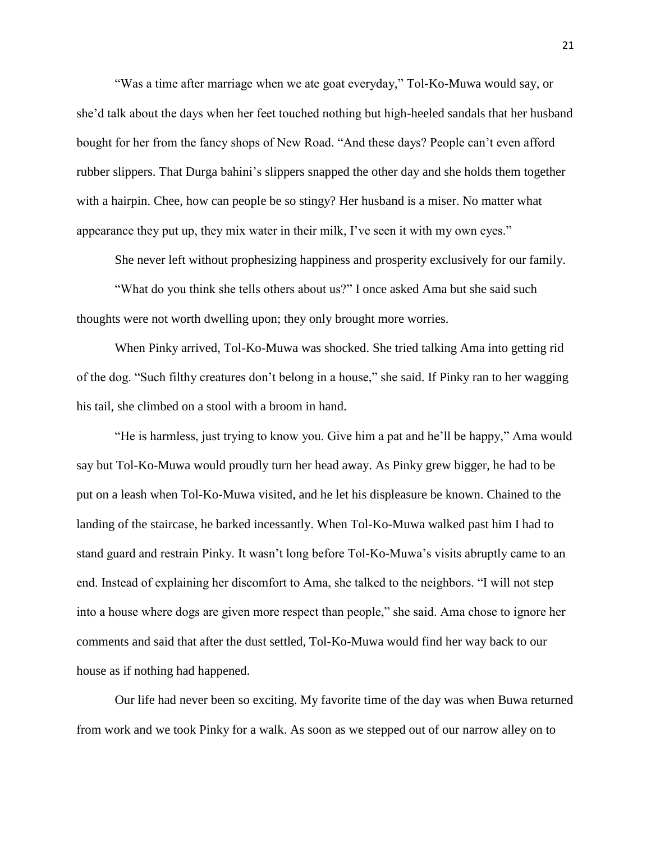"Was a time after marriage when we ate goat everyday," Tol-Ko-Muwa would say, or she'd talk about the days when her feet touched nothing but high-heeled sandals that her husband bought for her from the fancy shops of New Road. "And these days? People can't even afford rubber slippers. That Durga bahini's slippers snapped the other day and she holds them together with a hairpin. Chee, how can people be so stingy? Her husband is a miser. No matter what appearance they put up, they mix water in their milk, I've seen it with my own eyes."

She never left without prophesizing happiness and prosperity exclusively for our family.

"What do you think she tells others about us?" I once asked Ama but she said such thoughts were not worth dwelling upon; they only brought more worries.

When Pinky arrived, Tol-Ko-Muwa was shocked. She tried talking Ama into getting rid of the dog. "Such filthy creatures don't belong in a house," she said. If Pinky ran to her wagging his tail, she climbed on a stool with a broom in hand.

"He is harmless, just trying to know you. Give him a pat and he'll be happy," Ama would say but Tol-Ko-Muwa would proudly turn her head away. As Pinky grew bigger, he had to be put on a leash when Tol-Ko-Muwa visited, and he let his displeasure be known. Chained to the landing of the staircase, he barked incessantly. When Tol-Ko-Muwa walked past him I had to stand guard and restrain Pinky. It wasn't long before Tol-Ko-Muwa's visits abruptly came to an end. Instead of explaining her discomfort to Ama, she talked to the neighbors. "I will not step into a house where dogs are given more respect than people," she said. Ama chose to ignore her comments and said that after the dust settled, Tol-Ko-Muwa would find her way back to our house as if nothing had happened.

Our life had never been so exciting. My favorite time of the day was when Buwa returned from work and we took Pinky for a walk. As soon as we stepped out of our narrow alley on to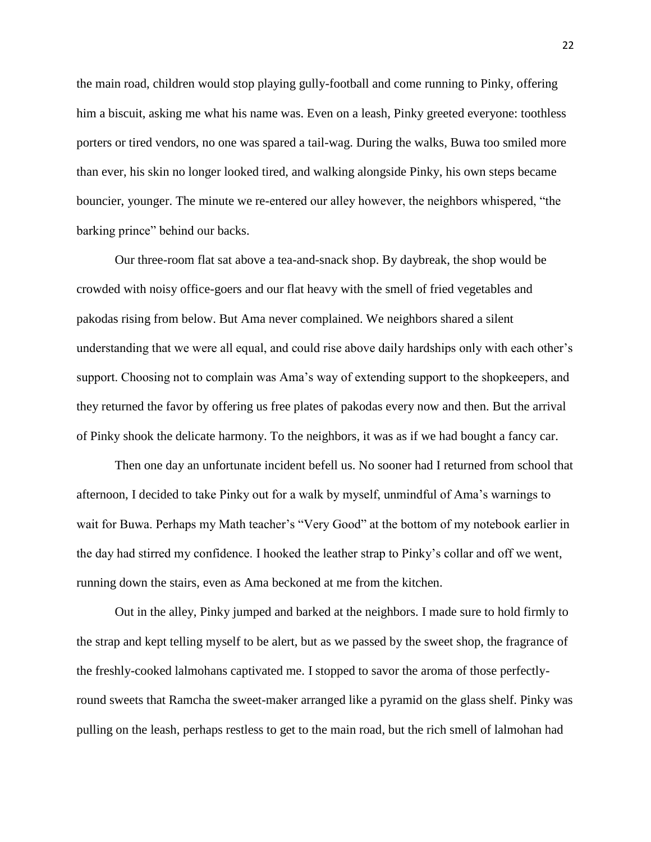the main road, children would stop playing gully-football and come running to Pinky, offering him a biscuit, asking me what his name was. Even on a leash, Pinky greeted everyone: toothless porters or tired vendors, no one was spared a tail-wag. During the walks, Buwa too smiled more than ever, his skin no longer looked tired, and walking alongside Pinky, his own steps became bouncier, younger. The minute we re-entered our alley however, the neighbors whispered, "the barking prince" behind our backs.

Our three-room flat sat above a tea-and-snack shop. By daybreak, the shop would be crowded with noisy office-goers and our flat heavy with the smell of fried vegetables and pakodas rising from below. But Ama never complained. We neighbors shared a silent understanding that we were all equal, and could rise above daily hardships only with each other's support. Choosing not to complain was Ama's way of extending support to the shopkeepers, and they returned the favor by offering us free plates of pakodas every now and then. But the arrival of Pinky shook the delicate harmony. To the neighbors, it was as if we had bought a fancy car.

Then one day an unfortunate incident befell us. No sooner had I returned from school that afternoon, I decided to take Pinky out for a walk by myself, unmindful of Ama's warnings to wait for Buwa. Perhaps my Math teacher's "Very Good" at the bottom of my notebook earlier in the day had stirred my confidence. I hooked the leather strap to Pinky's collar and off we went, running down the stairs, even as Ama beckoned at me from the kitchen.

Out in the alley, Pinky jumped and barked at the neighbors. I made sure to hold firmly to the strap and kept telling myself to be alert, but as we passed by the sweet shop, the fragrance of the freshly-cooked lalmohans captivated me. I stopped to savor the aroma of those perfectlyround sweets that Ramcha the sweet-maker arranged like a pyramid on the glass shelf. Pinky was pulling on the leash, perhaps restless to get to the main road, but the rich smell of lalmohan had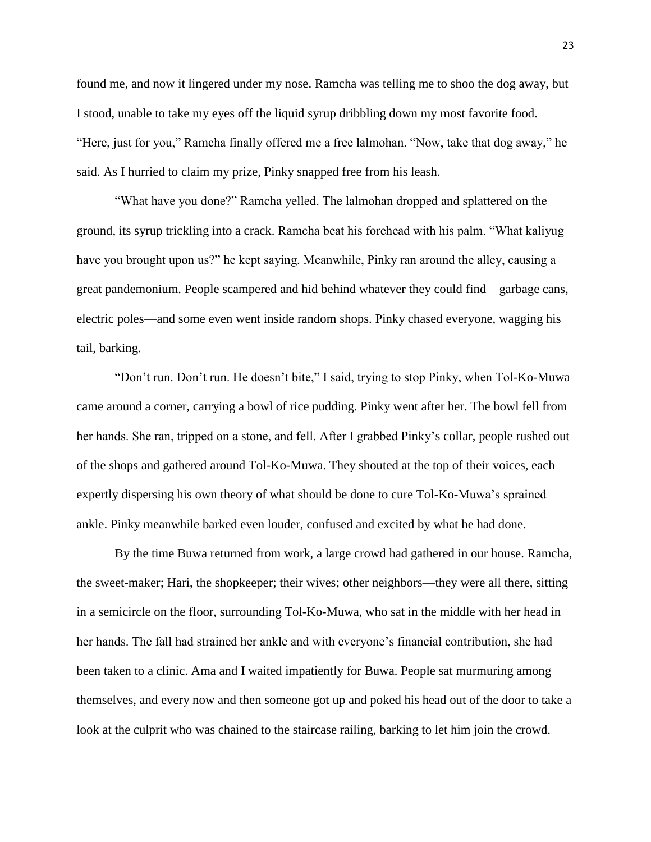found me, and now it lingered under my nose. Ramcha was telling me to shoo the dog away, but I stood, unable to take my eyes off the liquid syrup dribbling down my most favorite food. "Here, just for you," Ramcha finally offered me a free lalmohan. "Now, take that dog away," he said. As I hurried to claim my prize, Pinky snapped free from his leash.

"What have you done?" Ramcha yelled. The lalmohan dropped and splattered on the ground, its syrup trickling into a crack. Ramcha beat his forehead with his palm. "What kaliyug have you brought upon us?" he kept saying. Meanwhile, Pinky ran around the alley, causing a great pandemonium. People scampered and hid behind whatever they could find—garbage cans, electric poles—and some even went inside random shops. Pinky chased everyone, wagging his tail, barking.

"Don't run. Don't run. He doesn't bite," I said, trying to stop Pinky, when Tol-Ko-Muwa came around a corner, carrying a bowl of rice pudding. Pinky went after her. The bowl fell from her hands. She ran, tripped on a stone, and fell. After I grabbed Pinky's collar, people rushed out of the shops and gathered around Tol-Ko-Muwa. They shouted at the top of their voices, each expertly dispersing his own theory of what should be done to cure Tol-Ko-Muwa's sprained ankle. Pinky meanwhile barked even louder, confused and excited by what he had done.

By the time Buwa returned from work, a large crowd had gathered in our house. Ramcha, the sweet-maker; Hari, the shopkeeper; their wives; other neighbors—they were all there, sitting in a semicircle on the floor, surrounding Tol-Ko-Muwa, who sat in the middle with her head in her hands. The fall had strained her ankle and with everyone's financial contribution, she had been taken to a clinic. Ama and I waited impatiently for Buwa. People sat murmuring among themselves, and every now and then someone got up and poked his head out of the door to take a look at the culprit who was chained to the staircase railing, barking to let him join the crowd.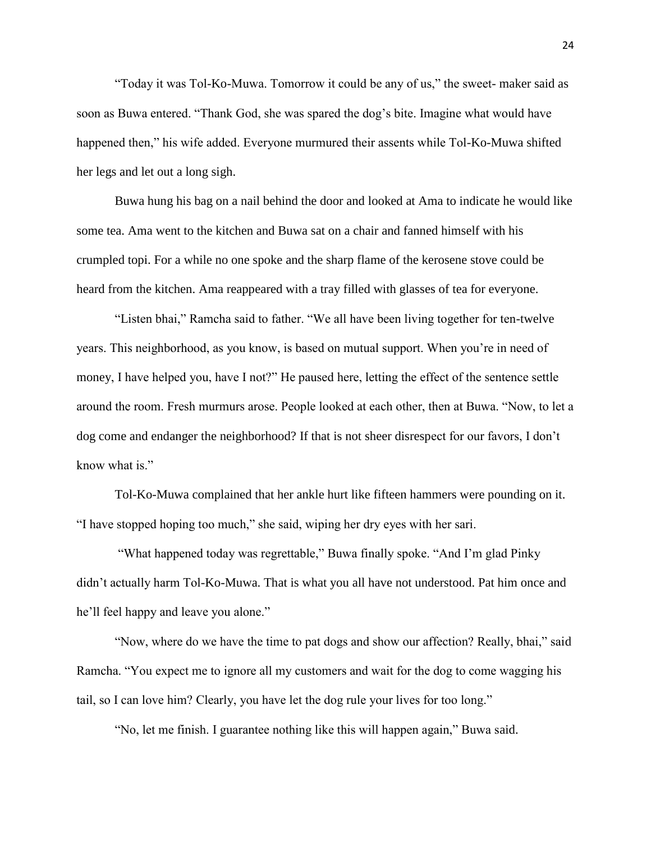"Today it was Tol-Ko-Muwa. Tomorrow it could be any of us," the sweet- maker said as soon as Buwa entered. "Thank God, she was spared the dog's bite. Imagine what would have happened then," his wife added. Everyone murmured their assents while Tol-Ko-Muwa shifted her legs and let out a long sigh.

Buwa hung his bag on a nail behind the door and looked at Ama to indicate he would like some tea. Ama went to the kitchen and Buwa sat on a chair and fanned himself with his crumpled topi. For a while no one spoke and the sharp flame of the kerosene stove could be heard from the kitchen. Ama reappeared with a tray filled with glasses of tea for everyone.

"Listen bhai," Ramcha said to father. "We all have been living together for ten-twelve years. This neighborhood, as you know, is based on mutual support. When you're in need of money, I have helped you, have I not?" He paused here, letting the effect of the sentence settle around the room. Fresh murmurs arose. People looked at each other, then at Buwa. "Now, to let a dog come and endanger the neighborhood? If that is not sheer disrespect for our favors, I don't know what is."

Tol-Ko-Muwa complained that her ankle hurt like fifteen hammers were pounding on it. "I have stopped hoping too much," she said, wiping her dry eyes with her sari.

"What happened today was regrettable," Buwa finally spoke. "And I'm glad Pinky didn't actually harm Tol-Ko-Muwa. That is what you all have not understood. Pat him once and he'll feel happy and leave you alone."

"Now, where do we have the time to pat dogs and show our affection? Really, bhai," said Ramcha. "You expect me to ignore all my customers and wait for the dog to come wagging his tail, so I can love him? Clearly, you have let the dog rule your lives for too long."

"No, let me finish. I guarantee nothing like this will happen again," Buwa said.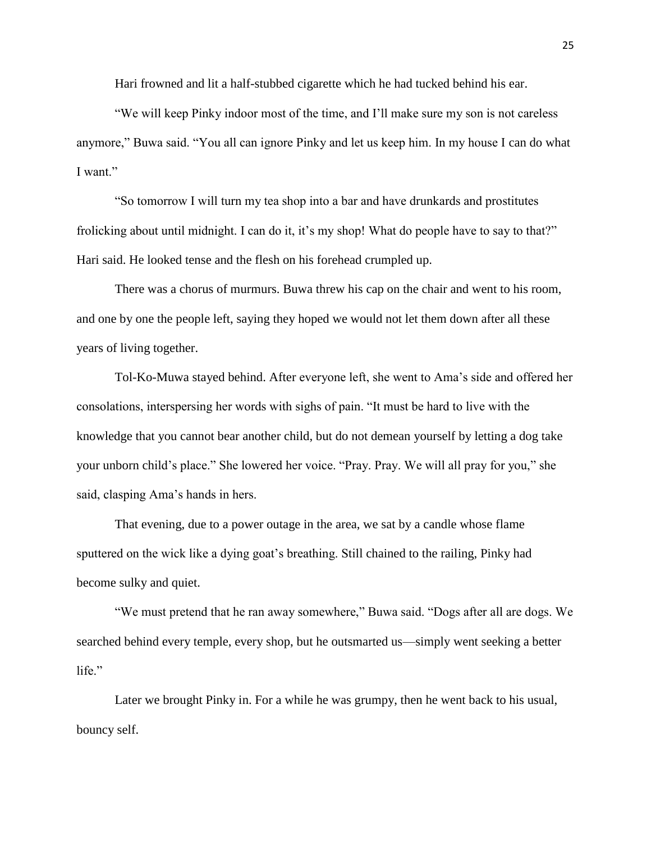Hari frowned and lit a half-stubbed cigarette which he had tucked behind his ear.

"We will keep Pinky indoor most of the time, and I'll make sure my son is not careless anymore," Buwa said. "You all can ignore Pinky and let us keep him. In my house I can do what I want."

"So tomorrow I will turn my tea shop into a bar and have drunkards and prostitutes frolicking about until midnight. I can do it, it's my shop! What do people have to say to that?" Hari said. He looked tense and the flesh on his forehead crumpled up.

There was a chorus of murmurs. Buwa threw his cap on the chair and went to his room, and one by one the people left, saying they hoped we would not let them down after all these years of living together.

Tol-Ko-Muwa stayed behind. After everyone left, she went to Ama's side and offered her consolations, interspersing her words with sighs of pain. "It must be hard to live with the knowledge that you cannot bear another child, but do not demean yourself by letting a dog take your unborn child's place." She lowered her voice. "Pray. Pray. We will all pray for you," she said, clasping Ama's hands in hers.

That evening, due to a power outage in the area, we sat by a candle whose flame sputtered on the wick like a dying goat's breathing. Still chained to the railing, Pinky had become sulky and quiet.

"We must pretend that he ran away somewhere," Buwa said. "Dogs after all are dogs. We searched behind every temple, every shop, but he outsmarted us—simply went seeking a better life."

Later we brought Pinky in. For a while he was grumpy, then he went back to his usual, bouncy self.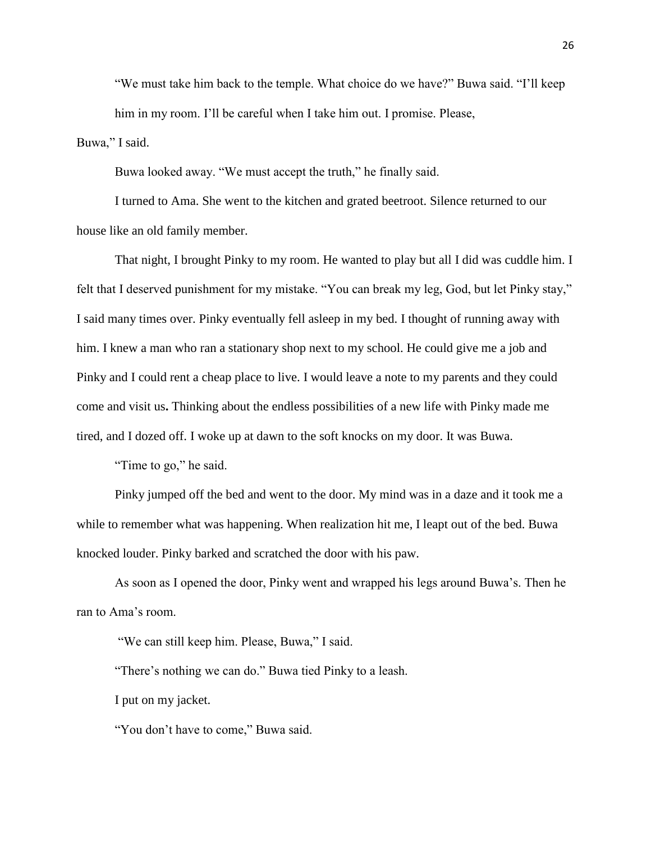"We must take him back to the temple. What choice do we have?" Buwa said. "I'll keep him in my room. I'll be careful when I take him out. I promise. Please,

Buwa," I said.

Buwa looked away. "We must accept the truth," he finally said.

I turned to Ama. She went to the kitchen and grated beetroot. Silence returned to our house like an old family member.

That night, I brought Pinky to my room. He wanted to play but all I did was cuddle him. I felt that I deserved punishment for my mistake. "You can break my leg, God, but let Pinky stay," I said many times over. Pinky eventually fell asleep in my bed. I thought of running away with him. I knew a man who ran a stationary shop next to my school. He could give me a job and Pinky and I could rent a cheap place to live. I would leave a note to my parents and they could come and visit us**.** Thinking about the endless possibilities of a new life with Pinky made me tired, and I dozed off. I woke up at dawn to the soft knocks on my door. It was Buwa.

"Time to go," he said.

Pinky jumped off the bed and went to the door. My mind was in a daze and it took me a while to remember what was happening. When realization hit me, I leapt out of the bed. Buwa knocked louder. Pinky barked and scratched the door with his paw.

As soon as I opened the door, Pinky went and wrapped his legs around Buwa's. Then he ran to Ama's room.

"We can still keep him. Please, Buwa," I said.

"There's nothing we can do." Buwa tied Pinky to a leash.

I put on my jacket.

"You don't have to come," Buwa said.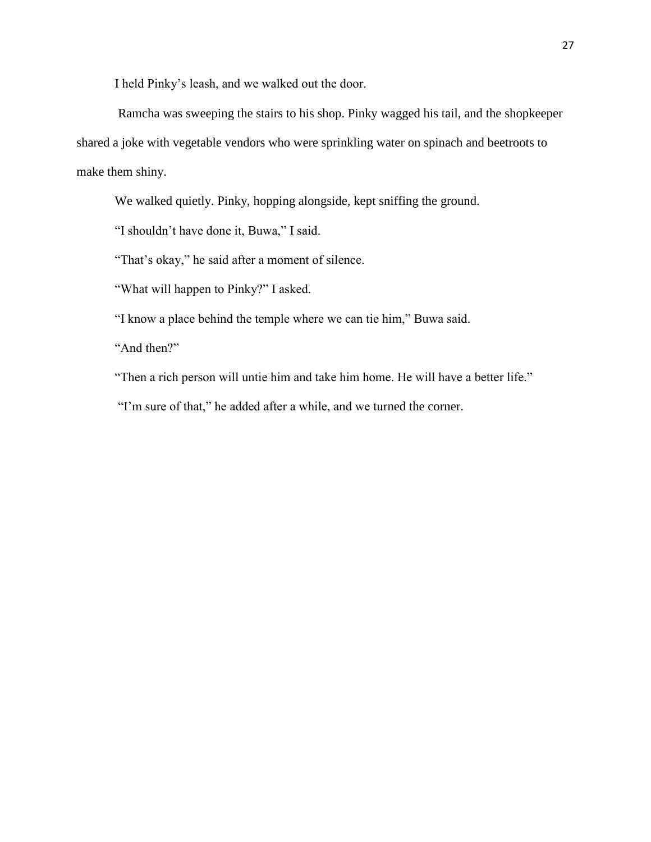I held Pinky's leash, and we walked out the door.

Ramcha was sweeping the stairs to his shop. Pinky wagged his tail, and the shopkeeper shared a joke with vegetable vendors who were sprinkling water on spinach and beetroots to make them shiny.

We walked quietly. Pinky, hopping alongside, kept sniffing the ground.

"I shouldn't have done it, Buwa," I said.

"That's okay," he said after a moment of silence.

"What will happen to Pinky?" I asked.

"I know a place behind the temple where we can tie him," Buwa said.

"And then?"

"Then a rich person will untie him and take him home. He will have a better life."

"I'm sure of that," he added after a while, and we turned the corner.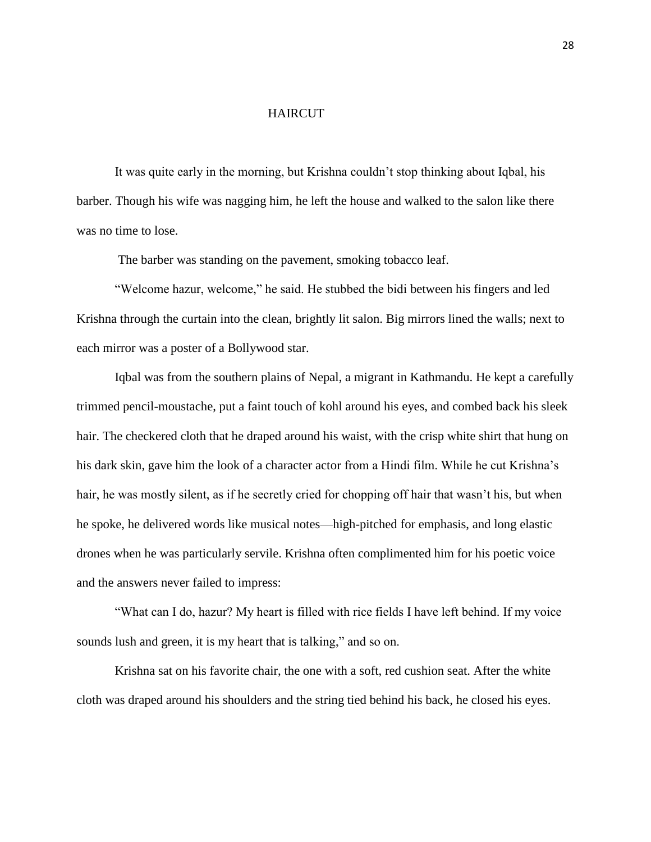#### HAIRCUT

It was quite early in the morning, but Krishna couldn't stop thinking about Iqbal, his barber. Though his wife was nagging him, he left the house and walked to the salon like there was no time to lose.

The barber was standing on the pavement, smoking tobacco leaf.

"Welcome hazur, welcome," he said. He stubbed the bidi between his fingers and led Krishna through the curtain into the clean, brightly lit salon. Big mirrors lined the walls; next to each mirror was a poster of a Bollywood star.

Iqbal was from the southern plains of Nepal, a migrant in Kathmandu. He kept a carefully trimmed pencil-moustache, put a faint touch of kohl around his eyes, and combed back his sleek hair. The checkered cloth that he draped around his waist, with the crisp white shirt that hung on his dark skin, gave him the look of a character actor from a Hindi film. While he cut Krishna's hair, he was mostly silent, as if he secretly cried for chopping off hair that wasn't his, but when he spoke, he delivered words like musical notes—high-pitched for emphasis, and long elastic drones when he was particularly servile. Krishna often complimented him for his poetic voice and the answers never failed to impress:

"What can I do, hazur? My heart is filled with rice fields I have left behind. If my voice sounds lush and green, it is my heart that is talking," and so on.

Krishna sat on his favorite chair, the one with a soft, red cushion seat. After the white cloth was draped around his shoulders and the string tied behind his back, he closed his eyes.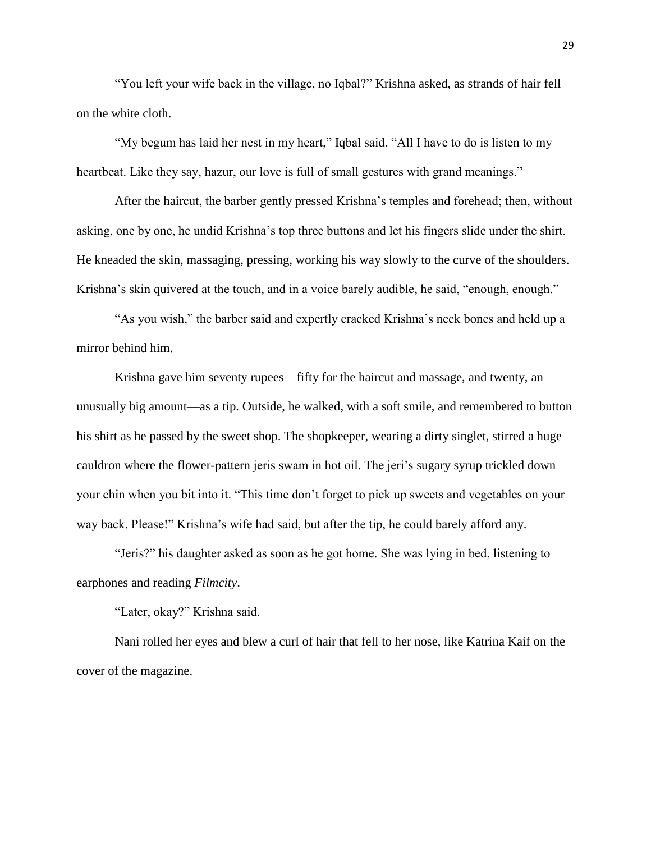"You left your wife back in the village, no Iqbal?" Krishna asked, as strands of hair fell on the white cloth.

"My begum has laid her nest in my heart," Iqbal said. "All I have to do is listen to my heartbeat. Like they say, hazur, our love is full of small gestures with grand meanings."

After the haircut, the barber gently pressed Krishna's temples and forehead; then, without asking, one by one, he undid Krishna's top three buttons and let his fingers slide under the shirt. He kneaded the skin, massaging, pressing, working his way slowly to the curve of the shoulders. Krishna's skin quivered at the touch, and in a voice barely audible, he said, "enough, enough."

"As you wish," the barber said and expertly cracked Krishna's neck bones and held up a mirror behind him.

Krishna gave him seventy rupees—fifty for the haircut and massage, and twenty, an unusually big amount—as a tip. Outside, he walked, with a soft smile, and remembered to button his shirt as he passed by the sweet shop. The shopkeeper, wearing a dirty singlet, stirred a huge cauldron where the flower-pattern jeris swam in hot oil. The jeri's sugary syrup trickled down your chin when you bit into it. "This time don't forget to pick up sweets and vegetables on your way back. Please!" Krishna's wife had said, but after the tip, he could barely afford any.

"Jeris?" his daughter asked as soon as he got home. She was lying in bed, listening to earphones and reading *Filmcity*.

"Later, okay?" Krishna said.

Nani rolled her eyes and blew a curl of hair that fell to her nose, like Katrina Kaif on the cover of the magazine.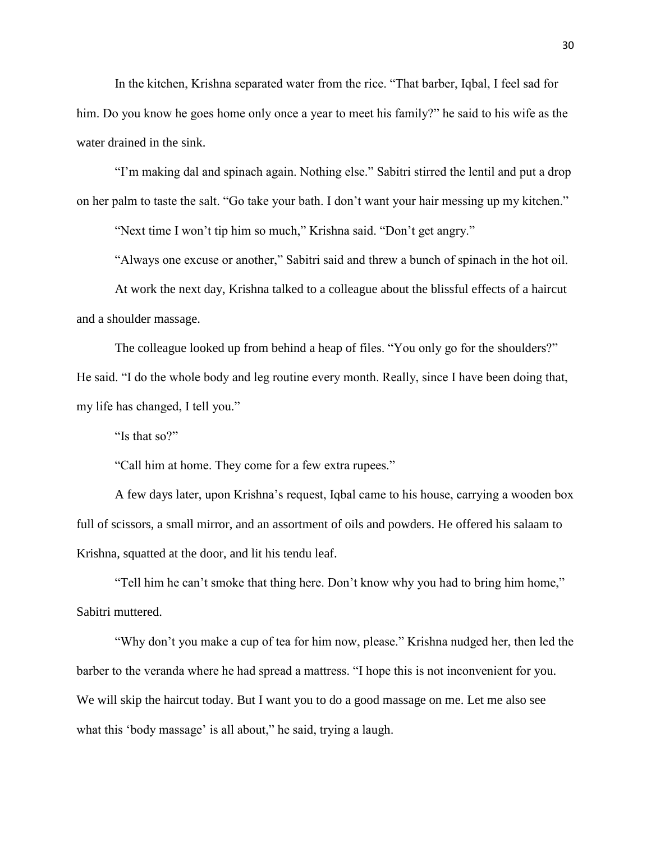In the kitchen, Krishna separated water from the rice. "That barber, Iqbal, I feel sad for him. Do you know he goes home only once a year to meet his family?" he said to his wife as the water drained in the sink.

"I'm making dal and spinach again. Nothing else." Sabitri stirred the lentil and put a drop on her palm to taste the salt. "Go take your bath. I don't want your hair messing up my kitchen."

"Next time I won't tip him so much," Krishna said. "Don't get angry."

"Always one excuse or another," Sabitri said and threw a bunch of spinach in the hot oil.

At work the next day, Krishna talked to a colleague about the blissful effects of a haircut and a shoulder massage.

The colleague looked up from behind a heap of files. "You only go for the shoulders?" He said. "I do the whole body and leg routine every month. Really, since I have been doing that, my life has changed, I tell you."

"Is that so?"

"Call him at home. They come for a few extra rupees."

A few days later, upon Krishna's request, Iqbal came to his house, carrying a wooden box full of scissors, a small mirror, and an assortment of oils and powders. He offered his salaam to Krishna, squatted at the door, and lit his tendu leaf.

"Tell him he can't smoke that thing here. Don't know why you had to bring him home," Sabitri muttered.

"Why don't you make a cup of tea for him now, please." Krishna nudged her, then led the barber to the veranda where he had spread a mattress. "I hope this is not inconvenient for you. We will skip the haircut today. But I want you to do a good massage on me. Let me also see what this 'body massage' is all about," he said, trying a laugh.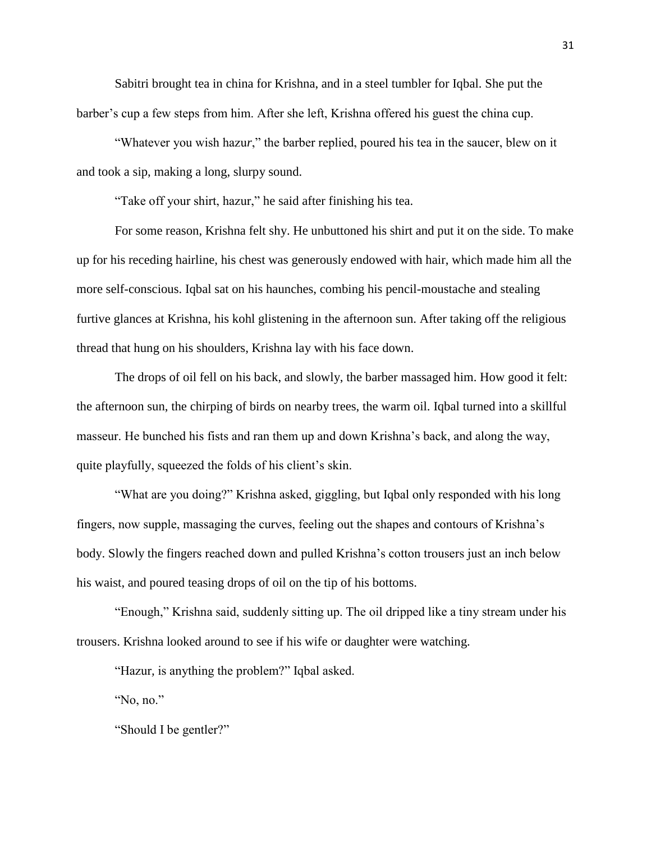Sabitri brought tea in china for Krishna, and in a steel tumbler for Iqbal. She put the barber's cup a few steps from him. After she left, Krishna offered his guest the china cup.

"Whatever you wish hazu*r*," the barber replied, poured his tea in the saucer, blew on it and took a sip, making a long, slurpy sound.

"Take off your shirt, hazur," he said after finishing his tea.

For some reason, Krishna felt shy. He unbuttoned his shirt and put it on the side. To make up for his receding hairline, his chest was generously endowed with hair, which made him all the more self-conscious. Iqbal sat on his haunches, combing his pencil-moustache and stealing furtive glances at Krishna, his kohl glistening in the afternoon sun. After taking off the religious thread that hung on his shoulders, Krishna lay with his face down.

The drops of oil fell on his back, and slowly, the barber massaged him. How good it felt: the afternoon sun, the chirping of birds on nearby trees, the warm oil. Iqbal turned into a skillful masseur. He bunched his fists and ran them up and down Krishna's back, and along the way, quite playfully, squeezed the folds of his client's skin.

"What are you doing?" Krishna asked, giggling, but Iqbal only responded with his long fingers, now supple, massaging the curves, feeling out the shapes and contours of Krishna's body. Slowly the fingers reached down and pulled Krishna's cotton trousers just an inch below his waist, and poured teasing drops of oil on the tip of his bottoms.

"Enough," Krishna said, suddenly sitting up. The oil dripped like a tiny stream under his trousers. Krishna looked around to see if his wife or daughter were watching.

"Hazur*,* is anything the problem?" Iqbal asked.

"No, no."

"Should I be gentler?"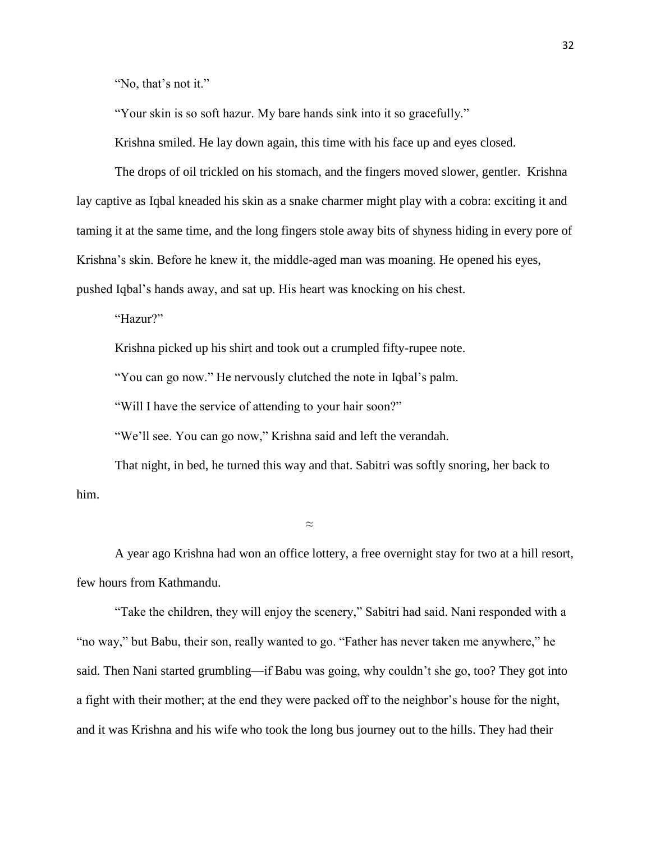"No, that's not it."

"Your skin is so soft hazur. My bare hands sink into it so gracefully."

Krishna smiled. He lay down again, this time with his face up and eyes closed.

The drops of oil trickled on his stomach, and the fingers moved slower, gentler. Krishna lay captive as Iqbal kneaded his skin as a snake charmer might play with a cobra: exciting it and taming it at the same time, and the long fingers stole away bits of shyness hiding in every pore of Krishna's skin. Before he knew it, the middle-aged man was moaning. He opened his eyes, pushed Iqbal's hands away, and sat up. His heart was knocking on his chest.

"Hazur?"

Krishna picked up his shirt and took out a crumpled fifty-rupee note.

"You can go now." He nervously clutched the note in Iqbal's palm.

"Will I have the service of attending to your hair soon?"

"We'll see. You can go now," Krishna said and left the verandah.

That night, in bed, he turned this way and that. Sabitri was softly snoring, her back to him.

 $\approx$ 

A year ago Krishna had won an office lottery, a free overnight stay for two at a hill resort, few hours from Kathmandu.

"Take the children, they will enjoy the scenery," Sabitri had said. Nani responded with a "no way," but Babu, their son, really wanted to go. "Father has never taken me anywhere," he said. Then Nani started grumbling—if Babu was going, why couldn't she go, too? They got into a fight with their mother; at the end they were packed off to the neighbor's house for the night, and it was Krishna and his wife who took the long bus journey out to the hills. They had their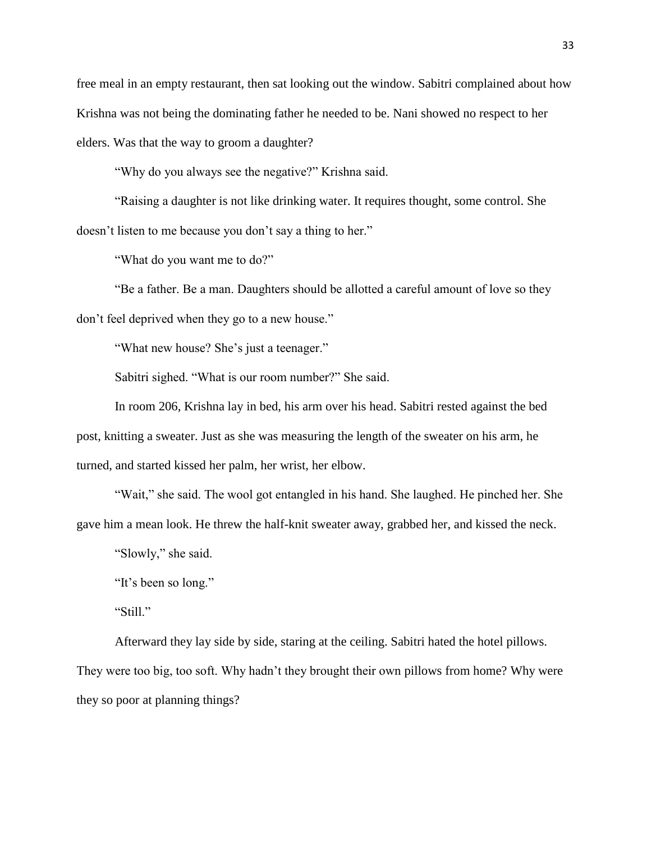free meal in an empty restaurant, then sat looking out the window. Sabitri complained about how Krishna was not being the dominating father he needed to be. Nani showed no respect to her elders. Was that the way to groom a daughter?

"Why do you always see the negative?" Krishna said.

"Raising a daughter is not like drinking water. It requires thought, some control. She doesn't listen to me because you don't say a thing to her."

"What do you want me to do?"

"Be a father. Be a man. Daughters should be allotted a careful amount of love so they don't feel deprived when they go to a new house."

"What new house? She's just a teenager."

Sabitri sighed. "What is our room number?" She said.

In room 206, Krishna lay in bed, his arm over his head. Sabitri rested against the bed post, knitting a sweater. Just as she was measuring the length of the sweater on his arm, he turned, and started kissed her palm, her wrist, her elbow.

"Wait," she said. The wool got entangled in his hand. She laughed. He pinched her. She gave him a mean look. He threw the half-knit sweater away, grabbed her, and kissed the neck.

"Slowly," she said.

"It's been so long."

"Still."

Afterward they lay side by side, staring at the ceiling. Sabitri hated the hotel pillows. They were too big, too soft. Why hadn't they brought their own pillows from home? Why were they so poor at planning things?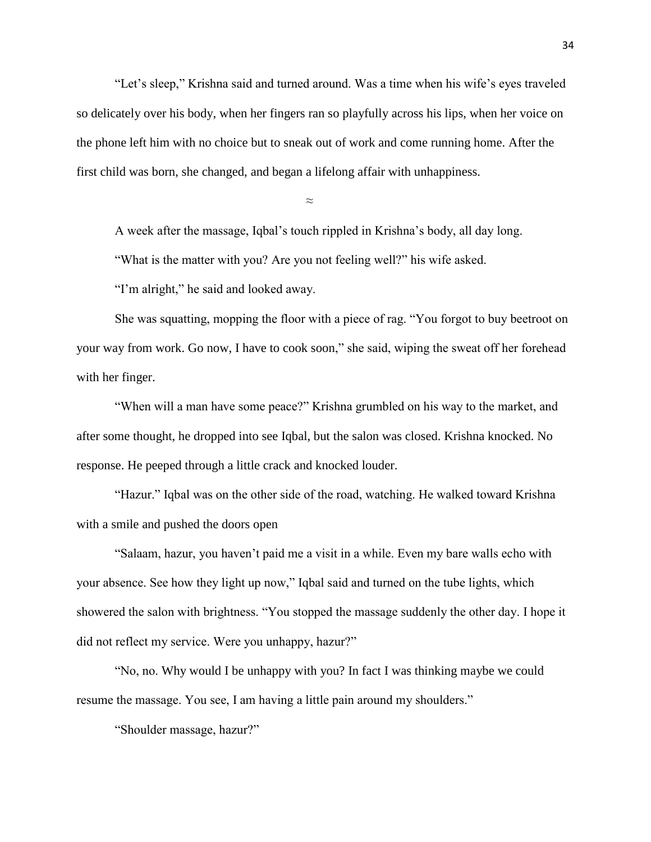"Let's sleep," Krishna said and turned around. Was a time when his wife's eyes traveled so delicately over his body, when her fingers ran so playfully across his lips, when her voice on the phone left him with no choice but to sneak out of work and come running home. After the first child was born, she changed, and began a lifelong affair with unhappiness.

≈

A week after the massage, Iqbal's touch rippled in Krishna's body, all day long.

"What is the matter with you? Are you not feeling well?" his wife asked.

"I'm alright," he said and looked away.

She was squatting, mopping the floor with a piece of rag. "You forgot to buy beetroot on your way from work. Go now, I have to cook soon," she said, wiping the sweat off her forehead with her finger.

"When will a man have some peace?" Krishna grumbled on his way to the market, and after some thought, he dropped into see Iqbal, but the salon was closed. Krishna knocked. No response. He peeped through a little crack and knocked louder.

"Hazur." Iqbal was on the other side of the road, watching. He walked toward Krishna with a smile and pushed the doors open

"Salaam, hazur, you haven't paid me a visit in a while. Even my bare walls echo with your absence. See how they light up now," Iqbal said and turned on the tube lights, which showered the salon with brightness. "You stopped the massage suddenly the other day. I hope it did not reflect my service. Were you unhappy, hazur?"

"No, no. Why would I be unhappy with you? In fact I was thinking maybe we could resume the massage. You see, I am having a little pain around my shoulders."

"Shoulder massage, hazur?"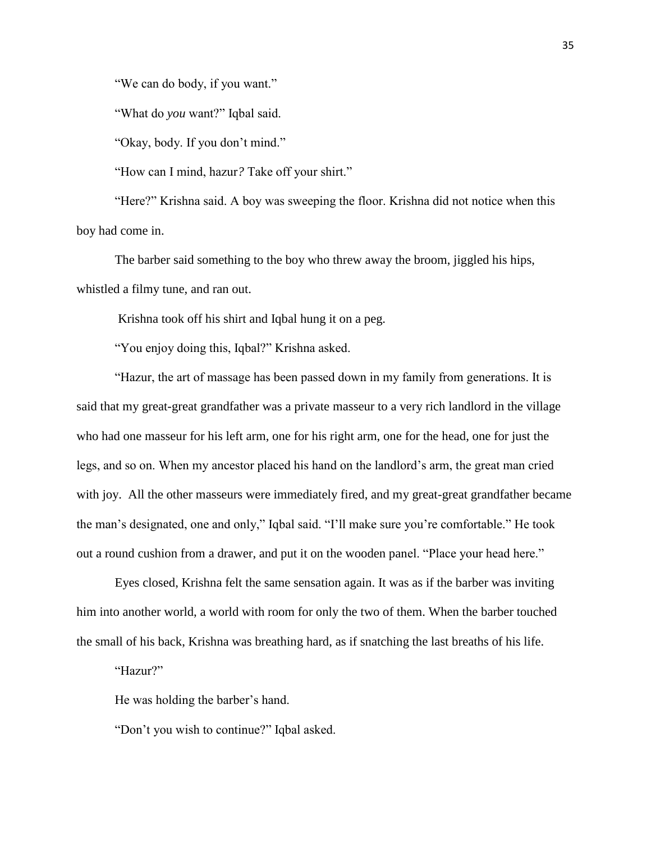"We can do body, if you want."

"What do *you* want?" Iqbal said.

"Okay, body. If you don't mind."

"How can I mind, hazur*?* Take off your shirt."

"Here?" Krishna said. A boy was sweeping the floor. Krishna did not notice when this boy had come in.

The barber said something to the boy who threw away the broom, jiggled his hips, whistled a filmy tune, and ran out.

Krishna took off his shirt and Iqbal hung it on a peg.

"You enjoy doing this, Iqbal?" Krishna asked.

"Hazur, the art of massage has been passed down in my family from generations. It is said that my great-great grandfather was a private masseur to a very rich landlord in the village who had one masseur for his left arm, one for his right arm, one for the head, one for just the legs, and so on. When my ancestor placed his hand on the landlord's arm, the great man cried with joy. All the other masseurs were immediately fired, and my great-great grandfather became the man's designated, one and only," Iqbal said. "I'll make sure you're comfortable." He took out a round cushion from a drawer, and put it on the wooden panel. "Place your head here."

Eyes closed, Krishna felt the same sensation again. It was as if the barber was inviting him into another world, a world with room for only the two of them. When the barber touched the small of his back, Krishna was breathing hard, as if snatching the last breaths of his life.

"Hazur?"

He was holding the barber's hand.

"Don't you wish to continue?" Iqbal asked.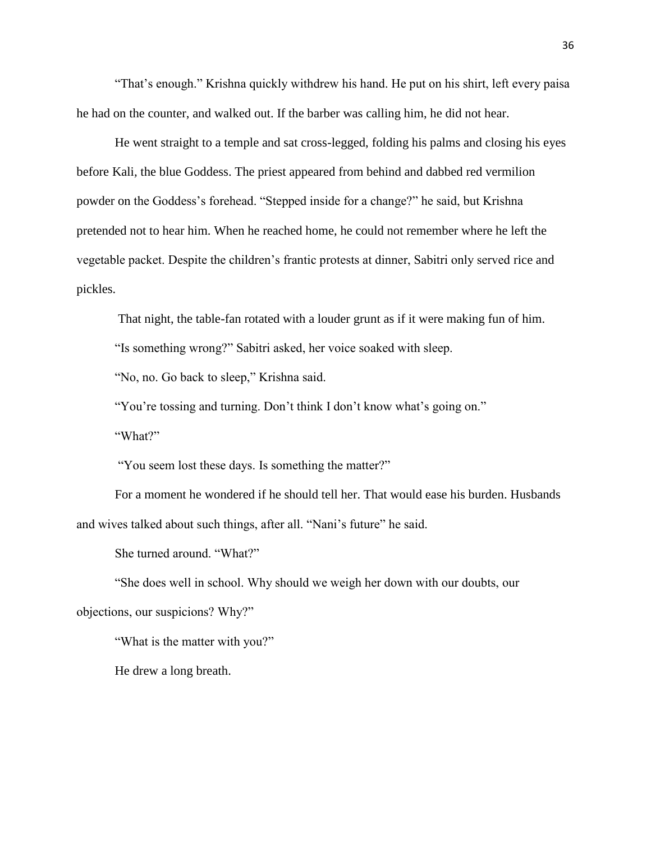"That's enough." Krishna quickly withdrew his hand. He put on his shirt, left every paisa he had on the counter, and walked out. If the barber was calling him, he did not hear.

He went straight to a temple and sat cross-legged, folding his palms and closing his eyes before Kali*,* the blue Goddess. The priest appeared from behind and dabbed red vermilion powder on the Goddess's forehead. "Stepped inside for a change?" he said, but Krishna pretended not to hear him. When he reached home, he could not remember where he left the vegetable packet. Despite the children's frantic protests at dinner, Sabitri only served rice and pickles.

That night, the table-fan rotated with a louder grunt as if it were making fun of him.

"Is something wrong?" Sabitri asked, her voice soaked with sleep.

"No, no. Go back to sleep," Krishna said.

"You're tossing and turning. Don't think I don't know what's going on."

"What?"

"You seem lost these days. Is something the matter?"

For a moment he wondered if he should tell her. That would ease his burden. Husbands and wives talked about such things, after all. "Nani's future" he said.

She turned around. "What?"

"She does well in school. Why should we weigh her down with our doubts, our objections, our suspicions? Why?"

"What is the matter with you?"

He drew a long breath.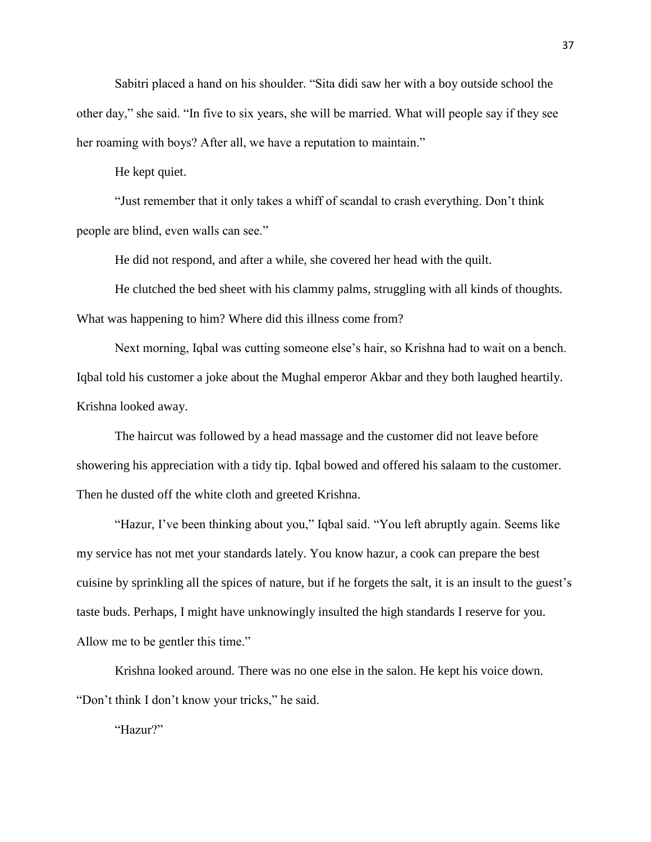Sabitri placed a hand on his shoulder. "Sita didi saw her with a boy outside school the other day," she said. "In five to six years, she will be married. What will people say if they see her roaming with boys? After all, we have a reputation to maintain."

He kept quiet.

"Just remember that it only takes a whiff of scandal to crash everything. Don't think people are blind, even walls can see."

He did not respond, and after a while, she covered her head with the quilt.

He clutched the bed sheet with his clammy palms, struggling with all kinds of thoughts. What was happening to him? Where did this illness come from?

Next morning, Iqbal was cutting someone else's hair, so Krishna had to wait on a bench. Iqbal told his customer a joke about the Mughal emperor Akbar and they both laughed heartily. Krishna looked away.

The haircut was followed by a head massage and the customer did not leave before showering his appreciation with a tidy tip. Iqbal bowed and offered his salaam to the customer. Then he dusted off the white cloth and greeted Krishna.

"Hazur*,* I've been thinking about you," Iqbal said. "You left abruptly again. Seems like my service has not met your standards lately. You know hazur*,* a cook can prepare the best cuisine by sprinkling all the spices of nature, but if he forgets the salt, it is an insult to the guest's taste buds. Perhaps, I might have unknowingly insulted the high standards I reserve for you. Allow me to be gentler this time."

Krishna looked around. There was no one else in the salon. He kept his voice down. "Don't think I don't know your tricks," he said.

"Hazur?"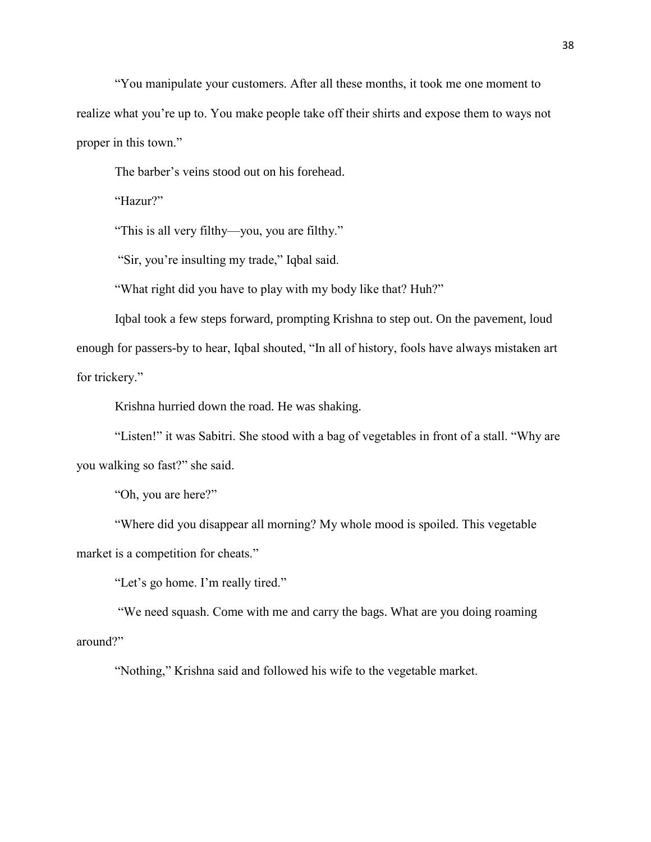"You manipulate your customers. After all these months, it took me one moment to realize what you're up to. You make people take off their shirts and expose them to ways not proper in this town."

The barber's veins stood out on his forehead.

"Hazur?"

"This is all very filthy—you, you are filthy."

"Sir, you're insulting my trade," Iqbal said.

"What right did you have to play with my body like that? Huh?"

Iqbal took a few steps forward, prompting Krishna to step out. On the pavement, loud enough for passers-by to hear, Iqbal shouted, "In all of history, fools have always mistaken art for trickery."

Krishna hurried down the road. He was shaking.

"Listen!" it was Sabitri. She stood with a bag of vegetables in front of a stall. "Why are you walking so fast?" she said.

"Oh, you are here?"

"Where did you disappear all morning? My whole mood is spoiled. This vegetable market is a competition for cheats."

"Let's go home. I'm really tired."

"We need squash. Come with me and carry the bags. What are you doing roaming around?"

"Nothing," Krishna said and followed his wife to the vegetable market.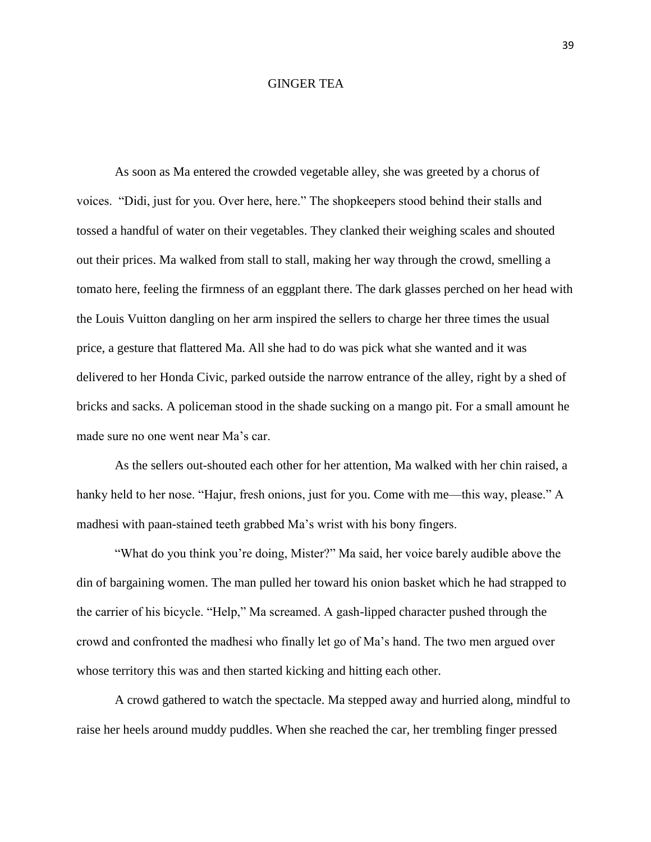## GINGER TEA

As soon as Ma entered the crowded vegetable alley, she was greeted by a chorus of voices. "Didi, just for you. Over here, here." The shopkeepers stood behind their stalls and tossed a handful of water on their vegetables. They clanked their weighing scales and shouted out their prices. Ma walked from stall to stall, making her way through the crowd, smelling a tomato here, feeling the firmness of an eggplant there. The dark glasses perched on her head with the Louis Vuitton dangling on her arm inspired the sellers to charge her three times the usual price, a gesture that flattered Ma. All she had to do was pick what she wanted and it was delivered to her Honda Civic, parked outside the narrow entrance of the alley, right by a shed of bricks and sacks. A policeman stood in the shade sucking on a mango pit. For a small amount he made sure no one went near Ma's car.

As the sellers out-shouted each other for her attention, Ma walked with her chin raised, a hanky held to her nose. "Hajur, fresh onions, just for you. Come with me—this way, please." A madhesi with paan-stained teeth grabbed Ma's wrist with his bony fingers.

"What do you think you're doing, Mister?" Ma said, her voice barely audible above the din of bargaining women. The man pulled her toward his onion basket which he had strapped to the carrier of his bicycle. "Help," Ma screamed. A gash-lipped character pushed through the crowd and confronted the madhesi who finally let go of Ma's hand. The two men argued over whose territory this was and then started kicking and hitting each other.

A crowd gathered to watch the spectacle. Ma stepped away and hurried along, mindful to raise her heels around muddy puddles. When she reached the car, her trembling finger pressed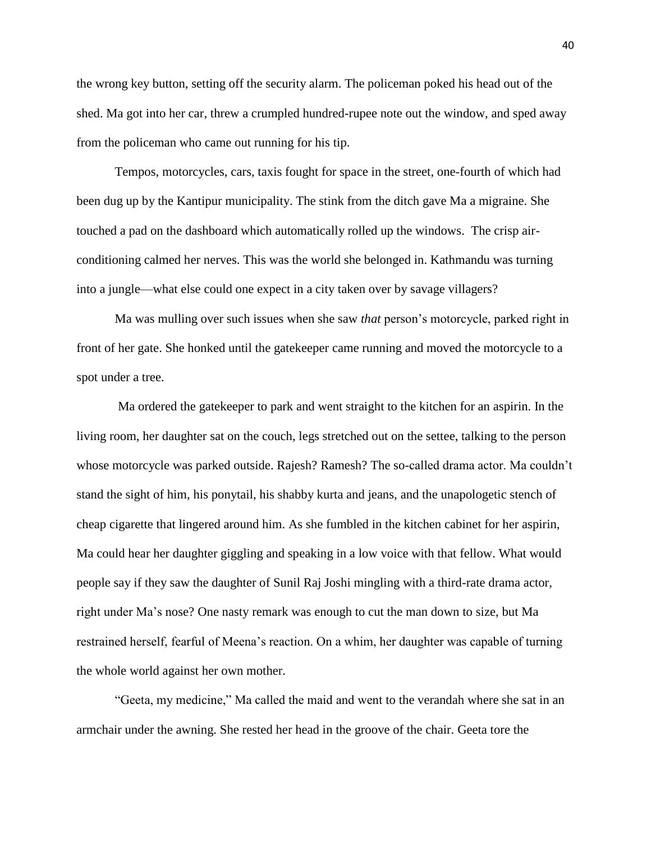the wrong key button, setting off the security alarm. The policeman poked his head out of the shed. Ma got into her car, threw a crumpled hundred-rupee note out the window, and sped away from the policeman who came out running for his tip.

Tempos, motorcycles, cars, taxis fought for space in the street, one-fourth of which had been dug up by the Kantipur municipality. The stink from the ditch gave Ma a migraine. She touched a pad on the dashboard which automatically rolled up the windows. The crisp airconditioning calmed her nerves. This was the world she belonged in. Kathmandu was turning into a jungle—what else could one expect in a city taken over by savage villagers?

Ma was mulling over such issues when she saw *that* person's motorcycle, parked right in front of her gate. She honked until the gatekeeper came running and moved the motorcycle to a spot under a tree.

Ma ordered the gatekeeper to park and went straight to the kitchen for an aspirin. In the living room, her daughter sat on the couch, legs stretched out on the settee, talking to the person whose motorcycle was parked outside. Rajesh? Ramesh? The so-called drama actor. Ma couldn't stand the sight of him, his ponytail, his shabby kurta and jeans, and the unapologetic stench of cheap cigarette that lingered around him. As she fumbled in the kitchen cabinet for her aspirin, Ma could hear her daughter giggling and speaking in a low voice with that fellow. What would people say if they saw the daughter of Sunil Raj Joshi mingling with a third-rate drama actor, right under Ma's nose? One nasty remark was enough to cut the man down to size, but Ma restrained herself, fearful of Meena's reaction. On a whim, her daughter was capable of turning the whole world against her own mother.

"Geeta, my medicine," Ma called the maid and went to the verandah where she sat in an armchair under the awning. She rested her head in the groove of the chair. Geeta tore the

40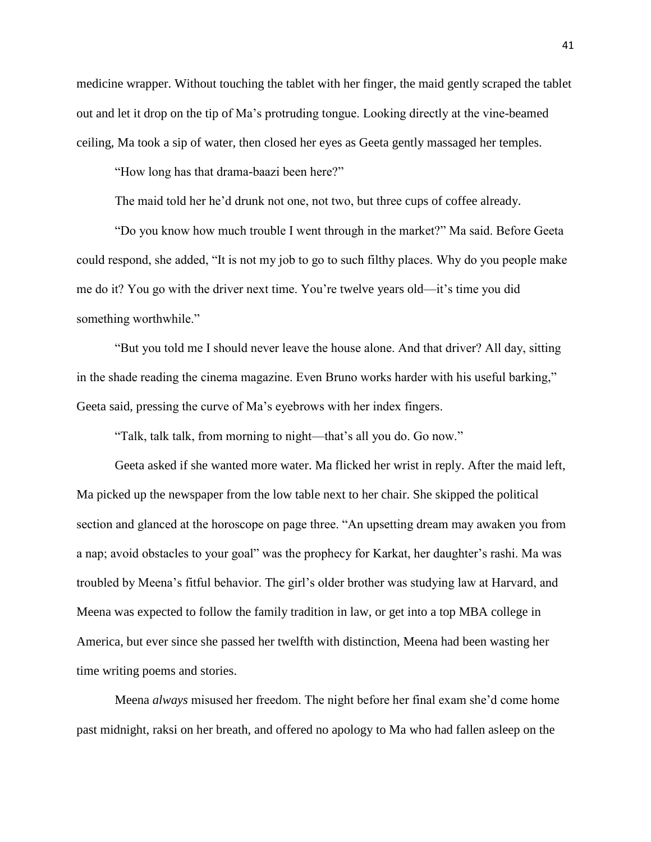medicine wrapper. Without touching the tablet with her finger, the maid gently scraped the tablet out and let it drop on the tip of Ma's protruding tongue. Looking directly at the vine-beamed ceiling, Ma took a sip of water, then closed her eyes as Geeta gently massaged her temples.

"How long has that drama-baazi been here?"

The maid told her he'd drunk not one, not two, but three cups of coffee already.

"Do you know how much trouble I went through in the market?" Ma said. Before Geeta could respond, she added, "It is not my job to go to such filthy places. Why do you people make me do it? You go with the driver next time. You're twelve years old—it's time you did something worthwhile."

"But you told me I should never leave the house alone. And that driver? All day, sitting in the shade reading the cinema magazine. Even Bruno works harder with his useful barking," Geeta said, pressing the curve of Ma's eyebrows with her index fingers.

"Talk, talk talk, from morning to night—that's all you do. Go now."

Geeta asked if she wanted more water. Ma flicked her wrist in reply. After the maid left, Ma picked up the newspaper from the low table next to her chair. She skipped the political section and glanced at the horoscope on page three. "An upsetting dream may awaken you from a nap; avoid obstacles to your goal" was the prophecy for Karkat, her daughter's rashi. Ma was troubled by Meena's fitful behavior. The girl's older brother was studying law at Harvard, and Meena was expected to follow the family tradition in law, or get into a top MBA college in America, but ever since she passed her twelfth with distinction, Meena had been wasting her time writing poems and stories.

Meena *always* misused her freedom. The night before her final exam she'd come home past midnight, raksi on her breath, and offered no apology to Ma who had fallen asleep on the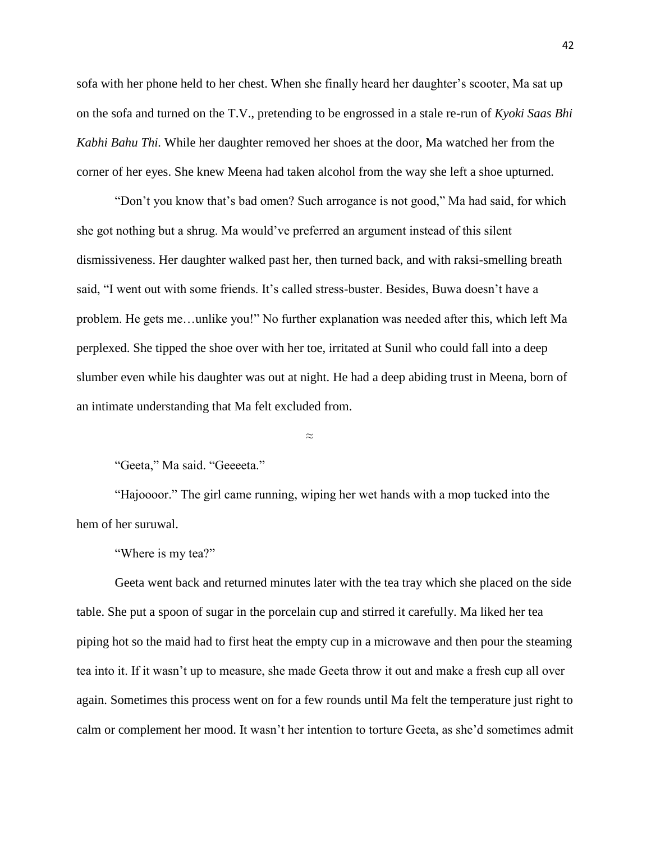sofa with her phone held to her chest. When she finally heard her daughter's scooter, Ma sat up on the sofa and turned on the T.V., pretending to be engrossed in a stale re-run of *Kyoki Saas Bhi Kabhi Bahu Thi.* While her daughter removed her shoes at the door, Ma watched her from the corner of her eyes. She knew Meena had taken alcohol from the way she left a shoe upturned.

"Don't you know that's bad omen? Such arrogance is not good," Ma had said, for which she got nothing but a shrug. Ma would've preferred an argument instead of this silent dismissiveness. Her daughter walked past her, then turned back, and with raksi-smelling breath said, "I went out with some friends. It's called stress-buster. Besides, Buwa doesn't have a problem. He gets me…unlike you!" No further explanation was needed after this, which left Ma perplexed. She tipped the shoe over with her toe, irritated at Sunil who could fall into a deep slumber even while his daughter was out at night. He had a deep abiding trust in Meena, born of an intimate understanding that Ma felt excluded from.

≈

"Geeta," Ma said. "Geeeeta."

"Hajoooor." The girl came running, wiping her wet hands with a mop tucked into the hem of her suruwal.

"Where is my tea?"

Geeta went back and returned minutes later with the tea tray which she placed on the side table. She put a spoon of sugar in the porcelain cup and stirred it carefully. Ma liked her tea piping hot so the maid had to first heat the empty cup in a microwave and then pour the steaming tea into it. If it wasn't up to measure, she made Geeta throw it out and make a fresh cup all over again. Sometimes this process went on for a few rounds until Ma felt the temperature just right to calm or complement her mood. It wasn't her intention to torture Geeta, as she'd sometimes admit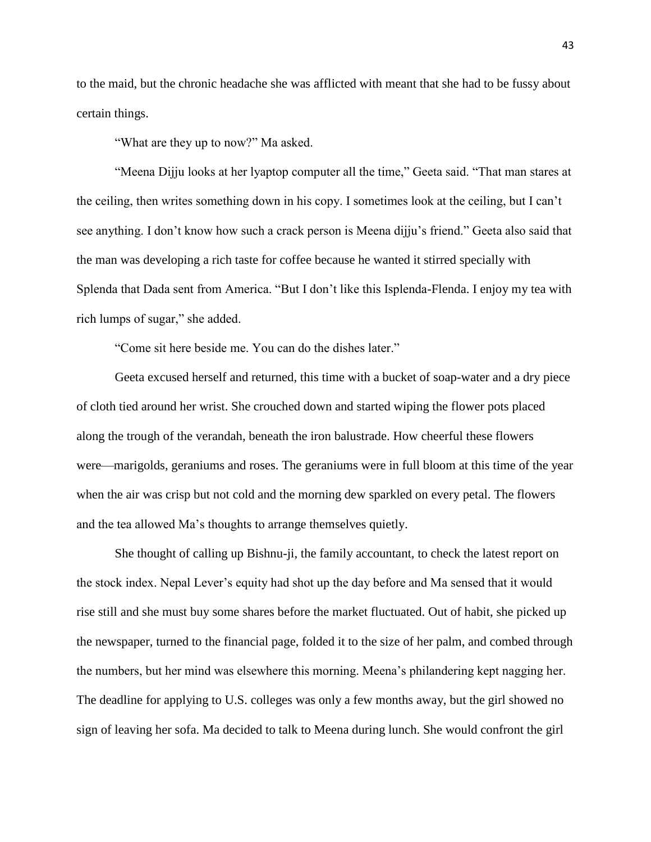to the maid, but the chronic headache she was afflicted with meant that she had to be fussy about certain things.

"What are they up to now?" Ma asked.

"Meena Dijju looks at her lyaptop computer all the time," Geeta said. "That man stares at the ceiling, then writes something down in his copy. I sometimes look at the ceiling, but I can't see anything. I don't know how such a crack person is Meena dijju's friend." Geeta also said that the man was developing a rich taste for coffee because he wanted it stirred specially with Splenda that Dada sent from America. "But I don't like this Isplenda-Flenda. I enjoy my tea with rich lumps of sugar," she added.

"Come sit here beside me. You can do the dishes later."

Geeta excused herself and returned, this time with a bucket of soap-water and a dry piece of cloth tied around her wrist. She crouched down and started wiping the flower pots placed along the trough of the verandah, beneath the iron balustrade. How cheerful these flowers were—marigolds, geraniums and roses. The geraniums were in full bloom at this time of the year when the air was crisp but not cold and the morning dew sparkled on every petal. The flowers and the tea allowed Ma's thoughts to arrange themselves quietly.

She thought of calling up Bishnu-ji, the family accountant, to check the latest report on the stock index. Nepal Lever's equity had shot up the day before and Ma sensed that it would rise still and she must buy some shares before the market fluctuated. Out of habit, she picked up the newspaper, turned to the financial page, folded it to the size of her palm, and combed through the numbers, but her mind was elsewhere this morning. Meena's philandering kept nagging her. The deadline for applying to U.S. colleges was only a few months away, but the girl showed no sign of leaving her sofa. Ma decided to talk to Meena during lunch. She would confront the girl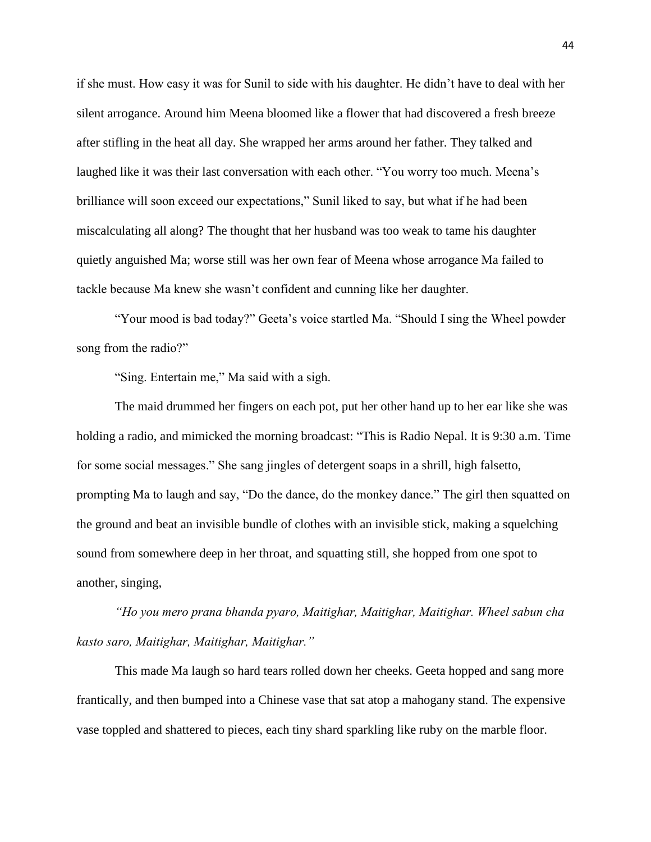if she must. How easy it was for Sunil to side with his daughter. He didn't have to deal with her silent arrogance. Around him Meena bloomed like a flower that had discovered a fresh breeze after stifling in the heat all day. She wrapped her arms around her father. They talked and laughed like it was their last conversation with each other. "You worry too much. Meena's brilliance will soon exceed our expectations," Sunil liked to say, but what if he had been miscalculating all along? The thought that her husband was too weak to tame his daughter quietly anguished Ma; worse still was her own fear of Meena whose arrogance Ma failed to tackle because Ma knew she wasn't confident and cunning like her daughter.

"Your mood is bad today?" Geeta's voice startled Ma. "Should I sing the Wheel powder song from the radio?"

"Sing. Entertain me," Ma said with a sigh.

The maid drummed her fingers on each pot, put her other hand up to her ear like she was holding a radio, and mimicked the morning broadcast: "This is Radio Nepal. It is 9:30 a.m. Time for some social messages." She sang jingles of detergent soaps in a shrill, high falsetto, prompting Ma to laugh and say, "Do the dance, do the monkey dance." The girl then squatted on the ground and beat an invisible bundle of clothes with an invisible stick, making a squelching sound from somewhere deep in her throat, and squatting still, she hopped from one spot to another, singing,

*"Ho you mero prana bhanda pyaro, Maitighar, Maitighar, Maitighar. Wheel sabun cha kasto saro, Maitighar, Maitighar, Maitighar."*

This made Ma laugh so hard tears rolled down her cheeks. Geeta hopped and sang more frantically, and then bumped into a Chinese vase that sat atop a mahogany stand. The expensive vase toppled and shattered to pieces, each tiny shard sparkling like ruby on the marble floor.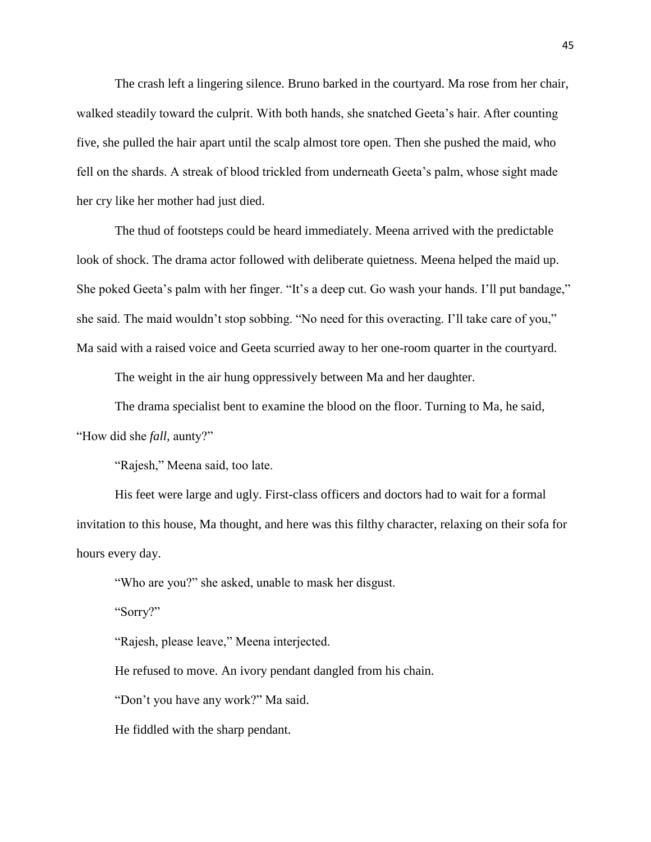The crash left a lingering silence. Bruno barked in the courtyard. Ma rose from her chair, walked steadily toward the culprit. With both hands, she snatched Geeta's hair. After counting five, she pulled the hair apart until the scalp almost tore open. Then she pushed the maid, who fell on the shards. A streak of blood trickled from underneath Geeta's palm, whose sight made her cry like her mother had just died.

The thud of footsteps could be heard immediately. Meena arrived with the predictable look of shock. The drama actor followed with deliberate quietness. Meena helped the maid up. She poked Geeta's palm with her finger. "It's a deep cut. Go wash your hands. I'll put bandage," she said. The maid wouldn't stop sobbing. "No need for this overacting. I'll take care of you," Ma said with a raised voice and Geeta scurried away to her one-room quarter in the courtyard.

The weight in the air hung oppressively between Ma and her daughter.

The drama specialist bent to examine the blood on the floor. Turning to Ma, he said,

"How did she *fall,* aunty?"

"Rajesh," Meena said, too late.

His feet were large and ugly. First-class officers and doctors had to wait for a formal invitation to this house, Ma thought, and here was this filthy character, relaxing on their sofa for hours every day.

"Who are you?" she asked, unable to mask her disgust.

"Sorry?"

"Rajesh, please leave," Meena interjected.

He refused to move. An ivory pendant dangled from his chain.

"Don't you have any work?" Ma said.

He fiddled with the sharp pendant.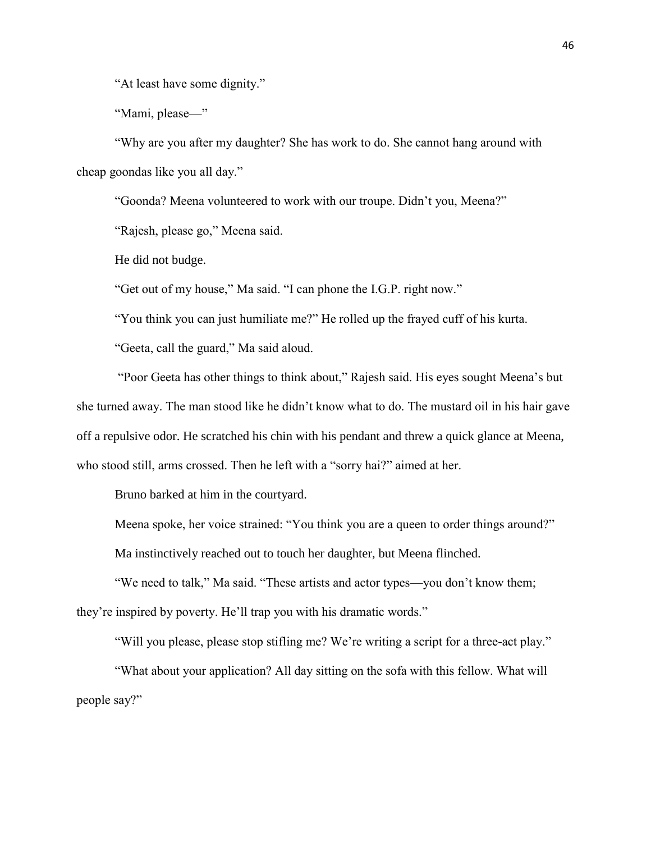"At least have some dignity."

"Mami, please—"

"Why are you after my daughter? She has work to do. She cannot hang around with cheap goondas like you all day."

"Goonda? Meena volunteered to work with our troupe. Didn't you, Meena?"

"Rajesh, please go," Meena said.

He did not budge.

"Get out of my house," Ma said. "I can phone the I.G.P. right now."

"You think you can just humiliate me?" He rolled up the frayed cuff of his kurta.

"Geeta, call the guard," Ma said aloud.

"Poor Geeta has other things to think about," Rajesh said. His eyes sought Meena's but she turned away. The man stood like he didn't know what to do. The mustard oil in his hair gave off a repulsive odor. He scratched his chin with his pendant and threw a quick glance at Meena, who stood still, arms crossed. Then he left with a "sorry hai?" aimed at her.

Bruno barked at him in the courtyard.

Meena spoke, her voice strained: "You think you are a queen to order things around?"

Ma instinctively reached out to touch her daughter, but Meena flinched.

"We need to talk," Ma said. "These artists and actor types—you don't know them; they're inspired by poverty. He'll trap you with his dramatic words."

"Will you please, please stop stifling me? We're writing a script for a three-act play."

"What about your application? All day sitting on the sofa with this fellow. What will people say?"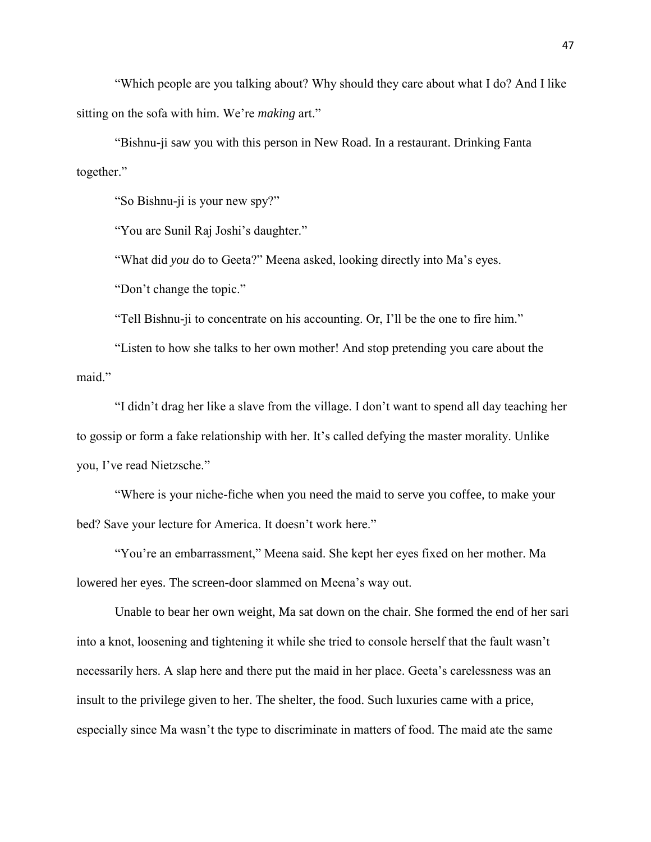"Which people are you talking about? Why should they care about what I do? And I like sitting on the sofa with him. We're *making* art."

"Bishnu-ji saw you with this person in New Road. In a restaurant. Drinking Fanta together."

"So Bishnu-ji is your new spy?"

"You are Sunil Raj Joshi's daughter."

"What did *you* do to Geeta?" Meena asked, looking directly into Ma's eyes.

"Don't change the topic."

"Tell Bishnu-ji to concentrate on his accounting. Or, I'll be the one to fire him."

"Listen to how she talks to her own mother! And stop pretending you care about the maid"

"I didn't drag her like a slave from the village. I don't want to spend all day teaching her to gossip or form a fake relationship with her. It's called defying the master morality. Unlike you, I've read Nietzsche."

"Where is your niche-fiche when you need the maid to serve you coffee, to make your bed? Save your lecture for America. It doesn't work here."

"You're an embarrassment," Meena said. She kept her eyes fixed on her mother. Ma lowered her eyes. The screen-door slammed on Meena's way out.

Unable to bear her own weight, Ma sat down on the chair. She formed the end of her sari into a knot, loosening and tightening it while she tried to console herself that the fault wasn't necessarily hers. A slap here and there put the maid in her place. Geeta's carelessness was an insult to the privilege given to her. The shelter, the food. Such luxuries came with a price, especially since Ma wasn't the type to discriminate in matters of food. The maid ate the same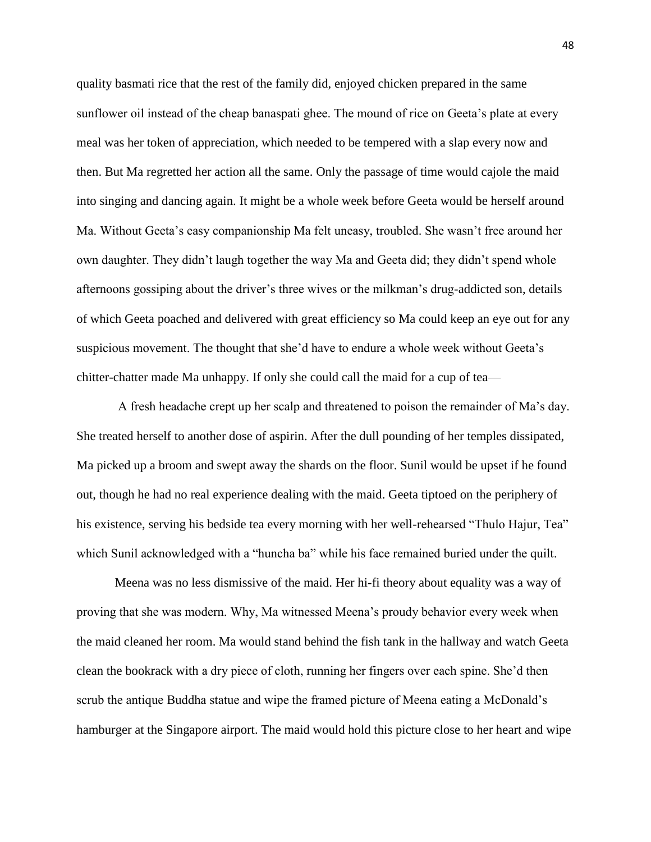quality basmati rice that the rest of the family did, enjoyed chicken prepared in the same sunflower oil instead of the cheap banaspati ghee. The mound of rice on Geeta's plate at every meal was her token of appreciation, which needed to be tempered with a slap every now and then. But Ma regretted her action all the same. Only the passage of time would cajole the maid into singing and dancing again. It might be a whole week before Geeta would be herself around Ma. Without Geeta's easy companionship Ma felt uneasy, troubled. She wasn't free around her own daughter. They didn't laugh together the way Ma and Geeta did; they didn't spend whole afternoons gossiping about the driver's three wives or the milkman's drug-addicted son, details of which Geeta poached and delivered with great efficiency so Ma could keep an eye out for any suspicious movement. The thought that she'd have to endure a whole week without Geeta's chitter-chatter made Ma unhappy. If only she could call the maid for a cup of tea—

A fresh headache crept up her scalp and threatened to poison the remainder of Ma's day. She treated herself to another dose of aspirin. After the dull pounding of her temples dissipated, Ma picked up a broom and swept away the shards on the floor. Sunil would be upset if he found out, though he had no real experience dealing with the maid. Geeta tiptoed on the periphery of his existence, serving his bedside tea every morning with her well-rehearsed "Thulo Hajur, Tea" which Sunil acknowledged with a "huncha ba" while his face remained buried under the quilt.

Meena was no less dismissive of the maid. Her hi-fi theory about equality was a way of proving that she was modern. Why, Ma witnessed Meena's proudy behavior every week when the maid cleaned her room. Ma would stand behind the fish tank in the hallway and watch Geeta clean the bookrack with a dry piece of cloth, running her fingers over each spine. She'd then scrub the antique Buddha statue and wipe the framed picture of Meena eating a McDonald's hamburger at the Singapore airport. The maid would hold this picture close to her heart and wipe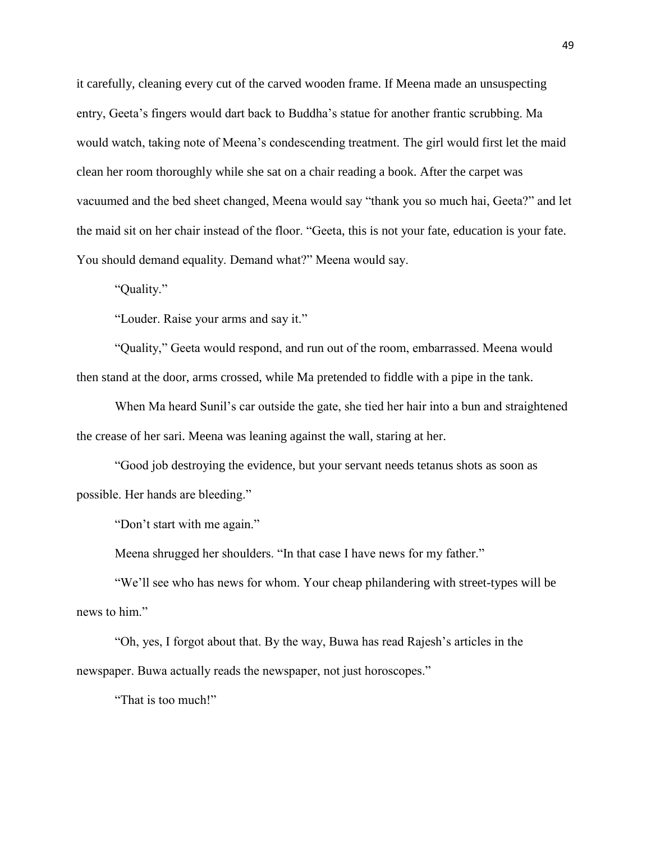it carefully, cleaning every cut of the carved wooden frame. If Meena made an unsuspecting entry, Geeta's fingers would dart back to Buddha's statue for another frantic scrubbing. Ma would watch, taking note of Meena's condescending treatment. The girl would first let the maid clean her room thoroughly while she sat on a chair reading a book. After the carpet was vacuumed and the bed sheet changed, Meena would say "thank you so much hai, Geeta?" and let the maid sit on her chair instead of the floor. "Geeta, this is not your fate, education is your fate. You should demand equality. Demand what?" Meena would say.

"Quality."

"Louder. Raise your arms and say it."

"Quality," Geeta would respond, and run out of the room, embarrassed. Meena would then stand at the door, arms crossed, while Ma pretended to fiddle with a pipe in the tank.

When Ma heard Sunil's car outside the gate, she tied her hair into a bun and straightened the crease of her sari. Meena was leaning against the wall, staring at her.

"Good job destroying the evidence, but your servant needs tetanus shots as soon as possible. Her hands are bleeding."

"Don't start with me again."

Meena shrugged her shoulders. "In that case I have news for my father."

"We'll see who has news for whom. Your cheap philandering with street-types will be news to him."

"Oh, yes, I forgot about that. By the way, Buwa has read Rajesh's articles in the newspaper. Buwa actually reads the newspaper, not just horoscopes."

"That is too much!"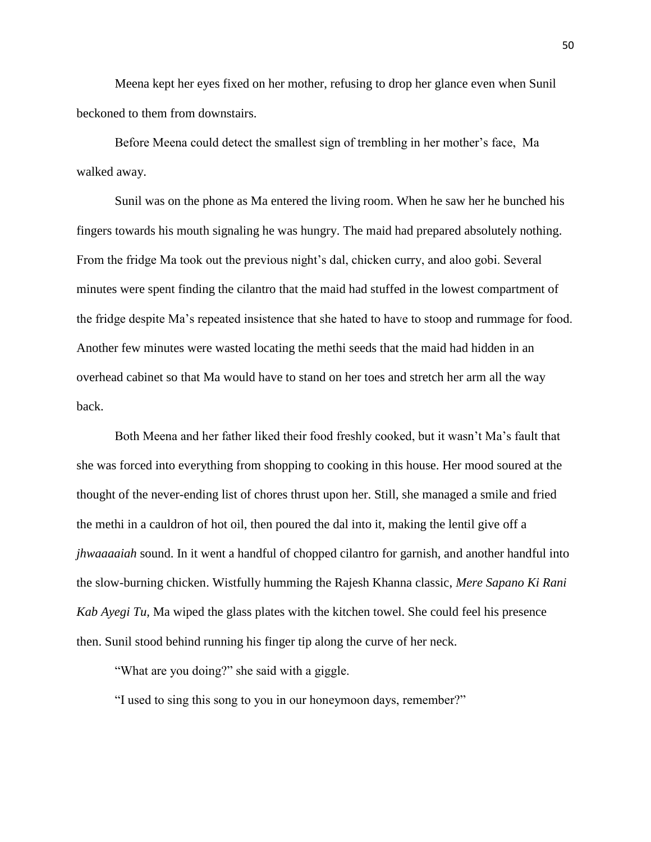Meena kept her eyes fixed on her mother, refusing to drop her glance even when Sunil beckoned to them from downstairs.

Before Meena could detect the smallest sign of trembling in her mother's face, Ma walked away.

Sunil was on the phone as Ma entered the living room. When he saw her he bunched his fingers towards his mouth signaling he was hungry. The maid had prepared absolutely nothing. From the fridge Ma took out the previous night's dal, chicken curry, and aloo gobi. Several minutes were spent finding the cilantro that the maid had stuffed in the lowest compartment of the fridge despite Ma's repeated insistence that she hated to have to stoop and rummage for food. Another few minutes were wasted locating the methi seeds that the maid had hidden in an overhead cabinet so that Ma would have to stand on her toes and stretch her arm all the way back.

Both Meena and her father liked their food freshly cooked, but it wasn't Ma's fault that she was forced into everything from shopping to cooking in this house. Her mood soured at the thought of the never-ending list of chores thrust upon her. Still, she managed a smile and fried the methi in a cauldron of hot oil, then poured the dal into it, making the lentil give off a *jhwaaaaiah* sound. In it went a handful of chopped cilantro for garnish, and another handful into the slow-burning chicken. Wistfully humming the Rajesh Khanna classic, *Mere Sapano Ki Rani Kab Ayegi Tu,* Ma wiped the glass plates with the kitchen towel. She could feel his presence then. Sunil stood behind running his finger tip along the curve of her neck.

"What are you doing?" she said with a giggle.

"I used to sing this song to you in our honeymoon days, remember?"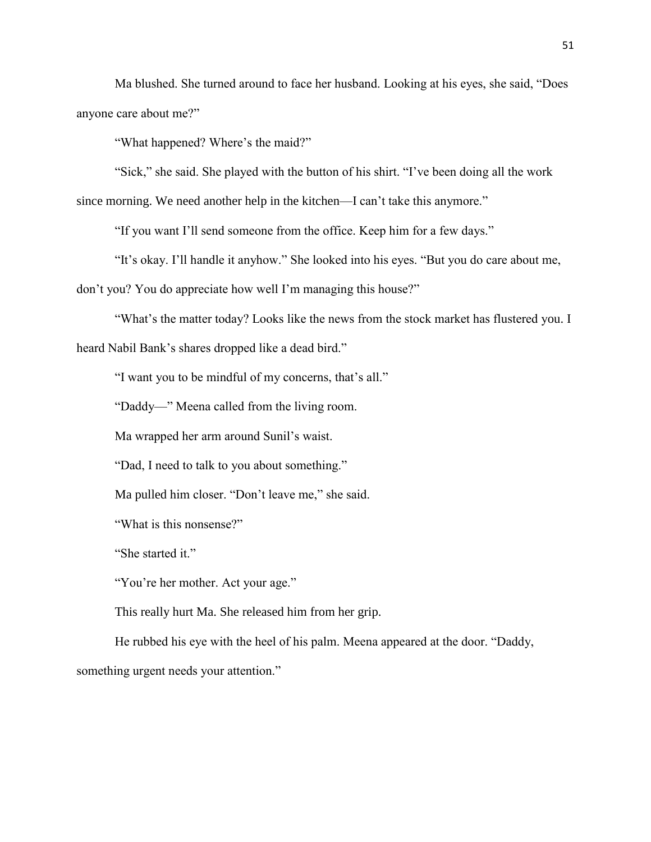Ma blushed. She turned around to face her husband. Looking at his eyes, she said, "Does anyone care about me?"

"What happened? Where's the maid?"

"Sick," she said. She played with the button of his shirt. "I've been doing all the work

since morning. We need another help in the kitchen—I can't take this anymore."

"If you want I'll send someone from the office. Keep him for a few days."

"It's okay. I'll handle it anyhow." She looked into his eyes. "But you do care about me,

don't you? You do appreciate how well I'm managing this house?"

"What's the matter today? Looks like the news from the stock market has flustered you. I heard Nabil Bank's shares dropped like a dead bird."

"I want you to be mindful of my concerns, that's all."

"Daddy—" Meena called from the living room.

Ma wrapped her arm around Sunil's waist.

"Dad, I need to talk to you about something."

Ma pulled him closer. "Don't leave me," she said.

"What is this nonsense?"

"She started it."

"You're her mother. Act your age."

This really hurt Ma. She released him from her grip.

He rubbed his eye with the heel of his palm. Meena appeared at the door. "Daddy, something urgent needs your attention."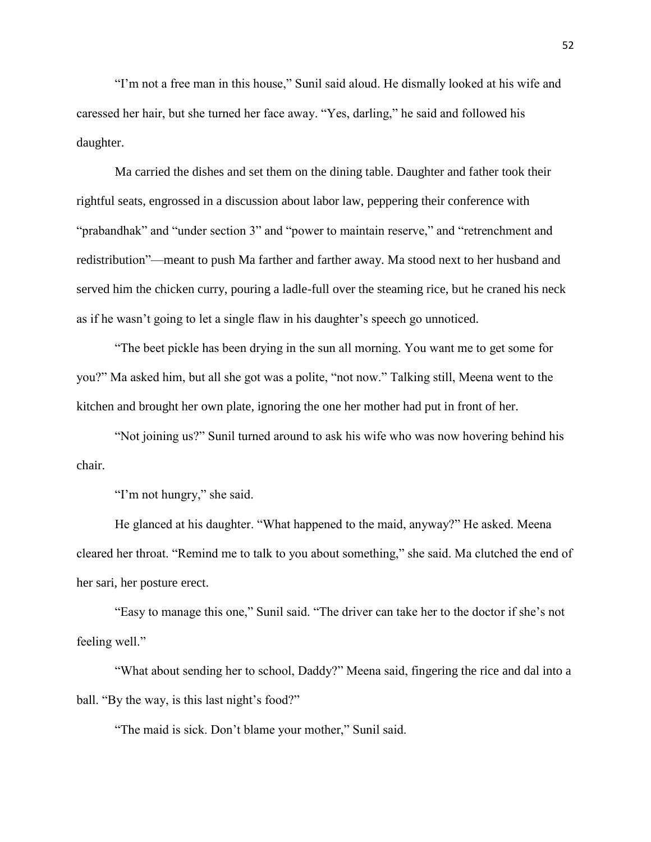"I'm not a free man in this house," Sunil said aloud. He dismally looked at his wife and caressed her hair, but she turned her face away. "Yes, darling," he said and followed his daughter.

Ma carried the dishes and set them on the dining table. Daughter and father took their rightful seats, engrossed in a discussion about labor law, peppering their conference with "prabandhak" and "under section 3" and "power to maintain reserve," and "retrenchment and redistribution"—meant to push Ma farther and farther away. Ma stood next to her husband and served him the chicken curry, pouring a ladle-full over the steaming rice, but he craned his neck as if he wasn't going to let a single flaw in his daughter's speech go unnoticed.

"The beet pickle has been drying in the sun all morning. You want me to get some for you?" Ma asked him, but all she got was a polite, "not now." Talking still, Meena went to the kitchen and brought her own plate, ignoring the one her mother had put in front of her.

"Not joining us?" Sunil turned around to ask his wife who was now hovering behind his chair.

"I'm not hungry," she said.

He glanced at his daughter. "What happened to the maid, anyway?" He asked. Meena cleared her throat. "Remind me to talk to you about something," she said. Ma clutched the end of her sari, her posture erect.

"Easy to manage this one," Sunil said. "The driver can take her to the doctor if she's not feeling well."

"What about sending her to school, Daddy?" Meena said, fingering the rice and dal into a ball. "By the way, is this last night's food?"

"The maid is sick. Don't blame your mother," Sunil said.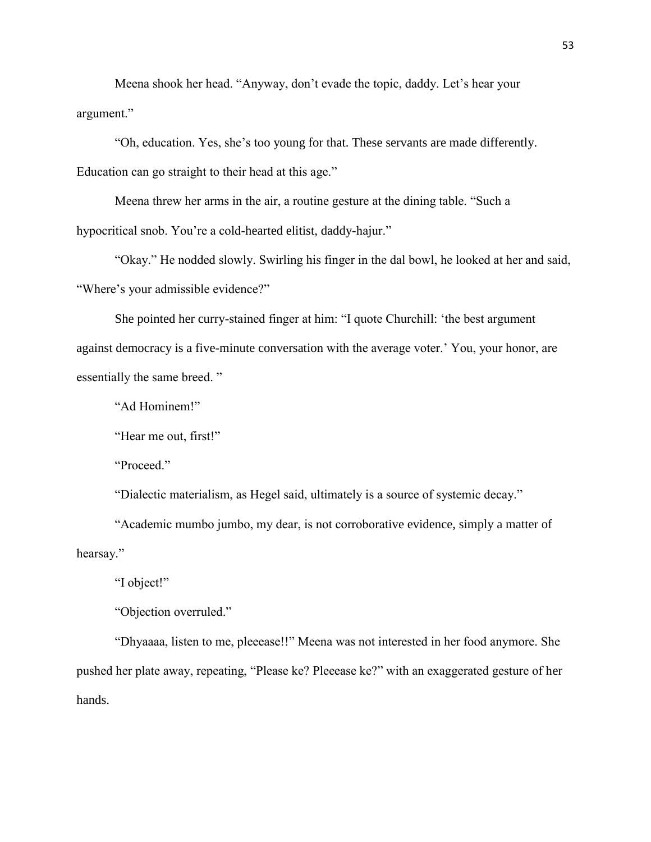Meena shook her head. "Anyway, don't evade the topic, daddy. Let's hear your argument."

"Oh, education. Yes, she's too young for that. These servants are made differently. Education can go straight to their head at this age."

Meena threw her arms in the air, a routine gesture at the dining table. "Such a hypocritical snob. You're a cold-hearted elitist, daddy-hajur."

"Okay." He nodded slowly. Swirling his finger in the dal bowl, he looked at her and said, "Where's your admissible evidence?"

She pointed her curry-stained finger at him: "I quote Churchill: 'the best argument against democracy is a five-minute conversation with the average voter.' You, your honor, are essentially the same breed. "

"Ad Hominem!"

"Hear me out, first!"

"Proceed."

"Dialectic materialism, as Hegel said, ultimately is a source of systemic decay."

"Academic mumbo jumbo, my dear, is not corroborative evidence, simply a matter of hearsay."

"I object!"

"Objection overruled."

"Dhyaaaa, listen to me, pleeease!!" Meena was not interested in her food anymore. She pushed her plate away, repeating, "Please ke? Pleeease ke?" with an exaggerated gesture of her hands.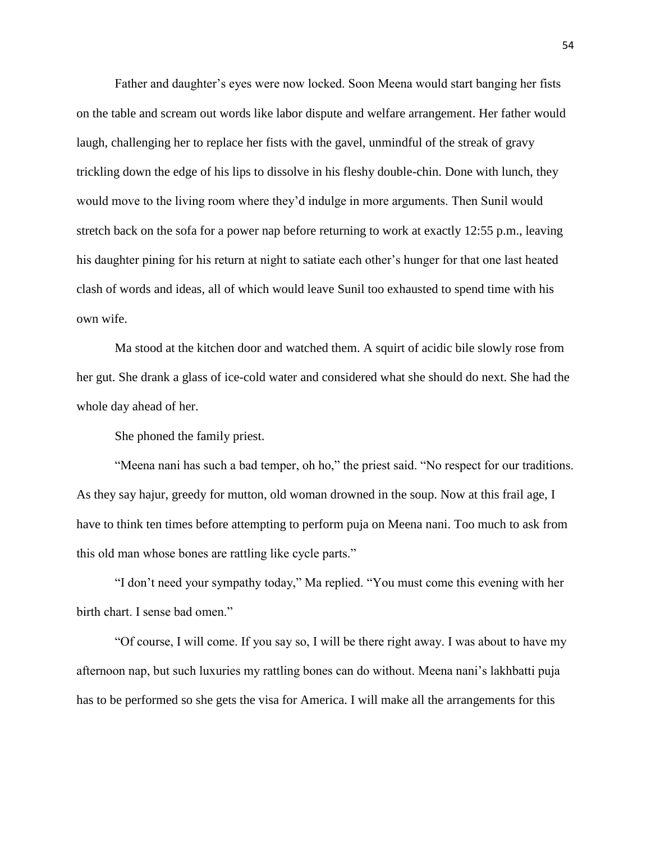Father and daughter's eyes were now locked. Soon Meena would start banging her fists on the table and scream out words like labor dispute and welfare arrangement. Her father would laugh, challenging her to replace her fists with the gavel, unmindful of the streak of gravy trickling down the edge of his lips to dissolve in his fleshy double-chin. Done with lunch, they would move to the living room where they'd indulge in more arguments. Then Sunil would stretch back on the sofa for a power nap before returning to work at exactly 12:55 p.m., leaving his daughter pining for his return at night to satiate each other's hunger for that one last heated clash of words and ideas, all of which would leave Sunil too exhausted to spend time with his own wife.

Ma stood at the kitchen door and watched them. A squirt of acidic bile slowly rose from her gut. She drank a glass of ice-cold water and considered what she should do next. She had the whole day ahead of her.

She phoned the family priest.

"Meena nani has such a bad temper, oh ho," the priest said. "No respect for our traditions. As they say hajur, greedy for mutton, old woman drowned in the soup. Now at this frail age, I have to think ten times before attempting to perform puja on Meena nani. Too much to ask from this old man whose bones are rattling like cycle parts."

"I don't need your sympathy today," Ma replied. "You must come this evening with her birth chart. I sense bad omen."

"Of course, I will come. If you say so, I will be there right away. I was about to have my afternoon nap, but such luxuries my rattling bones can do without. Meena nani's lakhbatti puja has to be performed so she gets the visa for America. I will make all the arrangements for this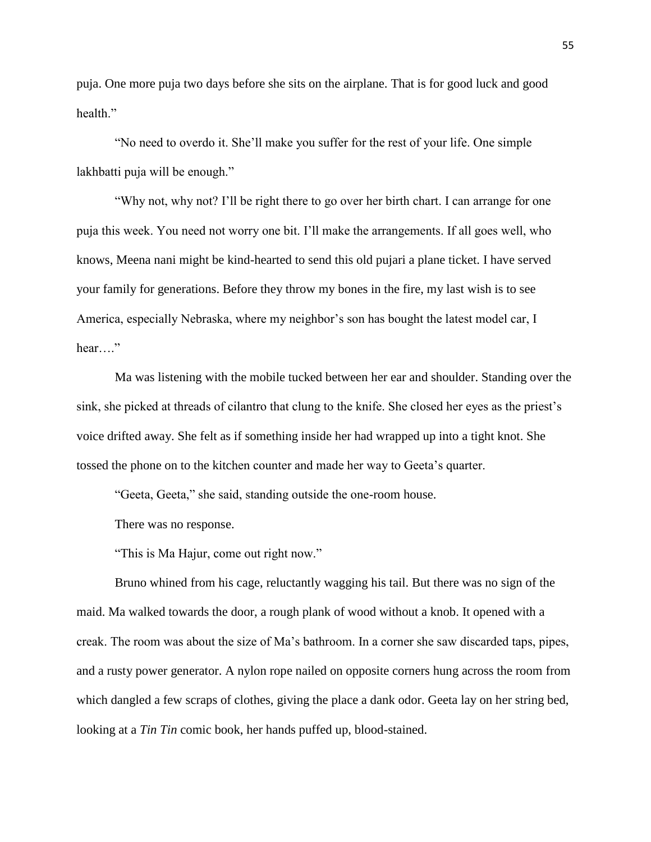puja. One more puja two days before she sits on the airplane. That is for good luck and good health"

"No need to overdo it. She'll make you suffer for the rest of your life. One simple lakhbatti puja will be enough."

"Why not, why not? I'll be right there to go over her birth chart. I can arrange for one puja this week. You need not worry one bit. I'll make the arrangements. If all goes well, who knows, Meena nani might be kind-hearted to send this old pujari a plane ticket. I have served your family for generations. Before they throw my bones in the fire, my last wish is to see America, especially Nebraska, where my neighbor's son has bought the latest model car, I hear…."

Ma was listening with the mobile tucked between her ear and shoulder. Standing over the sink, she picked at threads of cilantro that clung to the knife. She closed her eyes as the priest's voice drifted away. She felt as if something inside her had wrapped up into a tight knot. She tossed the phone on to the kitchen counter and made her way to Geeta's quarter.

"Geeta, Geeta," she said, standing outside the one-room house.

There was no response.

"This is Ma Hajur, come out right now."

Bruno whined from his cage, reluctantly wagging his tail. But there was no sign of the maid. Ma walked towards the door, a rough plank of wood without a knob. It opened with a creak. The room was about the size of Ma's bathroom. In a corner she saw discarded taps, pipes, and a rusty power generator. A nylon rope nailed on opposite corners hung across the room from which dangled a few scraps of clothes, giving the place a dank odor. Geeta lay on her string bed, looking at a *Tin Tin* comic book, her hands puffed up, blood-stained.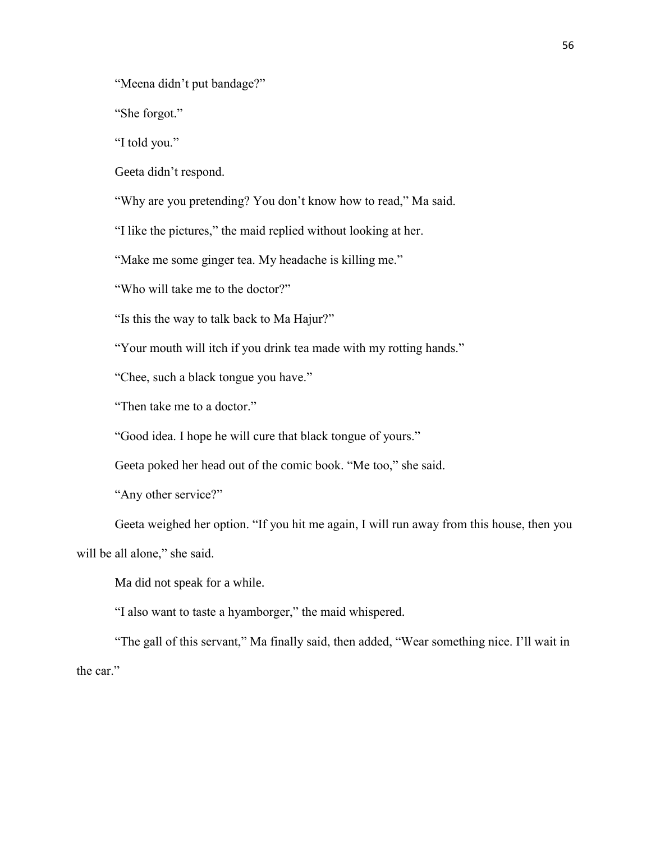"Meena didn't put bandage?"

"She forgot."

"I told you."

Geeta didn't respond.

"Why are you pretending? You don't know how to read," Ma said.

"I like the pictures," the maid replied without looking at her.

"Make me some ginger tea. My headache is killing me."

"Who will take me to the doctor?"

"Is this the way to talk back to Ma Hajur?"

"Your mouth will itch if you drink tea made with my rotting hands."

"Chee, such a black tongue you have."

"Then take me to a doctor."

"Good idea. I hope he will cure that black tongue of yours."

Geeta poked her head out of the comic book. "Me too," she said.

"Any other service?"

Geeta weighed her option. "If you hit me again, I will run away from this house, then you will be all alone," she said.

Ma did not speak for a while.

"I also want to taste a hyamborger," the maid whispered.

"The gall of this servant," Ma finally said, then added, "Wear something nice. I'll wait in the car."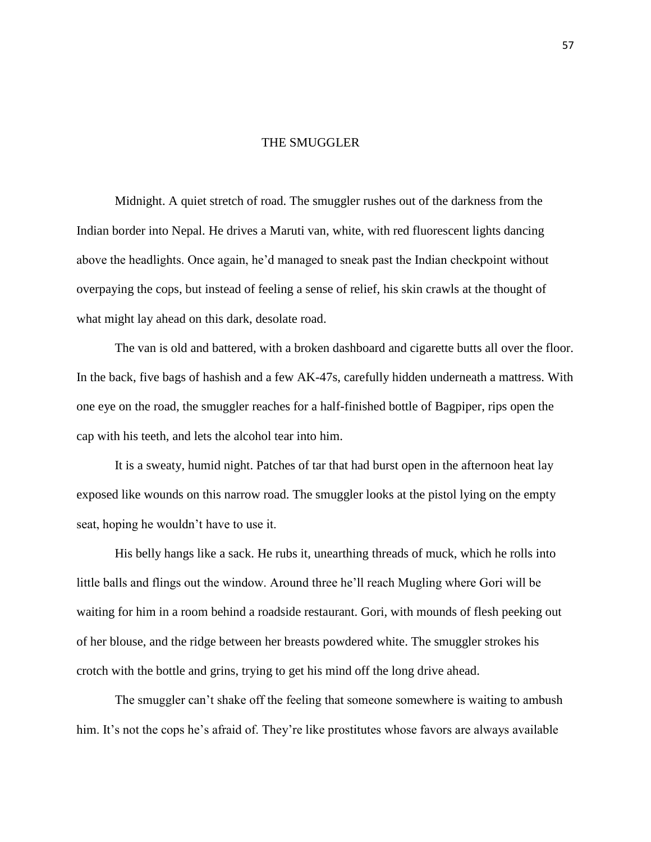## THE SMUGGLER

Midnight. A quiet stretch of road. The smuggler rushes out of the darkness from the Indian border into Nepal. He drives a Maruti van, white, with red fluorescent lights dancing above the headlights. Once again, he'd managed to sneak past the Indian checkpoint without overpaying the cops, but instead of feeling a sense of relief, his skin crawls at the thought of what might lay ahead on this dark, desolate road.

The van is old and battered, with a broken dashboard and cigarette butts all over the floor. In the back, five bags of hashish and a few AK-47s, carefully hidden underneath a mattress. With one eye on the road, the smuggler reaches for a half-finished bottle of Bagpiper, rips open the cap with his teeth, and lets the alcohol tear into him.

It is a sweaty, humid night. Patches of tar that had burst open in the afternoon heat lay exposed like wounds on this narrow road. The smuggler looks at the pistol lying on the empty seat, hoping he wouldn't have to use it.

His belly hangs like a sack. He rubs it, unearthing threads of muck, which he rolls into little balls and flings out the window. Around three he'll reach Mugling where Gori will be waiting for him in a room behind a roadside restaurant. Gori, with mounds of flesh peeking out of her blouse, and the ridge between her breasts powdered white. The smuggler strokes his crotch with the bottle and grins, trying to get his mind off the long drive ahead.

The smuggler can't shake off the feeling that someone somewhere is waiting to ambush him. It's not the cops he's afraid of. They're like prostitutes whose favors are always available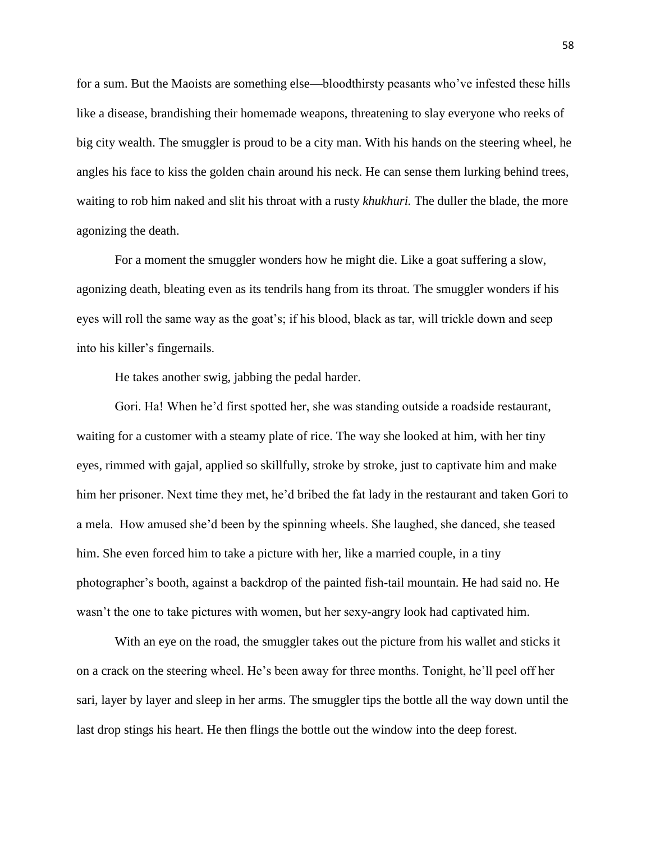for a sum. But the Maoists are something else—bloodthirsty peasants who've infested these hills like a disease, brandishing their homemade weapons, threatening to slay everyone who reeks of big city wealth. The smuggler is proud to be a city man. With his hands on the steering wheel, he angles his face to kiss the golden chain around his neck. He can sense them lurking behind trees, waiting to rob him naked and slit his throat with a rusty *khukhuri.* The duller the blade, the more agonizing the death.

For a moment the smuggler wonders how he might die. Like a goat suffering a slow, agonizing death, bleating even as its tendrils hang from its throat. The smuggler wonders if his eyes will roll the same way as the goat's; if his blood, black as tar, will trickle down and seep into his killer's fingernails.

He takes another swig, jabbing the pedal harder.

Gori. Ha! When he'd first spotted her, she was standing outside a roadside restaurant, waiting for a customer with a steamy plate of rice. The way she looked at him, with her tiny eyes, rimmed with gajal, applied so skillfully, stroke by stroke, just to captivate him and make him her prisoner. Next time they met, he'd bribed the fat lady in the restaurant and taken Gori to a mela. How amused she'd been by the spinning wheels. She laughed, she danced, she teased him. She even forced him to take a picture with her, like a married couple, in a tiny photographer's booth, against a backdrop of the painted fish-tail mountain. He had said no. He wasn't the one to take pictures with women, but her sexy-angry look had captivated him.

With an eye on the road, the smuggler takes out the picture from his wallet and sticks it on a crack on the steering wheel. He's been away for three months. Tonight, he'll peel off her sari, layer by layer and sleep in her arms. The smuggler tips the bottle all the way down until the last drop stings his heart. He then flings the bottle out the window into the deep forest.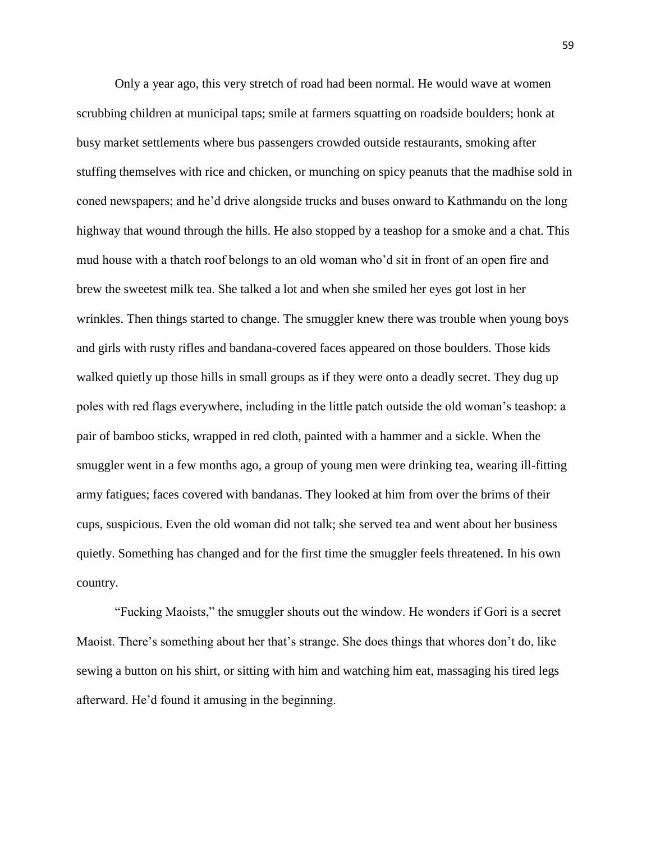Only a year ago, this very stretch of road had been normal. He would wave at women scrubbing children at municipal taps; smile at farmers squatting on roadside boulders; honk at busy market settlements where bus passengers crowded outside restaurants, smoking after stuffing themselves with rice and chicken, or munching on spicy peanuts that the madhise sold in coned newspapers; and he'd drive alongside trucks and buses onward to Kathmandu on the long highway that wound through the hills. He also stopped by a teashop for a smoke and a chat. This mud house with a thatch roof belongs to an old woman who'd sit in front of an open fire and brew the sweetest milk tea. She talked a lot and when she smiled her eyes got lost in her wrinkles. Then things started to change. The smuggler knew there was trouble when young boys and girls with rusty rifles and bandana-covered faces appeared on those boulders. Those kids walked quietly up those hills in small groups as if they were onto a deadly secret. They dug up poles with red flags everywhere, including in the little patch outside the old woman's teashop: a pair of bamboo sticks, wrapped in red cloth, painted with a hammer and a sickle. When the smuggler went in a few months ago, a group of young men were drinking tea, wearing ill-fitting army fatigues; faces covered with bandanas. They looked at him from over the brims of their cups, suspicious. Even the old woman did not talk; she served tea and went about her business quietly. Something has changed and for the first time the smuggler feels threatened. In his own country.

"Fucking Maoists," the smuggler shouts out the window. He wonders if Gori is a secret Maoist. There's something about her that's strange. She does things that whores don't do, like sewing a button on his shirt, or sitting with him and watching him eat, massaging his tired legs afterward. He'd found it amusing in the beginning.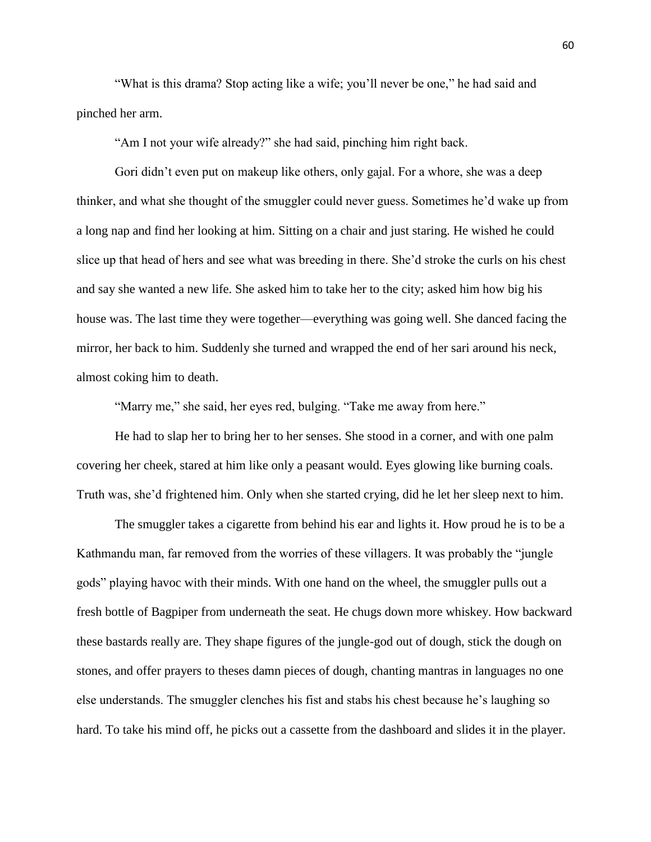"What is this drama? Stop acting like a wife; you'll never be one," he had said and pinched her arm.

"Am I not your wife already?" she had said, pinching him right back.

Gori didn't even put on makeup like others, only gajal. For a whore, she was a deep thinker, and what she thought of the smuggler could never guess. Sometimes he'd wake up from a long nap and find her looking at him. Sitting on a chair and just staring. He wished he could slice up that head of hers and see what was breeding in there. She'd stroke the curls on his chest and say she wanted a new life. She asked him to take her to the city; asked him how big his house was. The last time they were together—everything was going well. She danced facing the mirror, her back to him. Suddenly she turned and wrapped the end of her sari around his neck, almost coking him to death.

"Marry me," she said, her eyes red, bulging. "Take me away from here."

He had to slap her to bring her to her senses. She stood in a corner, and with one palm covering her cheek, stared at him like only a peasant would. Eyes glowing like burning coals. Truth was, she'd frightened him. Only when she started crying, did he let her sleep next to him.

The smuggler takes a cigarette from behind his ear and lights it. How proud he is to be a Kathmandu man, far removed from the worries of these villagers. It was probably the "jungle gods" playing havoc with their minds. With one hand on the wheel, the smuggler pulls out a fresh bottle of Bagpiper from underneath the seat. He chugs down more whiskey. How backward these bastards really are. They shape figures of the jungle-god out of dough, stick the dough on stones, and offer prayers to theses damn pieces of dough, chanting mantras in languages no one else understands. The smuggler clenches his fist and stabs his chest because he's laughing so hard. To take his mind off, he picks out a cassette from the dashboard and slides it in the player.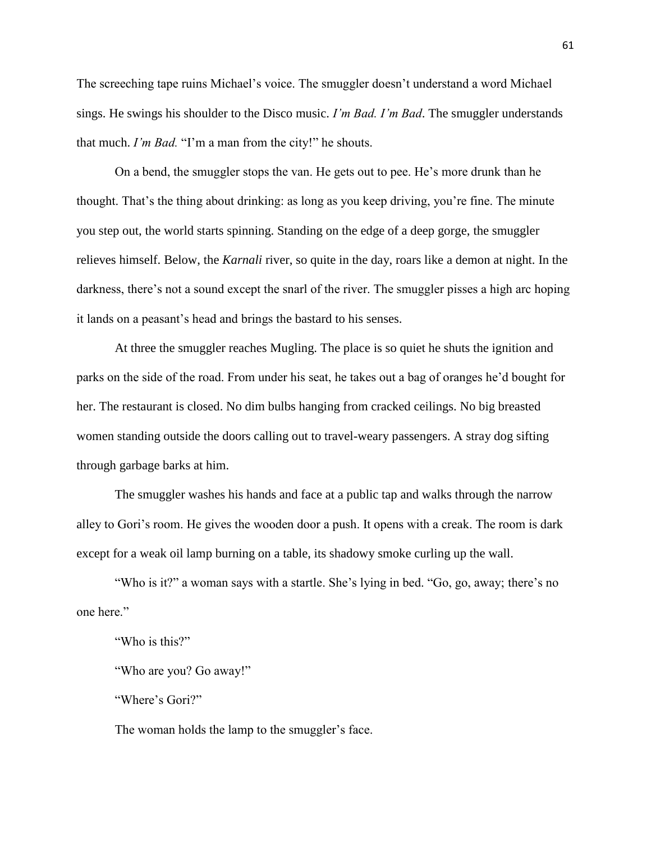The screeching tape ruins Michael's voice. The smuggler doesn't understand a word Michael sings. He swings his shoulder to the Disco music. *I'm Bad. I'm Bad*. The smuggler understands that much. *I'm Bad.* "I'm a man from the city!" he shouts.

On a bend, the smuggler stops the van. He gets out to pee. He's more drunk than he thought. That's the thing about drinking: as long as you keep driving, you're fine. The minute you step out, the world starts spinning. Standing on the edge of a deep gorge, the smuggler relieves himself. Below, the *Karnali* river, so quite in the day, roars like a demon at night. In the darkness, there's not a sound except the snarl of the river. The smuggler pisses a high arc hoping it lands on a peasant's head and brings the bastard to his senses.

At three the smuggler reaches Mugling. The place is so quiet he shuts the ignition and parks on the side of the road. From under his seat, he takes out a bag of oranges he'd bought for her. The restaurant is closed. No dim bulbs hanging from cracked ceilings. No big breasted women standing outside the doors calling out to travel-weary passengers. A stray dog sifting through garbage barks at him.

The smuggler washes his hands and face at a public tap and walks through the narrow alley to Gori's room. He gives the wooden door a push. It opens with a creak. The room is dark except for a weak oil lamp burning on a table, its shadowy smoke curling up the wall.

"Who is it?" a woman says with a startle. She's lying in bed. "Go, go, away; there's no one here."

"Who is this?"

"Who are you? Go away!"

"Where's Gori?"

The woman holds the lamp to the smuggler's face.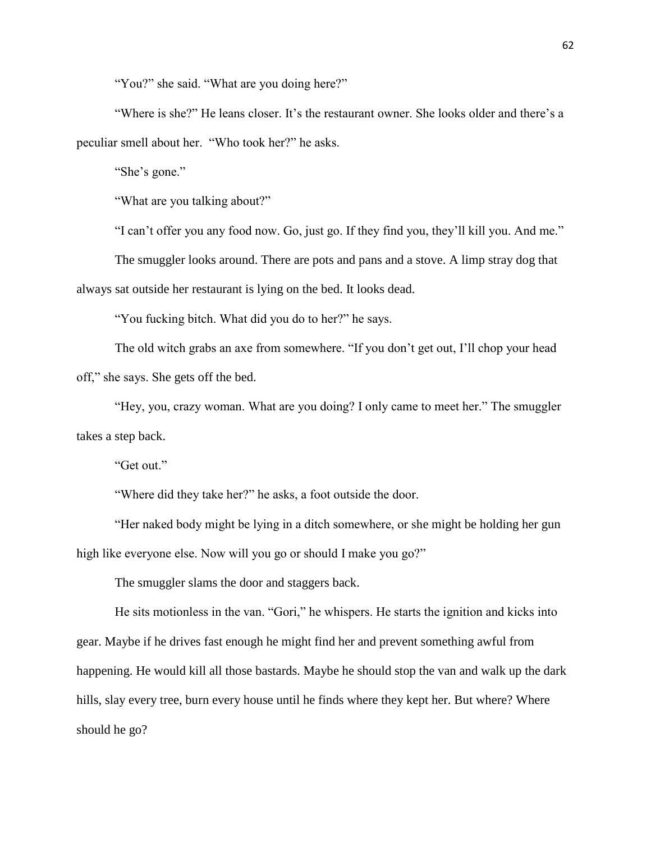"You?" she said. "What are you doing here?"

"Where is she?" He leans closer. It's the restaurant owner. She looks older and there's a peculiar smell about her. "Who took her?" he asks.

"She's gone."

"What are you talking about?"

"I can't offer you any food now. Go, just go. If they find you, they'll kill you. And me."

The smuggler looks around. There are pots and pans and a stove. A limp stray dog that always sat outside her restaurant is lying on the bed. It looks dead.

"You fucking bitch. What did you do to her?" he says.

The old witch grabs an axe from somewhere. "If you don't get out, I'll chop your head off," she says. She gets off the bed.

"Hey, you, crazy woman. What are you doing? I only came to meet her." The smuggler takes a step back.

"Get out."

"Where did they take her?" he asks, a foot outside the door.

"Her naked body might be lying in a ditch somewhere, or she might be holding her gun high like everyone else. Now will you go or should I make you go?"

The smuggler slams the door and staggers back.

He sits motionless in the van. "Gori," he whispers. He starts the ignition and kicks into gear. Maybe if he drives fast enough he might find her and prevent something awful from happening. He would kill all those bastards. Maybe he should stop the van and walk up the dark hills, slay every tree, burn every house until he finds where they kept her. But where? Where should he go?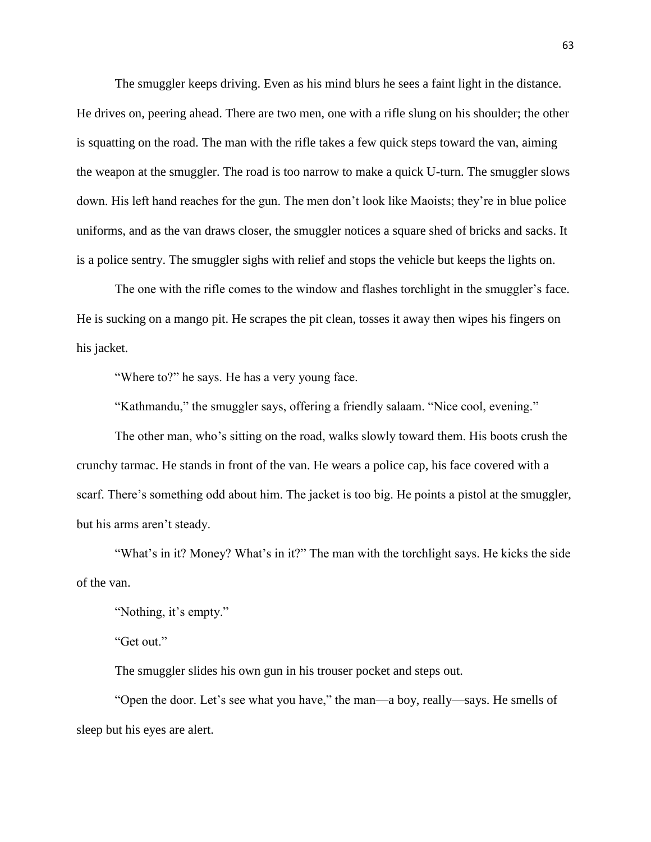The smuggler keeps driving. Even as his mind blurs he sees a faint light in the distance. He drives on, peering ahead. There are two men, one with a rifle slung on his shoulder; the other is squatting on the road. The man with the rifle takes a few quick steps toward the van, aiming the weapon at the smuggler. The road is too narrow to make a quick U-turn. The smuggler slows down. His left hand reaches for the gun. The men don't look like Maoists; they're in blue police uniforms, and as the van draws closer, the smuggler notices a square shed of bricks and sacks. It is a police sentry. The smuggler sighs with relief and stops the vehicle but keeps the lights on.

The one with the rifle comes to the window and flashes torchlight in the smuggler's face. He is sucking on a mango pit. He scrapes the pit clean, tosses it away then wipes his fingers on his jacket.

"Where to?" he says. He has a very young face.

"Kathmandu," the smuggler says, offering a friendly salaam. "Nice cool, evening."

The other man, who's sitting on the road, walks slowly toward them. His boots crush the crunchy tarmac. He stands in front of the van. He wears a police cap, his face covered with a scarf. There's something odd about him. The jacket is too big. He points a pistol at the smuggler, but his arms aren't steady.

"What's in it? Money? What's in it?" The man with the torchlight says. He kicks the side of the van.

"Nothing, it's empty."

"Get out."

The smuggler slides his own gun in his trouser pocket and steps out.

"Open the door. Let's see what you have," the man—a boy, really—says. He smells of sleep but his eyes are alert.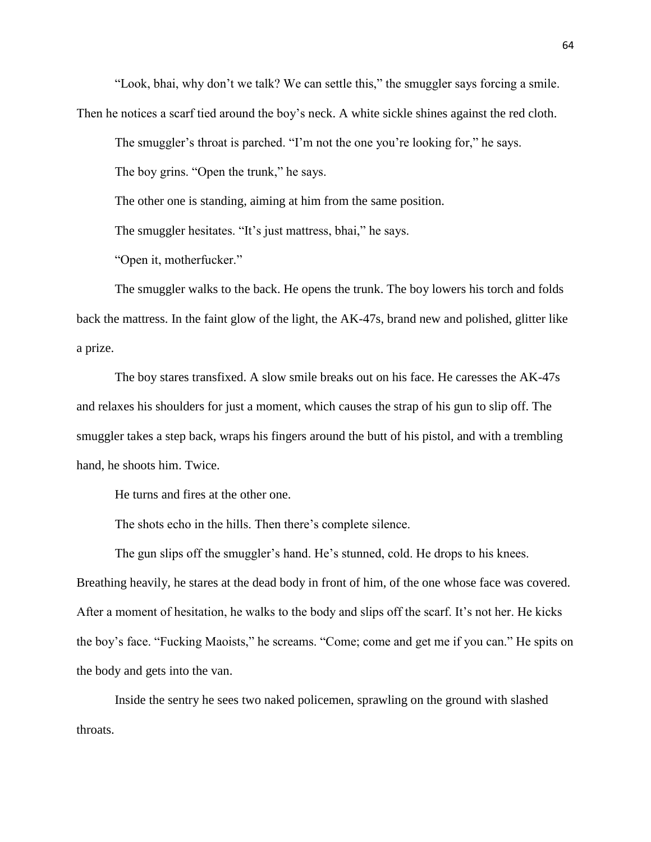"Look, bhai, why don't we talk? We can settle this," the smuggler says forcing a smile.

Then he notices a scarf tied around the boy's neck. A white sickle shines against the red cloth.

The smuggler's throat is parched. "I'm not the one you're looking for," he says.

The boy grins. "Open the trunk," he says.

The other one is standing, aiming at him from the same position.

The smuggler hesitates. "It's just mattress, bhai," he says.

"Open it, motherfucker."

The smuggler walks to the back. He opens the trunk. The boy lowers his torch and folds back the mattress. In the faint glow of the light, the AK-47s, brand new and polished, glitter like a prize.

The boy stares transfixed. A slow smile breaks out on his face. He caresses the AK-47s and relaxes his shoulders for just a moment, which causes the strap of his gun to slip off. The smuggler takes a step back, wraps his fingers around the butt of his pistol, and with a trembling hand, he shoots him. Twice.

He turns and fires at the other one.

The shots echo in the hills. Then there's complete silence.

The gun slips off the smuggler's hand. He's stunned, cold. He drops to his knees. Breathing heavily, he stares at the dead body in front of him, of the one whose face was covered. After a moment of hesitation, he walks to the body and slips off the scarf. It's not her. He kicks the boy's face. "Fucking Maoists," he screams. "Come; come and get me if you can." He spits on the body and gets into the van.

Inside the sentry he sees two naked policemen, sprawling on the ground with slashed throats.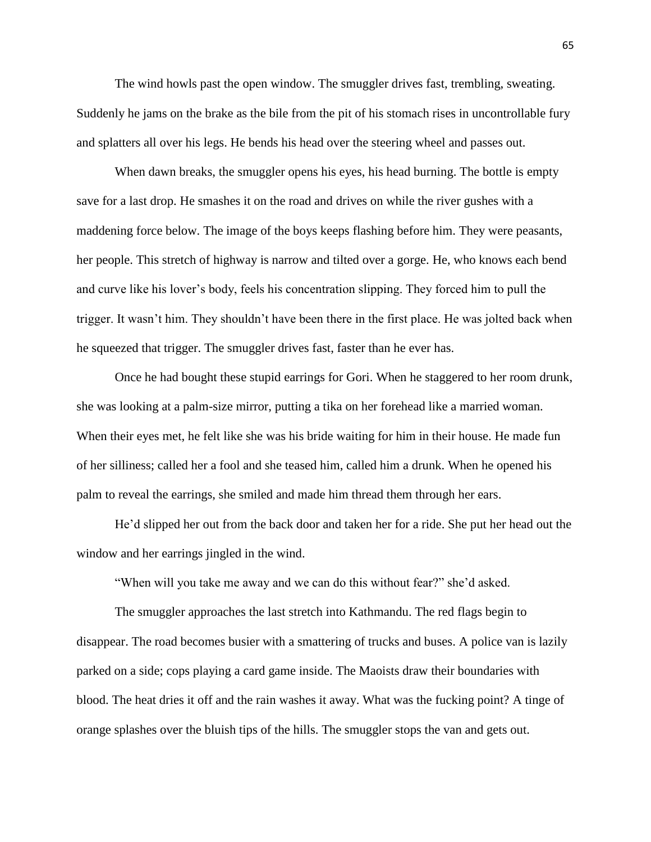The wind howls past the open window. The smuggler drives fast, trembling, sweating. Suddenly he jams on the brake as the bile from the pit of his stomach rises in uncontrollable fury and splatters all over his legs. He bends his head over the steering wheel and passes out.

When dawn breaks, the smuggler opens his eyes, his head burning. The bottle is empty save for a last drop. He smashes it on the road and drives on while the river gushes with a maddening force below. The image of the boys keeps flashing before him. They were peasants, her people. This stretch of highway is narrow and tilted over a gorge. He, who knows each bend and curve like his lover's body, feels his concentration slipping. They forced him to pull the trigger. It wasn't him. They shouldn't have been there in the first place. He was jolted back when he squeezed that trigger. The smuggler drives fast, faster than he ever has.

Once he had bought these stupid earrings for Gori. When he staggered to her room drunk, she was looking at a palm-size mirror, putting a tika on her forehead like a married woman. When their eyes met, he felt like she was his bride waiting for him in their house. He made fun of her silliness; called her a fool and she teased him, called him a drunk. When he opened his palm to reveal the earrings, she smiled and made him thread them through her ears.

He'd slipped her out from the back door and taken her for a ride. She put her head out the window and her earrings jingled in the wind.

"When will you take me away and we can do this without fear?" she'd asked.

The smuggler approaches the last stretch into Kathmandu. The red flags begin to disappear. The road becomes busier with a smattering of trucks and buses. A police van is lazily parked on a side; cops playing a card game inside. The Maoists draw their boundaries with blood. The heat dries it off and the rain washes it away. What was the fucking point? A tinge of orange splashes over the bluish tips of the hills. The smuggler stops the van and gets out.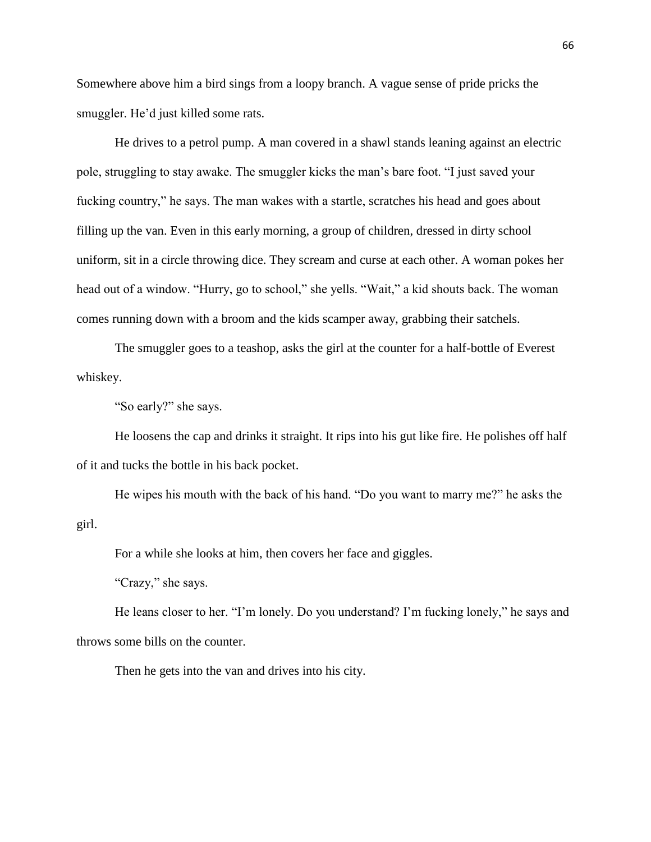Somewhere above him a bird sings from a loopy branch. A vague sense of pride pricks the smuggler. He'd just killed some rats.

He drives to a petrol pump. A man covered in a shawl stands leaning against an electric pole, struggling to stay awake. The smuggler kicks the man's bare foot. "I just saved your fucking country," he says. The man wakes with a startle, scratches his head and goes about filling up the van. Even in this early morning, a group of children, dressed in dirty school uniform, sit in a circle throwing dice. They scream and curse at each other. A woman pokes her head out of a window. "Hurry, go to school," she yells. "Wait," a kid shouts back. The woman comes running down with a broom and the kids scamper away, grabbing their satchels.

The smuggler goes to a teashop, asks the girl at the counter for a half-bottle of Everest whiskey.

"So early?" she says.

He loosens the cap and drinks it straight. It rips into his gut like fire. He polishes off half of it and tucks the bottle in his back pocket.

He wipes his mouth with the back of his hand. "Do you want to marry me?" he asks the girl.

For a while she looks at him, then covers her face and giggles.

"Crazy," she says.

He leans closer to her. "I'm lonely. Do you understand? I'm fucking lonely," he says and throws some bills on the counter.

Then he gets into the van and drives into his city.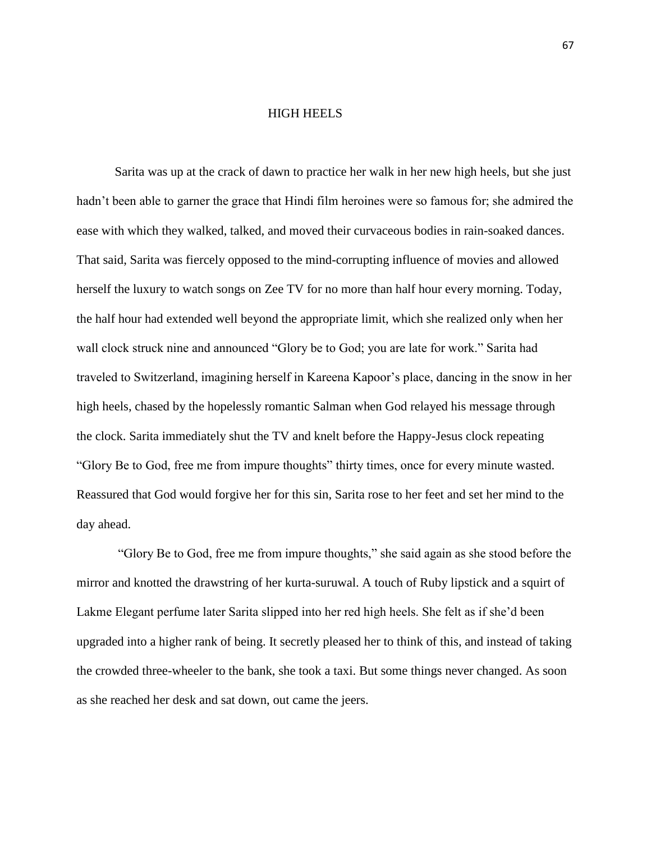## HIGH HEELS

Sarita was up at the crack of dawn to practice her walk in her new high heels, but she just hadn't been able to garner the grace that Hindi film heroines were so famous for; she admired the ease with which they walked, talked, and moved their curvaceous bodies in rain-soaked dances. That said, Sarita was fiercely opposed to the mind-corrupting influence of movies and allowed herself the luxury to watch songs on Zee TV for no more than half hour every morning. Today, the half hour had extended well beyond the appropriate limit, which she realized only when her wall clock struck nine and announced "Glory be to God; you are late for work." Sarita had traveled to Switzerland, imagining herself in Kareena Kapoor's place, dancing in the snow in her high heels, chased by the hopelessly romantic Salman when God relayed his message through the clock. Sarita immediately shut the TV and knelt before the Happy-Jesus clock repeating "Glory Be to God, free me from impure thoughts" thirty times, once for every minute wasted. Reassured that God would forgive her for this sin, Sarita rose to her feet and set her mind to the day ahead.

"Glory Be to God, free me from impure thoughts," she said again as she stood before the mirror and knotted the drawstring of her kurta-suruwal. A touch of Ruby lipstick and a squirt of Lakme Elegant perfume later Sarita slipped into her red high heels. She felt as if she'd been upgraded into a higher rank of being. It secretly pleased her to think of this, and instead of taking the crowded three-wheeler to the bank, she took a taxi. But some things never changed. As soon as she reached her desk and sat down, out came the jeers.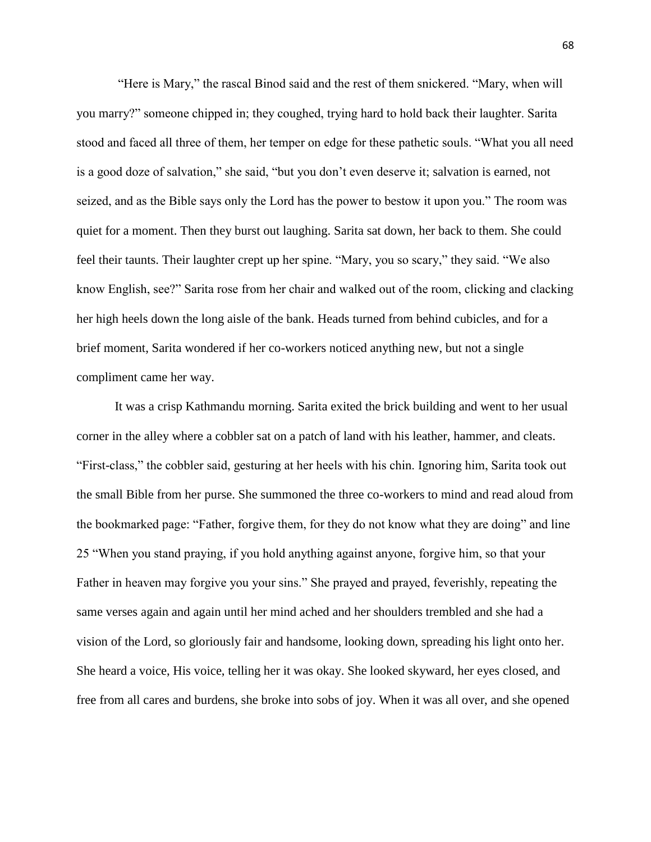"Here is Mary," the rascal Binod said and the rest of them snickered. "Mary, when will you marry?" someone chipped in; they coughed, trying hard to hold back their laughter. Sarita stood and faced all three of them, her temper on edge for these pathetic souls. "What you all need is a good doze of salvation," she said, "but you don't even deserve it; salvation is earned, not seized, and as the Bible says only the Lord has the power to bestow it upon you." The room was quiet for a moment. Then they burst out laughing. Sarita sat down, her back to them. She could feel their taunts. Their laughter crept up her spine. "Mary, you so scary," they said. "We also know English, see?" Sarita rose from her chair and walked out of the room, clicking and clacking her high heels down the long aisle of the bank. Heads turned from behind cubicles, and for a brief moment, Sarita wondered if her co-workers noticed anything new, but not a single compliment came her way.

It was a crisp Kathmandu morning. Sarita exited the brick building and went to her usual corner in the alley where a cobbler sat on a patch of land with his leather, hammer, and cleats. "First-class," the cobbler said, gesturing at her heels with his chin. Ignoring him, Sarita took out the small Bible from her purse. She summoned the three co-workers to mind and read aloud from the bookmarked page: "Father, forgive them, for they do not know what they are doing" and line 25 "When you stand praying, if you hold anything against anyone, forgive him, so that your Father in heaven may forgive you your sins." She prayed and prayed, feverishly, repeating the same verses again and again until her mind ached and her shoulders trembled and she had a vision of the Lord, so gloriously fair and handsome, looking down, spreading his light onto her. She heard a voice, His voice, telling her it was okay. She looked skyward, her eyes closed, and free from all cares and burdens, she broke into sobs of joy. When it was all over, and she opened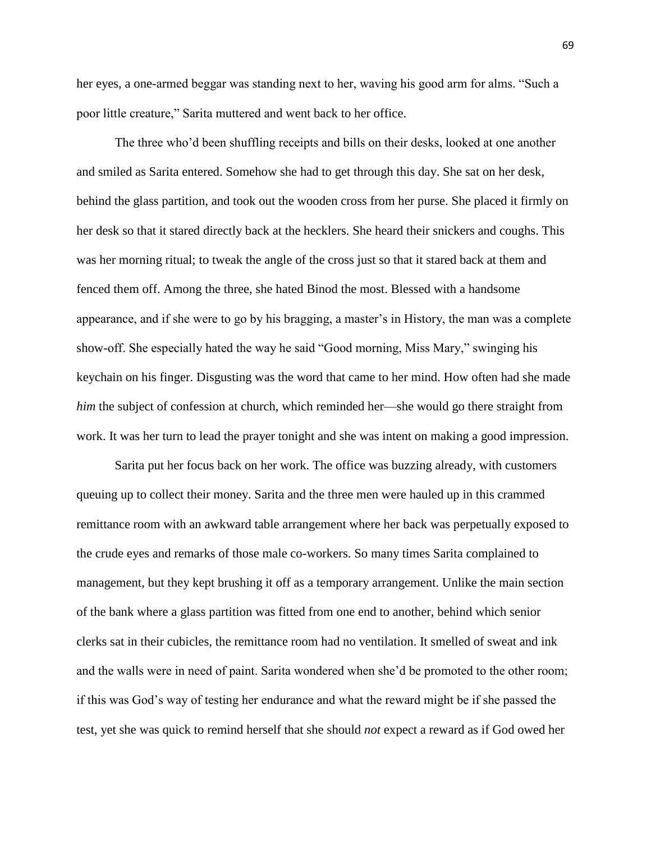her eyes, a one-armed beggar was standing next to her, waving his good arm for alms. "Such a poor little creature," Sarita muttered and went back to her office.

The three who'd been shuffling receipts and bills on their desks, looked at one another and smiled as Sarita entered. Somehow she had to get through this day. She sat on her desk, behind the glass partition, and took out the wooden cross from her purse. She placed it firmly on her desk so that it stared directly back at the hecklers. She heard their snickers and coughs. This was her morning ritual; to tweak the angle of the cross just so that it stared back at them and fenced them off. Among the three, she hated Binod the most. Blessed with a handsome appearance, and if she were to go by his bragging, a master's in History, the man was a complete show-off. She especially hated the way he said "Good morning, Miss Mary," swinging his keychain on his finger. Disgusting was the word that came to her mind. How often had she made *him* the subject of confession at church, which reminded her—she would go there straight from work. It was her turn to lead the prayer tonight and she was intent on making a good impression.

Sarita put her focus back on her work. The office was buzzing already, with customers queuing up to collect their money. Sarita and the three men were hauled up in this crammed remittance room with an awkward table arrangement where her back was perpetually exposed to the crude eyes and remarks of those male co-workers. So many times Sarita complained to management, but they kept brushing it off as a temporary arrangement. Unlike the main section of the bank where a glass partition was fitted from one end to another, behind which senior clerks sat in their cubicles, the remittance room had no ventilation. It smelled of sweat and ink and the walls were in need of paint. Sarita wondered when she'd be promoted to the other room; if this was God's way of testing her endurance and what the reward might be if she passed the test, yet she was quick to remind herself that she should *not* expect a reward as if God owed her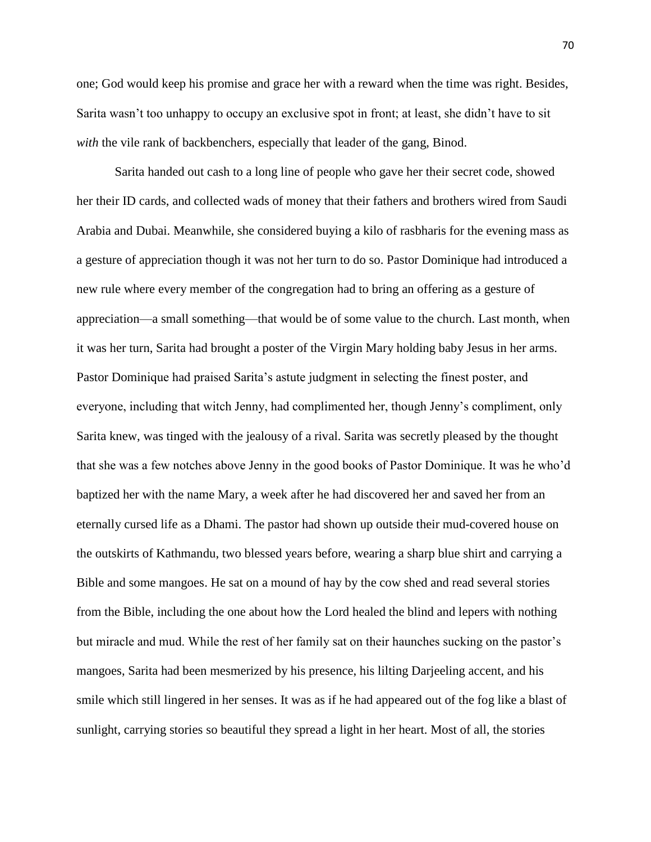one; God would keep his promise and grace her with a reward when the time was right. Besides, Sarita wasn't too unhappy to occupy an exclusive spot in front; at least, she didn't have to sit *with* the vile rank of backbenchers, especially that leader of the gang, Binod.

Sarita handed out cash to a long line of people who gave her their secret code, showed her their ID cards, and collected wads of money that their fathers and brothers wired from Saudi Arabia and Dubai. Meanwhile, she considered buying a kilo of rasbharis for the evening mass as a gesture of appreciation though it was not her turn to do so. Pastor Dominique had introduced a new rule where every member of the congregation had to bring an offering as a gesture of appreciation—a small something—that would be of some value to the church. Last month, when it was her turn, Sarita had brought a poster of the Virgin Mary holding baby Jesus in her arms. Pastor Dominique had praised Sarita's astute judgment in selecting the finest poster, and everyone, including that witch Jenny, had complimented her, though Jenny's compliment, only Sarita knew, was tinged with the jealousy of a rival. Sarita was secretly pleased by the thought that she was a few notches above Jenny in the good books of Pastor Dominique. It was he who'd baptized her with the name Mary, a week after he had discovered her and saved her from an eternally cursed life as a Dhami. The pastor had shown up outside their mud-covered house on the outskirts of Kathmandu, two blessed years before, wearing a sharp blue shirt and carrying a Bible and some mangoes. He sat on a mound of hay by the cow shed and read several stories from the Bible, including the one about how the Lord healed the blind and lepers with nothing but miracle and mud. While the rest of her family sat on their haunches sucking on the pastor's mangoes, Sarita had been mesmerized by his presence, his lilting Darjeeling accent, and his smile which still lingered in her senses. It was as if he had appeared out of the fog like a blast of sunlight, carrying stories so beautiful they spread a light in her heart. Most of all, the stories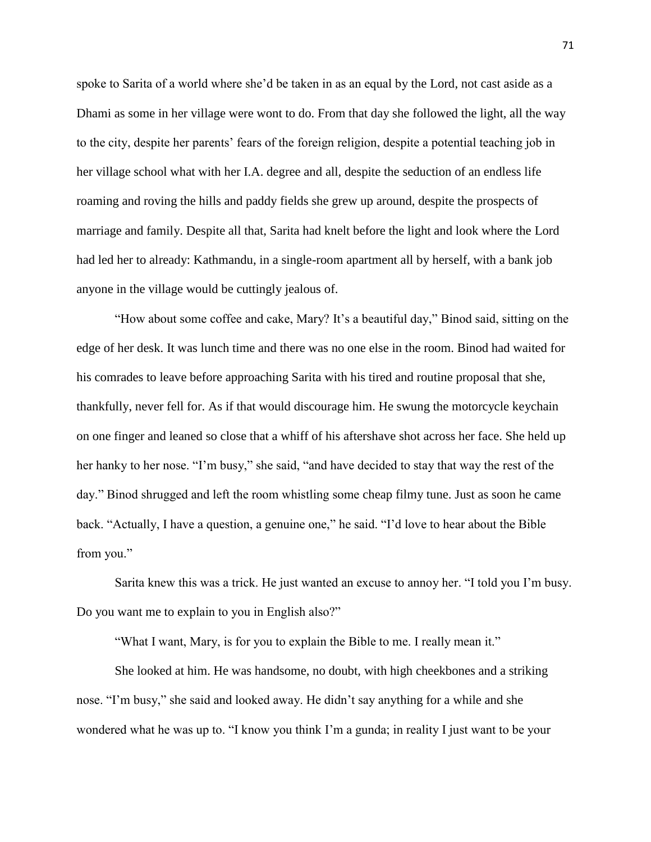spoke to Sarita of a world where she'd be taken in as an equal by the Lord, not cast aside as a Dhami as some in her village were wont to do. From that day she followed the light, all the way to the city, despite her parents' fears of the foreign religion, despite a potential teaching job in her village school what with her I.A. degree and all, despite the seduction of an endless life roaming and roving the hills and paddy fields she grew up around, despite the prospects of marriage and family. Despite all that, Sarita had knelt before the light and look where the Lord had led her to already: Kathmandu, in a single-room apartment all by herself, with a bank job anyone in the village would be cuttingly jealous of.

"How about some coffee and cake, Mary? It's a beautiful day," Binod said, sitting on the edge of her desk. It was lunch time and there was no one else in the room. Binod had waited for his comrades to leave before approaching Sarita with his tired and routine proposal that she, thankfully, never fell for. As if that would discourage him. He swung the motorcycle keychain on one finger and leaned so close that a whiff of his aftershave shot across her face. She held up her hanky to her nose. "I'm busy," she said, "and have decided to stay that way the rest of the day." Binod shrugged and left the room whistling some cheap filmy tune. Just as soon he came back. "Actually, I have a question, a genuine one," he said. "I'd love to hear about the Bible from you."

Sarita knew this was a trick. He just wanted an excuse to annoy her. "I told you I'm busy. Do you want me to explain to you in English also?"

"What I want, Mary, is for you to explain the Bible to me. I really mean it."

She looked at him. He was handsome, no doubt, with high cheekbones and a striking nose. "I'm busy," she said and looked away. He didn't say anything for a while and she wondered what he was up to. "I know you think I'm a gunda; in reality I just want to be your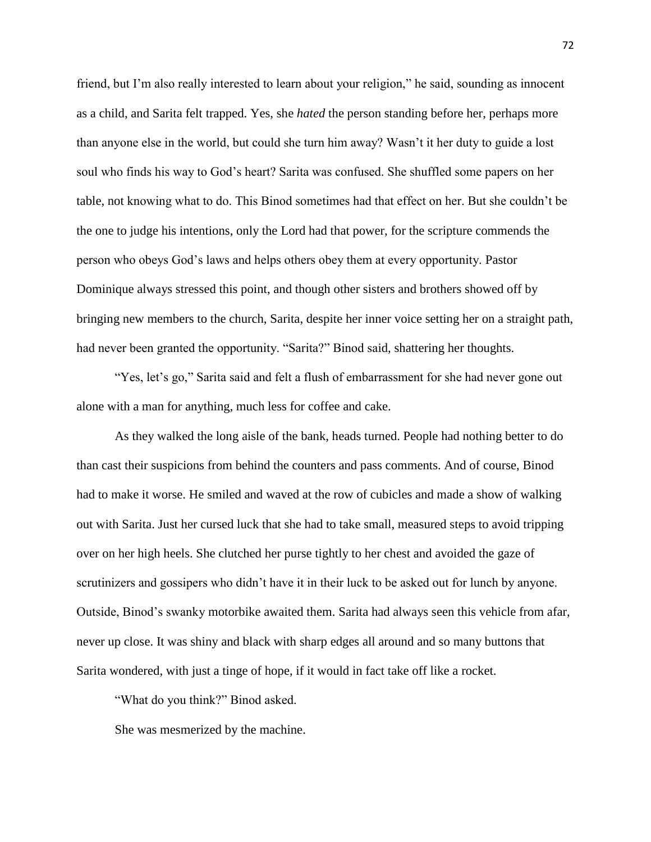friend, but I'm also really interested to learn about your religion," he said, sounding as innocent as a child, and Sarita felt trapped. Yes, she *hated* the person standing before her, perhaps more than anyone else in the world, but could she turn him away? Wasn't it her duty to guide a lost soul who finds his way to God's heart? Sarita was confused. She shuffled some papers on her table, not knowing what to do. This Binod sometimes had that effect on her. But she couldn't be the one to judge his intentions, only the Lord had that power, for the scripture commends the person who obeys God's laws and helps others obey them at every opportunity. Pastor Dominique always stressed this point, and though other sisters and brothers showed off by bringing new members to the church, Sarita, despite her inner voice setting her on a straight path, had never been granted the opportunity. "Sarita?" Binod said, shattering her thoughts.

"Yes, let's go," Sarita said and felt a flush of embarrassment for she had never gone out alone with a man for anything, much less for coffee and cake.

As they walked the long aisle of the bank, heads turned. People had nothing better to do than cast their suspicions from behind the counters and pass comments. And of course, Binod had to make it worse. He smiled and waved at the row of cubicles and made a show of walking out with Sarita. Just her cursed luck that she had to take small, measured steps to avoid tripping over on her high heels. She clutched her purse tightly to her chest and avoided the gaze of scrutinizers and gossipers who didn't have it in their luck to be asked out for lunch by anyone. Outside, Binod's swanky motorbike awaited them. Sarita had always seen this vehicle from afar, never up close. It was shiny and black with sharp edges all around and so many buttons that Sarita wondered, with just a tinge of hope, if it would in fact take off like a rocket.

"What do you think?" Binod asked.

She was mesmerized by the machine.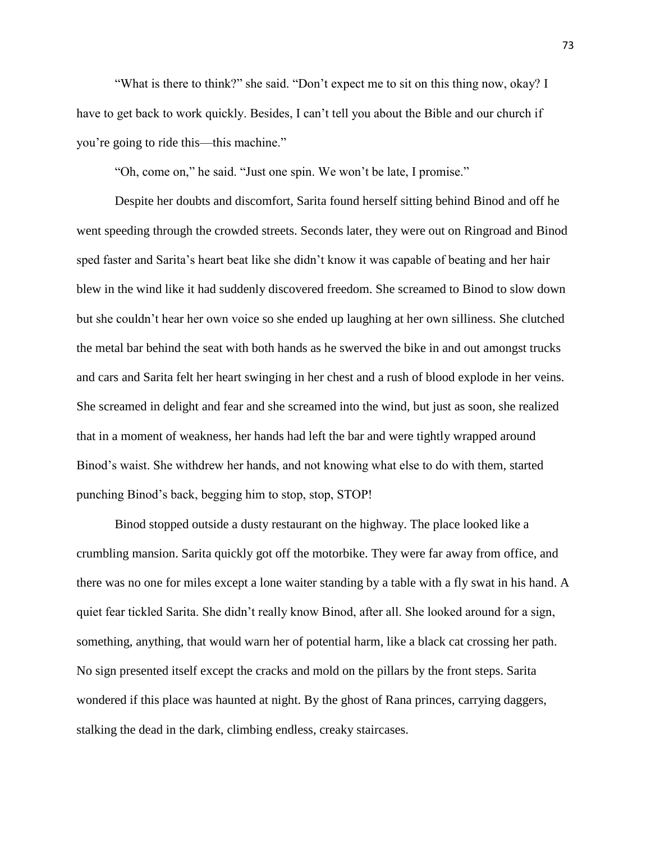"What is there to think?" she said. "Don't expect me to sit on this thing now, okay? I have to get back to work quickly. Besides, I can't tell you about the Bible and our church if you're going to ride this—this machine."

"Oh, come on," he said. "Just one spin. We won't be late, I promise."

Despite her doubts and discomfort, Sarita found herself sitting behind Binod and off he went speeding through the crowded streets. Seconds later, they were out on Ringroad and Binod sped faster and Sarita's heart beat like she didn't know it was capable of beating and her hair blew in the wind like it had suddenly discovered freedom. She screamed to Binod to slow down but she couldn't hear her own voice so she ended up laughing at her own silliness. She clutched the metal bar behind the seat with both hands as he swerved the bike in and out amongst trucks and cars and Sarita felt her heart swinging in her chest and a rush of blood explode in her veins. She screamed in delight and fear and she screamed into the wind, but just as soon, she realized that in a moment of weakness, her hands had left the bar and were tightly wrapped around Binod's waist. She withdrew her hands, and not knowing what else to do with them, started punching Binod's back, begging him to stop, stop, STOP!

Binod stopped outside a dusty restaurant on the highway. The place looked like a crumbling mansion. Sarita quickly got off the motorbike. They were far away from office, and there was no one for miles except a lone waiter standing by a table with a fly swat in his hand. A quiet fear tickled Sarita. She didn't really know Binod, after all. She looked around for a sign, something, anything, that would warn her of potential harm, like a black cat crossing her path. No sign presented itself except the cracks and mold on the pillars by the front steps. Sarita wondered if this place was haunted at night. By the ghost of Rana princes, carrying daggers, stalking the dead in the dark, climbing endless, creaky staircases.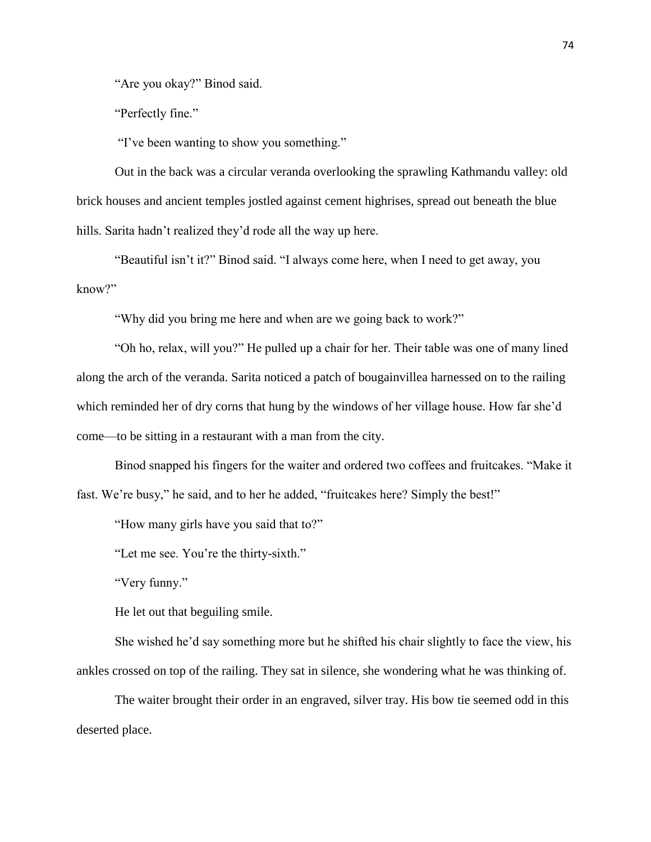"Are you okay?" Binod said.

"Perfectly fine."

"I've been wanting to show you something."

Out in the back was a circular veranda overlooking the sprawling Kathmandu valley: old brick houses and ancient temples jostled against cement highrises, spread out beneath the blue hills. Sarita hadn't realized they'd rode all the way up here.

"Beautiful isn't it?" Binod said. "I always come here, when I need to get away, you know?"

"Why did you bring me here and when are we going back to work?"

"Oh ho, relax, will you?" He pulled up a chair for her. Their table was one of many lined along the arch of the veranda. Sarita noticed a patch of bougainvillea harnessed on to the railing which reminded her of dry corns that hung by the windows of her village house. How far she'd come—to be sitting in a restaurant with a man from the city.

Binod snapped his fingers for the waiter and ordered two coffees and fruitcakes. "Make it fast. We're busy," he said, and to her he added, "fruitcakes here? Simply the best!"

"How many girls have you said that to?"

"Let me see. You're the thirty-sixth."

"Very funny."

He let out that beguiling smile.

She wished he'd say something more but he shifted his chair slightly to face the view, his ankles crossed on top of the railing. They sat in silence, she wondering what he was thinking of.

The waiter brought their order in an engraved, silver tray. His bow tie seemed odd in this deserted place.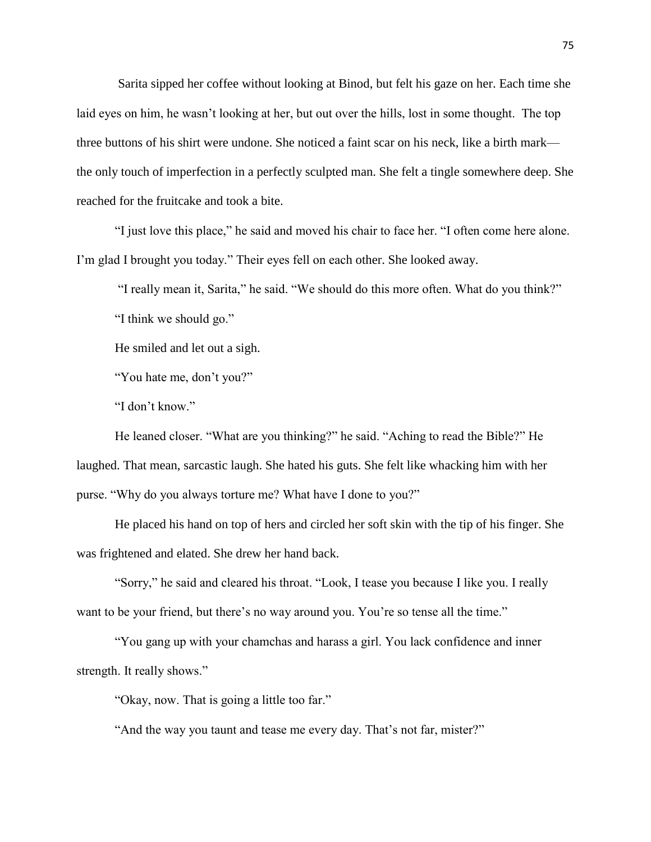Sarita sipped her coffee without looking at Binod, but felt his gaze on her. Each time she laid eyes on him, he wasn't looking at her, but out over the hills, lost in some thought. The top three buttons of his shirt were undone. She noticed a faint scar on his neck, like a birth mark the only touch of imperfection in a perfectly sculpted man. She felt a tingle somewhere deep. She reached for the fruitcake and took a bite.

"I just love this place," he said and moved his chair to face her. "I often come here alone. I'm glad I brought you today." Their eyes fell on each other. She looked away.

"I really mean it, Sarita," he said. "We should do this more often. What do you think?"

"I think we should go."

He smiled and let out a sigh.

"You hate me, don't you?"

"I don't know."

He leaned closer. "What are you thinking?" he said. "Aching to read the Bible?" He laughed. That mean, sarcastic laugh. She hated his guts. She felt like whacking him with her purse. "Why do you always torture me? What have I done to you?"

He placed his hand on top of hers and circled her soft skin with the tip of his finger. She was frightened and elated. She drew her hand back.

"Sorry," he said and cleared his throat. "Look, I tease you because I like you. I really want to be your friend, but there's no way around you. You're so tense all the time."

"You gang up with your chamchas and harass a girl. You lack confidence and inner strength. It really shows."

"Okay, now. That is going a little too far."

"And the way you taunt and tease me every day. That's not far, mister?"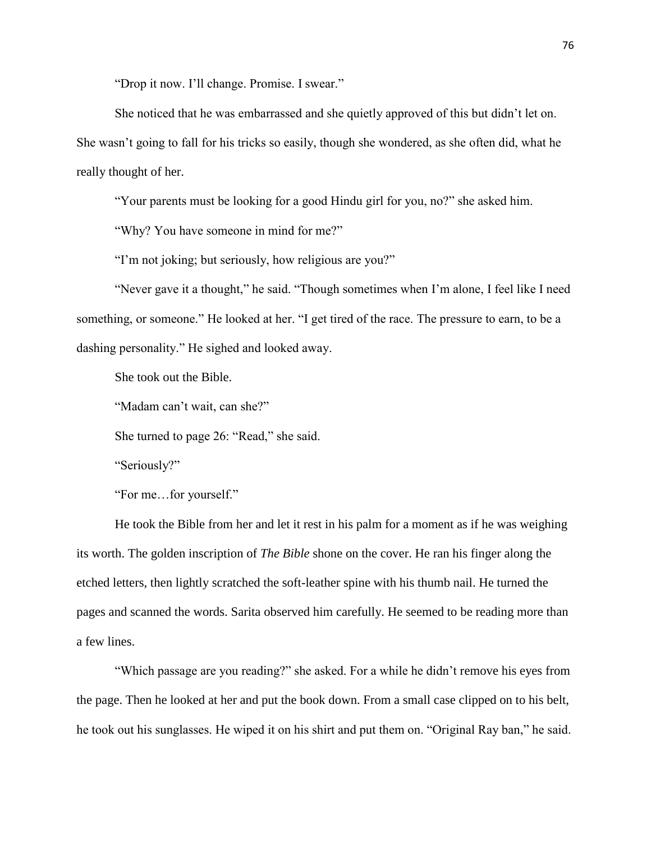"Drop it now. I'll change. Promise. I swear."

She noticed that he was embarrassed and she quietly approved of this but didn't let on. She wasn't going to fall for his tricks so easily, though she wondered, as she often did, what he really thought of her.

"Your parents must be looking for a good Hindu girl for you, no?" she asked him.

"Why? You have someone in mind for me?"

"I'm not joking; but seriously, how religious are you?"

"Never gave it a thought," he said. "Though sometimes when I'm alone, I feel like I need something, or someone." He looked at her. "I get tired of the race. The pressure to earn, to be a dashing personality." He sighed and looked away.

She took out the Bible.

"Madam can't wait, can she?"

She turned to page 26: "Read," she said.

"Seriously?"

"For me…for yourself."

He took the Bible from her and let it rest in his palm for a moment as if he was weighing its worth. The golden inscription of *The Bible* shone on the cover. He ran his finger along the etched letters, then lightly scratched the soft-leather spine with his thumb nail. He turned the pages and scanned the words. Sarita observed him carefully. He seemed to be reading more than a few lines.

"Which passage are you reading?" she asked. For a while he didn't remove his eyes from the page. Then he looked at her and put the book down. From a small case clipped on to his belt, he took out his sunglasses. He wiped it on his shirt and put them on. "Original Ray ban," he said.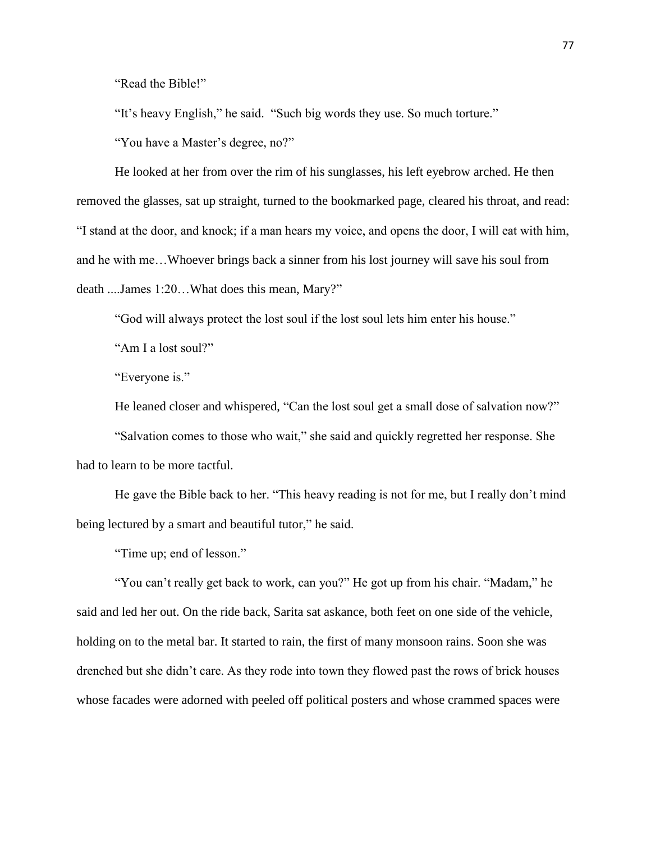"Read the Bible!"

"It's heavy English," he said. "Such big words they use. So much torture."

"You have a Master's degree, no?"

He looked at her from over the rim of his sunglasses, his left eyebrow arched. He then removed the glasses, sat up straight, turned to the bookmarked page, cleared his throat, and read: "I stand at the door, and knock; if a man hears my voice, and opens the door, I will eat with him, and he with me…Whoever brings back a sinner from his lost journey will save his soul from death ....James 1:20…What does this mean, Mary?"

"God will always protect the lost soul if the lost soul lets him enter his house."

"Am I a lost soul?"

"Everyone is."

He leaned closer and whispered, "Can the lost soul get a small dose of salvation now?"

"Salvation comes to those who wait," she said and quickly regretted her response. She had to learn to be more tactful.

He gave the Bible back to her. "This heavy reading is not for me, but I really don't mind being lectured by a smart and beautiful tutor," he said.

"Time up; end of lesson."

"You can't really get back to work, can you?" He got up from his chair. "Madam," he said and led her out. On the ride back, Sarita sat askance, both feet on one side of the vehicle, holding on to the metal bar. It started to rain, the first of many monsoon rains. Soon she was drenched but she didn't care. As they rode into town they flowed past the rows of brick houses whose facades were adorned with peeled off political posters and whose crammed spaces were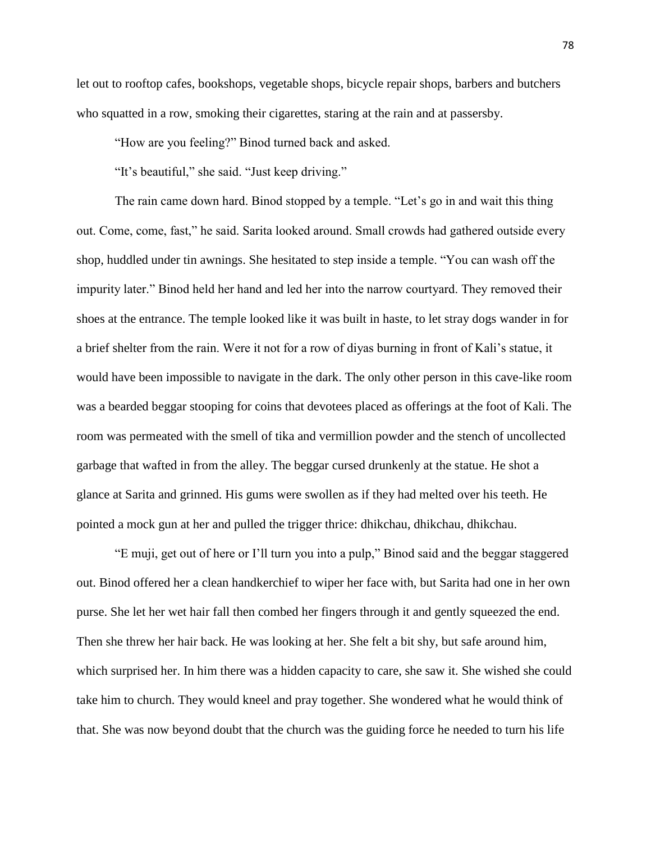let out to rooftop cafes, bookshops, vegetable shops, bicycle repair shops, barbers and butchers who squatted in a row, smoking their cigarettes, staring at the rain and at passersby.

"How are you feeling?" Binod turned back and asked.

"It's beautiful," she said. "Just keep driving."

The rain came down hard. Binod stopped by a temple. "Let's go in and wait this thing out. Come, come, fast," he said. Sarita looked around. Small crowds had gathered outside every shop, huddled under tin awnings. She hesitated to step inside a temple. "You can wash off the impurity later." Binod held her hand and led her into the narrow courtyard. They removed their shoes at the entrance. The temple looked like it was built in haste, to let stray dogs wander in for a brief shelter from the rain. Were it not for a row of diyas burning in front of Kali's statue, it would have been impossible to navigate in the dark. The only other person in this cave-like room was a bearded beggar stooping for coins that devotees placed as offerings at the foot of Kali. The room was permeated with the smell of tika and vermillion powder and the stench of uncollected garbage that wafted in from the alley. The beggar cursed drunkenly at the statue. He shot a glance at Sarita and grinned. His gums were swollen as if they had melted over his teeth. He pointed a mock gun at her and pulled the trigger thrice: dhikchau, dhikchau, dhikchau.

"E muji, get out of here or I'll turn you into a pulp," Binod said and the beggar staggered out. Binod offered her a clean handkerchief to wiper her face with, but Sarita had one in her own purse. She let her wet hair fall then combed her fingers through it and gently squeezed the end. Then she threw her hair back. He was looking at her. She felt a bit shy, but safe around him, which surprised her. In him there was a hidden capacity to care, she saw it. She wished she could take him to church. They would kneel and pray together. She wondered what he would think of that. She was now beyond doubt that the church was the guiding force he needed to turn his life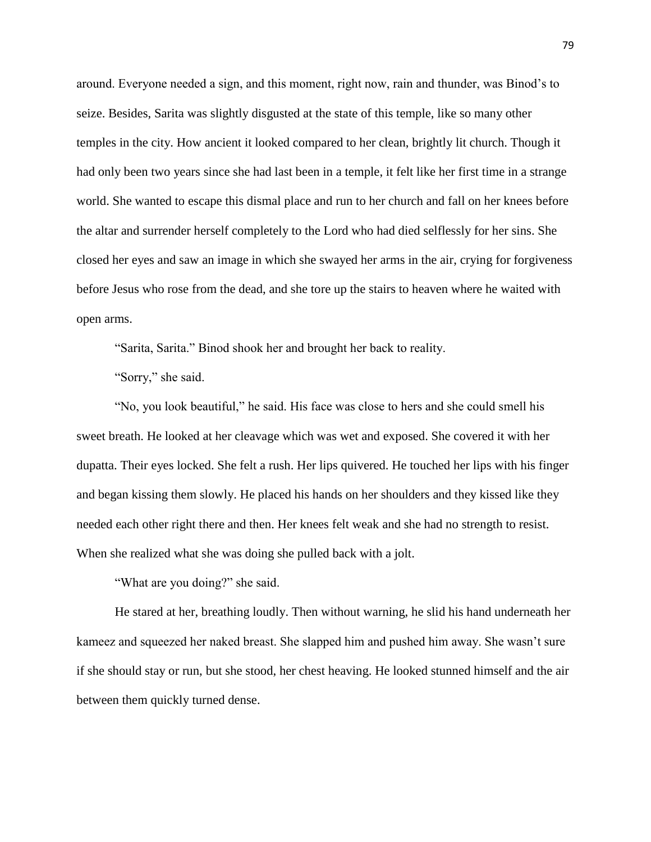around. Everyone needed a sign, and this moment, right now, rain and thunder, was Binod's to seize. Besides, Sarita was slightly disgusted at the state of this temple, like so many other temples in the city. How ancient it looked compared to her clean, brightly lit church. Though it had only been two years since she had last been in a temple, it felt like her first time in a strange world. She wanted to escape this dismal place and run to her church and fall on her knees before the altar and surrender herself completely to the Lord who had died selflessly for her sins. She closed her eyes and saw an image in which she swayed her arms in the air, crying for forgiveness before Jesus who rose from the dead, and she tore up the stairs to heaven where he waited with open arms.

"Sarita, Sarita." Binod shook her and brought her back to reality.

"Sorry," she said.

"No, you look beautiful," he said. His face was close to hers and she could smell his sweet breath. He looked at her cleavage which was wet and exposed. She covered it with her dupatta. Their eyes locked. She felt a rush. Her lips quivered. He touched her lips with his finger and began kissing them slowly. He placed his hands on her shoulders and they kissed like they needed each other right there and then. Her knees felt weak and she had no strength to resist. When she realized what she was doing she pulled back with a jolt.

"What are you doing?" she said.

He stared at her, breathing loudly. Then without warning, he slid his hand underneath her kameez and squeezed her naked breast. She slapped him and pushed him away. She wasn't sure if she should stay or run, but she stood, her chest heaving. He looked stunned himself and the air between them quickly turned dense.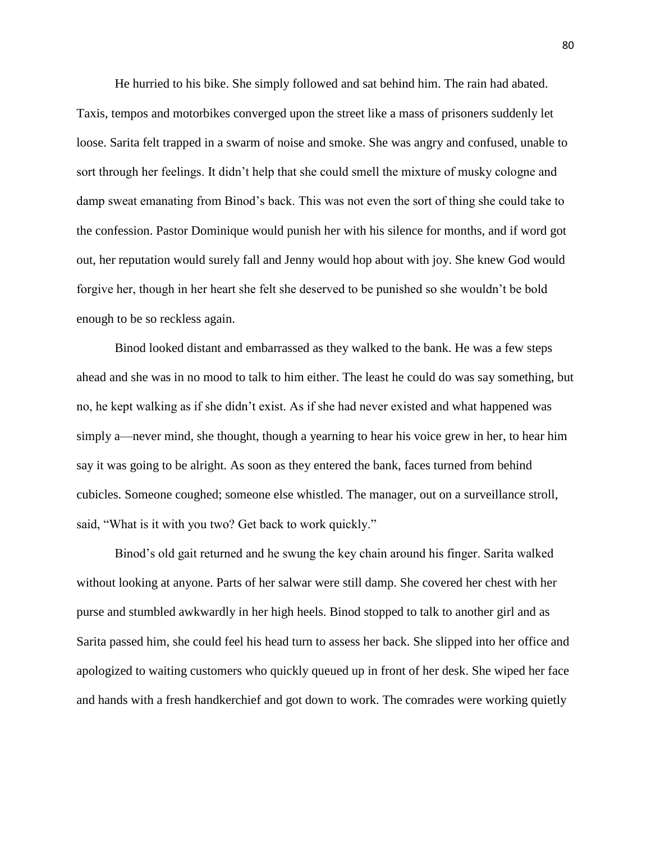He hurried to his bike. She simply followed and sat behind him. The rain had abated. Taxis, tempos and motorbikes converged upon the street like a mass of prisoners suddenly let loose. Sarita felt trapped in a swarm of noise and smoke. She was angry and confused, unable to sort through her feelings. It didn't help that she could smell the mixture of musky cologne and damp sweat emanating from Binod's back. This was not even the sort of thing she could take to the confession. Pastor Dominique would punish her with his silence for months, and if word got out, her reputation would surely fall and Jenny would hop about with joy. She knew God would forgive her, though in her heart she felt she deserved to be punished so she wouldn't be bold enough to be so reckless again.

Binod looked distant and embarrassed as they walked to the bank. He was a few steps ahead and she was in no mood to talk to him either. The least he could do was say something, but no, he kept walking as if she didn't exist. As if she had never existed and what happened was simply a—never mind, she thought, though a yearning to hear his voice grew in her, to hear him say it was going to be alright. As soon as they entered the bank, faces turned from behind cubicles. Someone coughed; someone else whistled. The manager, out on a surveillance stroll, said, "What is it with you two? Get back to work quickly."

Binod's old gait returned and he swung the key chain around his finger. Sarita walked without looking at anyone. Parts of her salwar were still damp. She covered her chest with her purse and stumbled awkwardly in her high heels. Binod stopped to talk to another girl and as Sarita passed him, she could feel his head turn to assess her back. She slipped into her office and apologized to waiting customers who quickly queued up in front of her desk. She wiped her face and hands with a fresh handkerchief and got down to work. The comrades were working quietly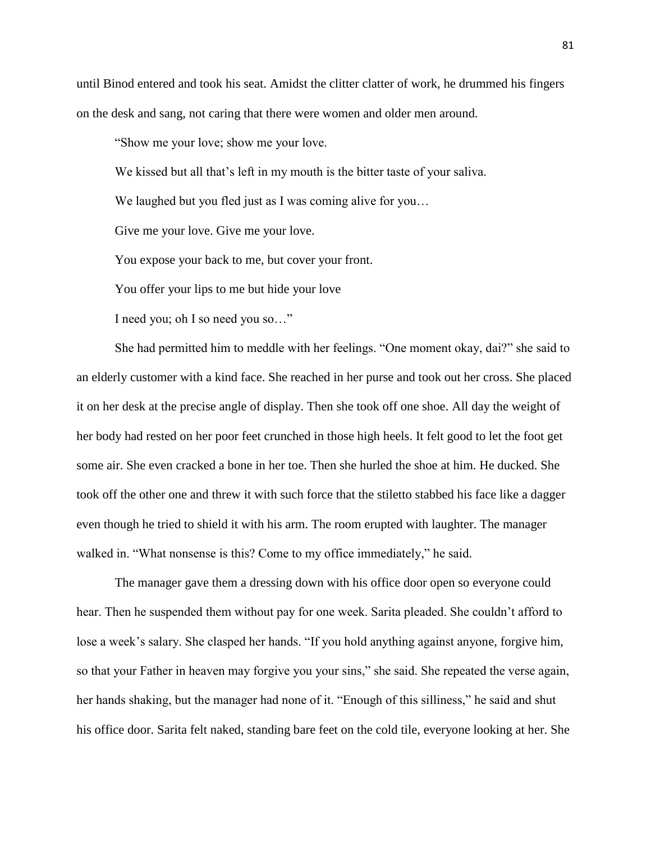until Binod entered and took his seat. Amidst the clitter clatter of work, he drummed his fingers on the desk and sang, not caring that there were women and older men around.

"Show me your love; show me your love.

We kissed but all that's left in my mouth is the bitter taste of your saliva.

We laughed but you fled just as I was coming alive for you...

Give me your love. Give me your love.

You expose your back to me, but cover your front.

You offer your lips to me but hide your love

I need you; oh I so need you so…"

She had permitted him to meddle with her feelings. "One moment okay, dai?" she said to an elderly customer with a kind face. She reached in her purse and took out her cross. She placed it on her desk at the precise angle of display. Then she took off one shoe. All day the weight of her body had rested on her poor feet crunched in those high heels. It felt good to let the foot get some air. She even cracked a bone in her toe. Then she hurled the shoe at him. He ducked. She took off the other one and threw it with such force that the stiletto stabbed his face like a dagger even though he tried to shield it with his arm. The room erupted with laughter. The manager walked in. "What nonsense is this? Come to my office immediately," he said.

The manager gave them a dressing down with his office door open so everyone could hear. Then he suspended them without pay for one week. Sarita pleaded. She couldn't afford to lose a week's salary. She clasped her hands. "If you hold anything against anyone, forgive him, so that your Father in heaven may forgive you your sins," she said. She repeated the verse again, her hands shaking, but the manager had none of it. "Enough of this silliness," he said and shut his office door. Sarita felt naked, standing bare feet on the cold tile, everyone looking at her. She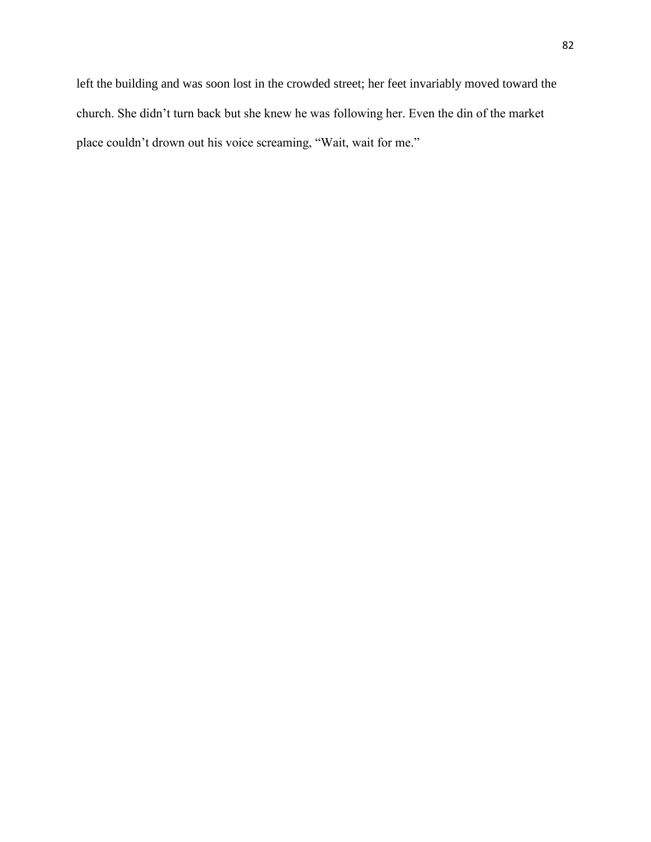left the building and was soon lost in the crowded street; her feet invariably moved toward the church. She didn't turn back but she knew he was following her. Even the din of the market place couldn't drown out his voice screaming, "Wait, wait for me."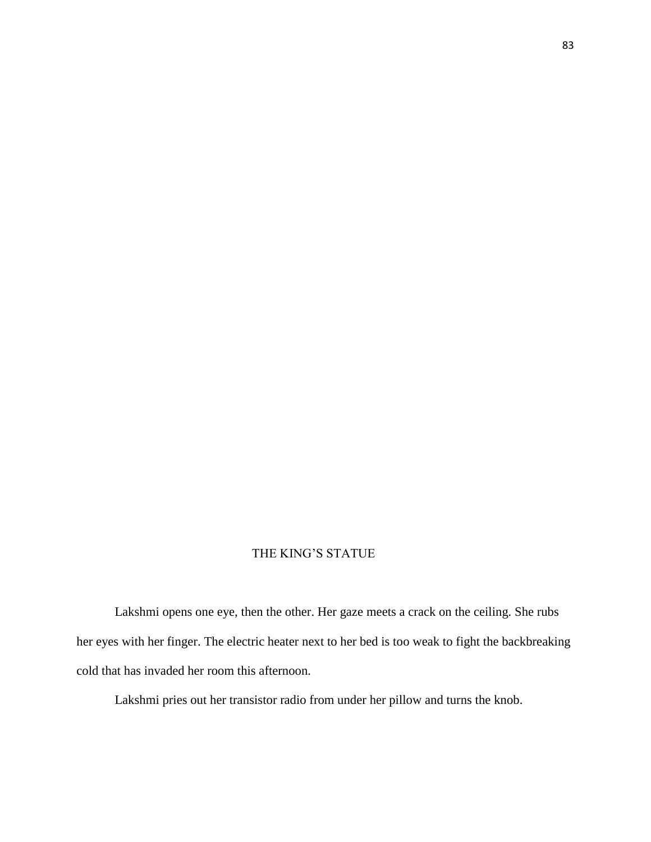## THE KING'S STATUE

Lakshmi opens one eye, then the other. Her gaze meets a crack on the ceiling. She rubs her eyes with her finger. The electric heater next to her bed is too weak to fight the backbreaking cold that has invaded her room this afternoon.

Lakshmi pries out her transistor radio from under her pillow and turns the knob.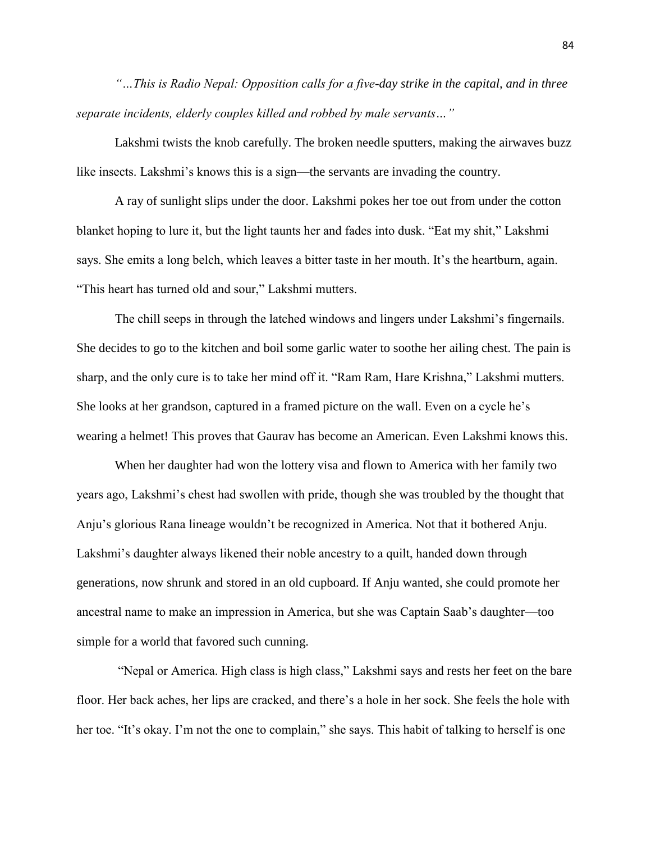*"…This is Radio Nepal: Opposition calls for a five-day strike in the capital, and in three separate incidents, elderly couples killed and robbed by male servants…"* 

Lakshmi twists the knob carefully. The broken needle sputters, making the airwaves buzz like insects. Lakshmi's knows this is a sign—the servants are invading the country.

A ray of sunlight slips under the door. Lakshmi pokes her toe out from under the cotton blanket hoping to lure it, but the light taunts her and fades into dusk. "Eat my shit," Lakshmi says. She emits a long belch, which leaves a bitter taste in her mouth. It's the heartburn, again. "This heart has turned old and sour," Lakshmi mutters.

The chill seeps in through the latched windows and lingers under Lakshmi's fingernails. She decides to go to the kitchen and boil some garlic water to soothe her ailing chest. The pain is sharp, and the only cure is to take her mind off it. "Ram Ram, Hare Krishna," Lakshmi mutters. She looks at her grandson, captured in a framed picture on the wall. Even on a cycle he's wearing a helmet! This proves that Gaurav has become an American. Even Lakshmi knows this.

When her daughter had won the lottery visa and flown to America with her family two years ago, Lakshmi's chest had swollen with pride, though she was troubled by the thought that Anju's glorious Rana lineage wouldn't be recognized in America. Not that it bothered Anju. Lakshmi's daughter always likened their noble ancestry to a quilt, handed down through generations, now shrunk and stored in an old cupboard. If Anju wanted, she could promote her ancestral name to make an impression in America, but she was Captain Saab's daughter—too simple for a world that favored such cunning.

"Nepal or America. High class is high class," Lakshmi says and rests her feet on the bare floor. Her back aches, her lips are cracked, and there's a hole in her sock. She feels the hole with her toe. "It's okay. I'm not the one to complain," she says. This habit of talking to herself is one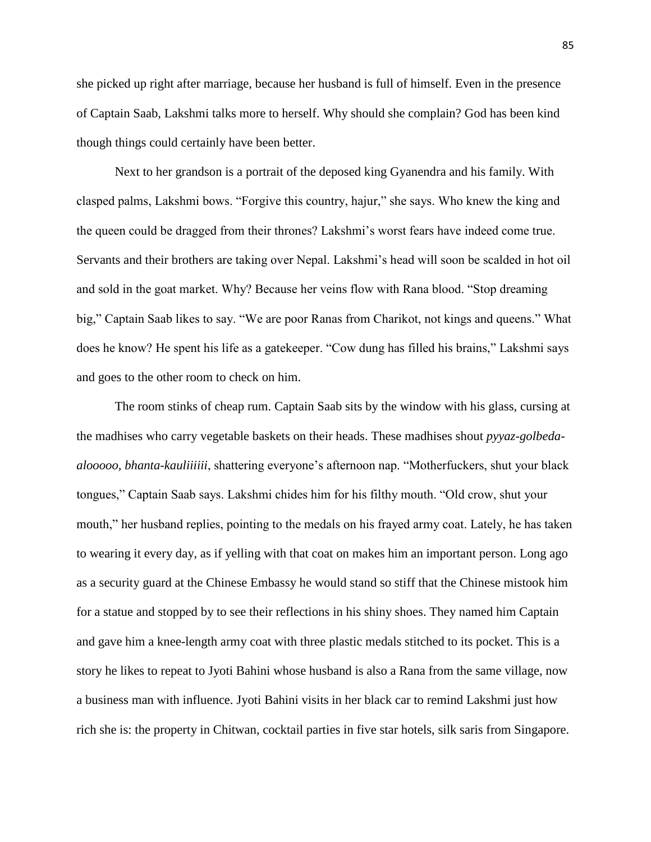she picked up right after marriage, because her husband is full of himself. Even in the presence of Captain Saab, Lakshmi talks more to herself. Why should she complain? God has been kind though things could certainly have been better.

Next to her grandson is a portrait of the deposed king Gyanendra and his family. With clasped palms, Lakshmi bows. "Forgive this country, hajur," she says. Who knew the king and the queen could be dragged from their thrones? Lakshmi's worst fears have indeed come true. Servants and their brothers are taking over Nepal. Lakshmi's head will soon be scalded in hot oil and sold in the goat market. Why? Because her veins flow with Rana blood. "Stop dreaming big," Captain Saab likes to say. "We are poor Ranas from Charikot, not kings and queens." What does he know? He spent his life as a gatekeeper. "Cow dung has filled his brains," Lakshmi says and goes to the other room to check on him.

The room stinks of cheap rum. Captain Saab sits by the window with his glass, cursing at the madhises who carry vegetable baskets on their heads. These madhises shout *pyyaz-golbedaalooooo, bhanta-kauliiiiii*, shattering everyone's afternoon nap. "Motherfuckers, shut your black tongues," Captain Saab says. Lakshmi chides him for his filthy mouth. "Old crow, shut your mouth," her husband replies, pointing to the medals on his frayed army coat. Lately, he has taken to wearing it every day, as if yelling with that coat on makes him an important person. Long ago as a security guard at the Chinese Embassy he would stand so stiff that the Chinese mistook him for a statue and stopped by to see their reflections in his shiny shoes. They named him Captain and gave him a knee-length army coat with three plastic medals stitched to its pocket. This is a story he likes to repeat to Jyoti Bahini whose husband is also a Rana from the same village, now a business man with influence. Jyoti Bahini visits in her black car to remind Lakshmi just how rich she is: the property in Chitwan, cocktail parties in five star hotels, silk saris from Singapore.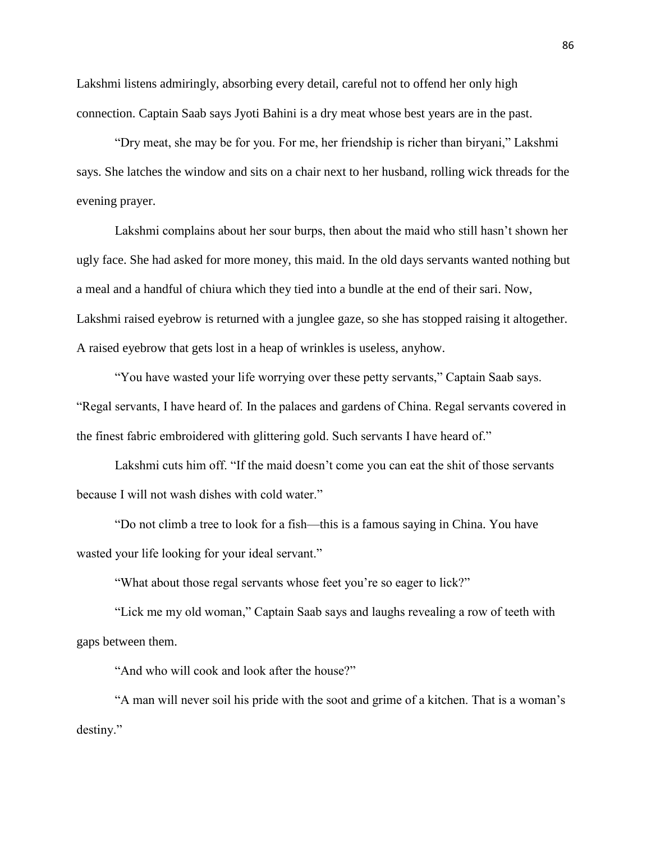Lakshmi listens admiringly, absorbing every detail, careful not to offend her only high connection. Captain Saab says Jyoti Bahini is a dry meat whose best years are in the past.

"Dry meat, she may be for you. For me, her friendship is richer than biryani," Lakshmi says. She latches the window and sits on a chair next to her husband, rolling wick threads for the evening prayer.

Lakshmi complains about her sour burps, then about the maid who still hasn't shown her ugly face. She had asked for more money, this maid. In the old days servants wanted nothing but a meal and a handful of chiura which they tied into a bundle at the end of their sari. Now, Lakshmi raised eyebrow is returned with a junglee gaze, so she has stopped raising it altogether. A raised eyebrow that gets lost in a heap of wrinkles is useless, anyhow.

"You have wasted your life worrying over these petty servants," Captain Saab says. "Regal servants, I have heard of. In the palaces and gardens of China. Regal servants covered in the finest fabric embroidered with glittering gold. Such servants I have heard of."

Lakshmi cuts him off. "If the maid doesn't come you can eat the shit of those servants because I will not wash dishes with cold water."

"Do not climb a tree to look for a fish—this is a famous saying in China. You have wasted your life looking for your ideal servant."

"What about those regal servants whose feet you're so eager to lick?"

"Lick me my old woman," Captain Saab says and laughs revealing a row of teeth with gaps between them.

"And who will cook and look after the house?"

"A man will never soil his pride with the soot and grime of a kitchen. That is a woman's destiny."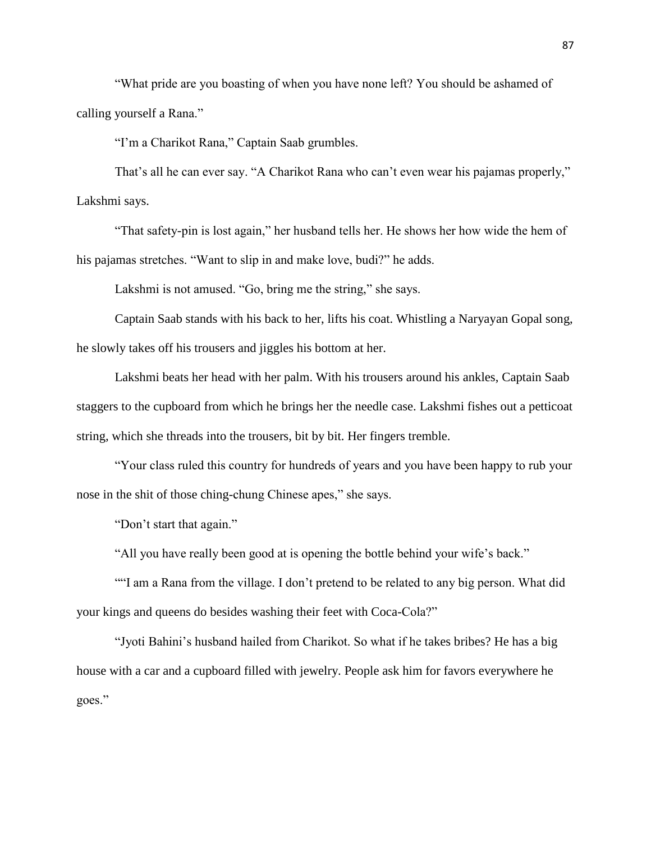"What pride are you boasting of when you have none left? You should be ashamed of calling yourself a Rana."

"I'm a Charikot Rana," Captain Saab grumbles.

That's all he can ever say. "A Charikot Rana who can't even wear his pajamas properly," Lakshmi says.

"That safety-pin is lost again," her husband tells her. He shows her how wide the hem of his pajamas stretches. "Want to slip in and make love, budi?" he adds.

Lakshmi is not amused. "Go, bring me the string," she says.

Captain Saab stands with his back to her, lifts his coat. Whistling a Naryayan Gopal song, he slowly takes off his trousers and jiggles his bottom at her.

Lakshmi beats her head with her palm. With his trousers around his ankles, Captain Saab staggers to the cupboard from which he brings her the needle case. Lakshmi fishes out a petticoat string, which she threads into the trousers, bit by bit. Her fingers tremble.

"Your class ruled this country for hundreds of years and you have been happy to rub your nose in the shit of those ching-chung Chinese apes," she says.

"Don't start that again."

"All you have really been good at is opening the bottle behind your wife's back."

""I am a Rana from the village. I don't pretend to be related to any big person. What did your kings and queens do besides washing their feet with Coca-Cola?"

"Jyoti Bahini's husband hailed from Charikot. So what if he takes bribes? He has a big house with a car and a cupboard filled with jewelry. People ask him for favors everywhere he goes."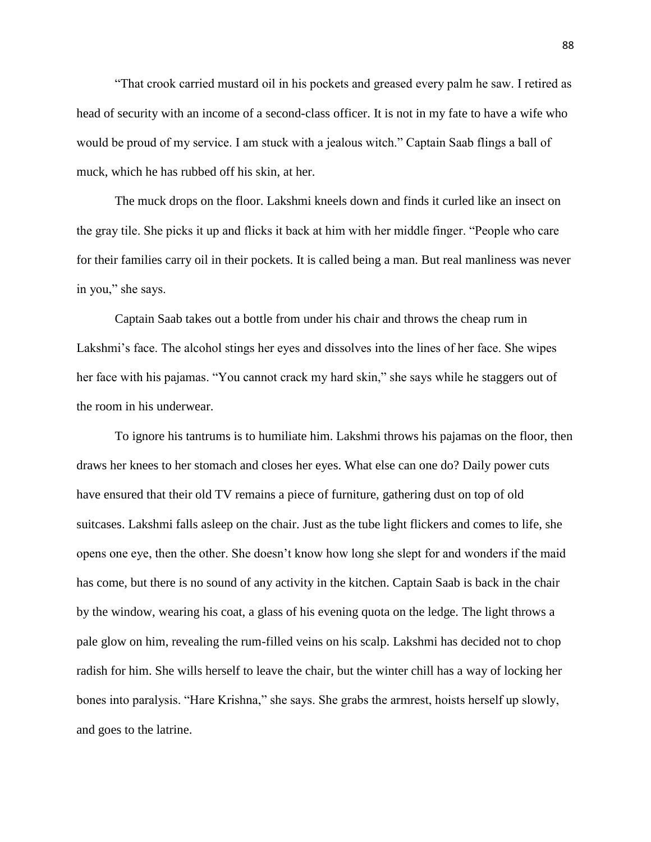"That crook carried mustard oil in his pockets and greased every palm he saw. I retired as head of security with an income of a second-class officer. It is not in my fate to have a wife who would be proud of my service. I am stuck with a jealous witch." Captain Saab flings a ball of muck, which he has rubbed off his skin, at her.

The muck drops on the floor. Lakshmi kneels down and finds it curled like an insect on the gray tile. She picks it up and flicks it back at him with her middle finger. "People who care for their families carry oil in their pockets. It is called being a man. But real manliness was never in you," she says.

Captain Saab takes out a bottle from under his chair and throws the cheap rum in Lakshmi's face. The alcohol stings her eyes and dissolves into the lines of her face. She wipes her face with his pajamas. "You cannot crack my hard skin," she says while he staggers out of the room in his underwear.

To ignore his tantrums is to humiliate him. Lakshmi throws his pajamas on the floor, then draws her knees to her stomach and closes her eyes. What else can one do? Daily power cuts have ensured that their old TV remains a piece of furniture, gathering dust on top of old suitcases. Lakshmi falls asleep on the chair. Just as the tube light flickers and comes to life, she opens one eye, then the other. She doesn't know how long she slept for and wonders if the maid has come, but there is no sound of any activity in the kitchen. Captain Saab is back in the chair by the window, wearing his coat, a glass of his evening quota on the ledge. The light throws a pale glow on him, revealing the rum-filled veins on his scalp. Lakshmi has decided not to chop radish for him. She wills herself to leave the chair, but the winter chill has a way of locking her bones into paralysis. "Hare Krishna," she says. She grabs the armrest, hoists herself up slowly, and goes to the latrine.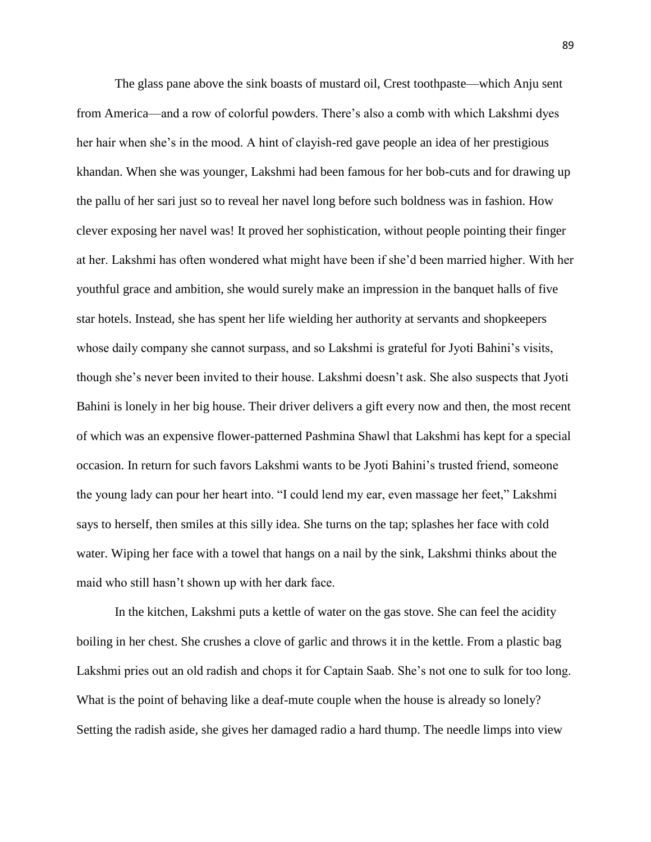The glass pane above the sink boasts of mustard oil, Crest toothpaste—which Anju sent from America—and a row of colorful powders. There's also a comb with which Lakshmi dyes her hair when she's in the mood. A hint of clayish-red gave people an idea of her prestigious khandan. When she was younger, Lakshmi had been famous for her bob-cuts and for drawing up the pallu of her sari just so to reveal her navel long before such boldness was in fashion. How clever exposing her navel was! It proved her sophistication, without people pointing their finger at her. Lakshmi has often wondered what might have been if she'd been married higher. With her youthful grace and ambition, she would surely make an impression in the banquet halls of five star hotels. Instead, she has spent her life wielding her authority at servants and shopkeepers whose daily company she cannot surpass, and so Lakshmi is grateful for Jyoti Bahini's visits, though she's never been invited to their house. Lakshmi doesn't ask. She also suspects that Jyoti Bahini is lonely in her big house. Their driver delivers a gift every now and then, the most recent of which was an expensive flower-patterned Pashmina Shawl that Lakshmi has kept for a special occasion. In return for such favors Lakshmi wants to be Jyoti Bahini's trusted friend, someone the young lady can pour her heart into. "I could lend my ear, even massage her feet," Lakshmi says to herself, then smiles at this silly idea. She turns on the tap; splashes her face with cold water. Wiping her face with a towel that hangs on a nail by the sink, Lakshmi thinks about the maid who still hasn't shown up with her dark face.

In the kitchen, Lakshmi puts a kettle of water on the gas stove. She can feel the acidity boiling in her chest. She crushes a clove of garlic and throws it in the kettle. From a plastic bag Lakshmi pries out an old radish and chops it for Captain Saab. She's not one to sulk for too long. What is the point of behaving like a deaf-mute couple when the house is already so lonely? Setting the radish aside, she gives her damaged radio a hard thump. The needle limps into view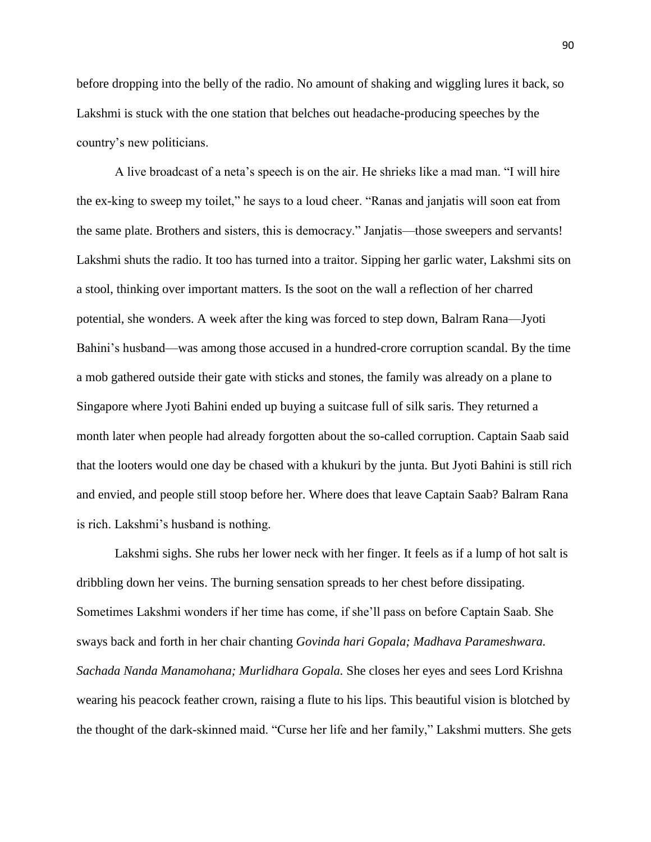before dropping into the belly of the radio. No amount of shaking and wiggling lures it back, so Lakshmi is stuck with the one station that belches out headache-producing speeches by the country's new politicians.

A live broadcast of a neta's speech is on the air. He shrieks like a mad man. "I will hire the ex-king to sweep my toilet," he says to a loud cheer. "Ranas and janjatis will soon eat from the same plate. Brothers and sisters, this is democracy." Janjatis—those sweepers and servants! Lakshmi shuts the radio. It too has turned into a traitor. Sipping her garlic water, Lakshmi sits on a stool, thinking over important matters. Is the soot on the wall a reflection of her charred potential, she wonders. A week after the king was forced to step down, Balram Rana—Jyoti Bahini's husband—was among those accused in a hundred-crore corruption scandal. By the time a mob gathered outside their gate with sticks and stones, the family was already on a plane to Singapore where Jyoti Bahini ended up buying a suitcase full of silk saris. They returned a month later when people had already forgotten about the so-called corruption. Captain Saab said that the looters would one day be chased with a khukuri by the junta. But Jyoti Bahini is still rich and envied, and people still stoop before her. Where does that leave Captain Saab? Balram Rana is rich. Lakshmi's husband is nothing.

Lakshmi sighs. She rubs her lower neck with her finger. It feels as if a lump of hot salt is dribbling down her veins. The burning sensation spreads to her chest before dissipating. Sometimes Lakshmi wonders if her time has come, if she'll pass on before Captain Saab. She sways back and forth in her chair chanting *Govinda hari Gopala; Madhava Parameshwara. Sachada Nanda Manamohana; Murlidhara Gopala.* She closes her eyes and sees Lord Krishna wearing his peacock feather crown, raising a flute to his lips. This beautiful vision is blotched by the thought of the dark-skinned maid. "Curse her life and her family," Lakshmi mutters. She gets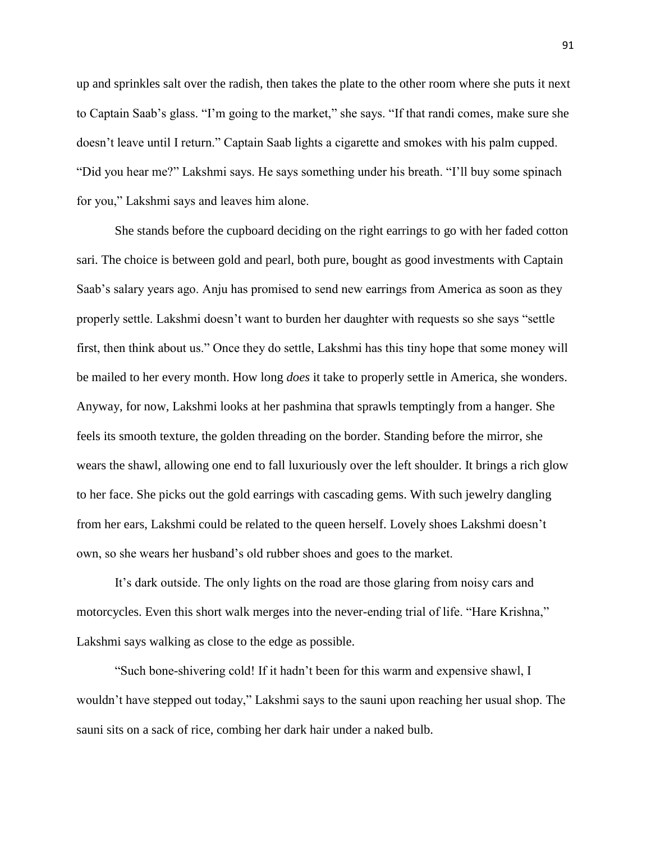up and sprinkles salt over the radish, then takes the plate to the other room where she puts it next to Captain Saab's glass. "I'm going to the market," she says. "If that randi comes, make sure she doesn't leave until I return." Captain Saab lights a cigarette and smokes with his palm cupped. "Did you hear me?" Lakshmi says. He says something under his breath. "I'll buy some spinach for you," Lakshmi says and leaves him alone.

She stands before the cupboard deciding on the right earrings to go with her faded cotton sari. The choice is between gold and pearl, both pure, bought as good investments with Captain Saab's salary years ago. Anju has promised to send new earrings from America as soon as they properly settle. Lakshmi doesn't want to burden her daughter with requests so she says "settle first, then think about us." Once they do settle, Lakshmi has this tiny hope that some money will be mailed to her every month. How long *does* it take to properly settle in America, she wonders. Anyway, for now, Lakshmi looks at her pashmina that sprawls temptingly from a hanger. She feels its smooth texture, the golden threading on the border. Standing before the mirror, she wears the shawl, allowing one end to fall luxuriously over the left shoulder. It brings a rich glow to her face. She picks out the gold earrings with cascading gems. With such jewelry dangling from her ears, Lakshmi could be related to the queen herself. Lovely shoes Lakshmi doesn't own, so she wears her husband's old rubber shoes and goes to the market.

It's dark outside. The only lights on the road are those glaring from noisy cars and motorcycles. Even this short walk merges into the never-ending trial of life. "Hare Krishna," Lakshmi says walking as close to the edge as possible.

"Such bone-shivering cold! If it hadn't been for this warm and expensive shawl, I wouldn't have stepped out today," Lakshmi says to the sauni upon reaching her usual shop. The sauni sits on a sack of rice, combing her dark hair under a naked bulb.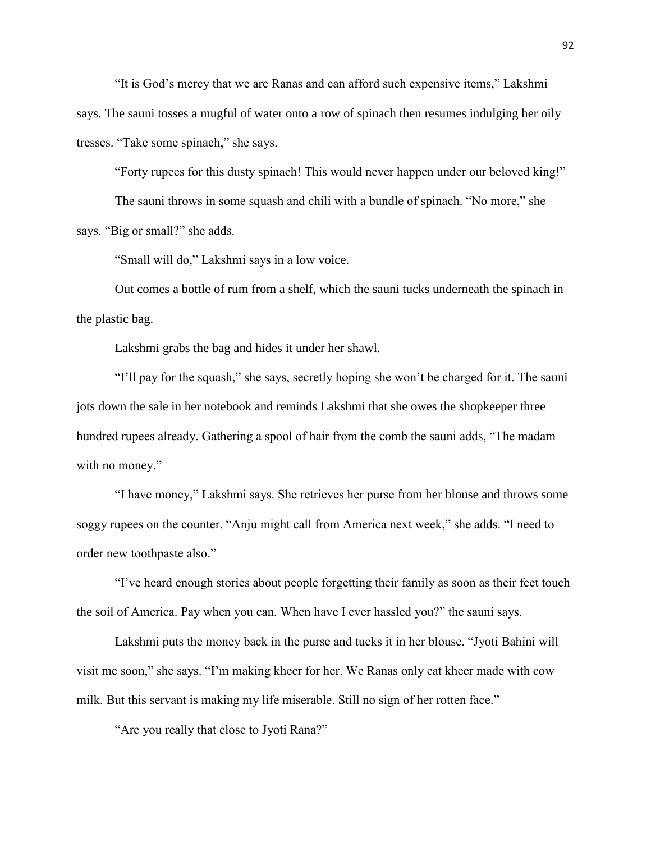"It is God's mercy that we are Ranas and can afford such expensive items," Lakshmi says. The sauni tosses a mugful of water onto a row of spinach then resumes indulging her oily tresses. "Take some spinach," she says.

"Forty rupees for this dusty spinach! This would never happen under our beloved king!"

The sauni throws in some squash and chili with a bundle of spinach. "No more," she says. "Big or small?" she adds.

"Small will do," Lakshmi says in a low voice.

Out comes a bottle of rum from a shelf, which the sauni tucks underneath the spinach in the plastic bag.

Lakshmi grabs the bag and hides it under her shawl.

"I'll pay for the squash," she says, secretly hoping she won't be charged for it. The sauni jots down the sale in her notebook and reminds Lakshmi that she owes the shopkeeper three hundred rupees already. Gathering a spool of hair from the comb the sauni adds, "The madam with no money."

"I have money," Lakshmi says. She retrieves her purse from her blouse and throws some soggy rupees on the counter. "Anju might call from America next week," she adds. "I need to order new toothpaste also."

"I've heard enough stories about people forgetting their family as soon as their feet touch the soil of America. Pay when you can. When have I ever hassled you?" the sauni says.

Lakshmi puts the money back in the purse and tucks it in her blouse. "Jyoti Bahini will visit me soon," she says. "I'm making kheer for her. We Ranas only eat kheer made with cow milk. But this servant is making my life miserable. Still no sign of her rotten face."

"Are you really that close to Jyoti Rana?"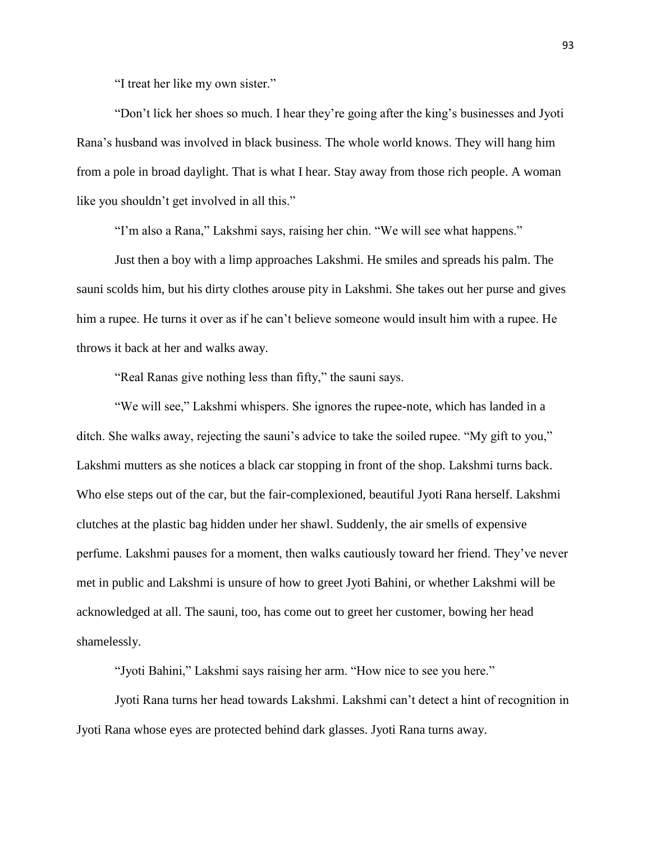"I treat her like my own sister."

"Don't lick her shoes so much. I hear they're going after the king's businesses and Jyoti Rana's husband was involved in black business. The whole world knows. They will hang him from a pole in broad daylight. That is what I hear. Stay away from those rich people. A woman like you shouldn't get involved in all this."

"I'm also a Rana," Lakshmi says, raising her chin. "We will see what happens."

Just then a boy with a limp approaches Lakshmi. He smiles and spreads his palm. The sauni scolds him, but his dirty clothes arouse pity in Lakshmi. She takes out her purse and gives him a rupee. He turns it over as if he can't believe someone would insult him with a rupee. He throws it back at her and walks away.

"Real Ranas give nothing less than fifty," the sauni says.

"We will see," Lakshmi whispers. She ignores the rupee-note, which has landed in a ditch. She walks away, rejecting the sauni's advice to take the soiled rupee. "My gift to you," Lakshmi mutters as she notices a black car stopping in front of the shop. Lakshmi turns back. Who else steps out of the car, but the fair-complexioned, beautiful Jyoti Rana herself. Lakshmi clutches at the plastic bag hidden under her shawl. Suddenly, the air smells of expensive perfume. Lakshmi pauses for a moment, then walks cautiously toward her friend. They've never met in public and Lakshmi is unsure of how to greet Jyoti Bahini, or whether Lakshmi will be acknowledged at all. The sauni, too, has come out to greet her customer, bowing her head shamelessly.

"Jyoti Bahini," Lakshmi says raising her arm. "How nice to see you here."

Jyoti Rana turns her head towards Lakshmi. Lakshmi can't detect a hint of recognition in Jyoti Rana whose eyes are protected behind dark glasses. Jyoti Rana turns away.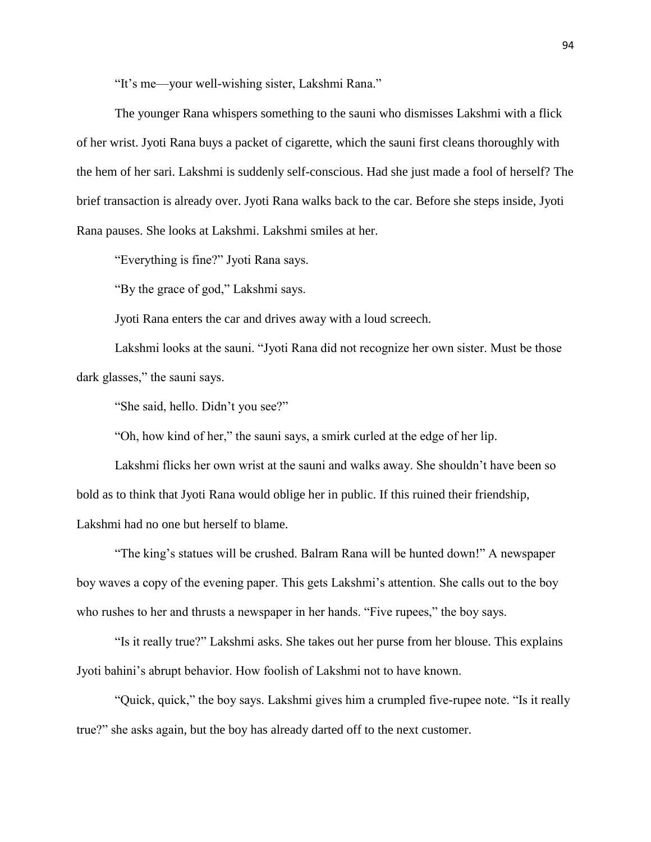"It's me—your well-wishing sister, Lakshmi Rana."

The younger Rana whispers something to the sauni who dismisses Lakshmi with a flick of her wrist. Jyoti Rana buys a packet of cigarette, which the sauni first cleans thoroughly with the hem of her sari. Lakshmi is suddenly self-conscious. Had she just made a fool of herself? The brief transaction is already over. Jyoti Rana walks back to the car. Before she steps inside, Jyoti Rana pauses. She looks at Lakshmi. Lakshmi smiles at her.

"Everything is fine?" Jyoti Rana says.

"By the grace of god," Lakshmi says.

Jyoti Rana enters the car and drives away with a loud screech.

Lakshmi looks at the sauni. "Jyoti Rana did not recognize her own sister. Must be those dark glasses," the sauni says.

"She said, hello. Didn't you see?"

"Oh, how kind of her," the sauni says, a smirk curled at the edge of her lip.

Lakshmi flicks her own wrist at the sauni and walks away. She shouldn't have been so bold as to think that Jyoti Rana would oblige her in public. If this ruined their friendship, Lakshmi had no one but herself to blame.

"The king's statues will be crushed. Balram Rana will be hunted down!" A newspaper boy waves a copy of the evening paper. This gets Lakshmi's attention. She calls out to the boy who rushes to her and thrusts a newspaper in her hands. "Five rupees," the boy says.

"Is it really true?" Lakshmi asks. She takes out her purse from her blouse. This explains Jyoti bahini's abrupt behavior. How foolish of Lakshmi not to have known.

"Quick, quick," the boy says. Lakshmi gives him a crumpled five-rupee note. "Is it really true?" she asks again, but the boy has already darted off to the next customer.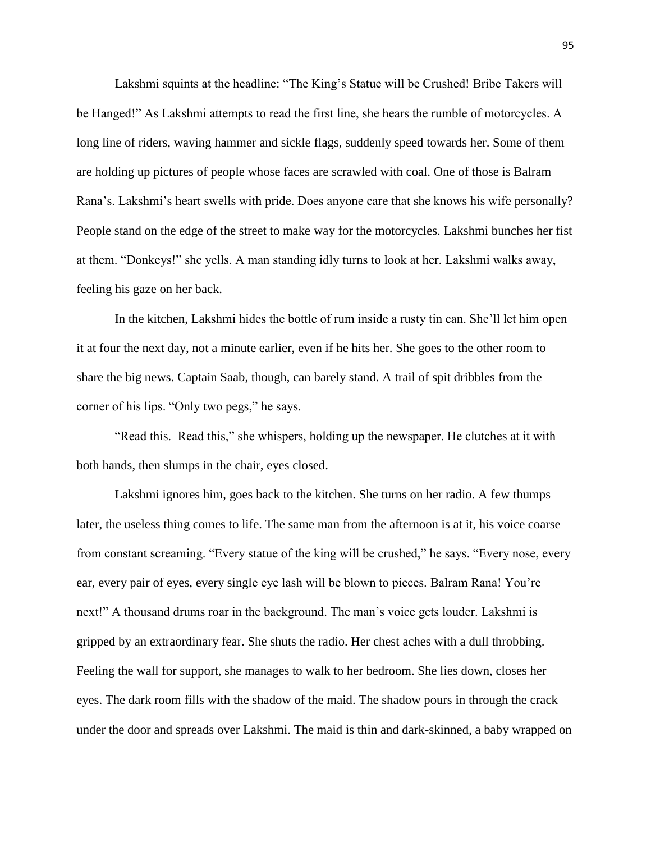Lakshmi squints at the headline: "The King's Statue will be Crushed! Bribe Takers will be Hanged!" As Lakshmi attempts to read the first line, she hears the rumble of motorcycles. A long line of riders, waving hammer and sickle flags, suddenly speed towards her. Some of them are holding up pictures of people whose faces are scrawled with coal. One of those is Balram Rana's. Lakshmi's heart swells with pride. Does anyone care that she knows his wife personally? People stand on the edge of the street to make way for the motorcycles. Lakshmi bunches her fist at them. "Donkeys!" she yells. A man standing idly turns to look at her. Lakshmi walks away, feeling his gaze on her back.

In the kitchen, Lakshmi hides the bottle of rum inside a rusty tin can. She'll let him open it at four the next day, not a minute earlier, even if he hits her. She goes to the other room to share the big news. Captain Saab, though, can barely stand. A trail of spit dribbles from the corner of his lips. "Only two pegs," he says.

"Read this. Read this," she whispers, holding up the newspaper. He clutches at it with both hands, then slumps in the chair, eyes closed.

Lakshmi ignores him, goes back to the kitchen. She turns on her radio. A few thumps later, the useless thing comes to life. The same man from the afternoon is at it, his voice coarse from constant screaming. "Every statue of the king will be crushed," he says. "Every nose, every ear, every pair of eyes, every single eye lash will be blown to pieces. Balram Rana! You're next!" A thousand drums roar in the background. The man's voice gets louder. Lakshmi is gripped by an extraordinary fear. She shuts the radio. Her chest aches with a dull throbbing. Feeling the wall for support, she manages to walk to her bedroom. She lies down, closes her eyes. The dark room fills with the shadow of the maid. The shadow pours in through the crack under the door and spreads over Lakshmi. The maid is thin and dark-skinned, a baby wrapped on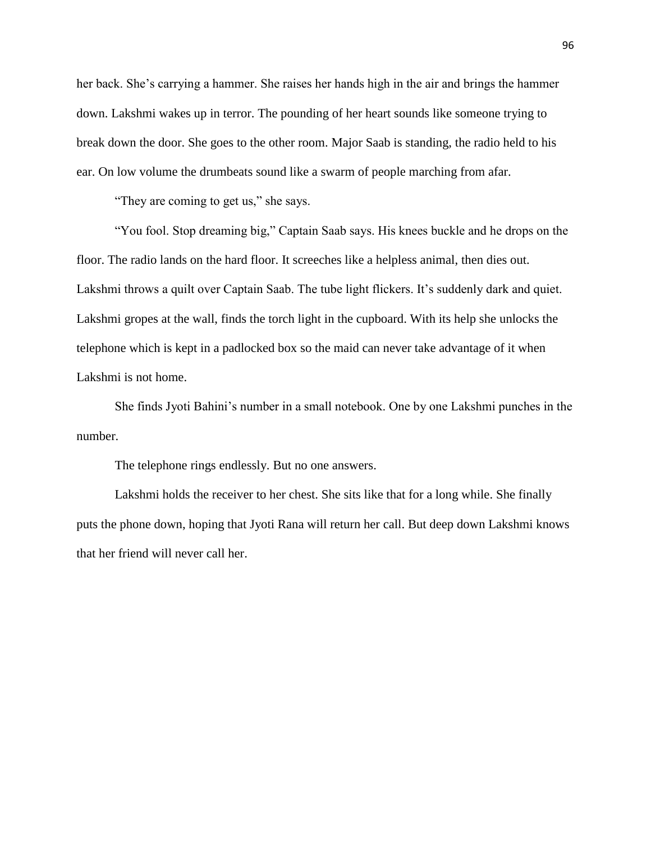her back. She's carrying a hammer. She raises her hands high in the air and brings the hammer down. Lakshmi wakes up in terror. The pounding of her heart sounds like someone trying to break down the door. She goes to the other room. Major Saab is standing, the radio held to his ear. On low volume the drumbeats sound like a swarm of people marching from afar.

"They are coming to get us," she says.

"You fool. Stop dreaming big," Captain Saab says. His knees buckle and he drops on the floor. The radio lands on the hard floor. It screeches like a helpless animal, then dies out. Lakshmi throws a quilt over Captain Saab. The tube light flickers. It's suddenly dark and quiet. Lakshmi gropes at the wall, finds the torch light in the cupboard. With its help she unlocks the telephone which is kept in a padlocked box so the maid can never take advantage of it when Lakshmi is not home.

She finds Jyoti Bahini's number in a small notebook. One by one Lakshmi punches in the number.

The telephone rings endlessly. But no one answers.

Lakshmi holds the receiver to her chest. She sits like that for a long while. She finally puts the phone down, hoping that Jyoti Rana will return her call. But deep down Lakshmi knows that her friend will never call her.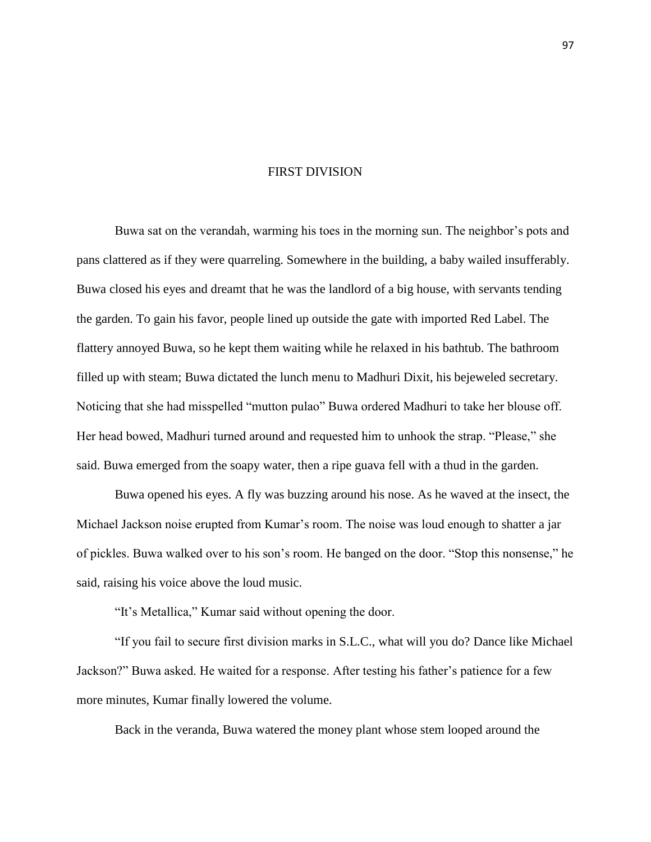## FIRST DIVISION

Buwa sat on the verandah, warming his toes in the morning sun. The neighbor's pots and pans clattered as if they were quarreling. Somewhere in the building, a baby wailed insufferably. Buwa closed his eyes and dreamt that he was the landlord of a big house, with servants tending the garden. To gain his favor, people lined up outside the gate with imported Red Label. The flattery annoyed Buwa, so he kept them waiting while he relaxed in his bathtub. The bathroom filled up with steam; Buwa dictated the lunch menu to Madhuri Dixit, his bejeweled secretary. Noticing that she had misspelled "mutton pulao" Buwa ordered Madhuri to take her blouse off. Her head bowed, Madhuri turned around and requested him to unhook the strap. "Please," she said. Buwa emerged from the soapy water, then a ripe guava fell with a thud in the garden.

Buwa opened his eyes. A fly was buzzing around his nose. As he waved at the insect, the Michael Jackson noise erupted from Kumar's room. The noise was loud enough to shatter a jar of pickles. Buwa walked over to his son's room. He banged on the door. "Stop this nonsense," he said, raising his voice above the loud music.

"It's Metallica," Kumar said without opening the door.

"If you fail to secure first division marks in S.L.C., what will you do? Dance like Michael Jackson?" Buwa asked. He waited for a response. After testing his father's patience for a few more minutes, Kumar finally lowered the volume.

Back in the veranda, Buwa watered the money plant whose stem looped around the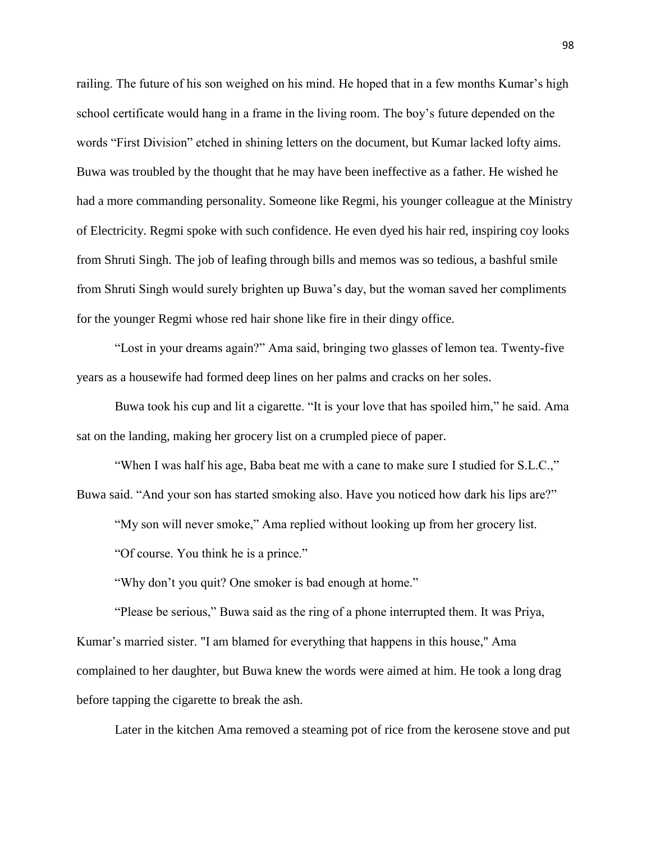railing. The future of his son weighed on his mind. He hoped that in a few months Kumar's high school certificate would hang in a frame in the living room. The boy's future depended on the words "First Division" etched in shining letters on the document, but Kumar lacked lofty aims. Buwa was troubled by the thought that he may have been ineffective as a father. He wished he had a more commanding personality. Someone like Regmi, his younger colleague at the Ministry of Electricity. Regmi spoke with such confidence. He even dyed his hair red, inspiring coy looks from Shruti Singh. The job of leafing through bills and memos was so tedious, a bashful smile from Shruti Singh would surely brighten up Buwa's day, but the woman saved her compliments for the younger Regmi whose red hair shone like fire in their dingy office.

"Lost in your dreams again?" Ama said, bringing two glasses of lemon tea. Twenty-five years as a housewife had formed deep lines on her palms and cracks on her soles.

Buwa took his cup and lit a cigarette. "It is your love that has spoiled him," he said. Ama sat on the landing, making her grocery list on a crumpled piece of paper.

"When I was half his age, Baba beat me with a cane to make sure I studied for S.L.C.," Buwa said. "And your son has started smoking also. Have you noticed how dark his lips are?"

"My son will never smoke," Ama replied without looking up from her grocery list.

"Of course. You think he is a prince."

"Why don't you quit? One smoker is bad enough at home."

"Please be serious," Buwa said as the ring of a phone interrupted them. It was Priya, Kumar's married sister. "I am blamed for everything that happens in this house," Ama complained to her daughter, but Buwa knew the words were aimed at him. He took a long drag before tapping the cigarette to break the ash.

Later in the kitchen Ama removed a steaming pot of rice from the kerosene stove and put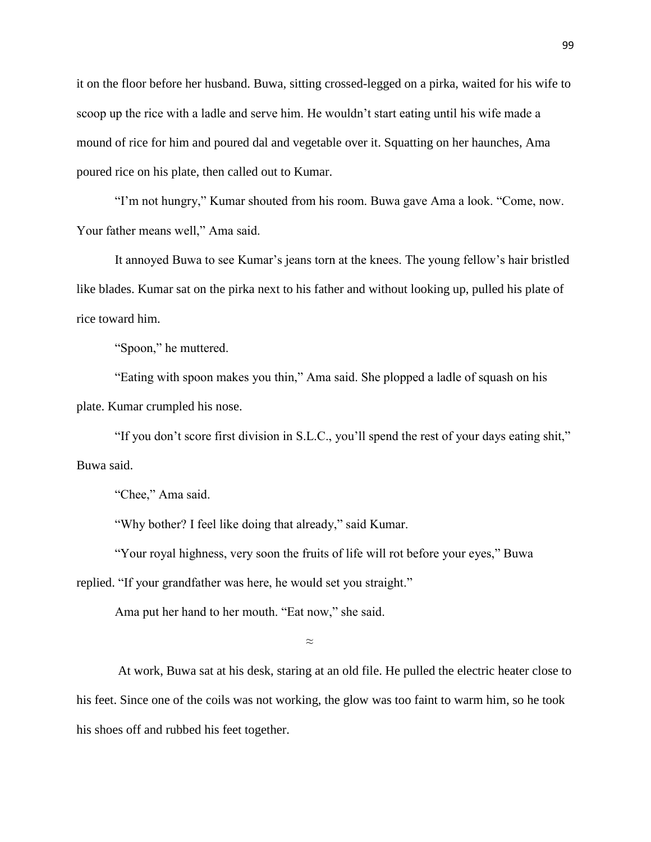it on the floor before her husband. Buwa, sitting crossed-legged on a pirka, waited for his wife to scoop up the rice with a ladle and serve him. He wouldn't start eating until his wife made a mound of rice for him and poured dal and vegetable over it. Squatting on her haunches, Ama poured rice on his plate, then called out to Kumar.

"I'm not hungry," Kumar shouted from his room. Buwa gave Ama a look. "Come, now. Your father means well," Ama said.

It annoyed Buwa to see Kumar's jeans torn at the knees. The young fellow's hair bristled like blades. Kumar sat on the pirka next to his father and without looking up, pulled his plate of rice toward him.

"Spoon," he muttered.

"Eating with spoon makes you thin," Ama said. She plopped a ladle of squash on his plate. Kumar crumpled his nose.

"If you don't score first division in S.L.C., you'll spend the rest of your days eating shit," Buwa said.

"Chee," Ama said.

"Why bother? I feel like doing that already," said Kumar.

"Your royal highness, very soon the fruits of life will rot before your eyes," Buwa replied. "If your grandfather was here, he would set you straight."

Ama put her hand to her mouth. "Eat now," she said.

≈

At work, Buwa sat at his desk, staring at an old file. He pulled the electric heater close to his feet. Since one of the coils was not working, the glow was too faint to warm him, so he took his shoes off and rubbed his feet together.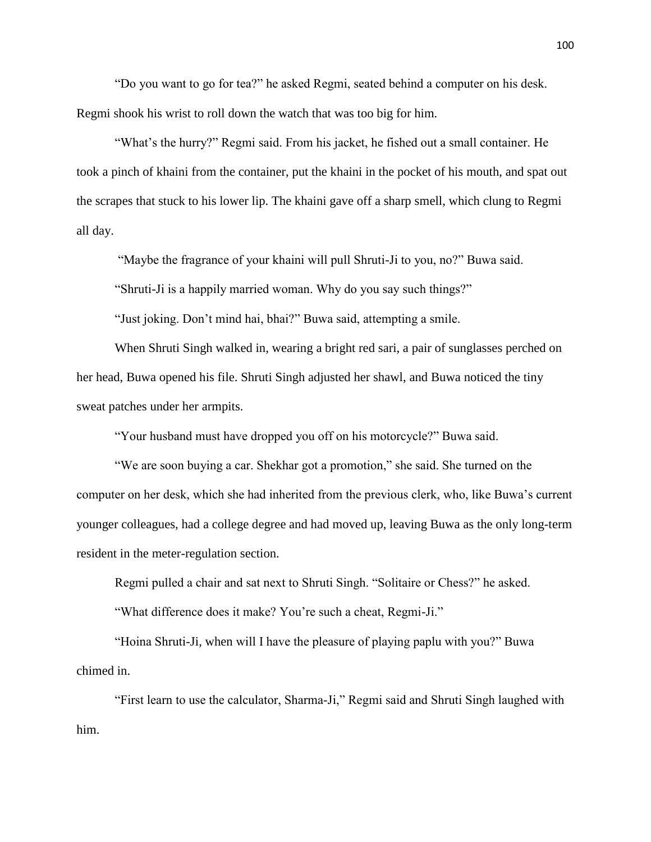"Do you want to go for tea?" he asked Regmi, seated behind a computer on his desk. Regmi shook his wrist to roll down the watch that was too big for him.

"What's the hurry?" Regmi said. From his jacket, he fished out a small container. He took a pinch of khaini from the container, put the khaini in the pocket of his mouth, and spat out the scrapes that stuck to his lower lip. The khaini gave off a sharp smell, which clung to Regmi all day.

"Maybe the fragrance of your khaini will pull Shruti-Ji to you, no?" Buwa said.

"Shruti-Ji is a happily married woman. Why do you say such things?"

"Just joking. Don't mind hai, bhai?" Buwa said, attempting a smile.

When Shruti Singh walked in, wearing a bright red sari, a pair of sunglasses perched on her head, Buwa opened his file. Shruti Singh adjusted her shawl, and Buwa noticed the tiny sweat patches under her armpits.

"Your husband must have dropped you off on his motorcycle?" Buwa said.

"We are soon buying a car. Shekhar got a promotion," she said. She turned on the computer on her desk, which she had inherited from the previous clerk, who, like Buwa's current younger colleagues, had a college degree and had moved up, leaving Buwa as the only long-term resident in the meter-regulation section.

Regmi pulled a chair and sat next to Shruti Singh. "Solitaire or Chess?" he asked.

"What difference does it make? You're such a cheat, Regmi-Ji."

"Hoina Shruti-Ji, when will I have the pleasure of playing paplu with you?" Buwa chimed in.

"First learn to use the calculator, Sharma-Ji," Regmi said and Shruti Singh laughed with him.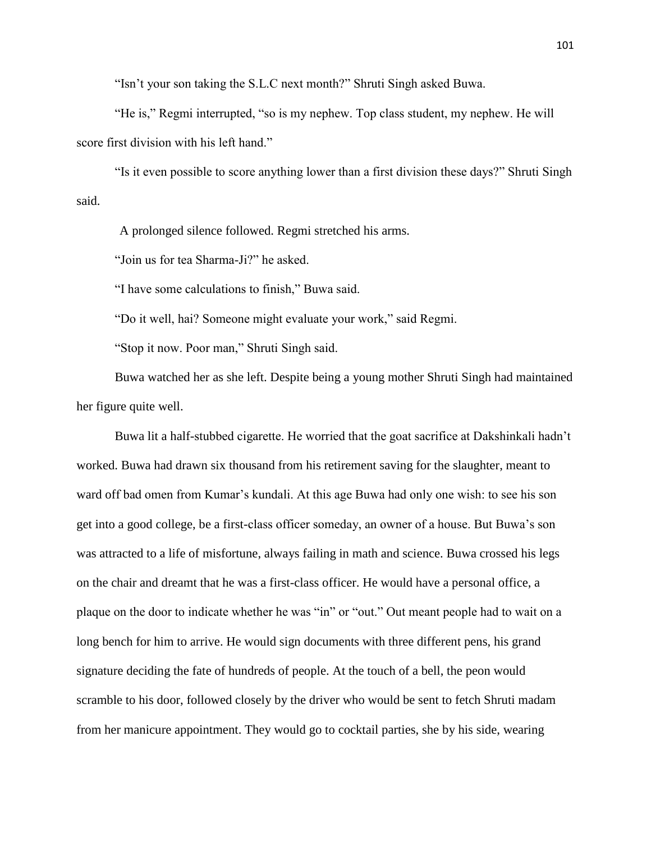"Isn't your son taking the S.L.C next month?" Shruti Singh asked Buwa.

"He is," Regmi interrupted, "so is my nephew. Top class student, my nephew. He will score first division with his left hand."

"Is it even possible to score anything lower than a first division these days?" Shruti Singh said.

A prolonged silence followed. Regmi stretched his arms.

"Join us for tea Sharma-Ji?" he asked.

"I have some calculations to finish," Buwa said.

"Do it well, hai? Someone might evaluate your work," said Regmi.

"Stop it now. Poor man," Shruti Singh said.

Buwa watched her as she left. Despite being a young mother Shruti Singh had maintained her figure quite well.

Buwa lit a half-stubbed cigarette. He worried that the goat sacrifice at Dakshinkali hadn't worked. Buwa had drawn six thousand from his retirement saving for the slaughter, meant to ward off bad omen from Kumar's kundali. At this age Buwa had only one wish: to see his son get into a good college, be a first-class officer someday, an owner of a house. But Buwa's son was attracted to a life of misfortune, always failing in math and science. Buwa crossed his legs on the chair and dreamt that he was a first-class officer. He would have a personal office, a plaque on the door to indicate whether he was "in" or "out." Out meant people had to wait on a long bench for him to arrive. He would sign documents with three different pens, his grand signature deciding the fate of hundreds of people. At the touch of a bell, the peon would scramble to his door, followed closely by the driver who would be sent to fetch Shruti madam from her manicure appointment. They would go to cocktail parties, she by his side, wearing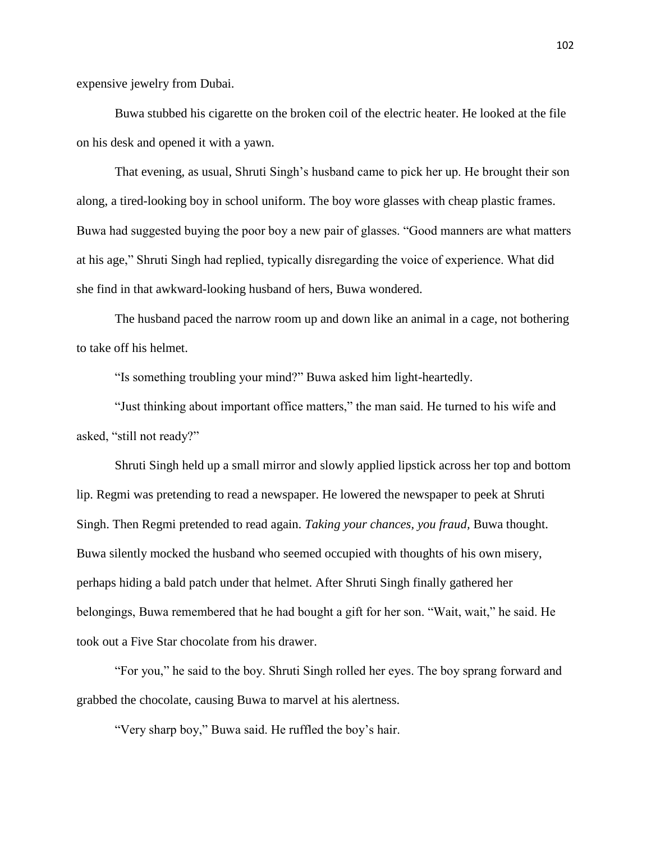expensive jewelry from Dubai.

Buwa stubbed his cigarette on the broken coil of the electric heater. He looked at the file on his desk and opened it with a yawn.

That evening, as usual, Shruti Singh's husband came to pick her up. He brought their son along, a tired-looking boy in school uniform. The boy wore glasses with cheap plastic frames. Buwa had suggested buying the poor boy a new pair of glasses. "Good manners are what matters at his age," Shruti Singh had replied, typically disregarding the voice of experience. What did she find in that awkward-looking husband of hers, Buwa wondered.

The husband paced the narrow room up and down like an animal in a cage, not bothering to take off his helmet.

"Is something troubling your mind?" Buwa asked him light-heartedly.

"Just thinking about important office matters," the man said. He turned to his wife and asked, "still not ready?"

Shruti Singh held up a small mirror and slowly applied lipstick across her top and bottom lip. Regmi was pretending to read a newspaper. He lowered the newspaper to peek at Shruti Singh. Then Regmi pretended to read again. *Taking your chances, you fraud,* Buwa thought. Buwa silently mocked the husband who seemed occupied with thoughts of his own misery, perhaps hiding a bald patch under that helmet. After Shruti Singh finally gathered her belongings, Buwa remembered that he had bought a gift for her son. "Wait, wait," he said. He took out a Five Star chocolate from his drawer.

"For you," he said to the boy. Shruti Singh rolled her eyes. The boy sprang forward and grabbed the chocolate, causing Buwa to marvel at his alertness.

"Very sharp boy," Buwa said. He ruffled the boy's hair.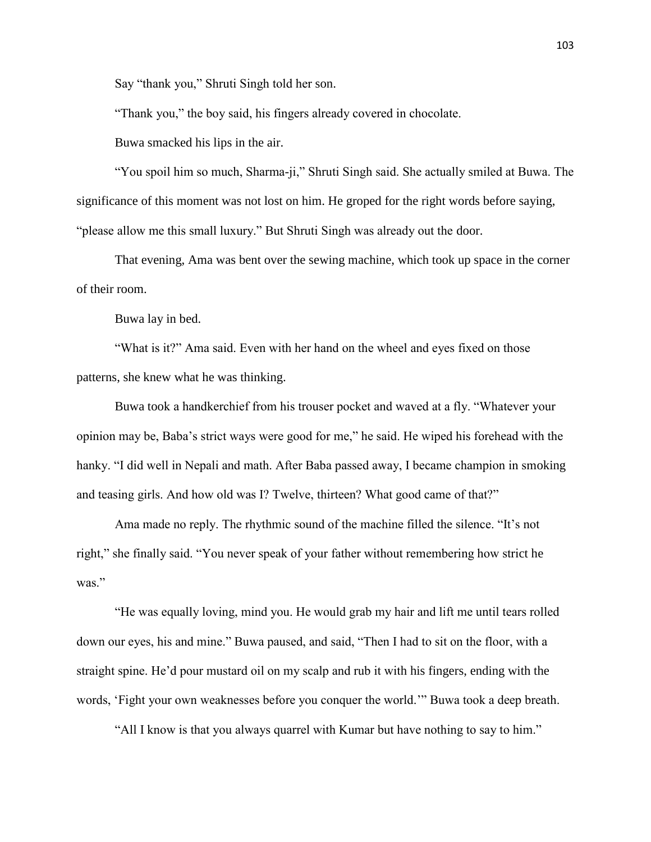Say "thank you," Shruti Singh told her son.

"Thank you," the boy said, his fingers already covered in chocolate.

Buwa smacked his lips in the air.

"You spoil him so much, Sharma-ji," Shruti Singh said. She actually smiled at Buwa. The significance of this moment was not lost on him. He groped for the right words before saying, "please allow me this small luxury." But Shruti Singh was already out the door.

That evening, Ama was bent over the sewing machine, which took up space in the corner of their room.

Buwa lay in bed.

"What is it?" Ama said. Even with her hand on the wheel and eyes fixed on those patterns, she knew what he was thinking.

Buwa took a handkerchief from his trouser pocket and waved at a fly. "Whatever your opinion may be, Baba's strict ways were good for me," he said. He wiped his forehead with the hanky. "I did well in Nepali and math. After Baba passed away, I became champion in smoking and teasing girls. And how old was I? Twelve, thirteen? What good came of that?"

Ama made no reply. The rhythmic sound of the machine filled the silence. "It's not right," she finally said. "You never speak of your father without remembering how strict he was."

"He was equally loving, mind you. He would grab my hair and lift me until tears rolled down our eyes, his and mine." Buwa paused, and said, "Then I had to sit on the floor, with a straight spine. He'd pour mustard oil on my scalp and rub it with his fingers, ending with the words, 'Fight your own weaknesses before you conquer the world.'" Buwa took a deep breath.

"All I know is that you always quarrel with Kumar but have nothing to say to him."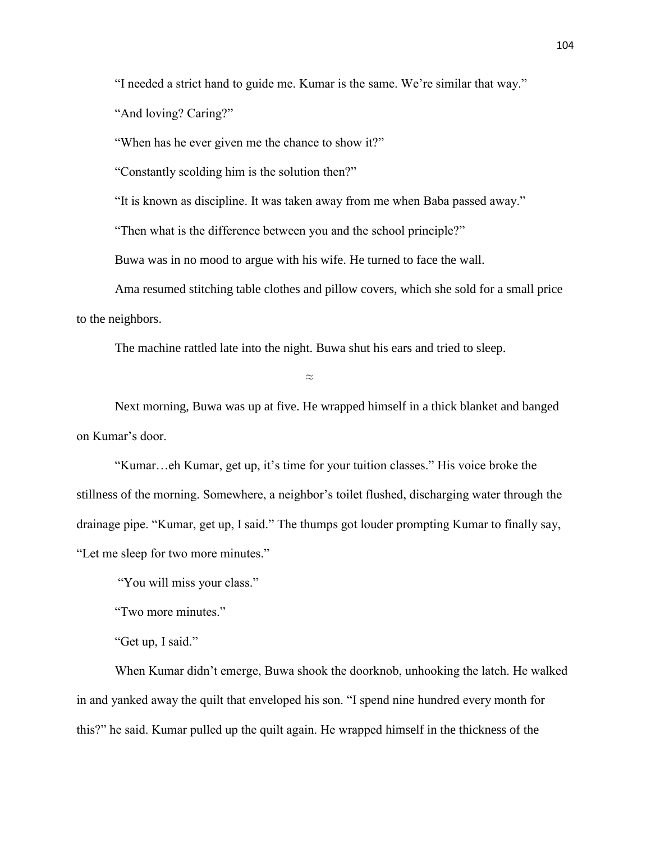"I needed a strict hand to guide me. Kumar is the same. We're similar that way."

"And loving? Caring?"

"When has he ever given me the chance to show it?"

"Constantly scolding him is the solution then?"

"It is known as discipline. It was taken away from me when Baba passed away."

"Then what is the difference between you and the school principle?"

Buwa was in no mood to argue with his wife. He turned to face the wall.

Ama resumed stitching table clothes and pillow covers, which she sold for a small price to the neighbors.

The machine rattled late into the night. Buwa shut his ears and tried to sleep.

 $\approx$ 

Next morning, Buwa was up at five. He wrapped himself in a thick blanket and banged on Kumar's door.

"Kumar…eh Kumar, get up, it's time for your tuition classes." His voice broke the stillness of the morning. Somewhere, a neighbor's toilet flushed, discharging water through the drainage pipe. "Kumar, get up, I said." The thumps got louder prompting Kumar to finally say, "Let me sleep for two more minutes."

"You will miss your class."

"Two more minutes."

"Get up, I said."

When Kumar didn't emerge, Buwa shook the doorknob, unhooking the latch. He walked in and yanked away the quilt that enveloped his son. "I spend nine hundred every month for this?" he said. Kumar pulled up the quilt again. He wrapped himself in the thickness of the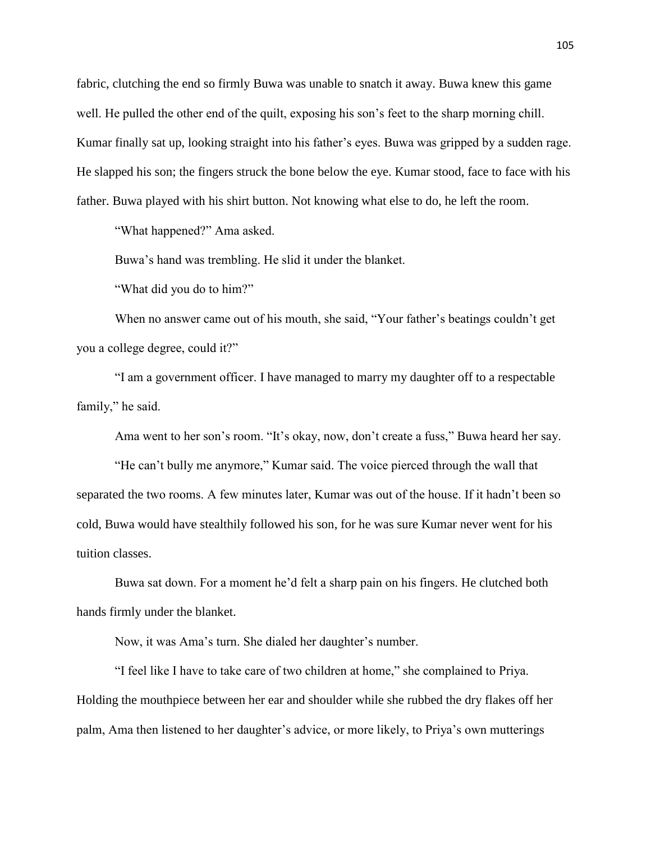fabric, clutching the end so firmly Buwa was unable to snatch it away. Buwa knew this game well. He pulled the other end of the quilt, exposing his son's feet to the sharp morning chill. Kumar finally sat up, looking straight into his father's eyes. Buwa was gripped by a sudden rage. He slapped his son; the fingers struck the bone below the eye. Kumar stood, face to face with his father. Buwa played with his shirt button. Not knowing what else to do, he left the room.

"What happened?" Ama asked.

Buwa's hand was trembling. He slid it under the blanket.

"What did you do to him?"

When no answer came out of his mouth, she said, "Your father's beatings couldn't get you a college degree, could it?"

"I am a government officer. I have managed to marry my daughter off to a respectable family," he said.

Ama went to her son's room. "It's okay, now, don't create a fuss," Buwa heard her say.

"He can't bully me anymore," Kumar said. The voice pierced through the wall that separated the two rooms. A few minutes later, Kumar was out of the house. If it hadn't been so cold, Buwa would have stealthily followed his son, for he was sure Kumar never went for his tuition classes.

Buwa sat down. For a moment he'd felt a sharp pain on his fingers. He clutched both hands firmly under the blanket.

Now, it was Ama's turn. She dialed her daughter's number.

"I feel like I have to take care of two children at home," she complained to Priya. Holding the mouthpiece between her ear and shoulder while she rubbed the dry flakes off her palm, Ama then listened to her daughter's advice, or more likely, to Priya's own mutterings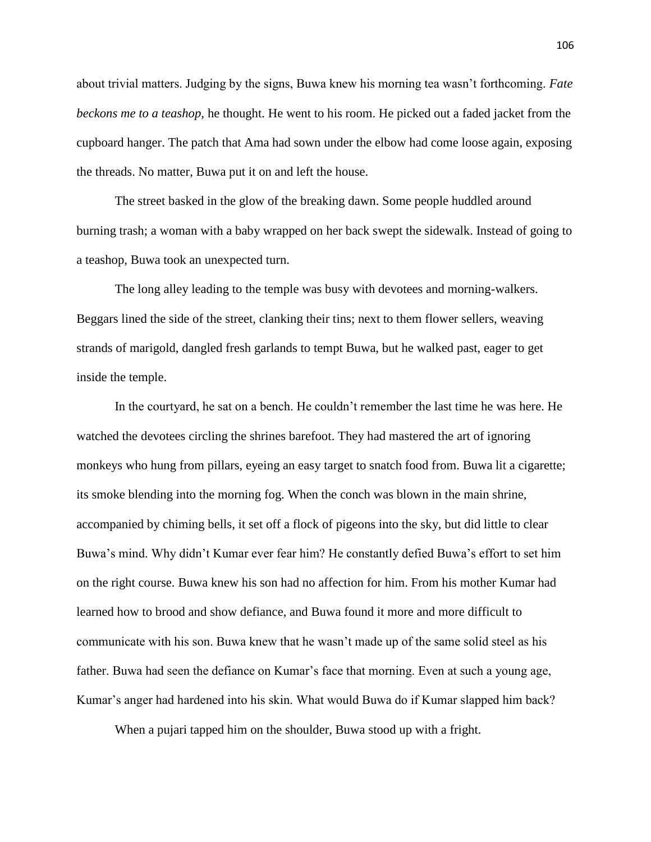about trivial matters. Judging by the signs, Buwa knew his morning tea wasn't forthcoming. *Fate beckons me to a teashop,* he thought. He went to his room. He picked out a faded jacket from the cupboard hanger. The patch that Ama had sown under the elbow had come loose again, exposing the threads. No matter, Buwa put it on and left the house.

The street basked in the glow of the breaking dawn. Some people huddled around burning trash; a woman with a baby wrapped on her back swept the sidewalk. Instead of going to a teashop, Buwa took an unexpected turn.

The long alley leading to the temple was busy with devotees and morning-walkers. Beggars lined the side of the street, clanking their tins; next to them flower sellers, weaving strands of marigold, dangled fresh garlands to tempt Buwa, but he walked past, eager to get inside the temple.

In the courtyard, he sat on a bench. He couldn't remember the last time he was here. He watched the devotees circling the shrines barefoot. They had mastered the art of ignoring monkeys who hung from pillars, eyeing an easy target to snatch food from. Buwa lit a cigarette; its smoke blending into the morning fog. When the conch was blown in the main shrine, accompanied by chiming bells, it set off a flock of pigeons into the sky, but did little to clear Buwa's mind. Why didn't Kumar ever fear him? He constantly defied Buwa's effort to set him on the right course. Buwa knew his son had no affection for him. From his mother Kumar had learned how to brood and show defiance, and Buwa found it more and more difficult to communicate with his son. Buwa knew that he wasn't made up of the same solid steel as his father. Buwa had seen the defiance on Kumar's face that morning. Even at such a young age, Kumar's anger had hardened into his skin. What would Buwa do if Kumar slapped him back?

When a pujari tapped him on the shoulder, Buwa stood up with a fright.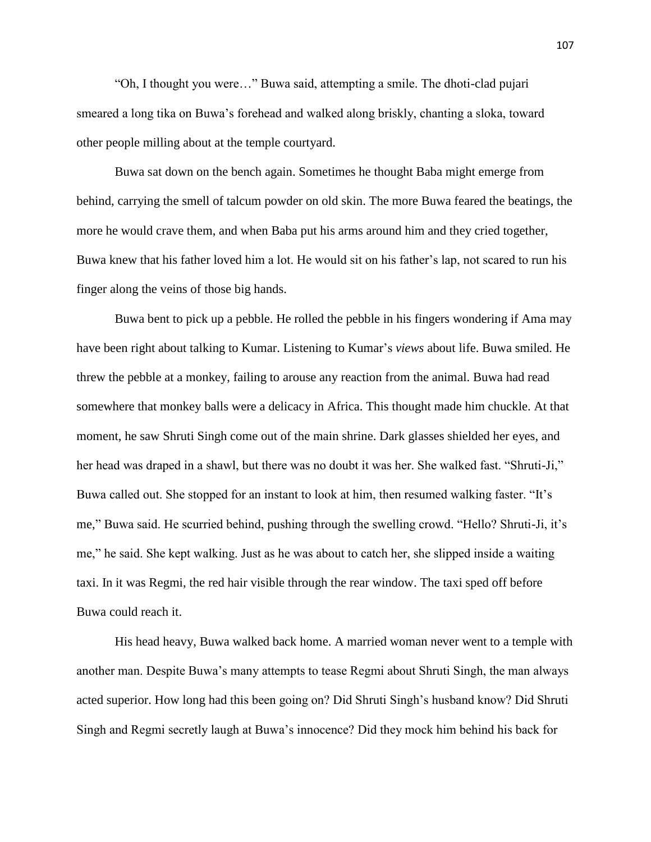"Oh, I thought you were…" Buwa said, attempting a smile. The dhoti-clad pujari smeared a long tika on Buwa's forehead and walked along briskly, chanting a sloka, toward other people milling about at the temple courtyard.

Buwa sat down on the bench again. Sometimes he thought Baba might emerge from behind, carrying the smell of talcum powder on old skin. The more Buwa feared the beatings, the more he would crave them, and when Baba put his arms around him and they cried together, Buwa knew that his father loved him a lot. He would sit on his father's lap, not scared to run his finger along the veins of those big hands.

Buwa bent to pick up a pebble. He rolled the pebble in his fingers wondering if Ama may have been right about talking to Kumar. Listening to Kumar's *views* about life. Buwa smiled. He threw the pebble at a monkey, failing to arouse any reaction from the animal. Buwa had read somewhere that monkey balls were a delicacy in Africa. This thought made him chuckle. At that moment, he saw Shruti Singh come out of the main shrine. Dark glasses shielded her eyes, and her head was draped in a shawl, but there was no doubt it was her. She walked fast. "Shruti-Ji," Buwa called out. She stopped for an instant to look at him, then resumed walking faster. "It's me," Buwa said. He scurried behind, pushing through the swelling crowd. "Hello? Shruti-Ji, it's me," he said. She kept walking. Just as he was about to catch her, she slipped inside a waiting taxi. In it was Regmi, the red hair visible through the rear window. The taxi sped off before Buwa could reach it.

His head heavy, Buwa walked back home. A married woman never went to a temple with another man. Despite Buwa's many attempts to tease Regmi about Shruti Singh, the man always acted superior. How long had this been going on? Did Shruti Singh's husband know? Did Shruti Singh and Regmi secretly laugh at Buwa's innocence? Did they mock him behind his back for

107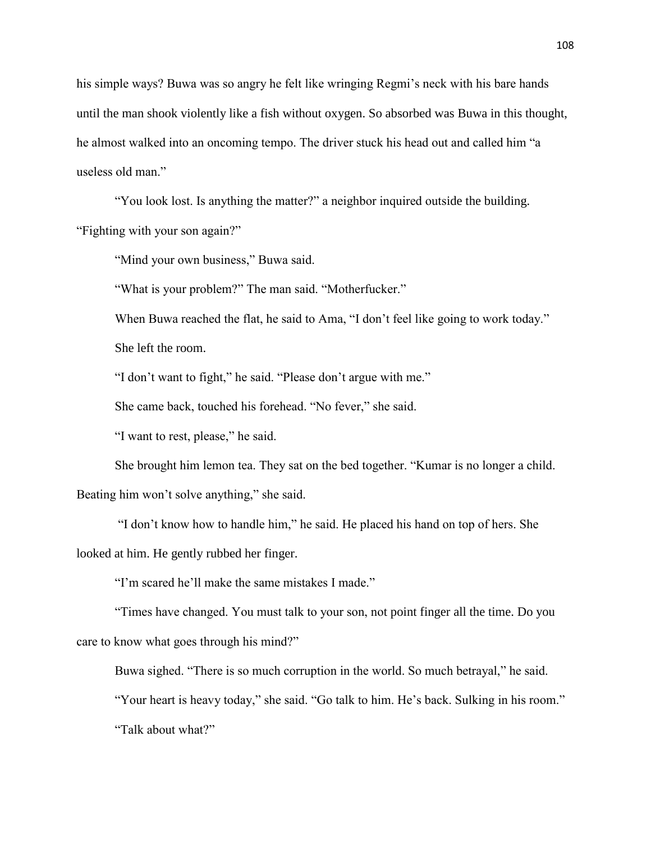his simple ways? Buwa was so angry he felt like wringing Regmi's neck with his bare hands until the man shook violently like a fish without oxygen. So absorbed was Buwa in this thought, he almost walked into an oncoming tempo. The driver stuck his head out and called him "a useless old man."

"You look lost. Is anything the matter?" a neighbor inquired outside the building. "Fighting with your son again?"

"Mind your own business," Buwa said.

"What is your problem?" The man said. "Motherfucker."

When Buwa reached the flat, he said to Ama, "I don't feel like going to work today."

She left the room.

"I don't want to fight," he said. "Please don't argue with me."

She came back, touched his forehead. "No fever," she said.

"I want to rest, please," he said.

She brought him lemon tea. They sat on the bed together. "Kumar is no longer a child. Beating him won't solve anything," she said.

"I don't know how to handle him," he said. He placed his hand on top of hers. She looked at him. He gently rubbed her finger.

"I'm scared he'll make the same mistakes I made."

"Times have changed. You must talk to your son, not point finger all the time. Do you care to know what goes through his mind?"

Buwa sighed. "There is so much corruption in the world. So much betrayal," he said.

"Your heart is heavy today," she said. "Go talk to him. He's back. Sulking in his room."

"Talk about what?"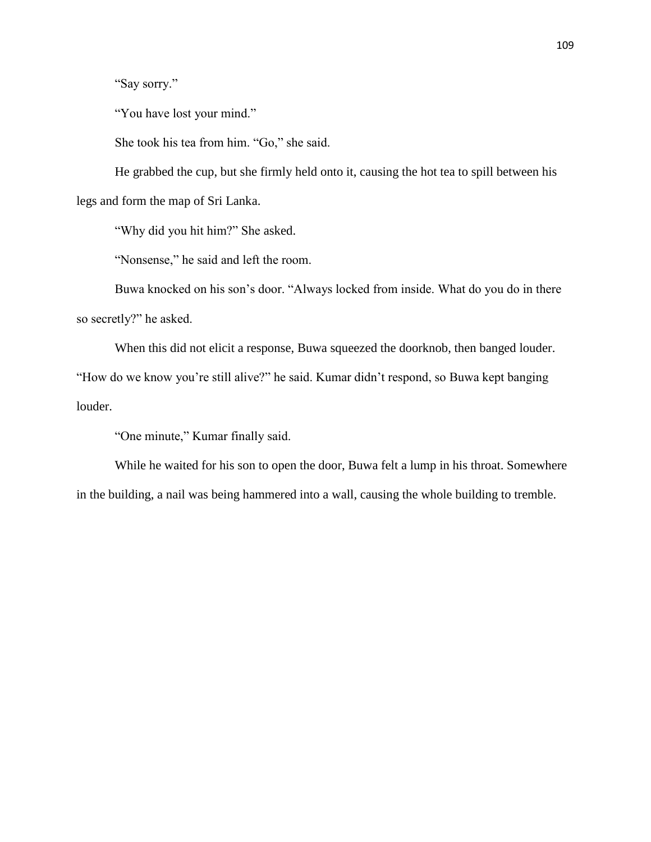"Say sorry."

"You have lost your mind."

She took his tea from him. "Go," she said.

He grabbed the cup, but she firmly held onto it, causing the hot tea to spill between his legs and form the map of Sri Lanka.

"Why did you hit him?" She asked.

"Nonsense," he said and left the room.

Buwa knocked on his son's door. "Always locked from inside. What do you do in there so secretly?" he asked.

When this did not elicit a response, Buwa squeezed the doorknob, then banged louder. "How do we know you're still alive?" he said. Kumar didn't respond, so Buwa kept banging louder.

"One minute," Kumar finally said.

While he waited for his son to open the door, Buwa felt a lump in his throat. Somewhere in the building, a nail was being hammered into a wall, causing the whole building to tremble.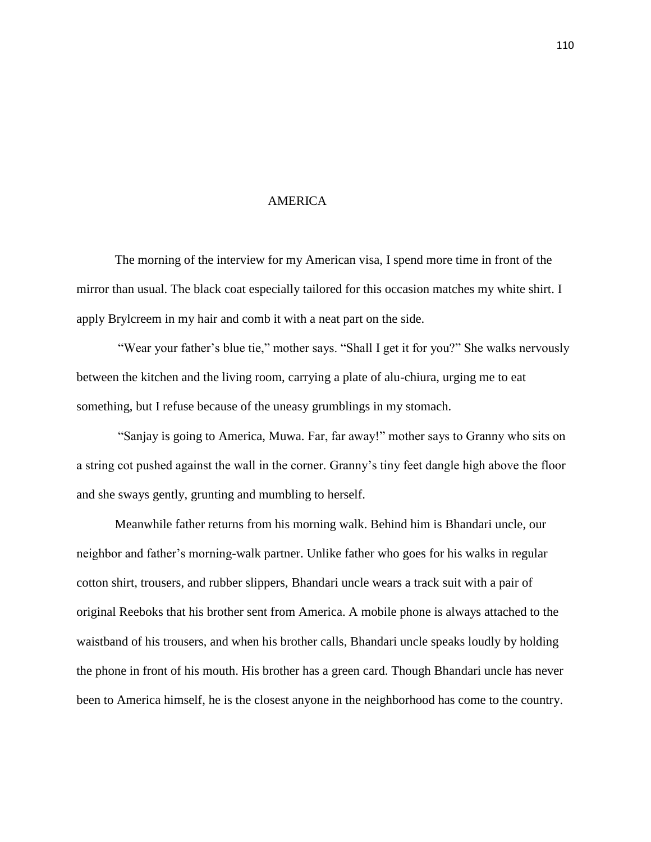## AMERICA

The morning of the interview for my American visa, I spend more time in front of the mirror than usual. The black coat especially tailored for this occasion matches my white shirt. I apply Brylcreem in my hair and comb it with a neat part on the side.

"Wear your father's blue tie," mother says. "Shall I get it for you?" She walks nervously between the kitchen and the living room, carrying a plate of alu-chiura, urging me to eat something, but I refuse because of the uneasy grumblings in my stomach.

"Sanjay is going to America, Muwa. Far, far away!" mother says to Granny who sits on a string cot pushed against the wall in the corner. Granny's tiny feet dangle high above the floor and she sways gently, grunting and mumbling to herself.

Meanwhile father returns from his morning walk. Behind him is Bhandari uncle, our neighbor and father's morning-walk partner. Unlike father who goes for his walks in regular cotton shirt, trousers, and rubber slippers, Bhandari uncle wears a track suit with a pair of original Reeboks that his brother sent from America. A mobile phone is always attached to the waistband of his trousers, and when his brother calls, Bhandari uncle speaks loudly by holding the phone in front of his mouth. His brother has a green card. Though Bhandari uncle has never been to America himself, he is the closest anyone in the neighborhood has come to the country.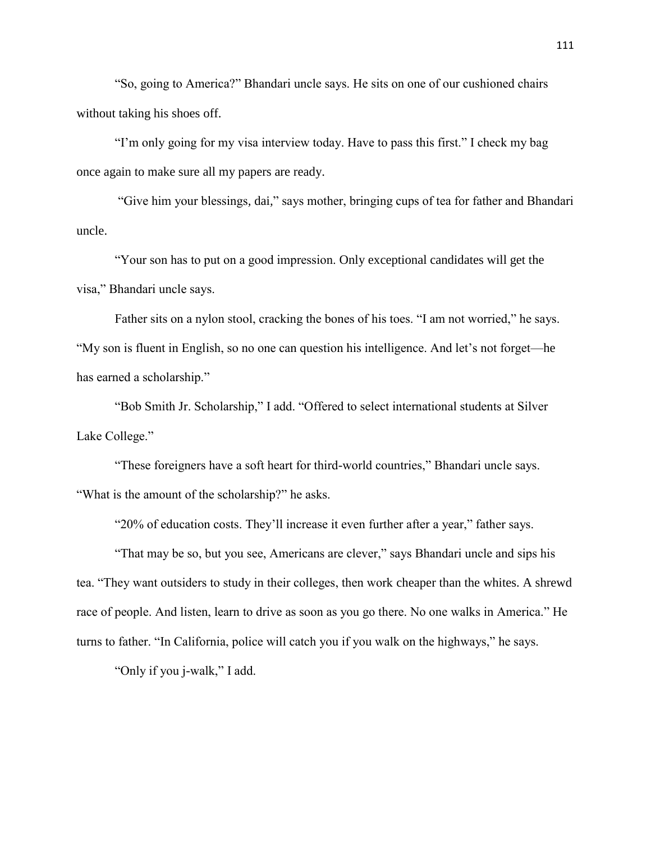"So, going to America?" Bhandari uncle says. He sits on one of our cushioned chairs without taking his shoes off.

"I'm only going for my visa interview today. Have to pass this first." I check my bag once again to make sure all my papers are ready.

"Give him your blessings*,* dai*,*" says mother, bringing cups of tea for father and Bhandari uncle.

"Your son has to put on a good impression. Only exceptional candidates will get the visa," Bhandari uncle says.

Father sits on a nylon stool, cracking the bones of his toes. "I am not worried," he says. "My son is fluent in English, so no one can question his intelligence. And let's not forget—he has earned a scholarship."

"Bob Smith Jr. Scholarship," I add. "Offered to select international students at Silver Lake College."

"These foreigners have a soft heart for third-world countries," Bhandari uncle says. "What is the amount of the scholarship?" he asks.

"20% of education costs. They'll increase it even further after a year," father says.

"That may be so, but you see, Americans are clever," says Bhandari uncle and sips his tea. "They want outsiders to study in their colleges, then work cheaper than the whites. A shrewd race of people. And listen, learn to drive as soon as you go there. No one walks in America." He turns to father. "In California, police will catch you if you walk on the highways," he says.

"Only if you j-walk," I add.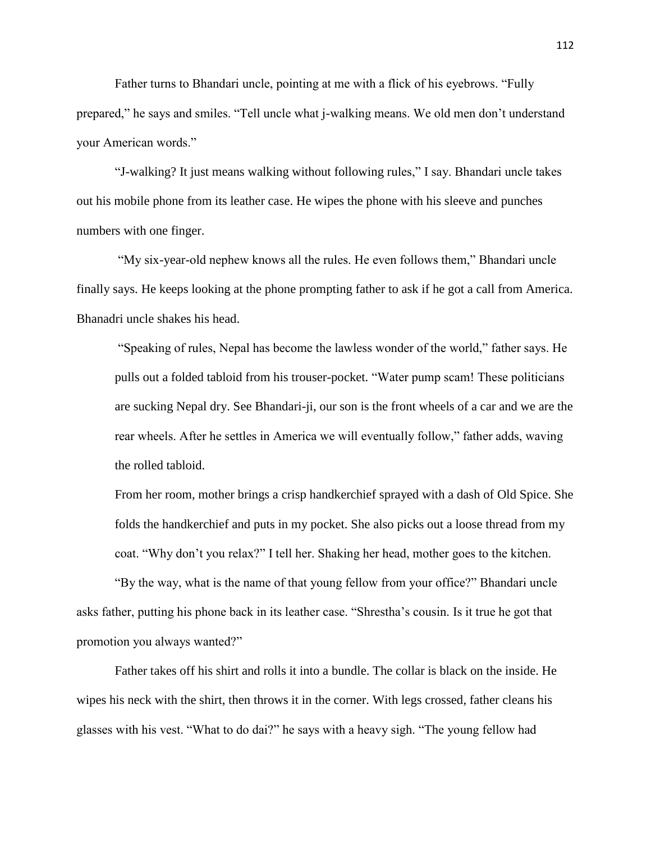Father turns to Bhandari uncle, pointing at me with a flick of his eyebrows. "Fully prepared," he says and smiles. "Tell uncle what j-walking means. We old men don't understand your American words."

"J-walking? It just means walking without following rules," I say. Bhandari uncle takes out his mobile phone from its leather case. He wipes the phone with his sleeve and punches numbers with one finger.

"My six-year-old nephew knows all the rules. He even follows them," Bhandari uncle finally says. He keeps looking at the phone prompting father to ask if he got a call from America. Bhanadri uncle shakes his head.

"Speaking of rules, Nepal has become the lawless wonder of the world," father says. He pulls out a folded tabloid from his trouser-pocket. "Water pump scam! These politicians are sucking Nepal dry. See Bhandari-ji, our son is the front wheels of a car and we are the rear wheels. After he settles in America we will eventually follow," father adds, waving the rolled tabloid.

From her room, mother brings a crisp handkerchief sprayed with a dash of Old Spice. She folds the handkerchief and puts in my pocket. She also picks out a loose thread from my coat. "Why don't you relax?" I tell her. Shaking her head, mother goes to the kitchen.

"By the way, what is the name of that young fellow from your office?" Bhandari uncle asks father, putting his phone back in its leather case. "Shrestha's cousin. Is it true he got that promotion you always wanted?"

Father takes off his shirt and rolls it into a bundle. The collar is black on the inside. He wipes his neck with the shirt, then throws it in the corner. With legs crossed, father cleans his glasses with his vest. "What to do dai?" he says with a heavy sigh. "The young fellow had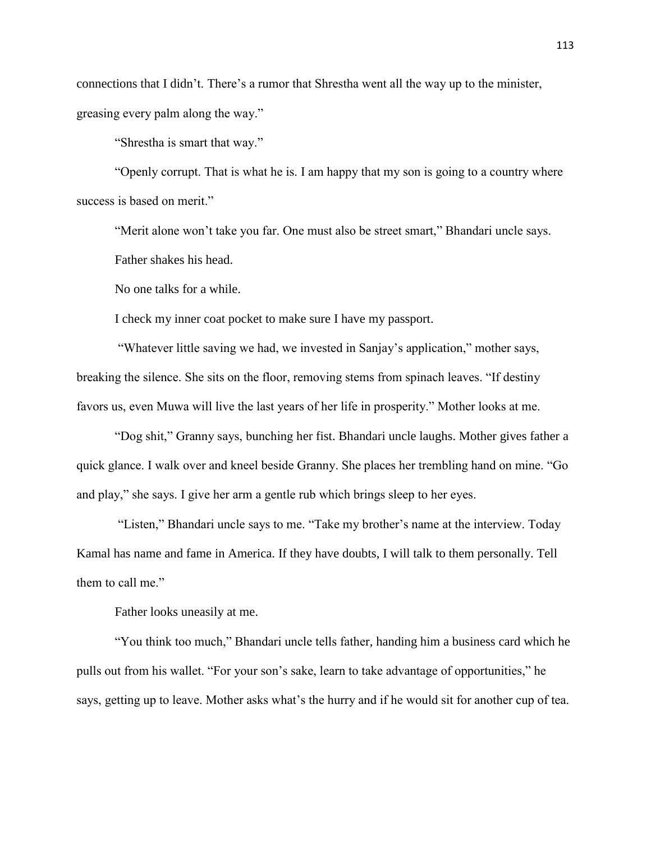connections that I didn't. There's a rumor that Shrestha went all the way up to the minister, greasing every palm along the way."

"Shrestha is smart that way."

"Openly corrupt. That is what he is. I am happy that my son is going to a country where success is based on merit."

"Merit alone won't take you far. One must also be street smart," Bhandari uncle says. Father shakes his head.

No one talks for a while.

I check my inner coat pocket to make sure I have my passport.

"Whatever little saving we had, we invested in Sanjay's application," mother says, breaking the silence. She sits on the floor, removing stems from spinach leaves. "If destiny favors us, even Muwa will live the last years of her life in prosperity." Mother looks at me.

"Dog shit," Granny says, bunching her fist. Bhandari uncle laughs. Mother gives father a quick glance. I walk over and kneel beside Granny. She places her trembling hand on mine. "Go and play," she says. I give her arm a gentle rub which brings sleep to her eyes.

"Listen," Bhandari uncle says to me. "Take my brother's name at the interview. Today Kamal has name and fame in America. If they have doubts, I will talk to them personally. Tell them to call me."

Father looks uneasily at me.

"You think too much," Bhandari uncle tells father, handing him a business card which he pulls out from his wallet. "For your son's sake, learn to take advantage of opportunities," he says, getting up to leave. Mother asks what's the hurry and if he would sit for another cup of tea.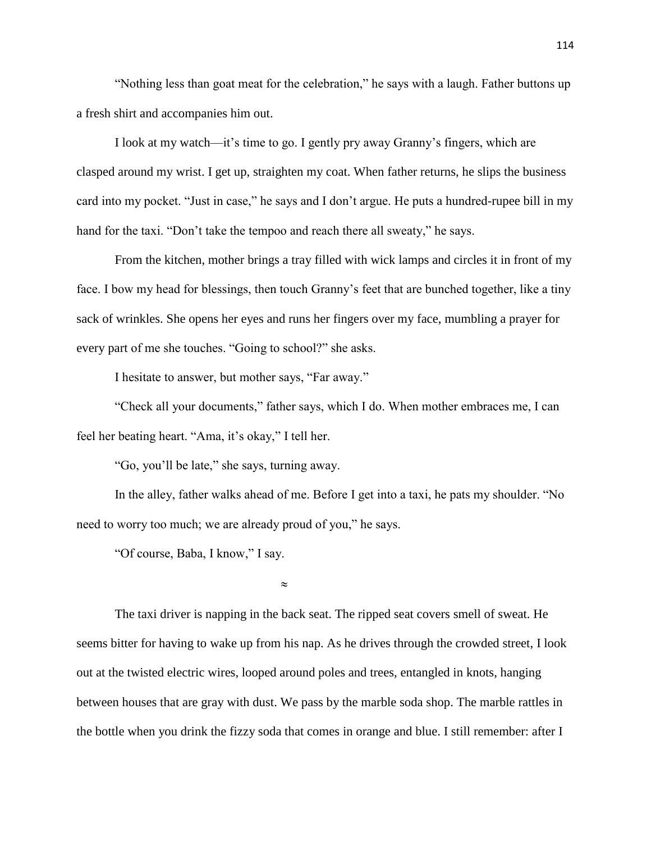"Nothing less than goat meat for the celebration," he says with a laugh. Father buttons up a fresh shirt and accompanies him out.

I look at my watch—it's time to go. I gently pry away Granny's fingers, which are clasped around my wrist. I get up, straighten my coat. When father returns, he slips the business card into my pocket. "Just in case," he says and I don't argue. He puts a hundred-rupee bill in my hand for the taxi. "Don't take the tempoo and reach there all sweaty," he says.

From the kitchen, mother brings a tray filled with wick lamps and circles it in front of my face. I bow my head for blessings, then touch Granny's feet that are bunched together, like a tiny sack of wrinkles. She opens her eyes and runs her fingers over my face, mumbling a prayer for every part of me she touches. "Going to school?" she asks.

I hesitate to answer, but mother says, "Far away."

"Check all your documents," father says, which I do. When mother embraces me, I can feel her beating heart. "Ama, it's okay," I tell her.

"Go, you'll be late," she says, turning away.

In the alley, father walks ahead of me. Before I get into a taxi, he pats my shoulder. "No need to worry too much; we are already proud of you," he says.

"Of course, Baba, I know," I say.

 $\approx$ 

The taxi driver is napping in the back seat. The ripped seat covers smell of sweat. He seems bitter for having to wake up from his nap. As he drives through the crowded street, I look out at the twisted electric wires, looped around poles and trees, entangled in knots, hanging between houses that are gray with dust. We pass by the marble soda shop. The marble rattles in the bottle when you drink the fizzy soda that comes in orange and blue. I still remember: after I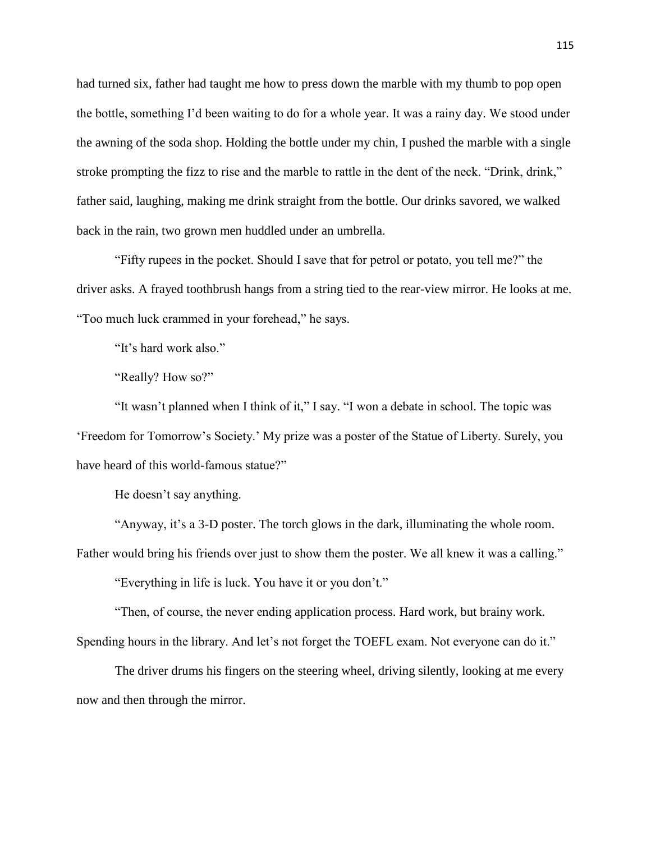had turned six, father had taught me how to press down the marble with my thumb to pop open the bottle, something I'd been waiting to do for a whole year. It was a rainy day. We stood under the awning of the soda shop. Holding the bottle under my chin, I pushed the marble with a single stroke prompting the fizz to rise and the marble to rattle in the dent of the neck. "Drink, drink," father said, laughing, making me drink straight from the bottle. Our drinks savored, we walked back in the rain, two grown men huddled under an umbrella.

"Fifty rupees in the pocket. Should I save that for petrol or potato, you tell me?" the driver asks. A frayed toothbrush hangs from a string tied to the rear-view mirror. He looks at me. "Too much luck crammed in your forehead," he says.

"It's hard work also."

"Really? How so?"

"It wasn't planned when I think of it," I say. "I won a debate in school. The topic was 'Freedom for Tomorrow's Society.' My prize was a poster of the Statue of Liberty. Surely, you have heard of this world-famous statue?"

He doesn't say anything.

"Anyway, it's a 3-D poster. The torch glows in the dark, illuminating the whole room. Father would bring his friends over just to show them the poster. We all knew it was a calling."

"Everything in life is luck. You have it or you don't."

"Then, of course, the never ending application process. Hard work, but brainy work. Spending hours in the library. And let's not forget the TOEFL exam. Not everyone can do it."

The driver drums his fingers on the steering wheel, driving silently, looking at me every now and then through the mirror.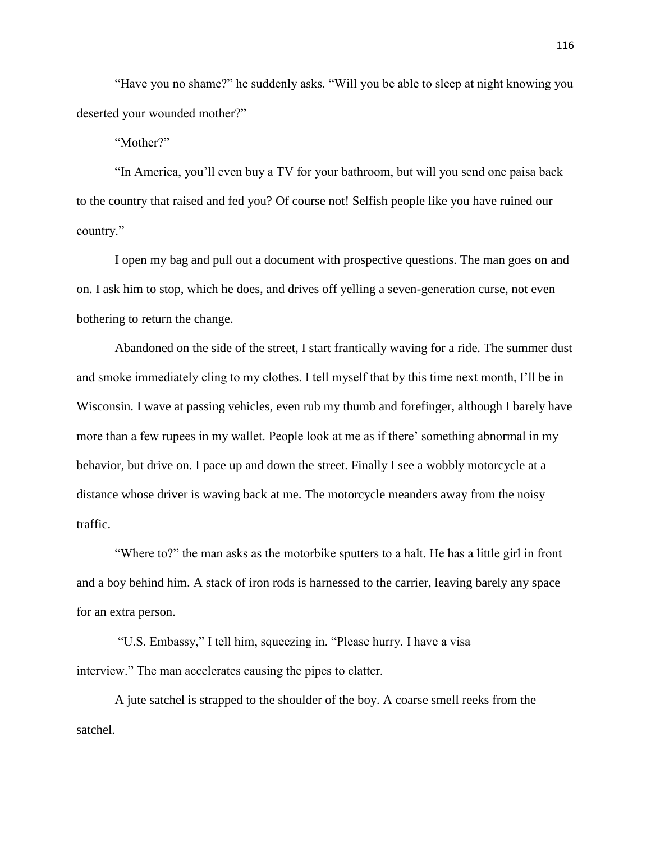"Have you no shame?" he suddenly asks. "Will you be able to sleep at night knowing you deserted your wounded mother?"

"Mother?"

"In America, you'll even buy a TV for your bathroom, but will you send one paisa back to the country that raised and fed you? Of course not! Selfish people like you have ruined our country."

I open my bag and pull out a document with prospective questions. The man goes on and on. I ask him to stop, which he does, and drives off yelling a seven-generation curse, not even bothering to return the change.

Abandoned on the side of the street, I start frantically waving for a ride. The summer dust and smoke immediately cling to my clothes. I tell myself that by this time next month, I'll be in Wisconsin. I wave at passing vehicles, even rub my thumb and forefinger, although I barely have more than a few rupees in my wallet. People look at me as if there' something abnormal in my behavior, but drive on. I pace up and down the street. Finally I see a wobbly motorcycle at a distance whose driver is waving back at me. The motorcycle meanders away from the noisy traffic.

"Where to?" the man asks as the motorbike sputters to a halt. He has a little girl in front and a boy behind him. A stack of iron rods is harnessed to the carrier, leaving barely any space for an extra person.

"U.S. Embassy," I tell him, squeezing in. "Please hurry. I have a visa interview." The man accelerates causing the pipes to clatter.

A jute satchel is strapped to the shoulder of the boy. A coarse smell reeks from the satchel.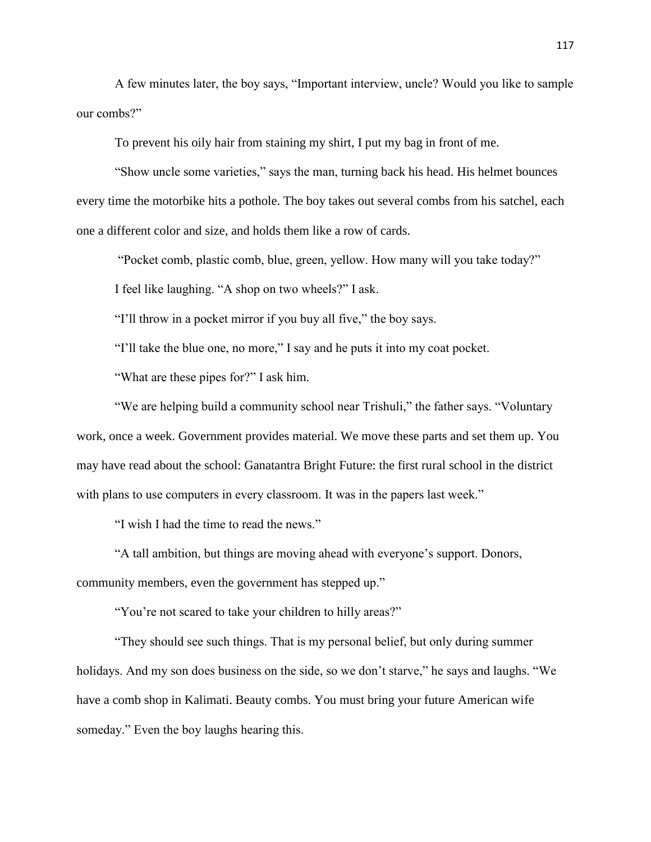A few minutes later, the boy says, "Important interview, uncle? Would you like to sample our combs?"

To prevent his oily hair from staining my shirt, I put my bag in front of me.

"Show uncle some varieties," says the man, turning back his head. His helmet bounces every time the motorbike hits a pothole. The boy takes out several combs from his satchel, each one a different color and size, and holds them like a row of cards.

"Pocket comb, plastic comb, blue, green, yellow. How many will you take today?"

I feel like laughing. "A shop on two wheels?" I ask.

"I'll throw in a pocket mirror if you buy all five," the boy says.

"I'll take the blue one, no more," I say and he puts it into my coat pocket.

"What are these pipes for?" I ask him.

"We are helping build a community school near Trishuli," the father says. "Voluntary work, once a week. Government provides material. We move these parts and set them up. You may have read about the school: Ganatantra Bright Future: the first rural school in the district with plans to use computers in every classroom. It was in the papers last week."

"I wish I had the time to read the news."

"A tall ambition, but things are moving ahead with everyone's support. Donors, community members, even the government has stepped up."

"You're not scared to take your children to hilly areas?"

"They should see such things. That is my personal belief, but only during summer holidays. And my son does business on the side, so we don't starve," he says and laughs. "We have a comb shop in Kalimati. Beauty combs. You must bring your future American wife someday." Even the boy laughs hearing this.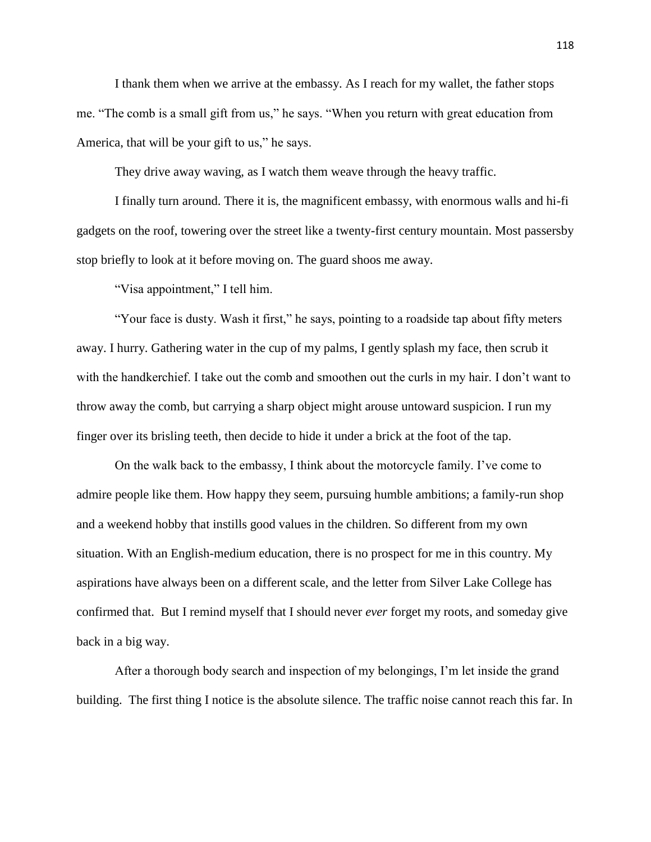I thank them when we arrive at the embassy. As I reach for my wallet, the father stops me. "The comb is a small gift from us," he says. "When you return with great education from America, that will be your gift to us," he says.

They drive away waving, as I watch them weave through the heavy traffic.

I finally turn around. There it is, the magnificent embassy, with enormous walls and hi-fi gadgets on the roof, towering over the street like a twenty-first century mountain. Most passersby stop briefly to look at it before moving on. The guard shoos me away.

"Visa appointment," I tell him.

"Your face is dusty. Wash it first," he says, pointing to a roadside tap about fifty meters away. I hurry. Gathering water in the cup of my palms, I gently splash my face, then scrub it with the handkerchief. I take out the comb and smoothen out the curls in my hair. I don't want to throw away the comb, but carrying a sharp object might arouse untoward suspicion. I run my finger over its brisling teeth, then decide to hide it under a brick at the foot of the tap.

On the walk back to the embassy, I think about the motorcycle family. I've come to admire people like them. How happy they seem, pursuing humble ambitions; a family-run shop and a weekend hobby that instills good values in the children. So different from my own situation. With an English-medium education, there is no prospect for me in this country. My aspirations have always been on a different scale, and the letter from Silver Lake College has confirmed that. But I remind myself that I should never *ever* forget my roots, and someday give back in a big way.

After a thorough body search and inspection of my belongings, I'm let inside the grand building. The first thing I notice is the absolute silence. The traffic noise cannot reach this far. In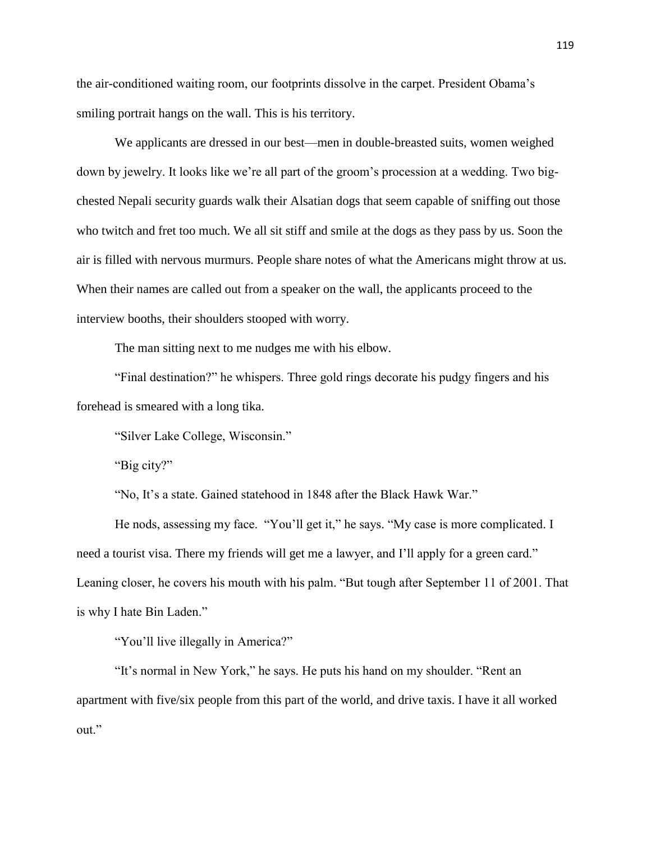the air-conditioned waiting room, our footprints dissolve in the carpet. President Obama's smiling portrait hangs on the wall. This is his territory.

We applicants are dressed in our best—men in double-breasted suits, women weighed down by jewelry. It looks like we're all part of the groom's procession at a wedding. Two bigchested Nepali security guards walk their Alsatian dogs that seem capable of sniffing out those who twitch and fret too much. We all sit stiff and smile at the dogs as they pass by us. Soon the air is filled with nervous murmurs. People share notes of what the Americans might throw at us. When their names are called out from a speaker on the wall, the applicants proceed to the interview booths, their shoulders stooped with worry.

The man sitting next to me nudges me with his elbow.

"Final destination?" he whispers. Three gold rings decorate his pudgy fingers and his forehead is smeared with a long tika.

"Silver Lake College, Wisconsin."

"Big city?"

"No, It's a state. Gained statehood in 1848 after the Black Hawk War."

He nods, assessing my face. "You'll get it," he says. "My case is more complicated. I need a tourist visa. There my friends will get me a lawyer, and I'll apply for a green card." Leaning closer, he covers his mouth with his palm. "But tough after September 11 of 2001. That is why I hate Bin Laden."

"You'll live illegally in America?"

"It's normal in New York," he says. He puts his hand on my shoulder. "Rent an apartment with five/six people from this part of the world, and drive taxis. I have it all worked out."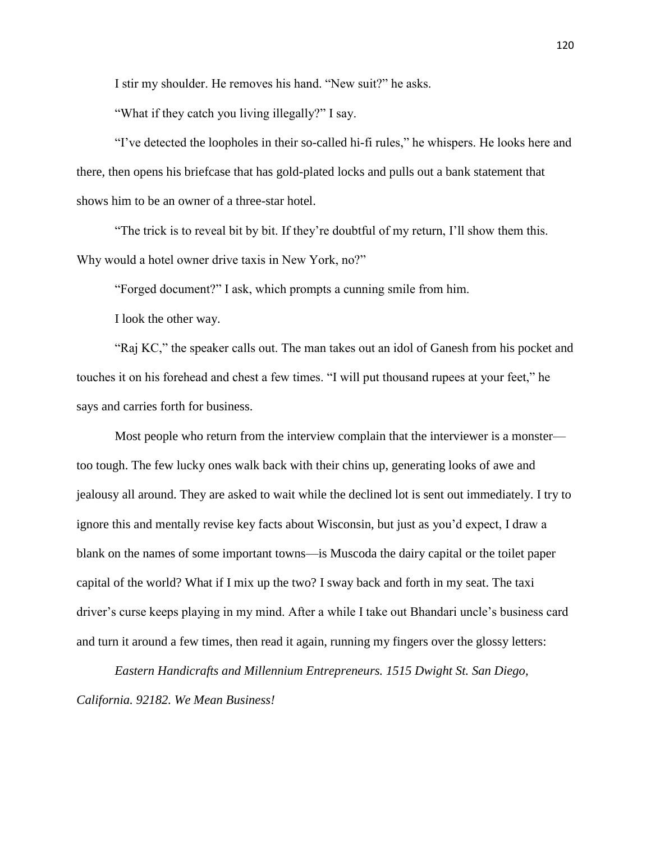I stir my shoulder. He removes his hand. "New suit?" he asks.

"What if they catch you living illegally?" I say.

"I've detected the loopholes in their so-called hi-fi rules," he whispers. He looks here and there, then opens his briefcase that has gold-plated locks and pulls out a bank statement that shows him to be an owner of a three-star hotel.

"The trick is to reveal bit by bit. If they're doubtful of my return, I'll show them this. Why would a hotel owner drive taxis in New York, no?"

"Forged document?" I ask, which prompts a cunning smile from him.

I look the other way.

"Raj KC," the speaker calls out. The man takes out an idol of Ganesh from his pocket and touches it on his forehead and chest a few times. "I will put thousand rupees at your feet," he says and carries forth for business.

Most people who return from the interview complain that the interviewer is a monster too tough. The few lucky ones walk back with their chins up, generating looks of awe and jealousy all around. They are asked to wait while the declined lot is sent out immediately. I try to ignore this and mentally revise key facts about Wisconsin, but just as you'd expect, I draw a blank on the names of some important towns—is Muscoda the dairy capital or the toilet paper capital of the world? What if I mix up the two? I sway back and forth in my seat. The taxi driver's curse keeps playing in my mind. After a while I take out Bhandari uncle's business card and turn it around a few times, then read it again, running my fingers over the glossy letters:

*Eastern Handicrafts and Millennium Entrepreneurs. 1515 Dwight St. San Diego, California. 92182. We Mean Business!*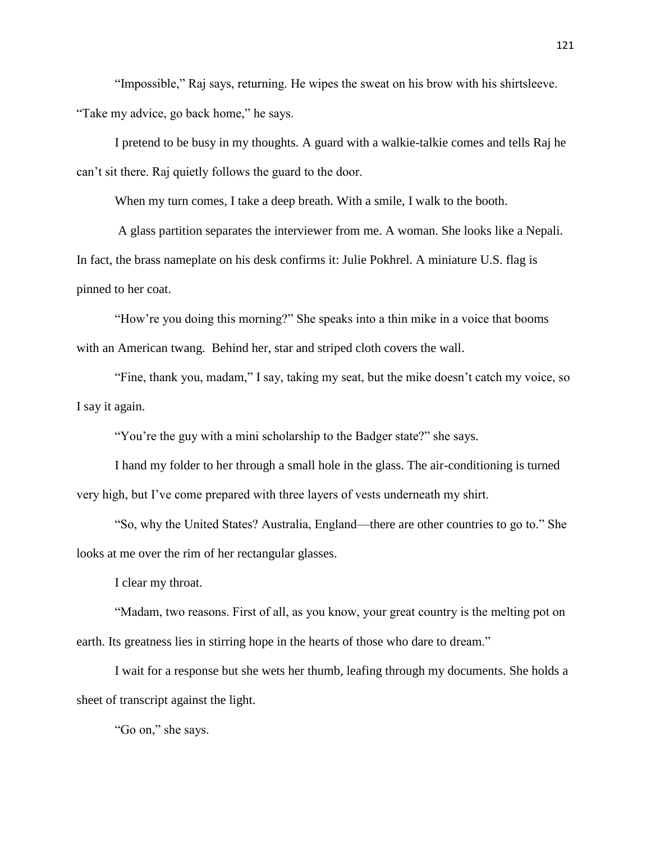"Impossible," Raj says, returning. He wipes the sweat on his brow with his shirtsleeve. "Take my advice, go back home," he says.

I pretend to be busy in my thoughts. A guard with a walkie-talkie comes and tells Raj he can't sit there. Raj quietly follows the guard to the door.

When my turn comes, I take a deep breath. With a smile, I walk to the booth.

A glass partition separates the interviewer from me. A woman. She looks like a Nepali. In fact, the brass nameplate on his desk confirms it: Julie Pokhrel. A miniature U.S. flag is pinned to her coat.

"How're you doing this morning?" She speaks into a thin mike in a voice that booms with an American twang. Behind her, star and striped cloth covers the wall.

"Fine, thank you, madam," I say, taking my seat, but the mike doesn't catch my voice, so I say it again.

"You're the guy with a mini scholarship to the Badger state?" she says.

I hand my folder to her through a small hole in the glass. The air-conditioning is turned very high, but I've come prepared with three layers of vests underneath my shirt.

"So, why the United States? Australia, England—there are other countries to go to." She looks at me over the rim of her rectangular glasses.

I clear my throat.

"Madam, two reasons. First of all, as you know, your great country is the melting pot on earth. Its greatness lies in stirring hope in the hearts of those who dare to dream."

I wait for a response but she wets her thumb, leafing through my documents. She holds a sheet of transcript against the light.

"Go on," she says.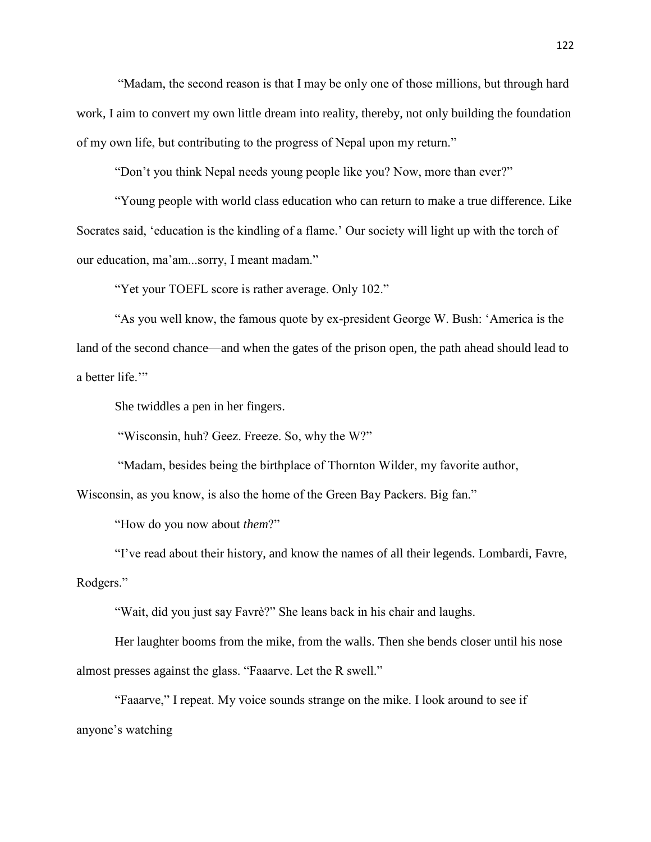"Madam, the second reason is that I may be only one of those millions, but through hard work, I aim to convert my own little dream into reality, thereby, not only building the foundation of my own life, but contributing to the progress of Nepal upon my return."

"Don't you think Nepal needs young people like you? Now, more than ever?"

"Young people with world class education who can return to make a true difference. Like Socrates said, 'education is the kindling of a flame.' Our society will light up with the torch of our education, ma'am...sorry, I meant madam."

"Yet your TOEFL score is rather average. Only 102."

"As you well know, the famous quote by ex-president George W. Bush: 'America is the land of the second chance—and when the gates of the prison open, the path ahead should lead to a better life."

She twiddles a pen in her fingers.

"Wisconsin, huh? Geez. Freeze. So, why the W?"

"Madam, besides being the birthplace of Thornton Wilder, my favorite author,

Wisconsin, as you know, is also the home of the Green Bay Packers. Big fan."

"How do you now about *them*?"

"I've read about their history, and know the names of all their legends. Lombardi, Favre, Rodgers."

"Wait, did you just say Favrè?" She leans back in his chair and laughs.

Her laughter booms from the mike, from the walls. Then she bends closer until his nose almost presses against the glass. "Faaarve. Let the R swell."

"Faaarve," I repeat. My voice sounds strange on the mike. I look around to see if anyone's watching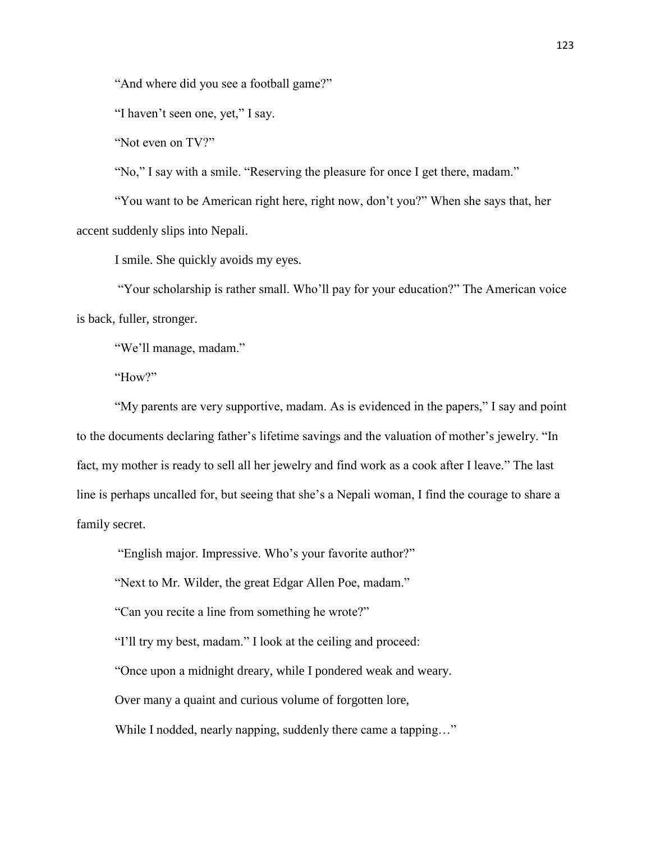"And where did you see a football game?"

"I haven't seen one, yet," I say.

"Not even on TV?"

"No," I say with a smile. "Reserving the pleasure for once I get there, madam."

"You want to be American right here, right now, don't you?" When she says that, her accent suddenly slips into Nepali.

I smile. She quickly avoids my eyes.

"Your scholarship is rather small. Who'll pay for your education?" The American voice is back, fuller, stronger.

"We'll manage, madam."

"How?"

"My parents are very supportive, madam. As is evidenced in the papers," I say and point to the documents declaring father's lifetime savings and the valuation of mother's jewelry. "In fact, my mother is ready to sell all her jewelry and find work as a cook after I leave." The last line is perhaps uncalled for, but seeing that she's a Nepali woman, I find the courage to share a family secret.

"English major. Impressive. Who's your favorite author?"

"Next to Mr. Wilder, the great Edgar Allen Poe, madam."

"Can you recite a line from something he wrote?"

"I'll try my best, madam." I look at the ceiling and proceed:

"Once upon a midnight dreary, while I pondered weak and weary.

Over many a quaint and curious volume of forgotten lore,

While I nodded, nearly napping, suddenly there came a tapping..."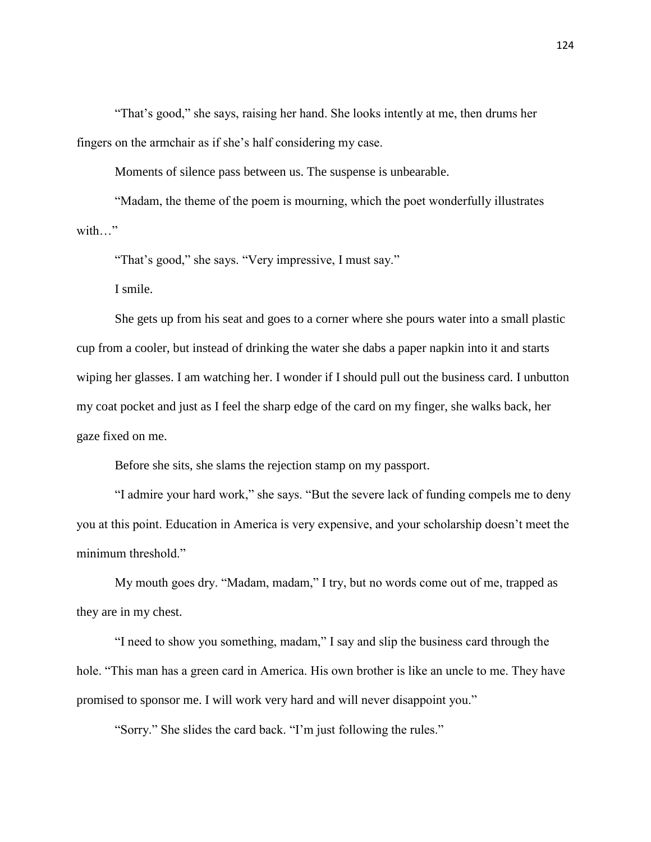"That's good," she says, raising her hand. She looks intently at me, then drums her fingers on the armchair as if she's half considering my case.

Moments of silence pass between us. The suspense is unbearable.

"Madam, the theme of the poem is mourning, which the poet wonderfully illustrates with "

"That's good," she says. "Very impressive, I must say."

I smile.

She gets up from his seat and goes to a corner where she pours water into a small plastic cup from a cooler, but instead of drinking the water she dabs a paper napkin into it and starts wiping her glasses. I am watching her. I wonder if I should pull out the business card. I unbutton my coat pocket and just as I feel the sharp edge of the card on my finger, she walks back, her gaze fixed on me.

Before she sits, she slams the rejection stamp on my passport.

"I admire your hard work," she says. "But the severe lack of funding compels me to deny you at this point. Education in America is very expensive, and your scholarship doesn't meet the minimum threshold."

My mouth goes dry. "Madam, madam," I try, but no words come out of me, trapped as they are in my chest.

"I need to show you something, madam," I say and slip the business card through the hole. "This man has a green card in America. His own brother is like an uncle to me. They have promised to sponsor me. I will work very hard and will never disappoint you."

"Sorry." She slides the card back. "I'm just following the rules."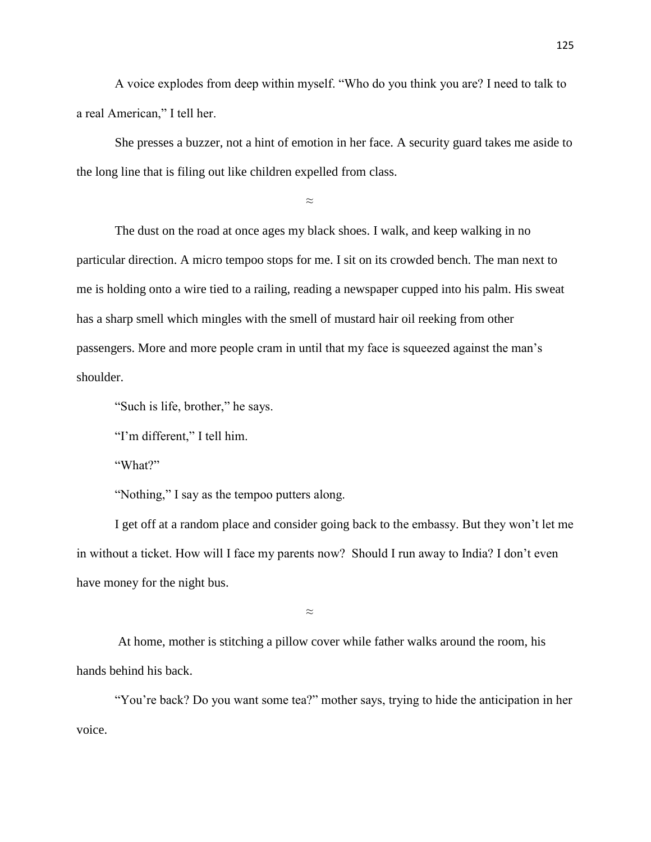A voice explodes from deep within myself. "Who do you think you are? I need to talk to a real American," I tell her.

She presses a buzzer, not a hint of emotion in her face. A security guard takes me aside to the long line that is filing out like children expelled from class.

 $\approx$ 

The dust on the road at once ages my black shoes. I walk, and keep walking in no particular direction. A micro tempoo stops for me. I sit on its crowded bench. The man next to me is holding onto a wire tied to a railing, reading a newspaper cupped into his palm. His sweat has a sharp smell which mingles with the smell of mustard hair oil reeking from other passengers. More and more people cram in until that my face is squeezed against the man's shoulder.

"Such is life, brother," he says.

"I'm different," I tell him.

"What?"

"Nothing," I say as the tempoo putters along.

I get off at a random place and consider going back to the embassy. But they won't let me in without a ticket. How will I face my parents now? Should I run away to India? I don't even have money for the night bus.

≈

At home, mother is stitching a pillow cover while father walks around the room, his hands behind his back.

"You're back? Do you want some tea?" mother says, trying to hide the anticipation in her voice.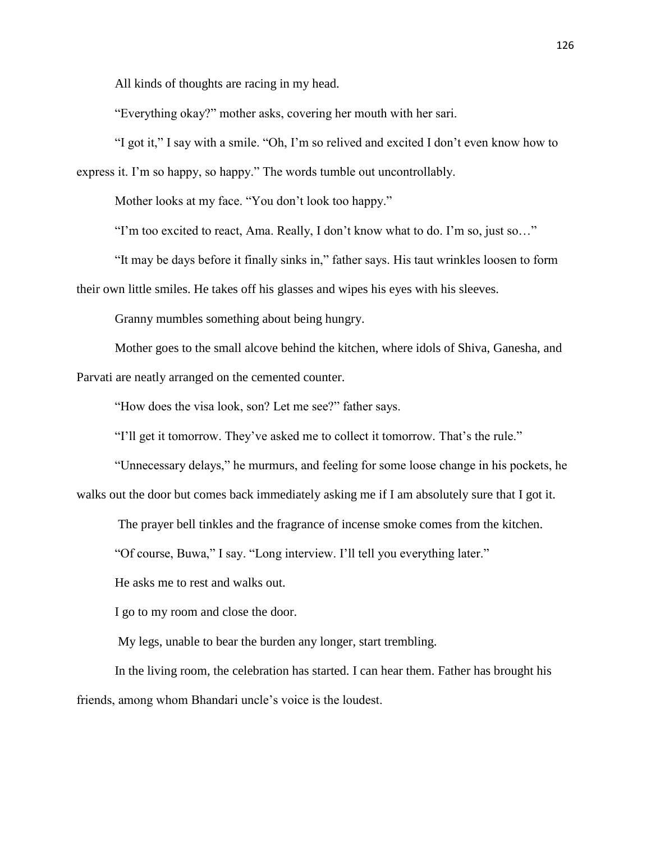All kinds of thoughts are racing in my head.

"Everything okay?" mother asks, covering her mouth with her sari.

"I got it," I say with a smile. "Oh, I'm so relived and excited I don't even know how to express it. I'm so happy, so happy." The words tumble out uncontrollably.

Mother looks at my face. "You don't look too happy."

"I'm too excited to react, Ama. Really, I don't know what to do. I'm so, just so…"

"It may be days before it finally sinks in," father says. His taut wrinkles loosen to form their own little smiles. He takes off his glasses and wipes his eyes with his sleeves.

Granny mumbles something about being hungry.

Mother goes to the small alcove behind the kitchen, where idols of Shiva, Ganesha, and Parvati are neatly arranged on the cemented counter.

"How does the visa look, son? Let me see?" father says.

"I'll get it tomorrow. They've asked me to collect it tomorrow. That's the rule."

"Unnecessary delays," he murmurs, and feeling for some loose change in his pockets, he walks out the door but comes back immediately asking me if I am absolutely sure that I got it.

The prayer bell tinkles and the fragrance of incense smoke comes from the kitchen.

"Of course, Buwa," I say. "Long interview. I'll tell you everything later."

He asks me to rest and walks out.

I go to my room and close the door.

My legs, unable to bear the burden any longer, start trembling.

In the living room, the celebration has started. I can hear them. Father has brought his friends, among whom Bhandari uncle's voice is the loudest.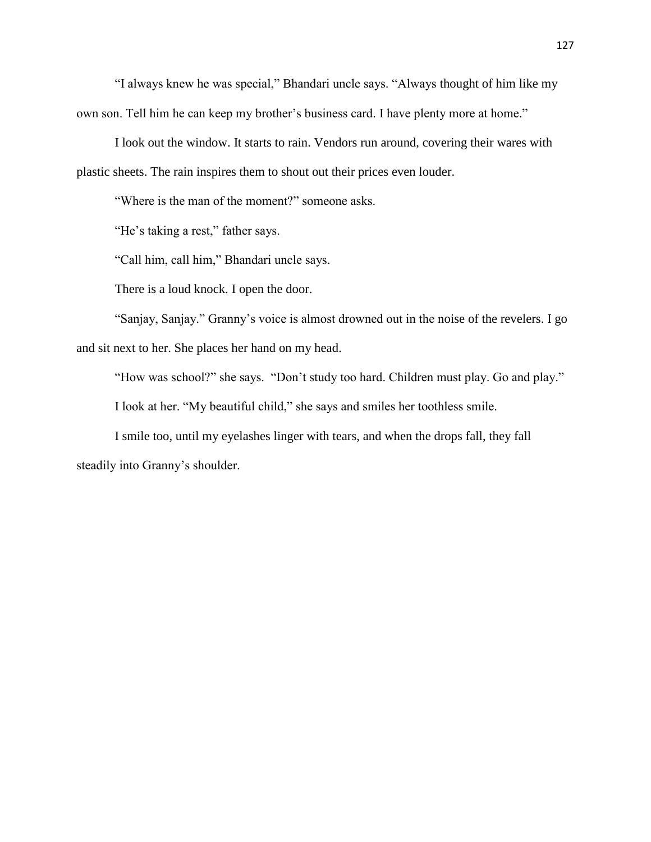"I always knew he was special," Bhandari uncle says. "Always thought of him like my own son. Tell him he can keep my brother's business card. I have plenty more at home."

I look out the window. It starts to rain. Vendors run around, covering their wares with plastic sheets. The rain inspires them to shout out their prices even louder.

"Where is the man of the moment?" someone asks.

"He's taking a rest," father says.

"Call him, call him," Bhandari uncle says.

There is a loud knock. I open the door.

"Sanjay, Sanjay." Granny's voice is almost drowned out in the noise of the revelers. I go and sit next to her. She places her hand on my head.

"How was school?" she says. "Don't study too hard. Children must play. Go and play."

I look at her. "My beautiful child," she says and smiles her toothless smile.

I smile too, until my eyelashes linger with tears, and when the drops fall, they fall steadily into Granny's shoulder.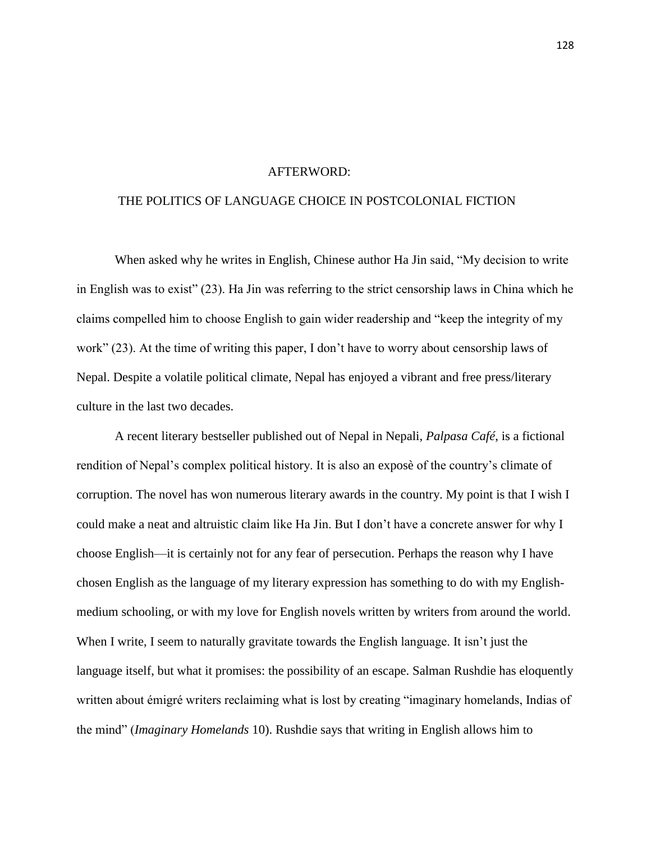## AFTERWORD:

## THE POLITICS OF LANGUAGE CHOICE IN POSTCOLONIAL FICTION

When asked why he writes in English, Chinese author Ha Jin said, "My decision to write in English was to exist" (23). Ha Jin was referring to the strict censorship laws in China which he claims compelled him to choose English to gain wider readership and "keep the integrity of my work" (23). At the time of writing this paper, I don't have to worry about censorship laws of Nepal. Despite a volatile political climate, Nepal has enjoyed a vibrant and free press/literary culture in the last two decades.

A recent literary bestseller published out of Nepal in Nepali, *Palpasa Café*, is a fictional rendition of Nepal's complex political history. It is also an exposè of the country's climate of corruption. The novel has won numerous literary awards in the country. My point is that I wish I could make a neat and altruistic claim like Ha Jin. But I don't have a concrete answer for why I choose English—it is certainly not for any fear of persecution. Perhaps the reason why I have chosen English as the language of my literary expression has something to do with my Englishmedium schooling, or with my love for English novels written by writers from around the world. When I write, I seem to naturally gravitate towards the English language. It isn't just the language itself, but what it promises: the possibility of an escape. Salman Rushdie has eloquently written about émigré writers reclaiming what is lost by creating "imaginary homelands, Indias of the mind" (*Imaginary Homelands* 10). Rushdie says that writing in English allows him to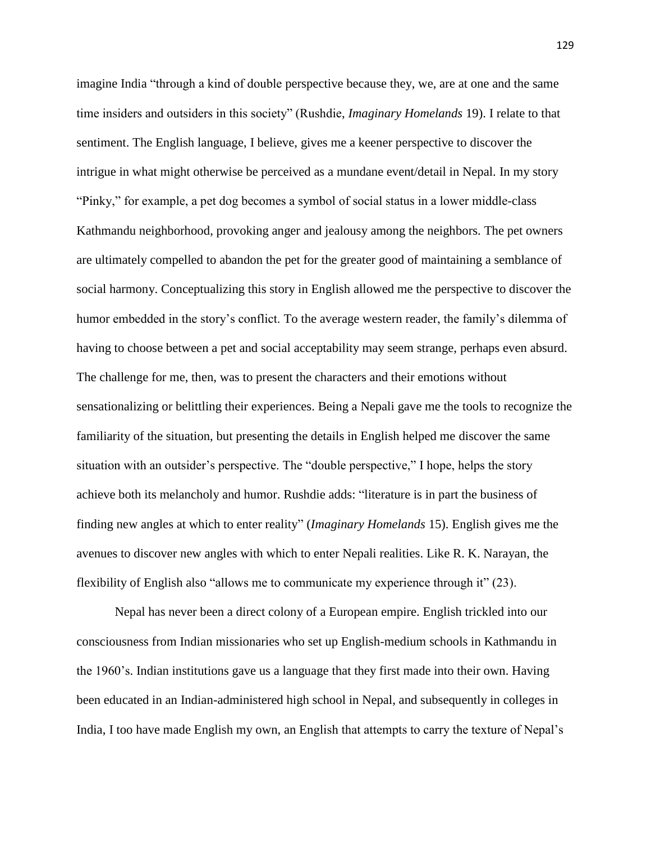imagine India "through a kind of double perspective because they, we, are at one and the same time insiders and outsiders in this society" (Rushdie, *Imaginary Homelands* 19). I relate to that sentiment. The English language, I believe, gives me a keener perspective to discover the intrigue in what might otherwise be perceived as a mundane event/detail in Nepal. In my story "Pinky," for example, a pet dog becomes a symbol of social status in a lower middle-class Kathmandu neighborhood, provoking anger and jealousy among the neighbors. The pet owners are ultimately compelled to abandon the pet for the greater good of maintaining a semblance of social harmony. Conceptualizing this story in English allowed me the perspective to discover the humor embedded in the story's conflict. To the average western reader, the family's dilemma of having to choose between a pet and social acceptability may seem strange, perhaps even absurd. The challenge for me, then, was to present the characters and their emotions without sensationalizing or belittling their experiences. Being a Nepali gave me the tools to recognize the familiarity of the situation, but presenting the details in English helped me discover the same situation with an outsider's perspective. The "double perspective," I hope, helps the story achieve both its melancholy and humor. Rushdie adds: "literature is in part the business of finding new angles at which to enter reality" (*Imaginary Homelands* 15). English gives me the avenues to discover new angles with which to enter Nepali realities. Like R. K. Narayan, the flexibility of English also "allows me to communicate my experience through it" (23).

Nepal has never been a direct colony of a European empire. English trickled into our consciousness from Indian missionaries who set up English-medium schools in Kathmandu in the 1960's. Indian institutions gave us a language that they first made into their own. Having been educated in an Indian-administered high school in Nepal, and subsequently in colleges in India, I too have made English my own, an English that attempts to carry the texture of Nepal's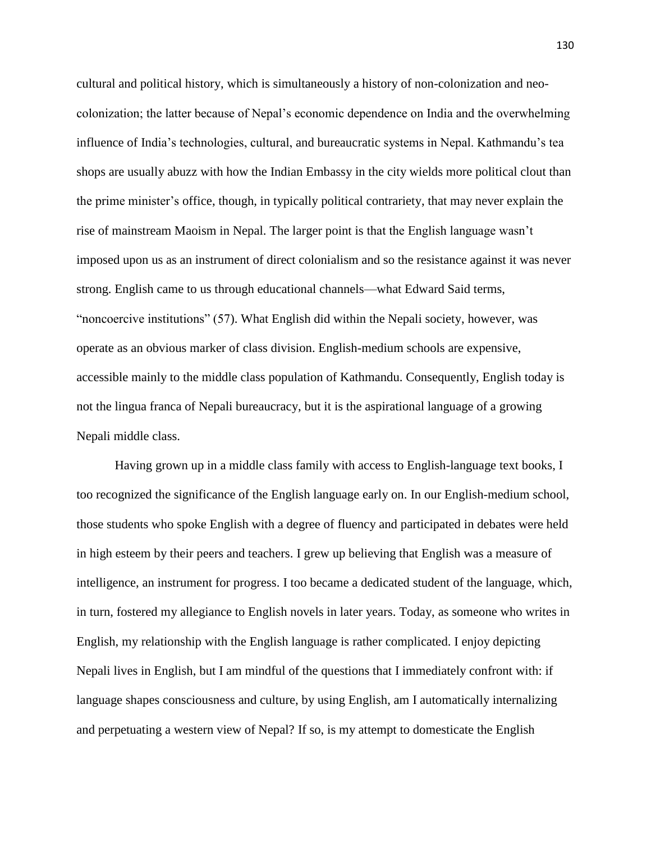cultural and political history, which is simultaneously a history of non-colonization and neocolonization; the latter because of Nepal's economic dependence on India and the overwhelming influence of India's technologies, cultural, and bureaucratic systems in Nepal. Kathmandu's tea shops are usually abuzz with how the Indian Embassy in the city wields more political clout than the prime minister's office, though, in typically political contrariety, that may never explain the rise of mainstream Maoism in Nepal. The larger point is that the English language wasn't imposed upon us as an instrument of direct colonialism and so the resistance against it was never strong. English came to us through educational channels—what Edward Said terms, "noncoercive institutions" (57). What English did within the Nepali society, however, was operate as an obvious marker of class division. English-medium schools are expensive, accessible mainly to the middle class population of Kathmandu. Consequently, English today is not the lingua franca of Nepali bureaucracy, but it is the aspirational language of a growing Nepali middle class.

Having grown up in a middle class family with access to English-language text books, I too recognized the significance of the English language early on. In our English-medium school, those students who spoke English with a degree of fluency and participated in debates were held in high esteem by their peers and teachers. I grew up believing that English was a measure of intelligence, an instrument for progress. I too became a dedicated student of the language, which, in turn, fostered my allegiance to English novels in later years. Today, as someone who writes in English, my relationship with the English language is rather complicated. I enjoy depicting Nepali lives in English, but I am mindful of the questions that I immediately confront with: if language shapes consciousness and culture, by using English, am I automatically internalizing and perpetuating a western view of Nepal? If so, is my attempt to domesticate the English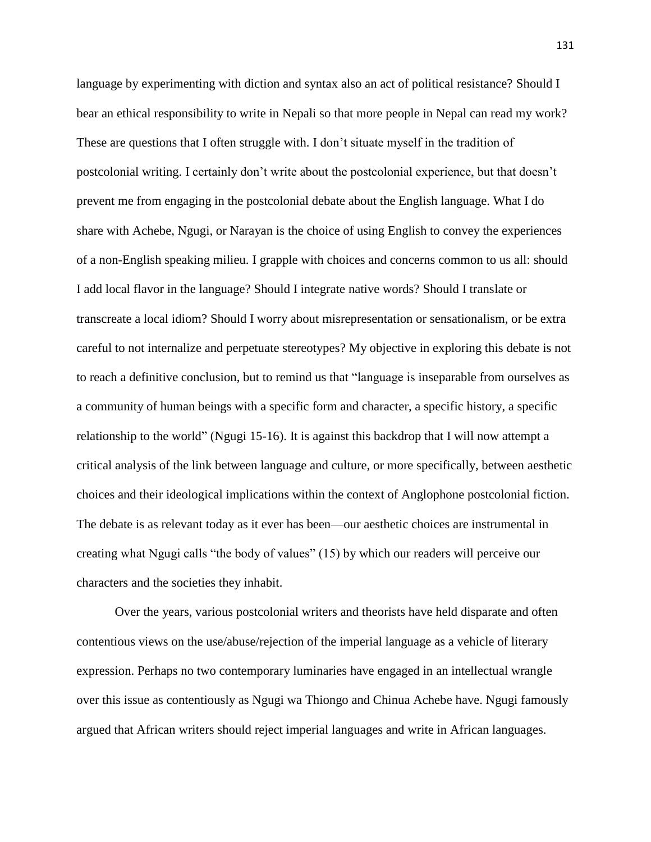language by experimenting with diction and syntax also an act of political resistance? Should I bear an ethical responsibility to write in Nepali so that more people in Nepal can read my work? These are questions that I often struggle with. I don't situate myself in the tradition of postcolonial writing. I certainly don't write about the postcolonial experience, but that doesn't prevent me from engaging in the postcolonial debate about the English language. What I do share with Achebe, Ngugi, or Narayan is the choice of using English to convey the experiences of a non-English speaking milieu. I grapple with choices and concerns common to us all: should I add local flavor in the language? Should I integrate native words? Should I translate or transcreate a local idiom? Should I worry about misrepresentation or sensationalism, or be extra careful to not internalize and perpetuate stereotypes? My objective in exploring this debate is not to reach a definitive conclusion, but to remind us that "language is inseparable from ourselves as a community of human beings with a specific form and character, a specific history, a specific relationship to the world" (Ngugi 15-16). It is against this backdrop that I will now attempt a critical analysis of the link between language and culture, or more specifically, between aesthetic choices and their ideological implications within the context of Anglophone postcolonial fiction. The debate is as relevant today as it ever has been—our aesthetic choices are instrumental in creating what Ngugi calls "the body of values" (15) by which our readers will perceive our characters and the societies they inhabit.

Over the years, various postcolonial writers and theorists have held disparate and often contentious views on the use/abuse/rejection of the imperial language as a vehicle of literary expression. Perhaps no two contemporary luminaries have engaged in an intellectual wrangle over this issue as contentiously as Ngugi wa Thiongo and Chinua Achebe have. Ngugi famously argued that African writers should reject imperial languages and write in African languages.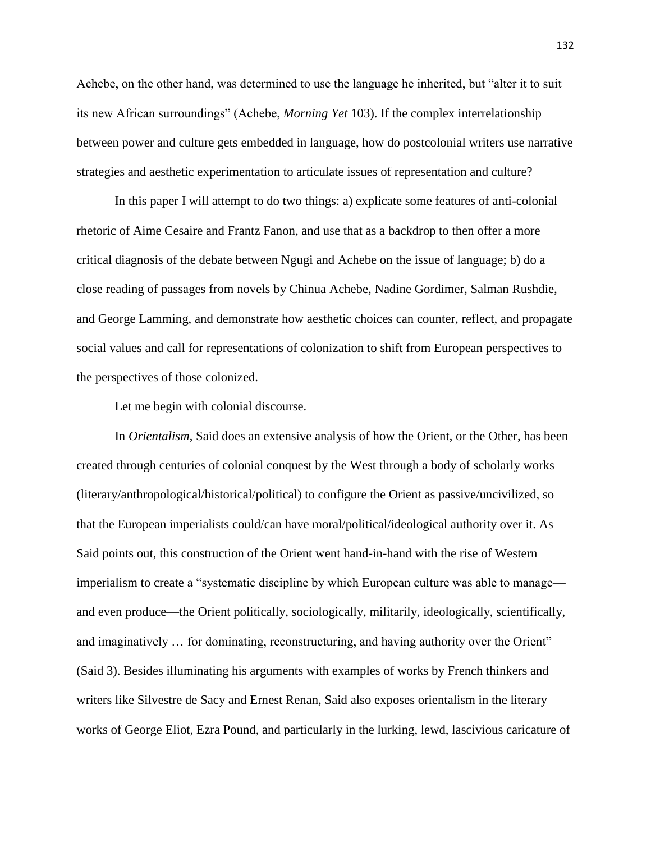Achebe, on the other hand, was determined to use the language he inherited, but "alter it to suit its new African surroundings" (Achebe, *Morning Yet* 103). If the complex interrelationship between power and culture gets embedded in language, how do postcolonial writers use narrative strategies and aesthetic experimentation to articulate issues of representation and culture?

In this paper I will attempt to do two things: a) explicate some features of anti-colonial rhetoric of Aime Cesaire and Frantz Fanon, and use that as a backdrop to then offer a more critical diagnosis of the debate between Ngugi and Achebe on the issue of language; b) do a close reading of passages from novels by Chinua Achebe, Nadine Gordimer, Salman Rushdie, and George Lamming, and demonstrate how aesthetic choices can counter, reflect, and propagate social values and call for representations of colonization to shift from European perspectives to the perspectives of those colonized.

Let me begin with colonial discourse.

In *Orientalism*, Said does an extensive analysis of how the Orient, or the Other, has been created through centuries of colonial conquest by the West through a body of scholarly works (literary/anthropological/historical/political) to configure the Orient as passive/uncivilized, so that the European imperialists could/can have moral/political/ideological authority over it. As Said points out, this construction of the Orient went hand-in-hand with the rise of Western imperialism to create a "systematic discipline by which European culture was able to manage and even produce—the Orient politically, sociologically, militarily, ideologically, scientifically, and imaginatively … for dominating, reconstructuring, and having authority over the Orient" (Said 3). Besides illuminating his arguments with examples of works by French thinkers and writers like Silvestre de Sacy and Ernest Renan, Said also exposes orientalism in the literary works of George Eliot, Ezra Pound, and particularly in the lurking, lewd, lascivious caricature of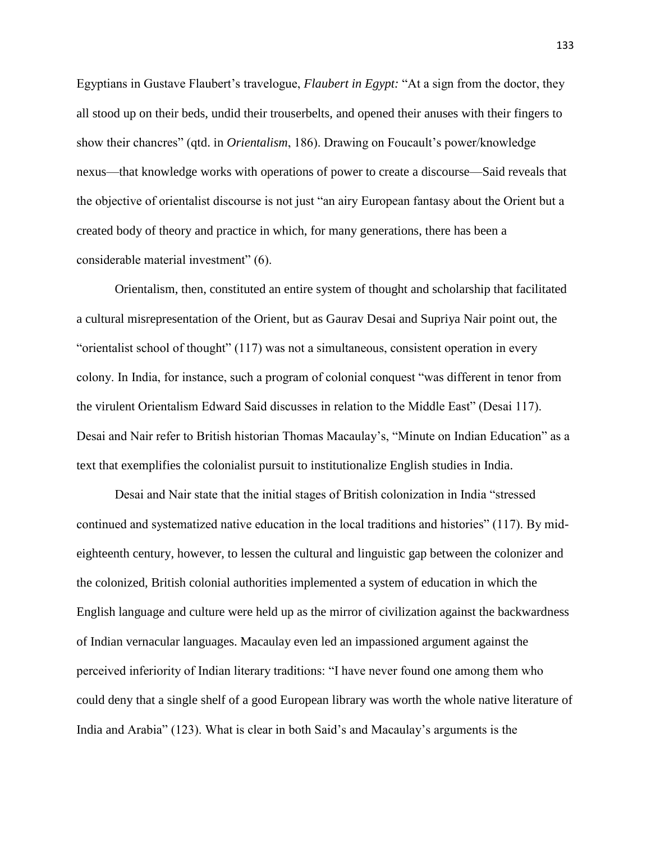Egyptians in Gustave Flaubert's travelogue, *Flaubert in Egypt:* "At a sign from the doctor, they all stood up on their beds, undid their trouserbelts, and opened their anuses with their fingers to show their chancres" (qtd. in *Orientalism*, 186). Drawing on Foucault's power/knowledge nexus—that knowledge works with operations of power to create a discourse—Said reveals that the objective of orientalist discourse is not just "an airy European fantasy about the Orient but a created body of theory and practice in which, for many generations, there has been a considerable material investment" (6).

Orientalism, then, constituted an entire system of thought and scholarship that facilitated a cultural misrepresentation of the Orient, but as Gaurav Desai and Supriya Nair point out, the "orientalist school of thought" (117) was not a simultaneous, consistent operation in every colony. In India, for instance, such a program of colonial conquest "was different in tenor from the virulent Orientalism Edward Said discusses in relation to the Middle East" (Desai 117). Desai and Nair refer to British historian Thomas Macaulay's, "Minute on Indian Education" as a text that exemplifies the colonialist pursuit to institutionalize English studies in India.

Desai and Nair state that the initial stages of British colonization in India "stressed continued and systematized native education in the local traditions and histories" (117). By mideighteenth century, however, to lessen the cultural and linguistic gap between the colonizer and the colonized, British colonial authorities implemented a system of education in which the English language and culture were held up as the mirror of civilization against the backwardness of Indian vernacular languages. Macaulay even led an impassioned argument against the perceived inferiority of Indian literary traditions: "I have never found one among them who could deny that a single shelf of a good European library was worth the whole native literature of India and Arabia" (123). What is clear in both Said's and Macaulay's arguments is the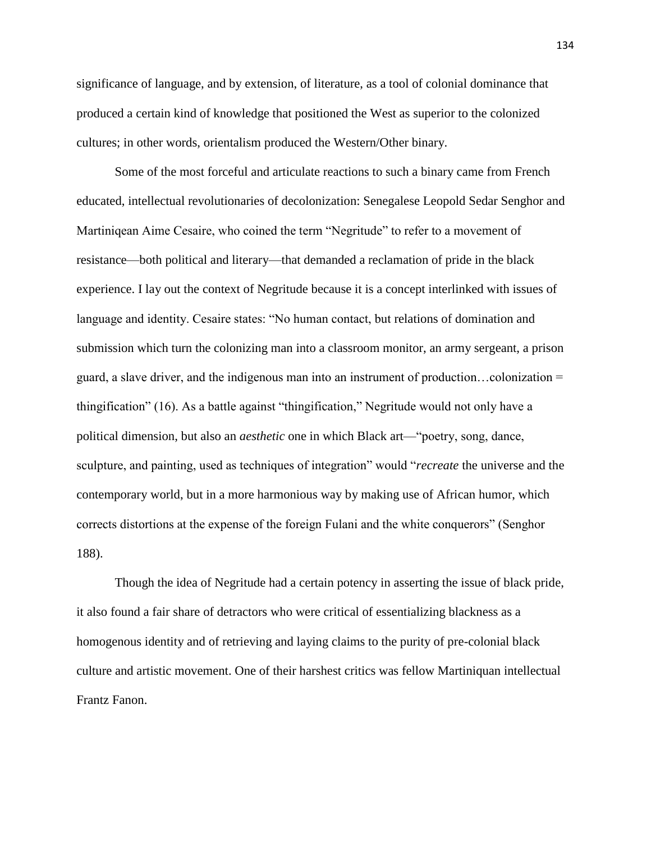significance of language, and by extension, of literature, as a tool of colonial dominance that produced a certain kind of knowledge that positioned the West as superior to the colonized cultures; in other words, orientalism produced the Western/Other binary.

Some of the most forceful and articulate reactions to such a binary came from French educated, intellectual revolutionaries of decolonization: Senegalese Leopold Sedar Senghor and Martiniqean Aime Cesaire, who coined the term "Negritude" to refer to a movement of resistance—both political and literary—that demanded a reclamation of pride in the black experience. I lay out the context of Negritude because it is a concept interlinked with issues of language and identity. Cesaire states: "No human contact, but relations of domination and submission which turn the colonizing man into a classroom monitor, an army sergeant, a prison guard, a slave driver, and the indigenous man into an instrument of production…colonization = thingification" (16). As a battle against "thingification," Negritude would not only have a political dimension, but also an *aesthetic* one in which Black art—"poetry, song, dance, sculpture, and painting, used as techniques of integration" would "*recreate* the universe and the contemporary world, but in a more harmonious way by making use of African humor, which corrects distortions at the expense of the foreign Fulani and the white conquerors" (Senghor 188).

Though the idea of Negritude had a certain potency in asserting the issue of black pride, it also found a fair share of detractors who were critical of essentializing blackness as a homogenous identity and of retrieving and laying claims to the purity of pre-colonial black culture and artistic movement. One of their harshest critics was fellow Martiniquan intellectual Frantz Fanon.

134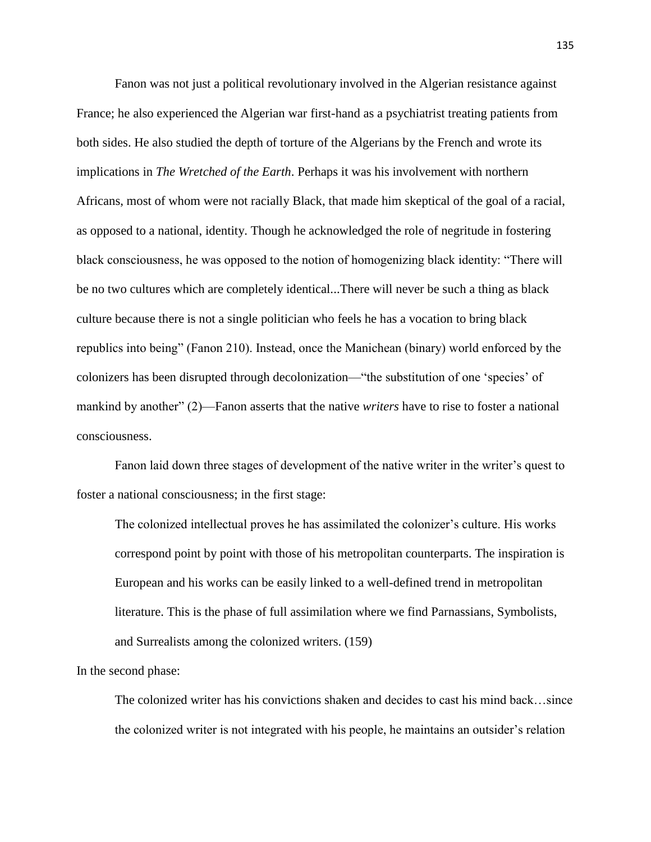Fanon was not just a political revolutionary involved in the Algerian resistance against France; he also experienced the Algerian war first-hand as a psychiatrist treating patients from both sides. He also studied the depth of torture of the Algerians by the French and wrote its implications in *The Wretched of the Earth*. Perhaps it was his involvement with northern Africans, most of whom were not racially Black, that made him skeptical of the goal of a racial, as opposed to a national, identity. Though he acknowledged the role of negritude in fostering black consciousness, he was opposed to the notion of homogenizing black identity: "There will be no two cultures which are completely identical...There will never be such a thing as black culture because there is not a single politician who feels he has a vocation to bring black republics into being" (Fanon 210). Instead, once the Manichean (binary) world enforced by the colonizers has been disrupted through decolonization—"the substitution of one 'species' of mankind by another" (2)—Fanon asserts that the native *writers* have to rise to foster a national consciousness.

Fanon laid down three stages of development of the native writer in the writer's quest to foster a national consciousness; in the first stage:

The colonized intellectual proves he has assimilated the colonizer's culture. His works correspond point by point with those of his metropolitan counterparts. The inspiration is European and his works can be easily linked to a well-defined trend in metropolitan literature. This is the phase of full assimilation where we find Parnassians, Symbolists, and Surrealists among the colonized writers. (159)

In the second phase:

The colonized writer has his convictions shaken and decides to cast his mind back…since the colonized writer is not integrated with his people, he maintains an outsider's relation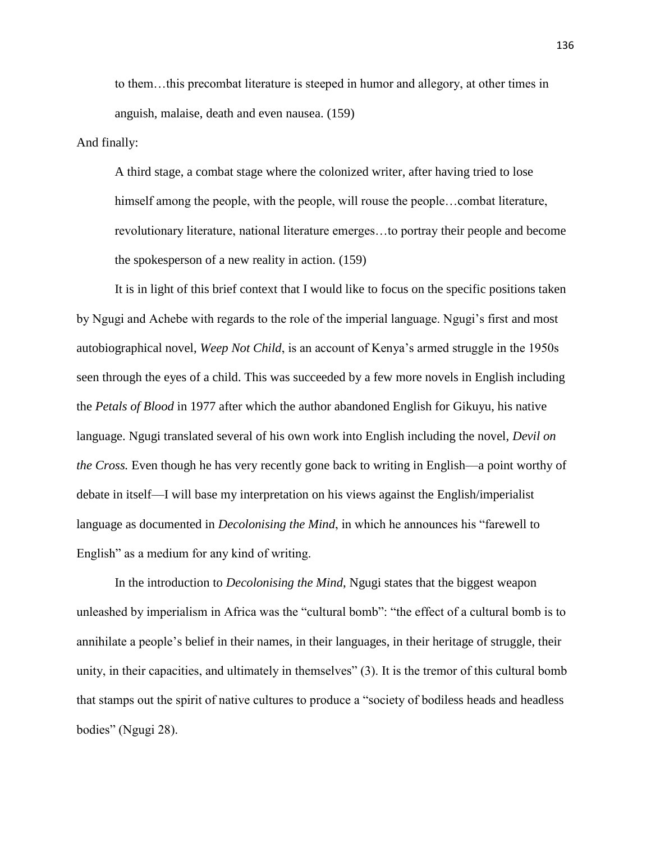to them…this precombat literature is steeped in humor and allegory, at other times in anguish, malaise, death and even nausea. (159)

And finally:

A third stage, a combat stage where the colonized writer, after having tried to lose himself among the people, with the people, will rouse the people...combat literature, revolutionary literature, national literature emerges…to portray their people and become the spokesperson of a new reality in action. (159)

It is in light of this brief context that I would like to focus on the specific positions taken by Ngugi and Achebe with regards to the role of the imperial language. Ngugi's first and most autobiographical novel, *Weep Not Child*, is an account of Kenya's armed struggle in the 1950s seen through the eyes of a child. This was succeeded by a few more novels in English including the *Petals of Blood* in 1977 after which the author abandoned English for Gikuyu, his native language. Ngugi translated several of his own work into English including the novel, *Devil on the Cross.* Even though he has very recently gone back to writing in English—a point worthy of debate in itself—I will base my interpretation on his views against the English/imperialist language as documented in *Decolonising the Mind*, in which he announces his "farewell to English" as a medium for any kind of writing.

In the introduction to *Decolonising the Mind*, Ngugi states that the biggest weapon unleashed by imperialism in Africa was the "cultural bomb": "the effect of a cultural bomb is to annihilate a people's belief in their names, in their languages, in their heritage of struggle, their unity, in their capacities, and ultimately in themselves" (3). It is the tremor of this cultural bomb that stamps out the spirit of native cultures to produce a "society of bodiless heads and headless bodies" (Ngugi 28).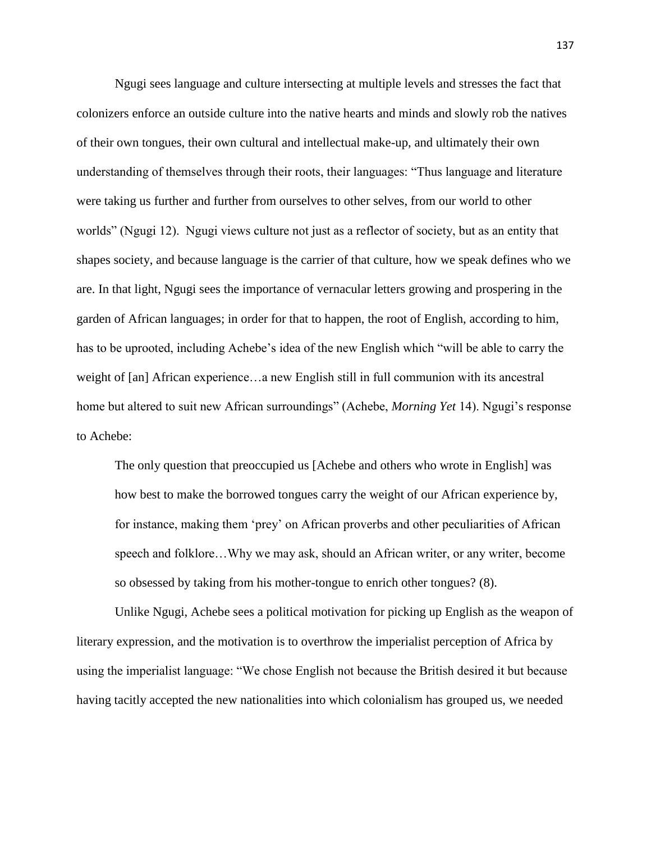Ngugi sees language and culture intersecting at multiple levels and stresses the fact that colonizers enforce an outside culture into the native hearts and minds and slowly rob the natives of their own tongues, their own cultural and intellectual make-up, and ultimately their own understanding of themselves through their roots, their languages: "Thus language and literature were taking us further and further from ourselves to other selves, from our world to other worlds" (Ngugi 12). Ngugi views culture not just as a reflector of society, but as an entity that shapes society, and because language is the carrier of that culture, how we speak defines who we are. In that light, Ngugi sees the importance of vernacular letters growing and prospering in the garden of African languages; in order for that to happen, the root of English, according to him, has to be uprooted, including Achebe's idea of the new English which "will be able to carry the weight of [an] African experience…a new English still in full communion with its ancestral home but altered to suit new African surroundings" (Achebe, *Morning Yet* 14). Ngugi's response to Achebe:

The only question that preoccupied us [Achebe and others who wrote in English] was how best to make the borrowed tongues carry the weight of our African experience by, for instance, making them 'prey' on African proverbs and other peculiarities of African speech and folklore…Why we may ask, should an African writer, or any writer, become so obsessed by taking from his mother-tongue to enrich other tongues? (8).

Unlike Ngugi, Achebe sees a political motivation for picking up English as the weapon of literary expression, and the motivation is to overthrow the imperialist perception of Africa by using the imperialist language: "We chose English not because the British desired it but because having tacitly accepted the new nationalities into which colonialism has grouped us, we needed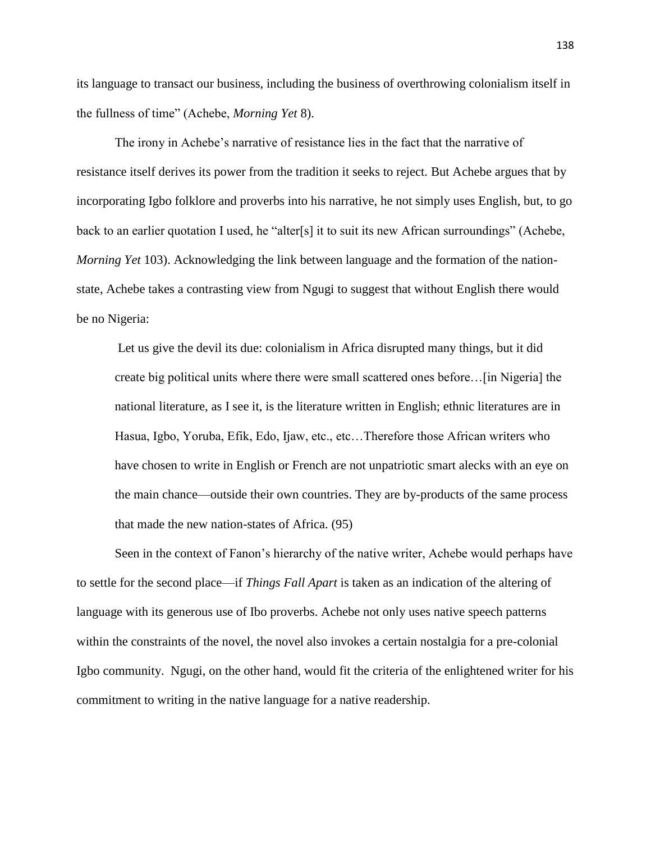its language to transact our business, including the business of overthrowing colonialism itself in the fullness of time" (Achebe, *Morning Yet* 8).

The irony in Achebe's narrative of resistance lies in the fact that the narrative of resistance itself derives its power from the tradition it seeks to reject. But Achebe argues that by incorporating Igbo folklore and proverbs into his narrative, he not simply uses English, but, to go back to an earlier quotation I used, he "alter[s] it to suit its new African surroundings" (Achebe, *Morning Yet* 103). Acknowledging the link between language and the formation of the nationstate, Achebe takes a contrasting view from Ngugi to suggest that without English there would be no Nigeria:

Let us give the devil its due: colonialism in Africa disrupted many things, but it did create big political units where there were small scattered ones before…[in Nigeria] the national literature, as I see it, is the literature written in English; ethnic literatures are in Hasua, Igbo, Yoruba, Efik, Edo, Ijaw, etc., etc…Therefore those African writers who have chosen to write in English or French are not unpatriotic smart alecks with an eye on the main chance—outside their own countries. They are by-products of the same process that made the new nation-states of Africa. (95)

Seen in the context of Fanon's hierarchy of the native writer, Achebe would perhaps have to settle for the second place—if *Things Fall Apart* is taken as an indication of the altering of language with its generous use of Ibo proverbs. Achebe not only uses native speech patterns within the constraints of the novel, the novel also invokes a certain nostalgia for a pre-colonial Igbo community. Ngugi, on the other hand, would fit the criteria of the enlightened writer for his commitment to writing in the native language for a native readership.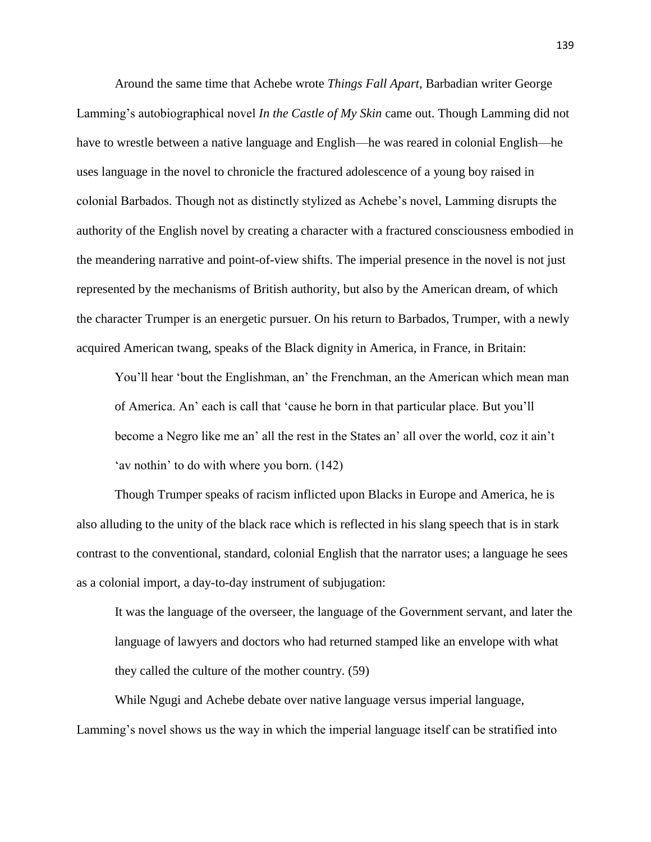Around the same time that Achebe wrote *Things Fall Apart*, Barbadian writer George Lamming's autobiographical novel *In the Castle of My Skin* came out. Though Lamming did not have to wrestle between a native language and English—he was reared in colonial English—he uses language in the novel to chronicle the fractured adolescence of a young boy raised in colonial Barbados. Though not as distinctly stylized as Achebe's novel, Lamming disrupts the authority of the English novel by creating a character with a fractured consciousness embodied in the meandering narrative and point-of-view shifts. The imperial presence in the novel is not just represented by the mechanisms of British authority, but also by the American dream, of which the character Trumper is an energetic pursuer. On his return to Barbados, Trumper, with a newly acquired American twang, speaks of the Black dignity in America, in France, in Britain:

You'll hear 'bout the Englishman, an' the Frenchman, an the American which mean man of America. An' each is call that 'cause he born in that particular place. But you'll become a Negro like me an' all the rest in the States an' all over the world, coz it ain't 'av nothin' to do with where you born. (142)

Though Trumper speaks of racism inflicted upon Blacks in Europe and America, he is also alluding to the unity of the black race which is reflected in his slang speech that is in stark contrast to the conventional, standard, colonial English that the narrator uses; a language he sees as a colonial import, a day-to-day instrument of subjugation:

It was the language of the overseer, the language of the Government servant, and later the language of lawyers and doctors who had returned stamped like an envelope with what they called the culture of the mother country. (59)

While Ngugi and Achebe debate over native language versus imperial language, Lamming's novel shows us the way in which the imperial language itself can be stratified into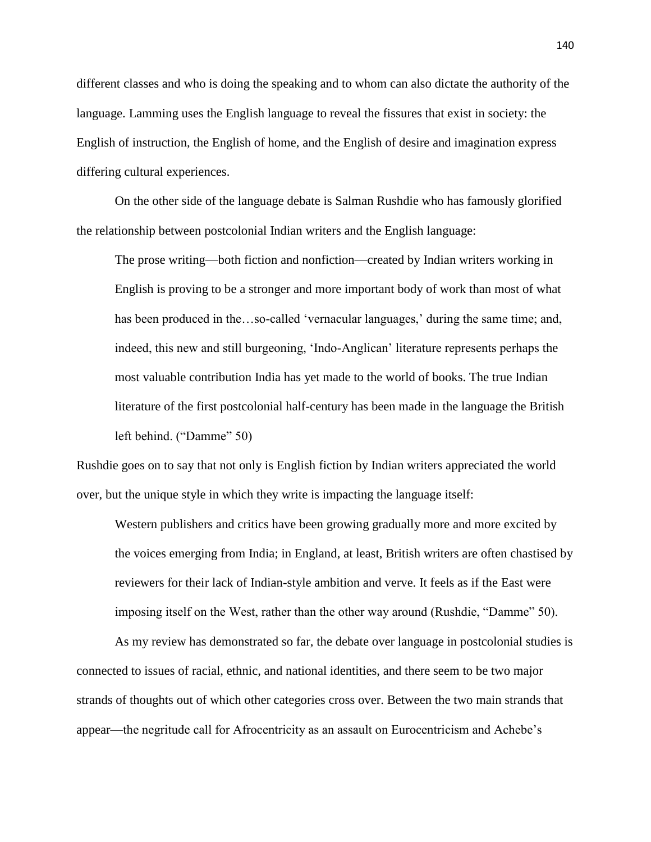different classes and who is doing the speaking and to whom can also dictate the authority of the language. Lamming uses the English language to reveal the fissures that exist in society: the English of instruction, the English of home, and the English of desire and imagination express differing cultural experiences.

On the other side of the language debate is Salman Rushdie who has famously glorified the relationship between postcolonial Indian writers and the English language:

The prose writing—both fiction and nonfiction—created by Indian writers working in English is proving to be a stronger and more important body of work than most of what has been produced in the…so-called 'vernacular languages,' during the same time; and, indeed, this new and still burgeoning, 'Indo-Anglican' literature represents perhaps the most valuable contribution India has yet made to the world of books. The true Indian literature of the first postcolonial half-century has been made in the language the British left behind. ("Damme" 50)

Rushdie goes on to say that not only is English fiction by Indian writers appreciated the world over, but the unique style in which they write is impacting the language itself:

Western publishers and critics have been growing gradually more and more excited by the voices emerging from India; in England, at least, British writers are often chastised by reviewers for their lack of Indian-style ambition and verve. It feels as if the East were imposing itself on the West, rather than the other way around (Rushdie, "Damme" 50).

As my review has demonstrated so far, the debate over language in postcolonial studies is connected to issues of racial, ethnic, and national identities, and there seem to be two major strands of thoughts out of which other categories cross over. Between the two main strands that appear—the negritude call for Afrocentricity as an assault on Eurocentricism and Achebe's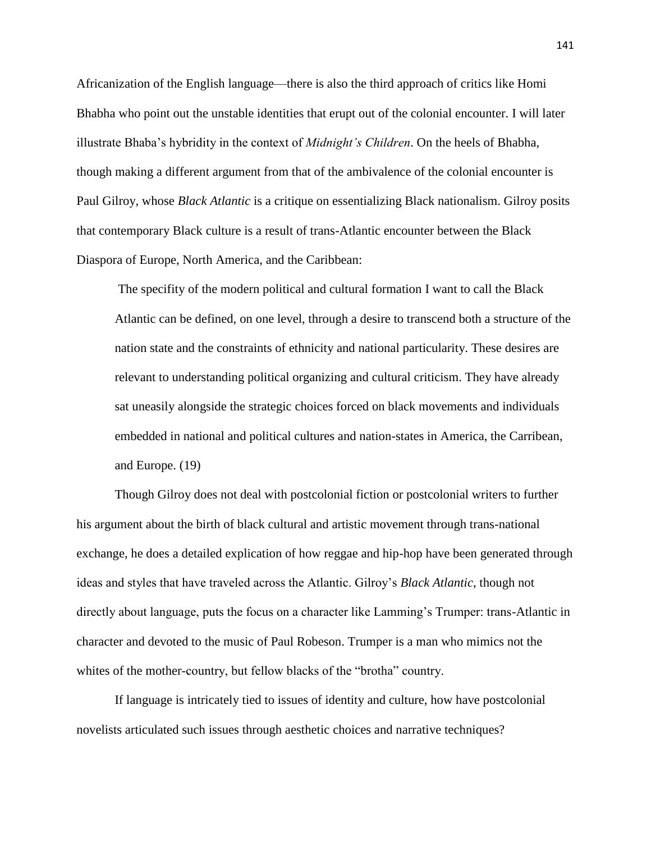Africanization of the English language—there is also the third approach of critics like Homi Bhabha who point out the unstable identities that erupt out of the colonial encounter. I will later illustrate Bhaba's hybridity in the context of *Midnight's Children*. On the heels of Bhabha, though making a different argument from that of the ambivalence of the colonial encounter is Paul Gilroy, whose *Black Atlantic* is a critique on essentializing Black nationalism. Gilroy posits that contemporary Black culture is a result of trans-Atlantic encounter between the Black Diaspora of Europe, North America, and the Caribbean:

The specifity of the modern political and cultural formation I want to call the Black Atlantic can be defined, on one level, through a desire to transcend both a structure of the nation state and the constraints of ethnicity and national particularity. These desires are relevant to understanding political organizing and cultural criticism. They have already sat uneasily alongside the strategic choices forced on black movements and individuals embedded in national and political cultures and nation-states in America, the Carribean, and Europe. (19)

Though Gilroy does not deal with postcolonial fiction or postcolonial writers to further his argument about the birth of black cultural and artistic movement through trans-national exchange, he does a detailed explication of how reggae and hip-hop have been generated through ideas and styles that have traveled across the Atlantic. Gilroy's *Black Atlantic*, though not directly about language, puts the focus on a character like Lamming's Trumper: trans-Atlantic in character and devoted to the music of Paul Robeson. Trumper is a man who mimics not the whites of the mother-country, but fellow blacks of the "brotha" country.

If language is intricately tied to issues of identity and culture, how have postcolonial novelists articulated such issues through aesthetic choices and narrative techniques?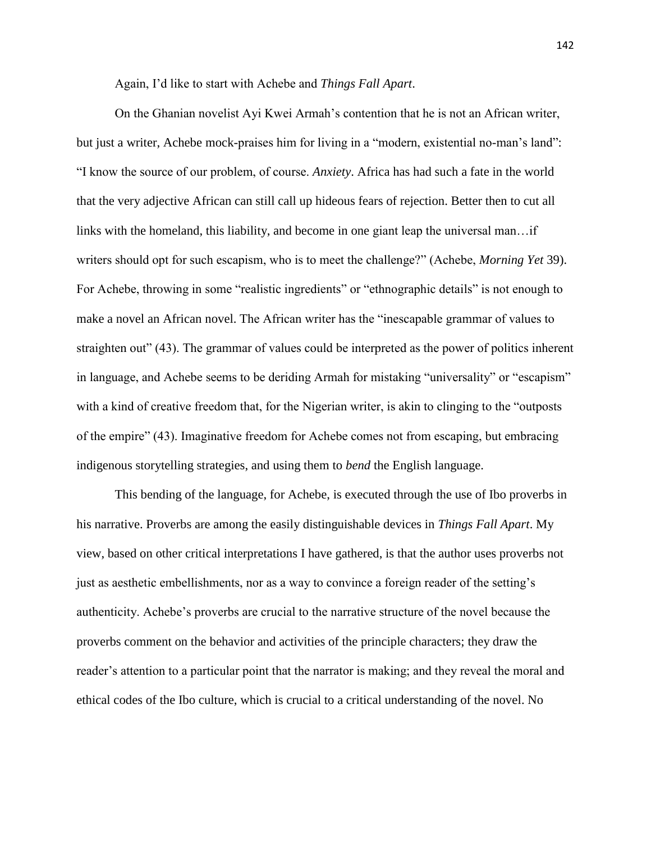Again, I'd like to start with Achebe and *Things Fall Apart*.

On the Ghanian novelist Ayi Kwei Armah's contention that he is not an African writer, but just a writer, Achebe mock-praises him for living in a "modern, existential no-man's land": "I know the source of our problem, of course. *Anxiety*. Africa has had such a fate in the world that the very adjective African can still call up hideous fears of rejection. Better then to cut all links with the homeland, this liability, and become in one giant leap the universal man…if writers should opt for such escapism, who is to meet the challenge?" (Achebe, *Morning Yet* 39). For Achebe, throwing in some "realistic ingredients" or "ethnographic details" is not enough to make a novel an African novel. The African writer has the "inescapable grammar of values to straighten out" (43). The grammar of values could be interpreted as the power of politics inherent in language, and Achebe seems to be deriding Armah for mistaking "universality" or "escapism" with a kind of creative freedom that, for the Nigerian writer, is akin to clinging to the "outposts of the empire" (43). Imaginative freedom for Achebe comes not from escaping, but embracing indigenous storytelling strategies, and using them to *bend* the English language.

This bending of the language, for Achebe, is executed through the use of Ibo proverbs in his narrative. Proverbs are among the easily distinguishable devices in *Things Fall Apart*. My view, based on other critical interpretations I have gathered, is that the author uses proverbs not just as aesthetic embellishments, nor as a way to convince a foreign reader of the setting's authenticity. Achebe's proverbs are crucial to the narrative structure of the novel because the proverbs comment on the behavior and activities of the principle characters; they draw the reader's attention to a particular point that the narrator is making; and they reveal the moral and ethical codes of the Ibo culture, which is crucial to a critical understanding of the novel. No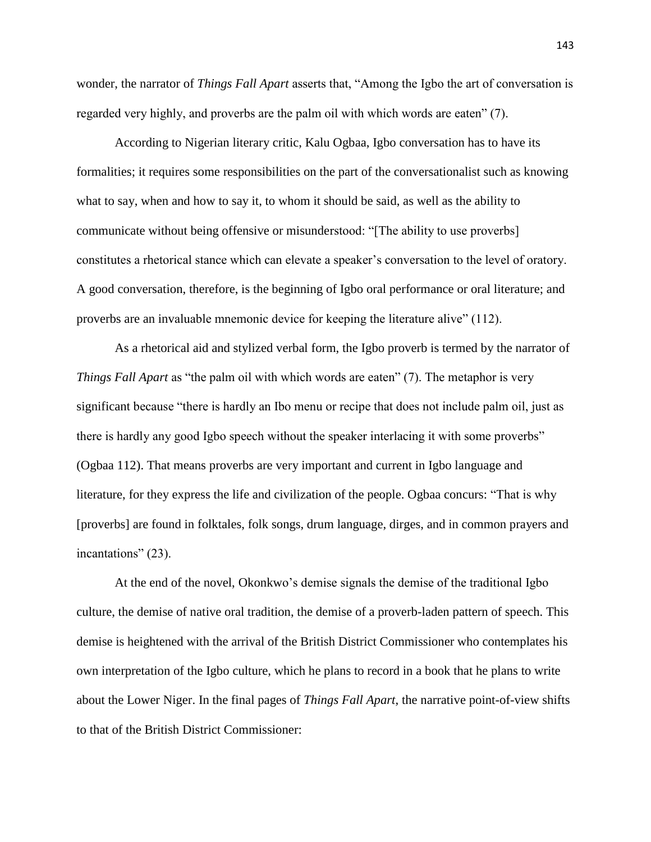wonder, the narrator of *Things Fall Apart* asserts that, "Among the Igbo the art of conversation is regarded very highly, and proverbs are the palm oil with which words are eaten" (7).

According to Nigerian literary critic, Kalu Ogbaa, Igbo conversation has to have its formalities; it requires some responsibilities on the part of the conversationalist such as knowing what to say, when and how to say it, to whom it should be said, as well as the ability to communicate without being offensive or misunderstood: "[The ability to use proverbs] constitutes a rhetorical stance which can elevate a speaker's conversation to the level of oratory. A good conversation, therefore, is the beginning of Igbo oral performance or oral literature; and proverbs are an invaluable mnemonic device for keeping the literature alive" (112).

As a rhetorical aid and stylized verbal form, the Igbo proverb is termed by the narrator of *Things Fall Apart* as "the palm oil with which words are eaten" (7). The metaphor is very significant because "there is hardly an Ibo menu or recipe that does not include palm oil, just as there is hardly any good Igbo speech without the speaker interlacing it with some proverbs" (Ogbaa 112). That means proverbs are very important and current in Igbo language and literature, for they express the life and civilization of the people. Ogbaa concurs: "That is why [proverbs] are found in folktales, folk songs, drum language, dirges, and in common prayers and incantations" (23).

At the end of the novel, Okonkwo's demise signals the demise of the traditional Igbo culture, the demise of native oral tradition, the demise of a proverb-laden pattern of speech. This demise is heightened with the arrival of the British District Commissioner who contemplates his own interpretation of the Igbo culture, which he plans to record in a book that he plans to write about the Lower Niger. In the final pages of *Things Fall Apart*, the narrative point-of-view shifts to that of the British District Commissioner: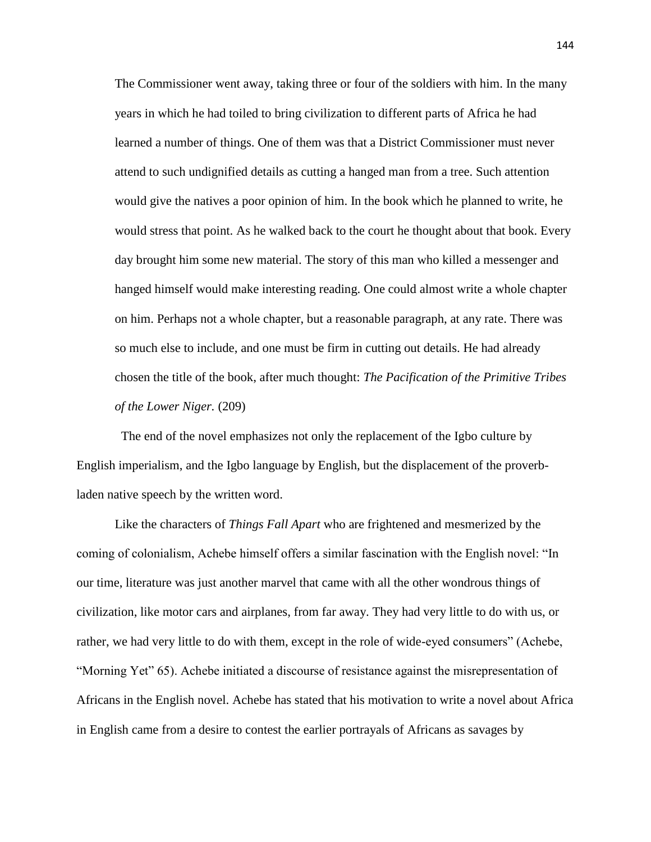The Commissioner went away, taking three or four of the soldiers with him. In the many years in which he had toiled to bring civilization to different parts of Africa he had learned a number of things. One of them was that a District Commissioner must never attend to such undignified details as cutting a hanged man from a tree. Such attention would give the natives a poor opinion of him. In the book which he planned to write, he would stress that point. As he walked back to the court he thought about that book. Every day brought him some new material. The story of this man who killed a messenger and hanged himself would make interesting reading. One could almost write a whole chapter on him. Perhaps not a whole chapter, but a reasonable paragraph, at any rate. There was so much else to include, and one must be firm in cutting out details. He had already chosen the title of the book, after much thought: *The Pacification of the Primitive Tribes of the Lower Niger.* (209)

The end of the novel emphasizes not only the replacement of the Igbo culture by English imperialism, and the Igbo language by English, but the displacement of the proverbladen native speech by the written word.

Like the characters of *Things Fall Apart* who are frightened and mesmerized by the coming of colonialism, Achebe himself offers a similar fascination with the English novel: "In our time, literature was just another marvel that came with all the other wondrous things of civilization, like motor cars and airplanes, from far away. They had very little to do with us, or rather, we had very little to do with them, except in the role of wide-eyed consumers" (Achebe, "Morning Yet" 65). Achebe initiated a discourse of resistance against the misrepresentation of Africans in the English novel. Achebe has stated that his motivation to write a novel about Africa in English came from a desire to contest the earlier portrayals of Africans as savages by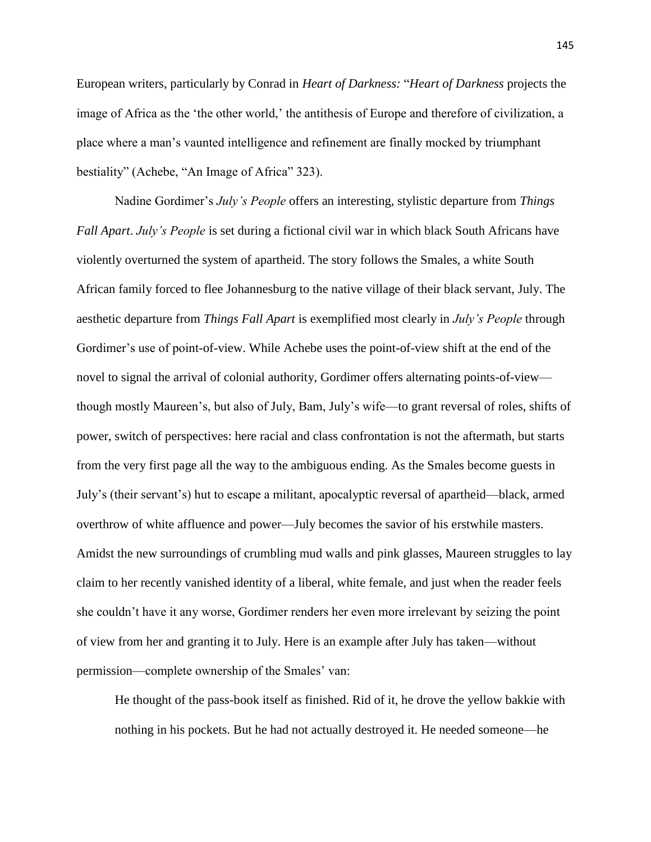European writers, particularly by Conrad in *Heart of Darkness:* "*Heart of Darkness* projects the image of Africa as the 'the other world,' the antithesis of Europe and therefore of civilization, a place where a man's vaunted intelligence and refinement are finally mocked by triumphant bestiality" (Achebe, "An Image of Africa" 323).

Nadine Gordimer's *July's People* offers an interesting, stylistic departure from *Things Fall Apart*. *July's People* is set during a fictional civil war in which black South Africans have violently overturned the system of apartheid. The story follows the Smales, a white South African family forced to flee Johannesburg to the native village of their black servant, July. The aesthetic departure from *Things Fall Apart* is exemplified most clearly in *July's People* through Gordimer's use of point-of-view. While Achebe uses the point-of-view shift at the end of the novel to signal the arrival of colonial authority, Gordimer offers alternating points-of-view though mostly Maureen's, but also of July, Bam, July's wife—to grant reversal of roles, shifts of power, switch of perspectives: here racial and class confrontation is not the aftermath, but starts from the very first page all the way to the ambiguous ending. As the Smales become guests in July's (their servant's) hut to escape a militant, apocalyptic reversal of apartheid—black, armed overthrow of white affluence and power—July becomes the savior of his erstwhile masters. Amidst the new surroundings of crumbling mud walls and pink glasses, Maureen struggles to lay claim to her recently vanished identity of a liberal, white female, and just when the reader feels she couldn't have it any worse, Gordimer renders her even more irrelevant by seizing the point of view from her and granting it to July. Here is an example after July has taken—without permission—complete ownership of the Smales' van:

He thought of the pass-book itself as finished. Rid of it, he drove the yellow bakkie with nothing in his pockets. But he had not actually destroyed it. He needed someone—he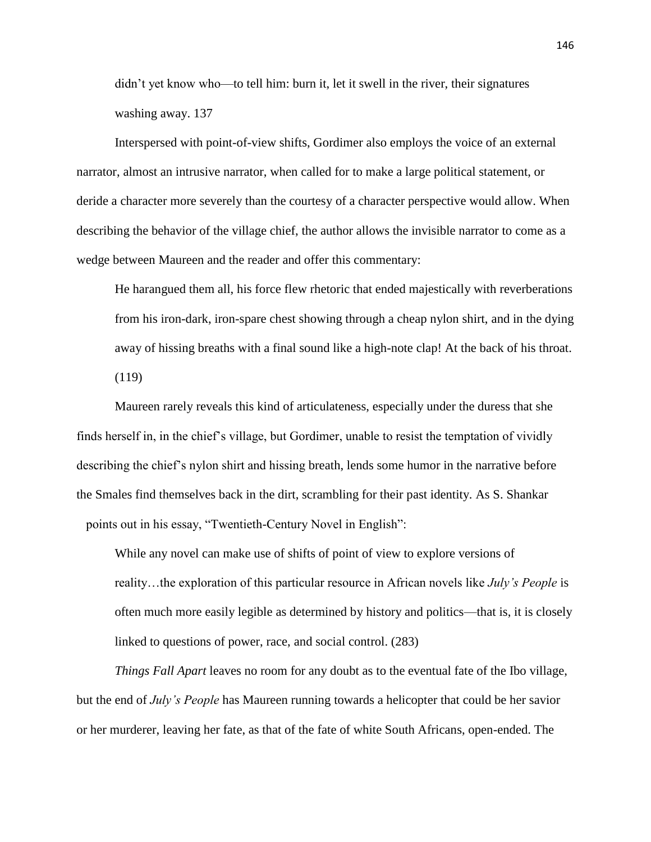didn't yet know who—to tell him: burn it, let it swell in the river, their signatures washing away. 137

Interspersed with point-of-view shifts, Gordimer also employs the voice of an external narrator, almost an intrusive narrator, when called for to make a large political statement, or deride a character more severely than the courtesy of a character perspective would allow. When describing the behavior of the village chief, the author allows the invisible narrator to come as a wedge between Maureen and the reader and offer this commentary:

He harangued them all, his force flew rhetoric that ended majestically with reverberations from his iron-dark, iron-spare chest showing through a cheap nylon shirt, and in the dying away of hissing breaths with a final sound like a high-note clap! At the back of his throat. (119)

Maureen rarely reveals this kind of articulateness, especially under the duress that she finds herself in, in the chief's village, but Gordimer, unable to resist the temptation of vividly describing the chief's nylon shirt and hissing breath, lends some humor in the narrative before the Smales find themselves back in the dirt, scrambling for their past identity. As S. Shankar points out in his essay, "Twentieth-Century Novel in English":

While any novel can make use of shifts of point of view to explore versions of reality…the exploration of this particular resource in African novels like *July's People* is often much more easily legible as determined by history and politics—that is, it is closely linked to questions of power, race, and social control. (283)

*Things Fall Apart* leaves no room for any doubt as to the eventual fate of the Ibo village, but the end of *July's People* has Maureen running towards a helicopter that could be her savior or her murderer, leaving her fate, as that of the fate of white South Africans, open-ended. The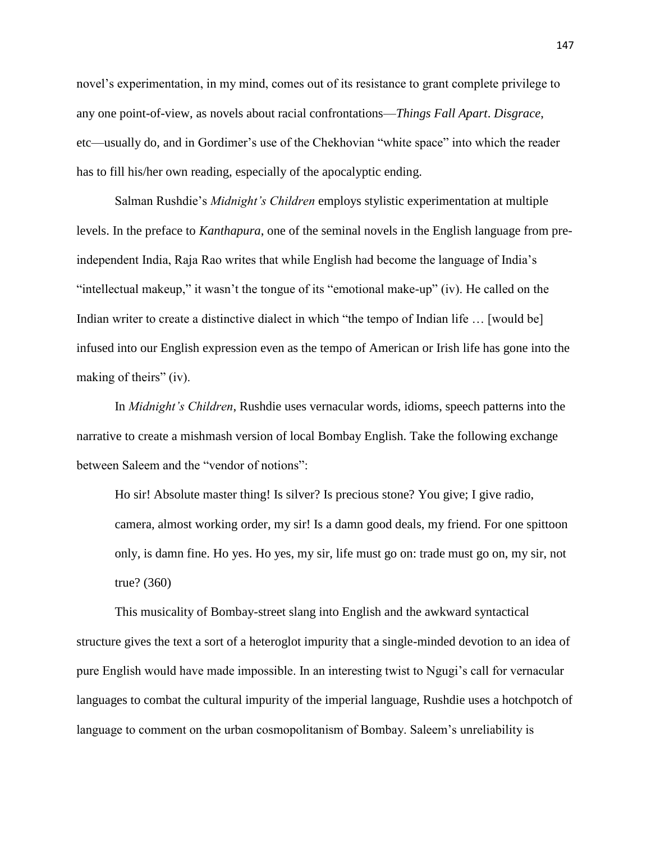novel's experimentation, in my mind, comes out of its resistance to grant complete privilege to any one point-of-view, as novels about racial confrontations—*Things Fall Apart*. *Disgrace*, etc—usually do, and in Gordimer's use of the Chekhovian "white space" into which the reader has to fill his/her own reading, especially of the apocalyptic ending.

Salman Rushdie's *Midnight's Children* employs stylistic experimentation at multiple levels. In the preface to *Kanthapura*, one of the seminal novels in the English language from preindependent India, Raja Rao writes that while English had become the language of India's "intellectual makeup," it wasn't the tongue of its "emotional make-up" (iv). He called on the Indian writer to create a distinctive dialect in which "the tempo of Indian life ... [would be] infused into our English expression even as the tempo of American or Irish life has gone into the making of theirs" (iv).

In *Midnight's Children*, Rushdie uses vernacular words, idioms, speech patterns into the narrative to create a mishmash version of local Bombay English. Take the following exchange between Saleem and the "vendor of notions":

Ho sir! Absolute master thing! Is silver? Is precious stone? You give; I give radio, camera, almost working order, my sir! Is a damn good deals, my friend. For one spittoon only, is damn fine. Ho yes. Ho yes, my sir, life must go on: trade must go on, my sir, not true? (360)

This musicality of Bombay-street slang into English and the awkward syntactical structure gives the text a sort of a heteroglot impurity that a single-minded devotion to an idea of pure English would have made impossible. In an interesting twist to Ngugi's call for vernacular languages to combat the cultural impurity of the imperial language, Rushdie uses a hotchpotch of language to comment on the urban cosmopolitanism of Bombay. Saleem's unreliability is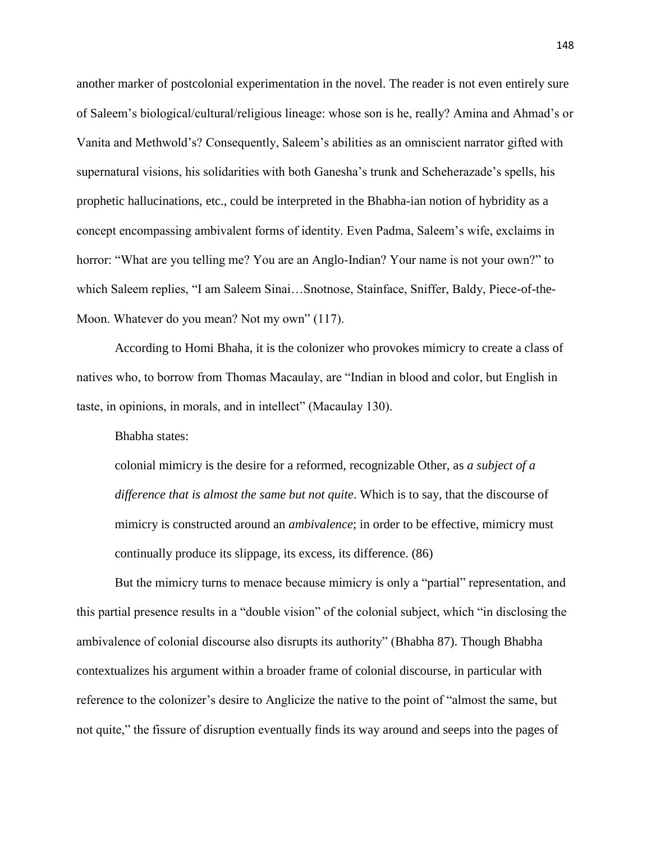another marker of postcolonial experimentation in the novel. The reader is not even entirely sure of Saleem's biological/cultural/religious lineage: whose son is he, really? Amina and Ahmad's or Vanita and Methwold's? Consequently, Saleem's abilities as an omniscient narrator gifted with supernatural visions, his solidarities with both Ganesha's trunk and Scheherazade's spells, his prophetic hallucinations, etc., could be interpreted in the Bhabha-ian notion of hybridity as a concept encompassing ambivalent forms of identity. Even Padma, Saleem's wife, exclaims in horror: "What are you telling me? You are an Anglo-Indian? Your name is not your own?" to which Saleem replies, "I am Saleem Sinai…Snotnose, Stainface, Sniffer, Baldy, Piece-of-the-Moon. Whatever do you mean? Not my own" (117).

According to Homi Bhaha, it is the colonizer who provokes mimicry to create a class of natives who, to borrow from Thomas Macaulay, are "Indian in blood and color, but English in taste, in opinions, in morals, and in intellect" (Macaulay 130).

Bhabha states:

colonial mimicry is the desire for a reformed, recognizable Other, as *a subject of a difference that is almost the same but not quite*. Which is to say, that the discourse of mimicry is constructed around an *ambivalence*; in order to be effective, mimicry must continually produce its slippage, its excess, its difference. (86)

But the mimicry turns to menace because mimicry is only a "partial" representation, and this partial presence results in a "double vision" of the colonial subject, which "in disclosing the ambivalence of colonial discourse also disrupts its authority" (Bhabha 87). Though Bhabha contextualizes his argument within a broader frame of colonial discourse, in particular with reference to the colonizer's desire to Anglicize the native to the point of "almost the same, but not quite," the fissure of disruption eventually finds its way around and seeps into the pages of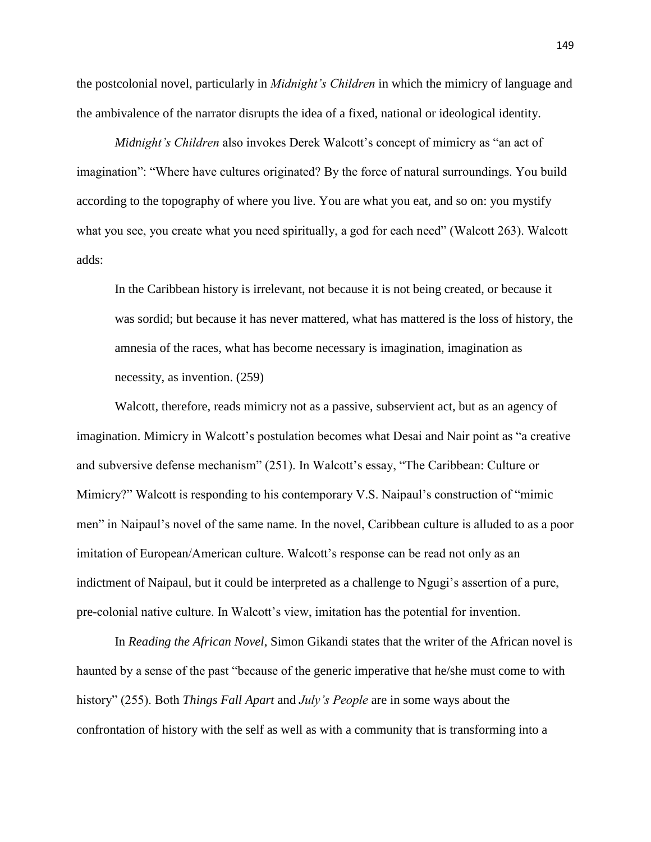the postcolonial novel, particularly in *Midnight's Children* in which the mimicry of language and the ambivalence of the narrator disrupts the idea of a fixed, national or ideological identity.

*Midnight's Children* also invokes Derek Walcott's concept of mimicry as "an act of imagination": "Where have cultures originated? By the force of natural surroundings. You build according to the topography of where you live. You are what you eat, and so on: you mystify what you see, you create what you need spiritually, a god for each need" (Walcott 263). Walcott adds:

In the Caribbean history is irrelevant, not because it is not being created, or because it was sordid; but because it has never mattered, what has mattered is the loss of history, the amnesia of the races, what has become necessary is imagination, imagination as necessity, as invention. (259)

Walcott, therefore, reads mimicry not as a passive, subservient act, but as an agency of imagination. Mimicry in Walcott's postulation becomes what Desai and Nair point as "a creative and subversive defense mechanism" (251). In Walcott's essay, "The Caribbean: Culture or Mimicry?" Walcott is responding to his contemporary V.S. Naipaul's construction of "mimic men" in Naipaul's novel of the same name. In the novel, Caribbean culture is alluded to as a poor imitation of European/American culture. Walcott's response can be read not only as an indictment of Naipaul, but it could be interpreted as a challenge to Ngugi's assertion of a pure, pre-colonial native culture. In Walcott's view, imitation has the potential for invention.

In *Reading the African Novel*, Simon Gikandi states that the writer of the African novel is haunted by a sense of the past "because of the generic imperative that he/she must come to with history" (255). Both *Things Fall Apart* and *July's People* are in some ways about the confrontation of history with the self as well as with a community that is transforming into a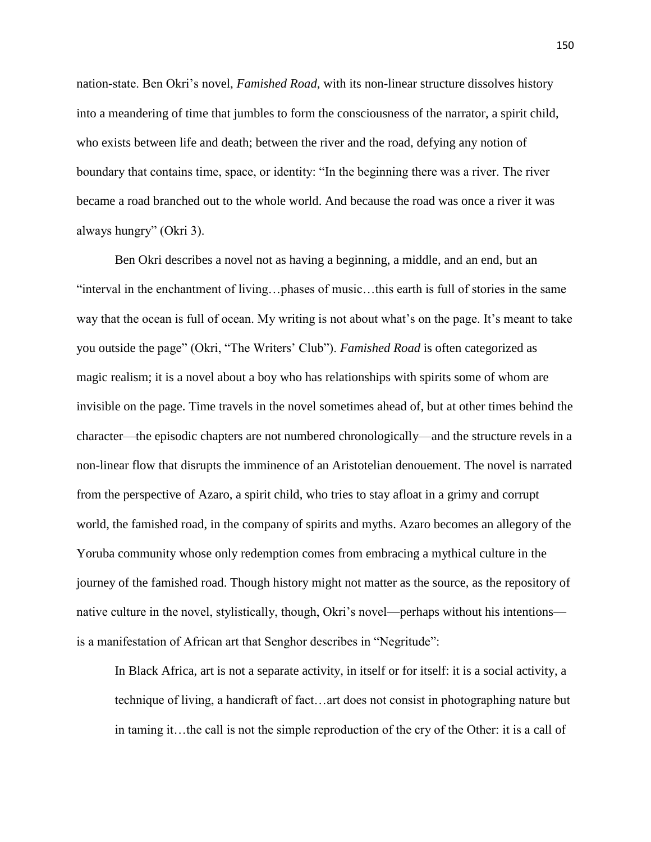nation-state. Ben Okri's novel, *Famished Road*, with its non-linear structure dissolves history into a meandering of time that jumbles to form the consciousness of the narrator, a spirit child, who exists between life and death; between the river and the road, defying any notion of boundary that contains time, space, or identity: "In the beginning there was a river. The river became a road branched out to the whole world. And because the road was once a river it was always hungry" (Okri 3).

Ben Okri describes a novel not as having a beginning, a middle, and an end, but an "interval in the enchantment of living…phases of music…this earth is full of stories in the same way that the ocean is full of ocean. My writing is not about what's on the page. It's meant to take you outside the page" (Okri, "The Writers' Club"). *Famished Road* is often categorized as magic realism; it is a novel about a boy who has relationships with spirits some of whom are invisible on the page. Time travels in the novel sometimes ahead of, but at other times behind the character—the episodic chapters are not numbered chronologically—and the structure revels in a non-linear flow that disrupts the imminence of an Aristotelian denouement. The novel is narrated from the perspective of Azaro, a spirit child, who tries to stay afloat in a grimy and corrupt world, the famished road, in the company of spirits and myths. Azaro becomes an allegory of the Yoruba community whose only redemption comes from embracing a mythical culture in the journey of the famished road. Though history might not matter as the source, as the repository of native culture in the novel, stylistically, though, Okri's novel—perhaps without his intentions is a manifestation of African art that Senghor describes in "Negritude":

In Black Africa, art is not a separate activity, in itself or for itself: it is a social activity, a technique of living, a handicraft of fact…art does not consist in photographing nature but in taming it…the call is not the simple reproduction of the cry of the Other: it is a call of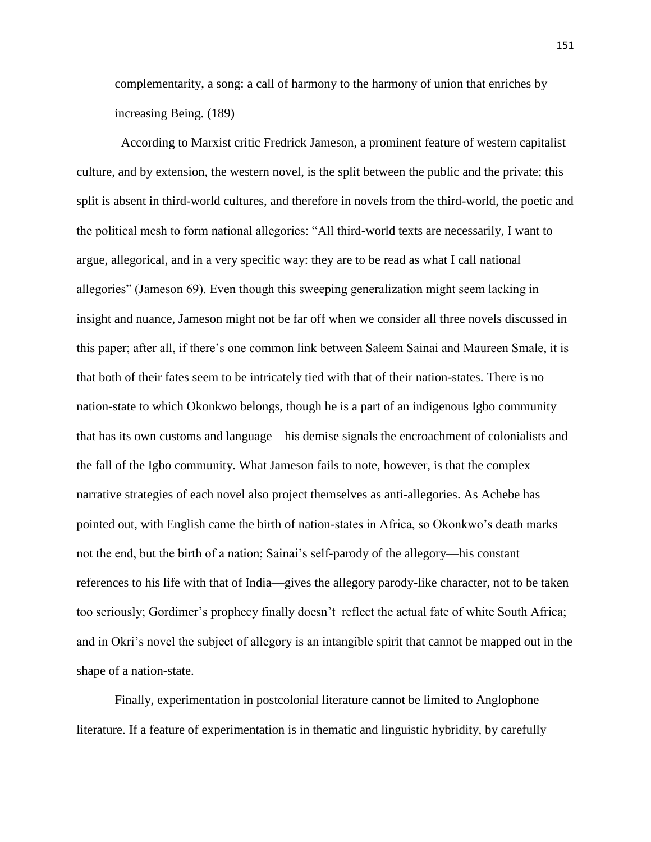complementarity, a song: a call of harmony to the harmony of union that enriches by increasing Being. (189)

 According to Marxist critic Fredrick Jameson, a prominent feature of western capitalist culture, and by extension, the western novel, is the split between the public and the private; this split is absent in third-world cultures, and therefore in novels from the third-world, the poetic and the political mesh to form national allegories: "All third-world texts are necessarily, I want to argue, allegorical, and in a very specific way: they are to be read as what I call national allegories" (Jameson 69). Even though this sweeping generalization might seem lacking in insight and nuance, Jameson might not be far off when we consider all three novels discussed in this paper; after all, if there's one common link between Saleem Sainai and Maureen Smale, it is that both of their fates seem to be intricately tied with that of their nation-states. There is no nation-state to which Okonkwo belongs, though he is a part of an indigenous Igbo community that has its own customs and language—his demise signals the encroachment of colonialists and the fall of the Igbo community. What Jameson fails to note, however, is that the complex narrative strategies of each novel also project themselves as anti-allegories. As Achebe has pointed out, with English came the birth of nation-states in Africa, so Okonkwo's death marks not the end, but the birth of a nation; Sainai's self-parody of the allegory—his constant references to his life with that of India—gives the allegory parody-like character, not to be taken too seriously; Gordimer's prophecy finally doesn't reflect the actual fate of white South Africa; and in Okri's novel the subject of allegory is an intangible spirit that cannot be mapped out in the shape of a nation-state.

Finally, experimentation in postcolonial literature cannot be limited to Anglophone literature. If a feature of experimentation is in thematic and linguistic hybridity, by carefully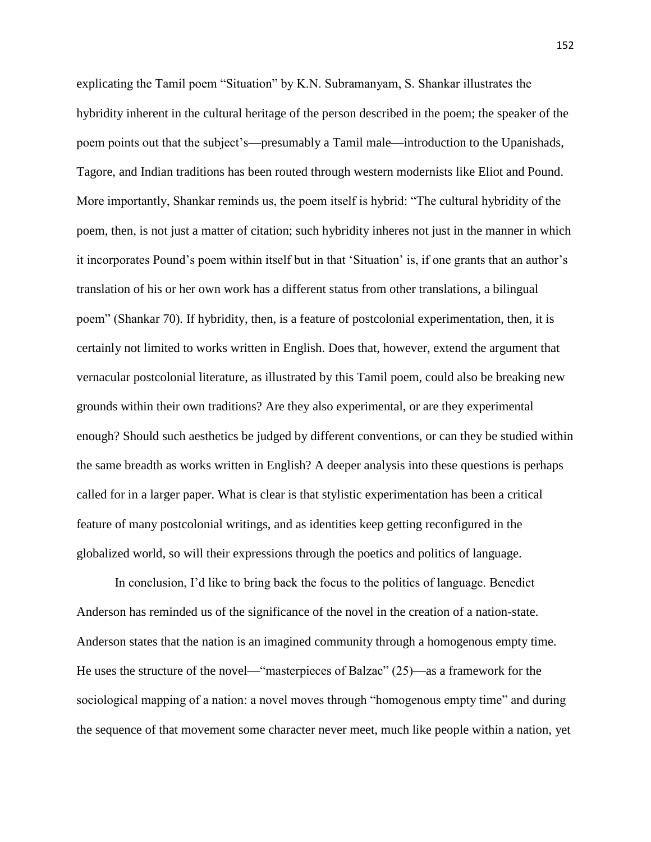explicating the Tamil poem "Situation" by K.N. Subramanyam, S. Shankar illustrates the hybridity inherent in the cultural heritage of the person described in the poem; the speaker of the poem points out that the subject's—presumably a Tamil male—introduction to the Upanishads, Tagore, and Indian traditions has been routed through western modernists like Eliot and Pound. More importantly, Shankar reminds us, the poem itself is hybrid: "The cultural hybridity of the poem, then, is not just a matter of citation; such hybridity inheres not just in the manner in which it incorporates Pound's poem within itself but in that 'Situation' is, if one grants that an author's translation of his or her own work has a different status from other translations, a bilingual poem" (Shankar 70). If hybridity, then, is a feature of postcolonial experimentation, then, it is certainly not limited to works written in English. Does that, however, extend the argument that vernacular postcolonial literature, as illustrated by this Tamil poem, could also be breaking new grounds within their own traditions? Are they also experimental, or are they experimental enough? Should such aesthetics be judged by different conventions, or can they be studied within the same breadth as works written in English? A deeper analysis into these questions is perhaps called for in a larger paper. What is clear is that stylistic experimentation has been a critical feature of many postcolonial writings, and as identities keep getting reconfigured in the globalized world, so will their expressions through the poetics and politics of language.

In conclusion, I'd like to bring back the focus to the politics of language. Benedict Anderson has reminded us of the significance of the novel in the creation of a nation-state. Anderson states that the nation is an imagined community through a homogenous empty time. He uses the structure of the novel—"masterpieces of Balzac" (25)—as a framework for the sociological mapping of a nation: a novel moves through "homogenous empty time" and during the sequence of that movement some character never meet, much like people within a nation, yet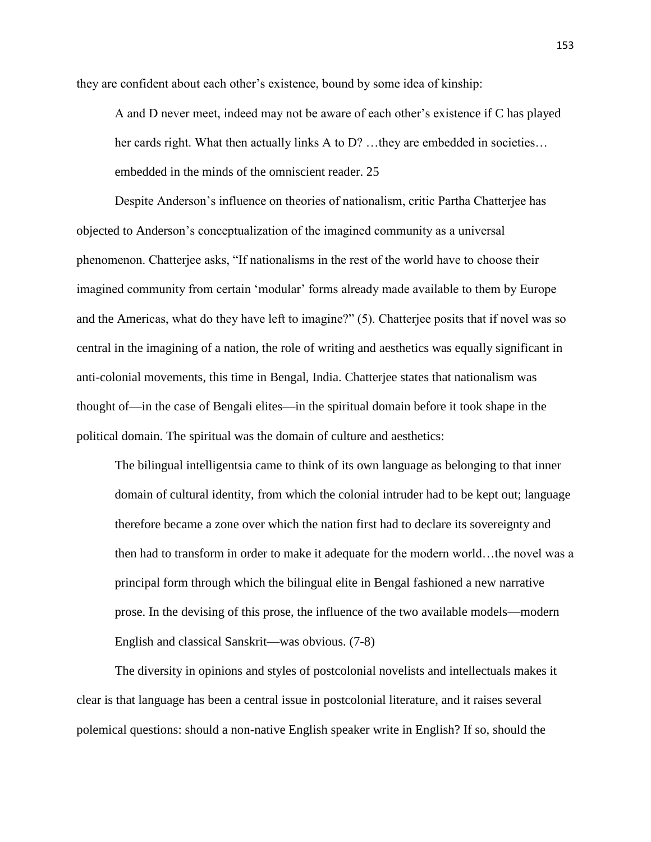they are confident about each other's existence, bound by some idea of kinship:

A and D never meet, indeed may not be aware of each other's existence if C has played her cards right. What then actually links A to D? …they are embedded in societies… embedded in the minds of the omniscient reader. 25

Despite Anderson's influence on theories of nationalism, critic Partha Chatterjee has objected to Anderson's conceptualization of the imagined community as a universal phenomenon. Chatterjee asks, "If nationalisms in the rest of the world have to choose their imagined community from certain 'modular' forms already made available to them by Europe and the Americas, what do they have left to imagine?" (5). Chatterjee posits that if novel was so central in the imagining of a nation, the role of writing and aesthetics was equally significant in anti-colonial movements, this time in Bengal, India. Chatterjee states that nationalism was thought of—in the case of Bengali elites—in the spiritual domain before it took shape in the political domain. The spiritual was the domain of culture and aesthetics:

The bilingual intelligentsia came to think of its own language as belonging to that inner domain of cultural identity, from which the colonial intruder had to be kept out; language therefore became a zone over which the nation first had to declare its sovereignty and then had to transform in order to make it adequate for the modern world…the novel was a principal form through which the bilingual elite in Bengal fashioned a new narrative prose. In the devising of this prose, the influence of the two available models—modern English and classical Sanskrit—was obvious. (7-8)

The diversity in opinions and styles of postcolonial novelists and intellectuals makes it clear is that language has been a central issue in postcolonial literature, and it raises several polemical questions: should a non-native English speaker write in English? If so, should the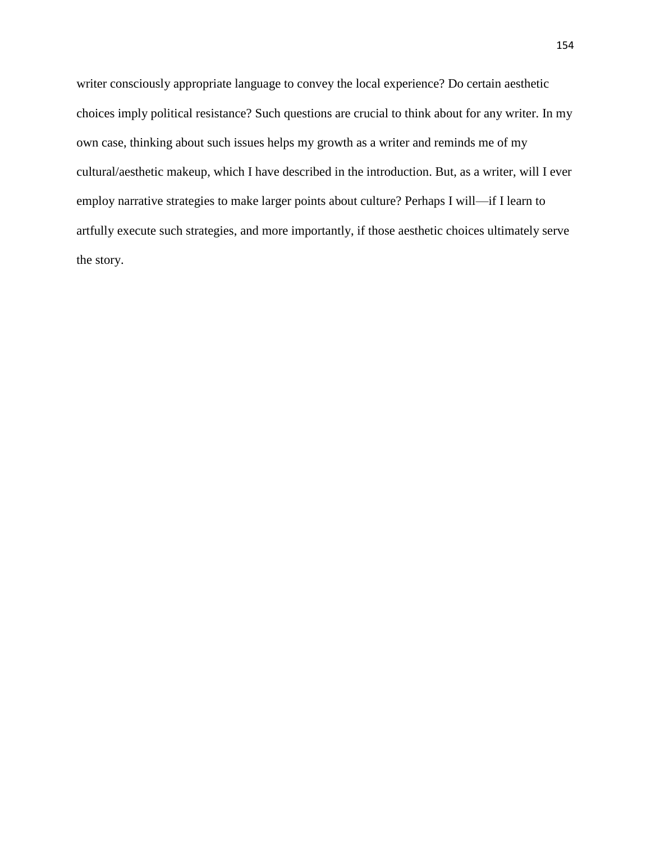writer consciously appropriate language to convey the local experience? Do certain aesthetic choices imply political resistance? Such questions are crucial to think about for any writer. In my own case, thinking about such issues helps my growth as a writer and reminds me of my cultural/aesthetic makeup, which I have described in the introduction. But, as a writer, will I ever employ narrative strategies to make larger points about culture? Perhaps I will—if I learn to artfully execute such strategies, and more importantly, if those aesthetic choices ultimately serve the story.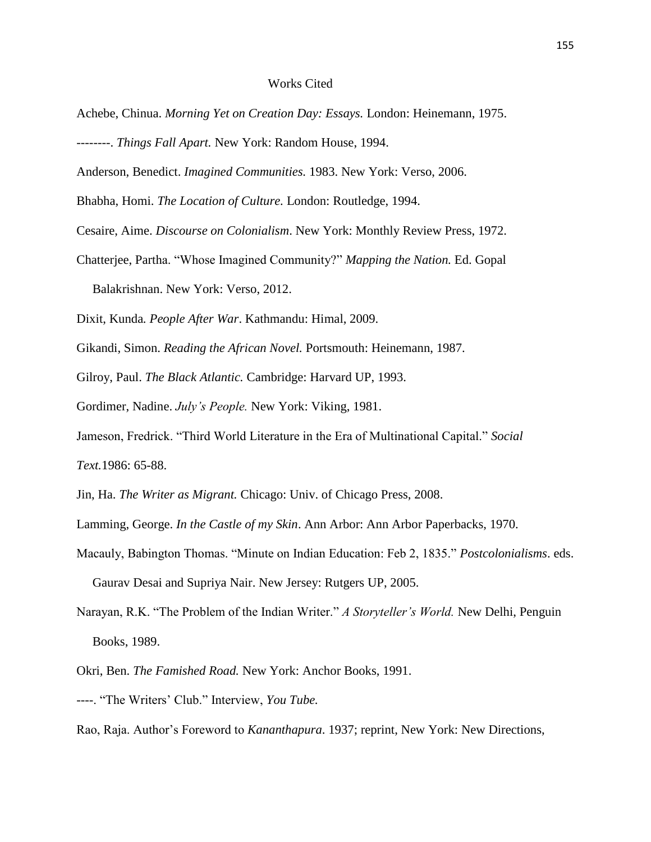## Works Cited

- Achebe, Chinua. *Morning Yet on Creation Day: Essays.* London: Heinemann, 1975.
- --------. *Things Fall Apart.* New York: Random House, 1994.
- Anderson, Benedict. *Imagined Communities.* 1983. New York: Verso, 2006.
- Bhabha, Homi. *The Location of Culture.* London: Routledge, 1994.
- Cesaire, Aime. *Discourse on Colonialism*. New York: Monthly Review Press, 1972.
- Chatterjee, Partha. "Whose Imagined Community?" *Mapping the Nation.* Ed. Gopal Balakrishnan. New York: Verso, 2012.
- Dixit, Kunda*. People After War*. Kathmandu: Himal, 2009.
- Gikandi, Simon. *Reading the African Novel.* Portsmouth: Heinemann, 1987.
- Gilroy, Paul. *The Black Atlantic.* Cambridge: Harvard UP, 1993.
- Gordimer, Nadine. *July's People.* New York: Viking, 1981.
- Jameson, Fredrick. "Third World Literature in the Era of Multinational Capital." *Social Text.*1986: 65-88.
- Jin, Ha. *The Writer as Migrant.* Chicago: Univ. of Chicago Press, 2008.
- Lamming, George. *In the Castle of my Skin*. Ann Arbor: Ann Arbor Paperbacks, 1970.
- Macauly, Babington Thomas. "Minute on Indian Education: Feb 2, 1835." *Postcolonialisms*. eds. Gaurav Desai and Supriya Nair. New Jersey: Rutgers UP, 2005.
- Narayan, R.K. "The Problem of the Indian Writer." *A Storyteller's World.* New Delhi, Penguin Books, 1989.
- Okri, Ben. *The Famished Road.* New York: Anchor Books, 1991.
- ----. "The Writers' Club." Interview, *You Tube.*
- Rao, Raja. Author's Foreword to *Kananthapura*. 1937; reprint, New York: New Directions,